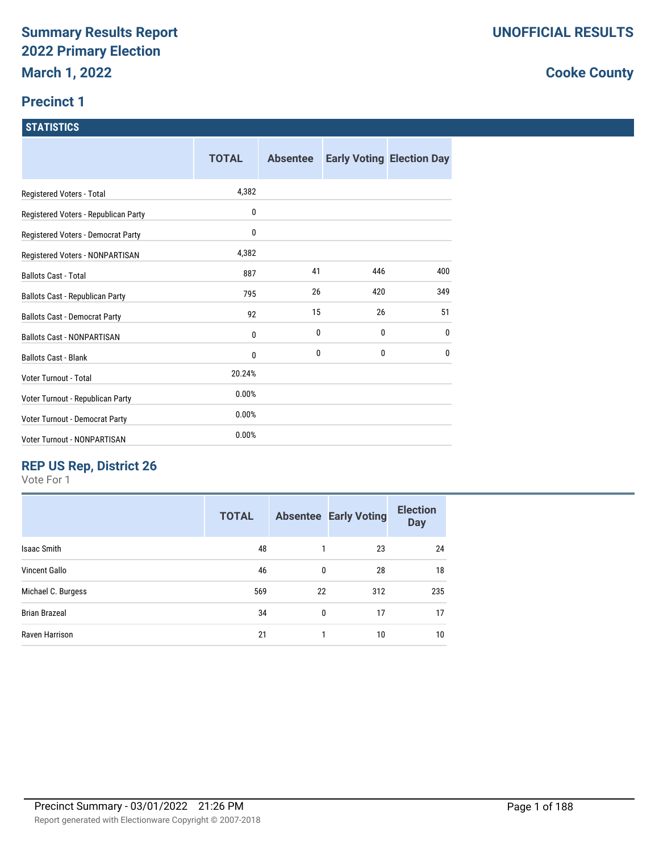#### **Precinct 1**

#### **STATISTICS**

|                                        | <b>TOTAL</b> | <b>Absentee</b> |     | <b>Early Voting Election Day</b> |
|----------------------------------------|--------------|-----------------|-----|----------------------------------|
| Registered Voters - Total              | 4,382        |                 |     |                                  |
| Registered Voters - Republican Party   | 0            |                 |     |                                  |
| Registered Voters - Democrat Party     | 0            |                 |     |                                  |
| Registered Voters - NONPARTISAN        | 4,382        |                 |     |                                  |
| <b>Ballots Cast - Total</b>            | 887          | 41              | 446 | 400                              |
| <b>Ballots Cast - Republican Party</b> | 795          | 26              | 420 | 349                              |
| <b>Ballots Cast - Democrat Party</b>   | 92           | 15              | 26  | 51                               |
| <b>Ballots Cast - NONPARTISAN</b>      | 0            | 0               | 0   | $\mathbf{0}$                     |
| <b>Ballots Cast - Blank</b>            | 0            | 0               | 0   | $\mathbf{0}$                     |
| Voter Turnout - Total                  | 20.24%       |                 |     |                                  |
| Voter Turnout - Republican Party       | 0.00%        |                 |     |                                  |
| Voter Turnout - Democrat Party         | 0.00%        |                 |     |                                  |
| Voter Turnout - NONPARTISAN            | 0.00%        |                 |     |                                  |

## **REP US Rep, District 26**

Vote For 1

| <b>TOTAL</b> |              |     | <b>Election</b><br><b>Day</b>      |
|--------------|--------------|-----|------------------------------------|
| 48           |              | 23  | 24                                 |
| 46           | 0            | 28  | 18                                 |
| 569          |              | 312 | 235                                |
| 34           | $\mathbf{0}$ | 17  | 17                                 |
| 21           |              | 10  | 10                                 |
|              |              |     | <b>Absentee Early Voting</b><br>22 |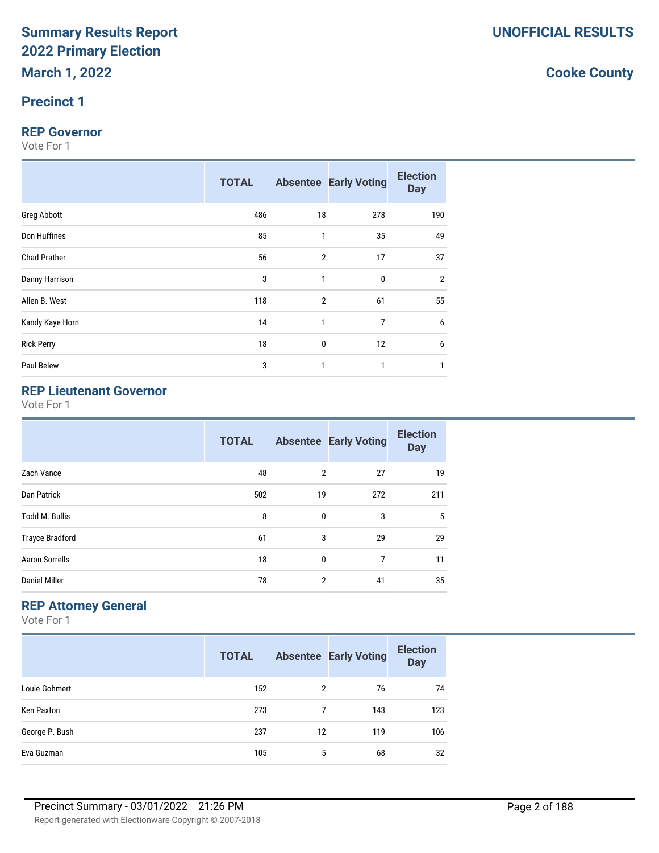#### **Precinct 1**

#### **REP Governor**

Vote For 1

|                     | <b>TOTAL</b> |                | <b>Absentee Early Voting</b> | <b>Election</b><br><b>Day</b> |
|---------------------|--------------|----------------|------------------------------|-------------------------------|
| Greg Abbott         | 486          | 18             | 278                          | 190                           |
| Don Huffines        | 85           | 1              | 35                           | 49                            |
| <b>Chad Prather</b> | 56           | $\overline{2}$ | 17                           | 37                            |
| Danny Harrison      | 3            | 1              | 0                            | $\overline{2}$                |
| Allen B. West       | 118          | $\overline{2}$ | 61                           | 55                            |
| Kandy Kaye Horn     | 14           | 1              | 7                            | 6                             |
| <b>Rick Perry</b>   | 18           | $\mathbf 0$    | 12                           | 6                             |
| Paul Belew          | 3            | 1              | 1                            |                               |

#### **REP Lieutenant Governor**

Vote For 1

|                        | <b>TOTAL</b> |              | <b>Absentee Early Voting</b> | <b>Election</b><br><b>Day</b> |
|------------------------|--------------|--------------|------------------------------|-------------------------------|
| Zach Vance             | 48           | 2            | 27                           | 19                            |
| Dan Patrick            | 502          | 19           | 272                          | 211                           |
| <b>Todd M. Bullis</b>  | 8            | $\mathbf{0}$ | 3                            | 5                             |
| <b>Trayce Bradford</b> | 61           | 3            | 29                           | 29                            |
| <b>Aaron Sorrells</b>  | 18           | $\mathbf{0}$ | 7                            | 11                            |
| <b>Daniel Miller</b>   | 78           | 2            | 41                           | 35                            |

#### **REP Attorney General**

Vote For 1

|                | <b>TOTAL</b> |    | <b>Absentee Early Voting</b> | <b>Election</b><br><b>Day</b> |
|----------------|--------------|----|------------------------------|-------------------------------|
| Louie Gohmert  | 152          | 2  | 76                           | 74                            |
| Ken Paxton     | 273          |    | 143                          | 123                           |
| George P. Bush | 237          | 12 | 119                          | 106                           |
| Eva Guzman     | 105          | 5  | 68                           | 32                            |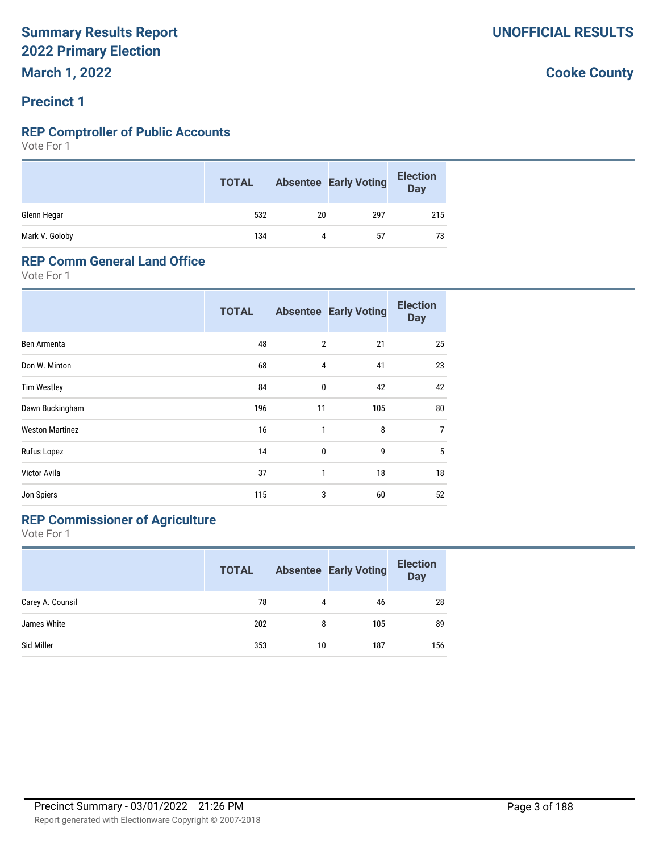#### **Precinct 1**

#### **REP Comptroller of Public Accounts**

Vote For 1

|                | <b>TOTAL</b> |    | <b>Absentee Early Voting</b> | <b>Election</b><br>Day |
|----------------|--------------|----|------------------------------|------------------------|
| Glenn Hegar    | 532          | 20 | 297                          | 215                    |
| Mark V. Goloby | 134          | 4  | 57                           | 73                     |

#### **REP Comm General Land Office**

Vote For 1

|                        | <b>TOTAL</b> |                | <b>Absentee Early Voting</b> | <b>Election</b><br><b>Day</b> |
|------------------------|--------------|----------------|------------------------------|-------------------------------|
| Ben Armenta            | 48           | $\overline{2}$ | 21                           | 25                            |
| Don W. Minton          | 68           | $\overline{4}$ | 41                           | 23                            |
| <b>Tim Westley</b>     | 84           | 0              | 42                           | 42                            |
| Dawn Buckingham        | 196          | 11             | 105                          | 80                            |
| <b>Weston Martinez</b> | 16           | $\mathbf{1}$   | 8                            | $\overline{7}$                |
| Rufus Lopez            | 14           | 0              | 9                            | 5                             |
| Victor Avila           | 37           | 1              | 18                           | 18                            |
| Jon Spiers             | 115          | 3              | 60                           | 52                            |

## **REP Commissioner of Agriculture**

Vote For 1

|                  | <b>TOTAL</b> |    | <b>Absentee Early Voting</b> | <b>Election</b><br><b>Day</b> |
|------------------|--------------|----|------------------------------|-------------------------------|
| Carey A. Counsil | 78           | 4  | 46                           | 28                            |
| James White      | 202          | 8  | 105                          | 89                            |
| Sid Miller       | 353          | 10 | 187                          | 156                           |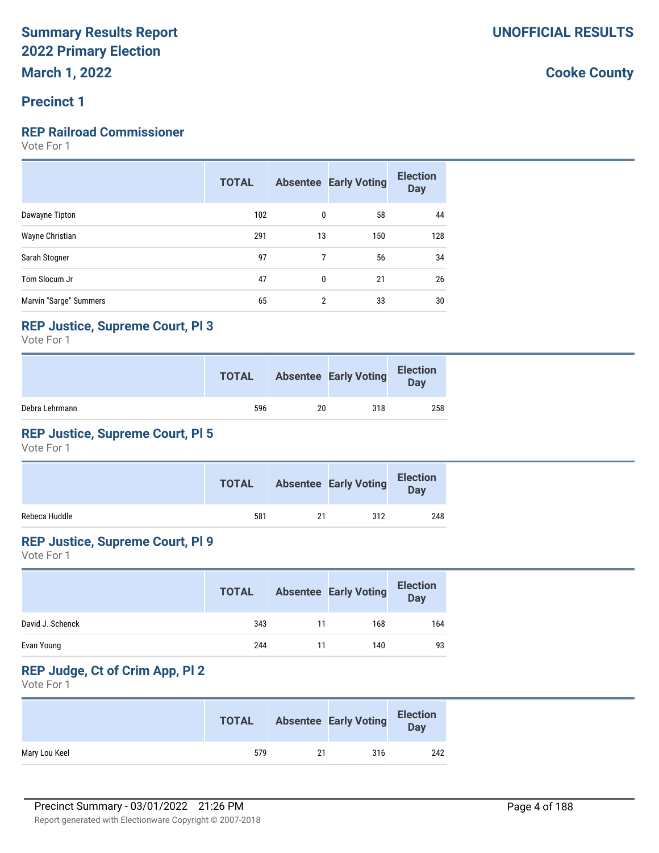#### **Precinct 1**

#### **REP Railroad Commissioner**

Vote For 1

|                        | <b>TOTAL</b> |    | <b>Absentee Early Voting</b> | <b>Election</b><br><b>Day</b> |
|------------------------|--------------|----|------------------------------|-------------------------------|
| Dawayne Tipton         | 102          | 0  | 58                           | 44                            |
| Wayne Christian        | 291          | 13 | 150                          | 128                           |
| Sarah Stogner          | 97           | 7  | 56                           | 34                            |
| Tom Slocum Jr          | 47           | 0  | 21                           | 26                            |
| Marvin "Sarge" Summers | 65           | 2  | 33                           | 30                            |

#### **REP Justice, Supreme Court, Pl 3**

Vote For 1

|                | <b>TOTAL</b> |    | <b>Absentee Early Voting</b> | <b>Election</b><br>Day |
|----------------|--------------|----|------------------------------|------------------------|
| Debra Lehrmann | 596          | 20 | 318                          | 258                    |

#### **REP Justice, Supreme Court, Pl 5**

Vote For 1

|               | <b>TOTAL</b> |    | <b>Absentee Early Voting</b> | <b>Election</b><br><b>Day</b> |
|---------------|--------------|----|------------------------------|-------------------------------|
| Rebeca Huddle | 581          | 21 | 312                          | 248                           |

#### **REP Justice, Supreme Court, Pl 9**

Vote For 1

|                  | <b>TOTAL</b> |    | <b>Absentee Early Voting</b> | <b>Election</b><br><b>Day</b> |
|------------------|--------------|----|------------------------------|-------------------------------|
| David J. Schenck | 343          | 11 | 168                          | 164                           |
| Evan Young       | 244          | 11 | 140                          | 93                            |

## **REP Judge, Ct of Crim App, Pl 2**

Vote For 1

|               | <b>TOTAL</b> |    | <b>Absentee Early Voting</b> | <b>Election</b><br>Day |
|---------------|--------------|----|------------------------------|------------------------|
| Mary Lou Keel | 579          | 21 | 316                          | 242                    |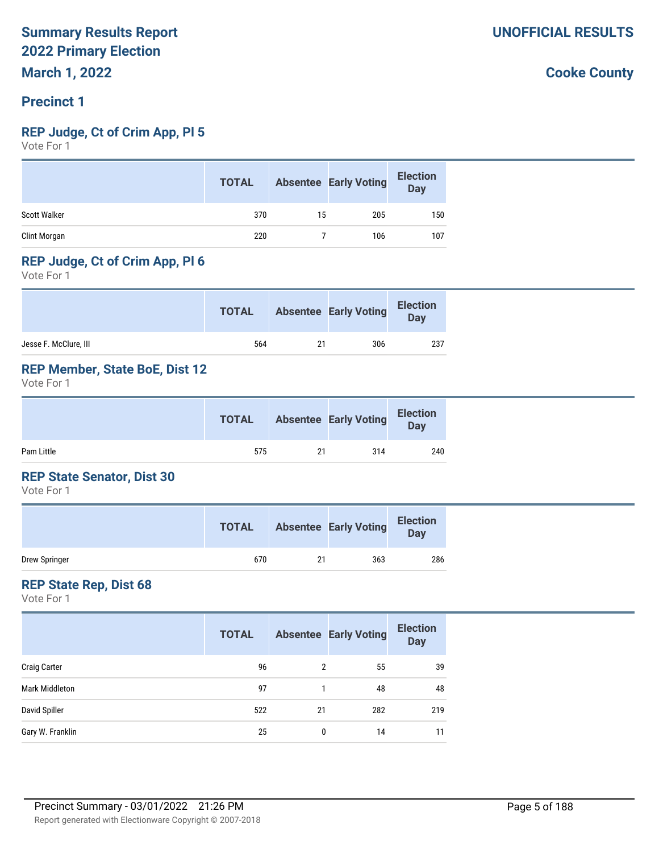#### **Precinct 1**

#### **REP Judge, Ct of Crim App, Pl 5**

Vote For 1

|                     | <b>TOTAL</b> |    | <b>Absentee Early Voting</b> | <b>Election</b><br>Day |
|---------------------|--------------|----|------------------------------|------------------------|
| <b>Scott Walker</b> | 370          | 15 | 205                          | 150                    |
| Clint Morgan        | 220          |    | 106                          | 107                    |

#### **REP Judge, Ct of Crim App, Pl 6**

Vote For 1

|                       | <b>TOTAL</b> |    | <b>Absentee Early Voting</b> | <b>Election</b><br>Day |
|-----------------------|--------------|----|------------------------------|------------------------|
| Jesse F. McClure, III | 564          | 21 | 306                          | 237                    |

#### **REP Member, State BoE, Dist 12**

Vote For 1

|            | <b>TOTAL</b> |    | <b>Absentee Early Voting</b> | <b>Election</b><br><b>Day</b> |  |
|------------|--------------|----|------------------------------|-------------------------------|--|
| Pam Little | 575          | 21 | 314                          | 240                           |  |

#### **REP State Senator, Dist 30**

Vote For 1

|               | <b>TOTAL</b> |    | <b>Absentee Early Voting</b> | <b>Election</b><br>Day |
|---------------|--------------|----|------------------------------|------------------------|
| Drew Springer | 670          | 21 | 363                          | 286                    |

#### **REP State Rep, Dist 68**

Vote For 1

|                       | <b>TOTAL</b> |    | <b>Absentee Early Voting</b> | <b>Election</b><br><b>Day</b> |
|-----------------------|--------------|----|------------------------------|-------------------------------|
| <b>Craig Carter</b>   | 96           | 2  | 55                           | 39                            |
| <b>Mark Middleton</b> | 97           |    | 48                           | 48                            |
| David Spiller         | 522          | 21 | 282                          | 219                           |
| Gary W. Franklin      | 25           | 0  | 14                           | 11                            |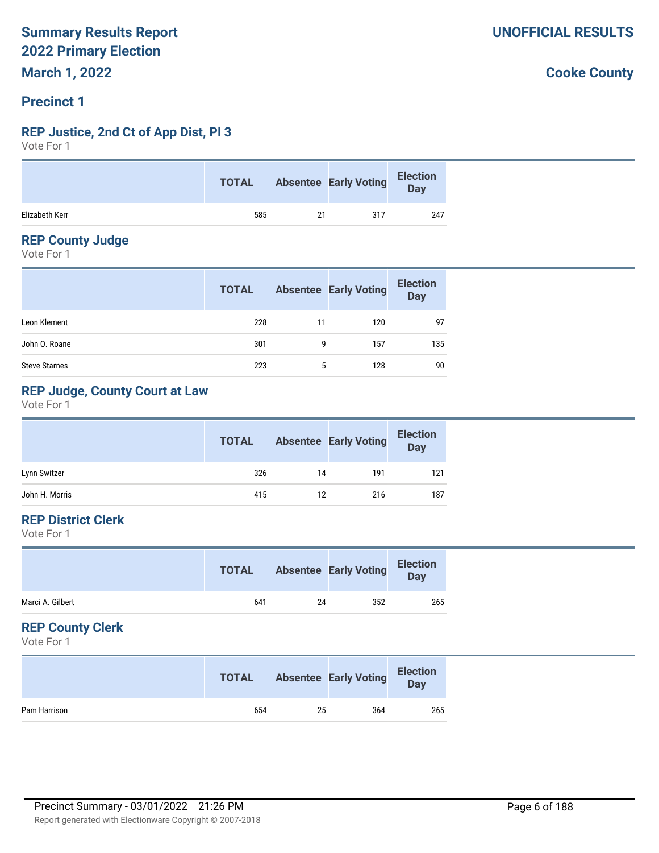#### **Precinct 1**

## **REP Justice, 2nd Ct of App Dist, Pl 3**

Vote For 1

|                | <b>TOTAL</b> |    | <b>Absentee Early Voting</b> | <b>Election</b><br>Day |
|----------------|--------------|----|------------------------------|------------------------|
| Elizabeth Kerr | 585          | 21 | 317                          | 247                    |

#### **REP County Judge**

Vote For 1

|                      | <b>TOTAL</b> |    | <b>Absentee Early Voting</b> | <b>Election</b><br>Day |
|----------------------|--------------|----|------------------------------|------------------------|
| Leon Klement         | 228          | 11 | 120                          | 97                     |
| John O. Roane        | 301          | 9  | 157                          | 135                    |
| <b>Steve Starnes</b> | 223          | 5  | 128                          | 90                     |

#### **REP Judge, County Court at Law**

Vote For 1

|                | <b>TOTAL</b> |    | <b>Absentee Early Voting</b> | <b>Election</b><br><b>Day</b> |
|----------------|--------------|----|------------------------------|-------------------------------|
| Lynn Switzer   | 326          | 14 | 191                          | 121                           |
| John H. Morris | 415          | 12 | 216                          | 187                           |

#### **REP District Clerk**

Vote For 1

|                  | <b>TOTAL</b> |    | <b>Absentee Early Voting</b> | <b>Election</b><br>Day |
|------------------|--------------|----|------------------------------|------------------------|
| Marci A. Gilbert | 641          | 24 | 352                          | 265                    |

#### **REP County Clerk**

Vote For 1

|              | <b>TOTAL</b> |    | <b>Absentee Early Voting</b> | <b>Election</b><br>Day |
|--------------|--------------|----|------------------------------|------------------------|
| Pam Harrison | 654          | 25 | 364                          | 265                    |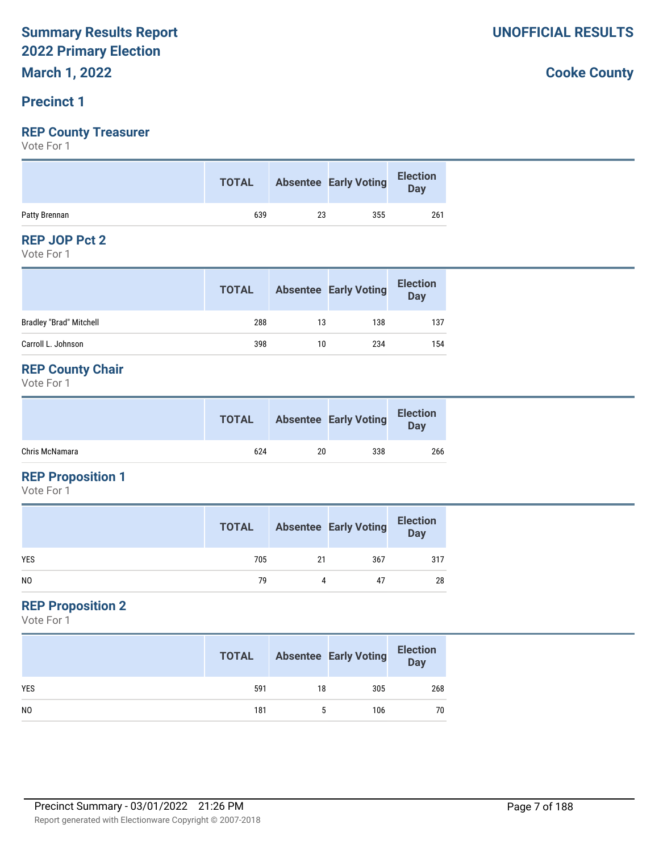#### **Precinct 1**

#### **REP County Treasurer**

Vote For 1

|               | <b>TOTAL</b> |    | Absentee Early Voting | <b>Election</b><br><b>Day</b> |
|---------------|--------------|----|-----------------------|-------------------------------|
| Patty Brennan | 639          | 23 | 355                   | 261                           |

#### **REP JOP Pct 2**

Vote For 1

|                                | <b>TOTAL</b> |    | <b>Absentee Early Voting</b> | <b>Election</b><br><b>Day</b> |
|--------------------------------|--------------|----|------------------------------|-------------------------------|
| <b>Bradley "Brad" Mitchell</b> | 288          | 13 | 138                          | 137                           |
| Carroll L. Johnson             | 398          | 10 | 234                          | 154                           |

#### **REP County Chair**

Vote For 1

|                | <b>TOTAL</b> |    | <b>Absentee Early Voting</b> | <b>Election</b><br><b>Day</b> |
|----------------|--------------|----|------------------------------|-------------------------------|
| Chris McNamara | 624          | 20 | 338                          | 266                           |

## **REP Proposition 1**

Vote For 1

|                | <b>TOTAL</b> |    | <b>Absentee Early Voting</b> | <b>Election</b><br>Day |
|----------------|--------------|----|------------------------------|------------------------|
| <b>YES</b>     | 705          | 21 | 367                          | 317                    |
| N <sub>0</sub> | 79           | 4  | 47                           | 28                     |

#### **REP Proposition 2**

Vote For 1

|                | <b>TOTAL</b> |    | <b>Absentee Early Voting</b> | <b>Election</b><br>Day |
|----------------|--------------|----|------------------------------|------------------------|
| <b>YES</b>     | 591          | 18 | 305                          | 268                    |
| N <sub>0</sub> | 181          |    | 106                          | 70                     |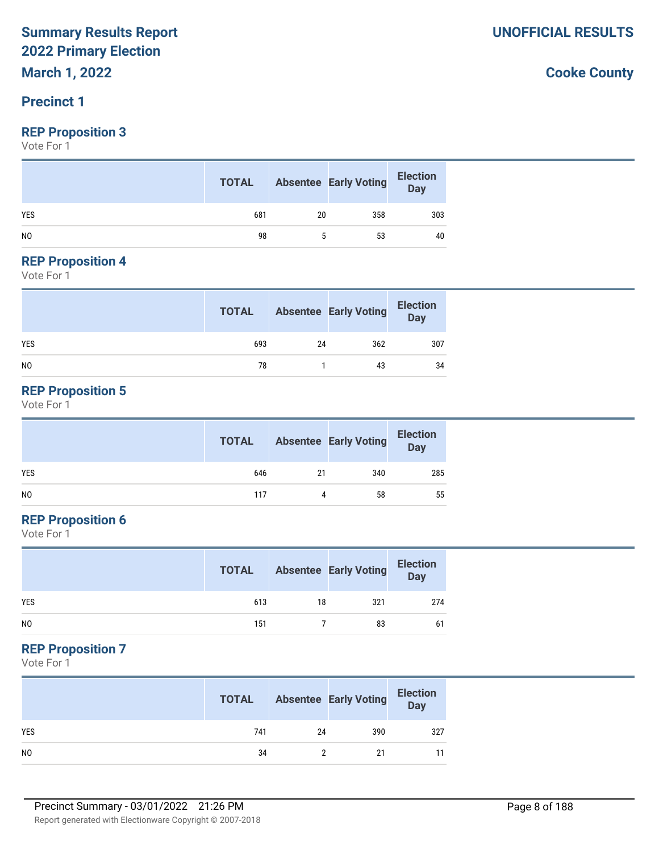## **Precinct 1**

#### **REP Proposition 3**

Vote For 1

|                | <b>TOTAL</b> |    | <b>Absentee Early Voting</b> | <b>Election</b><br>Day |
|----------------|--------------|----|------------------------------|------------------------|
| <b>YES</b>     | 681          | 20 | 358                          | 303                    |
| N <sub>0</sub> | 98           |    | 53                           | 40                     |

#### **REP Proposition 4**

Vote For 1

|            | <b>TOTAL</b> |    | <b>Absentee Early Voting</b> | <b>Election</b><br>Day |
|------------|--------------|----|------------------------------|------------------------|
| <b>YES</b> | 693          | 24 | 362                          | 307                    |
| NO         | 78           |    | 43                           | 34                     |

#### **REP Proposition 5**

Vote For 1

|     | <b>TOTAL</b> |    | <b>Absentee Early Voting</b> | <b>Election</b><br>Day |
|-----|--------------|----|------------------------------|------------------------|
| YES | 646          | 21 | 340                          | 285                    |
| NO  | 117          | 4  | 58                           | 55                     |

### **REP Proposition 6**

Vote For 1

|                | <b>TOTAL</b> |    | <b>Absentee Early Voting</b> | <b>Election</b><br><b>Day</b> |
|----------------|--------------|----|------------------------------|-------------------------------|
| <b>YES</b>     | 613          | 18 | 321                          | 274                           |
| N <sub>0</sub> | 151          |    | 83                           | 61                            |

#### **REP Proposition 7**

Vote For 1

|            | <b>TOTAL</b> |    | <b>Absentee Early Voting</b> | <b>Election</b><br>Day |
|------------|--------------|----|------------------------------|------------------------|
| <b>YES</b> | 741          | 24 | 390                          | 327                    |
| NO         | 34           |    | 21                           |                        |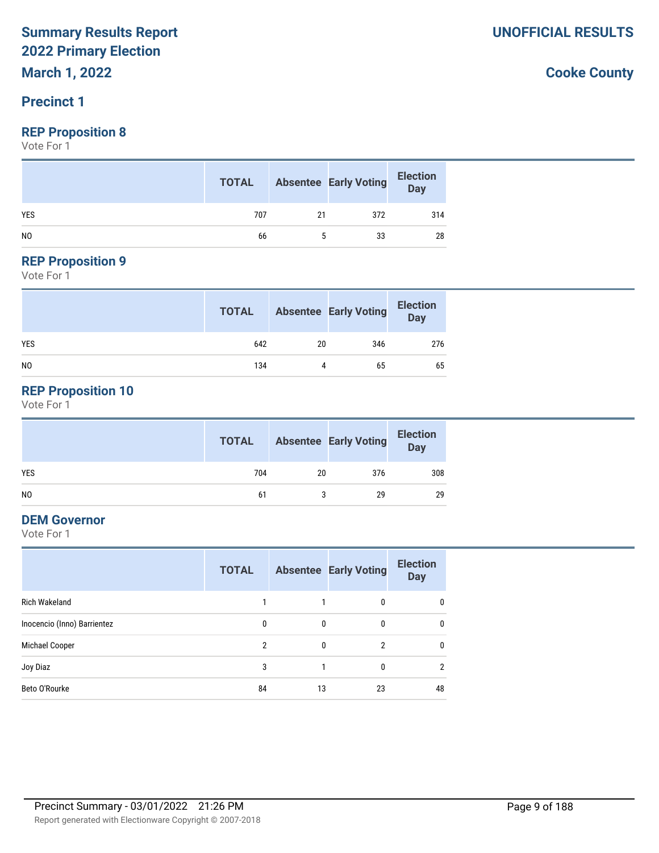#### **Precinct 1**

#### **REP Proposition 8**

Vote For 1

|            | <b>TOTAL</b> |    | <b>Absentee Early Voting</b> | <b>Election</b><br>Day |
|------------|--------------|----|------------------------------|------------------------|
| <b>YES</b> | 707          | 21 | 372                          | 314                    |
| NO.        | 66           |    | 33                           | 28                     |

## **REP Proposition 9**

Vote For 1

|                | <b>TOTAL</b> |    | <b>Absentee Early Voting</b> | <b>Election</b><br>Day |
|----------------|--------------|----|------------------------------|------------------------|
| <b>YES</b>     | 642          | 20 | 346                          | 276                    |
| N <sub>0</sub> | 134          |    | 65                           | 65                     |

## **REP Proposition 10**

Vote For 1

|     | <b>TOTAL</b> |    | <b>Absentee Early Voting</b> | <b>Election</b><br>Day |
|-----|--------------|----|------------------------------|------------------------|
| YES | 704          | 20 | 376                          | 308                    |
| NO  | 61           |    | 29                           | 29                     |

#### **DEM Governor**

Vote For 1

|                             | <b>TOTAL</b>  |              | <b>Absentee Early Voting</b> | <b>Election</b><br><b>Day</b> |
|-----------------------------|---------------|--------------|------------------------------|-------------------------------|
| Rich Wakeland               | 1             |              | $\mathbf{0}$                 | $\mathbf{0}$                  |
| Inocencio (Inno) Barrientez | $\mathbf{0}$  | $\mathbf{0}$ | 0                            | 0                             |
| Michael Cooper              | $\mathcal{P}$ | 0            | $\overline{2}$               | $\mathbf{0}$                  |
| Joy Diaz                    | 3             |              | 0                            | 2                             |
| Beto O'Rourke               | 84            | 13           | 23                           | 48                            |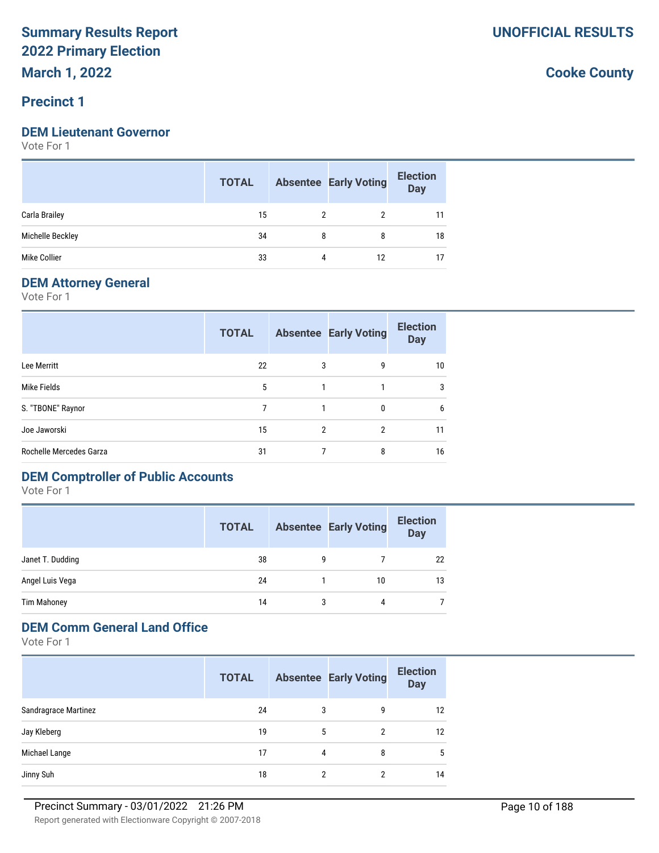#### **Precinct 1**

#### **DEM Lieutenant Governor**

Vote For 1

|                  | <b>TOTAL</b> |   | <b>Absentee Early Voting</b> | <b>Election</b><br><b>Day</b> |
|------------------|--------------|---|------------------------------|-------------------------------|
| Carla Brailey    | 15           |   |                              |                               |
| Michelle Beckley | 34           | 8 | 8                            | 18                            |
| Mike Collier     | 33           | 4 | 12                           |                               |

#### **DEM Attorney General**

Vote For 1

|                         | <b>TOTAL</b> |                | <b>Absentee Early Voting</b> | <b>Election</b><br><b>Day</b> |
|-------------------------|--------------|----------------|------------------------------|-------------------------------|
| Lee Merritt             | 22           | 3              | 9                            | 10                            |
| Mike Fields             | 5            |                | 1                            | 3                             |
| S. "TBONE" Raynor       | 7            |                | 0                            | 6                             |
| Joe Jaworski            | 15           | $\mathfrak{p}$ | 2                            | 11                            |
| Rochelle Mercedes Garza | 31           |                | 8                            | 16                            |

#### **DEM Comptroller of Public Accounts**

Vote For 1

|                    | <b>TOTAL</b> |   | <b>Absentee Early Voting</b> | <b>Election</b><br><b>Day</b> |
|--------------------|--------------|---|------------------------------|-------------------------------|
| Janet T. Dudding   | 38           | g |                              | 22                            |
| Angel Luis Vega    | 24           |   | 10                           | 13                            |
| <b>Tim Mahoney</b> | 14           | 3 | 4                            |                               |

#### **DEM Comm General Land Office**

Vote For 1

|                      | <b>TOTAL</b> |   | <b>Absentee Early Voting</b> | <b>Election</b><br><b>Day</b> |
|----------------------|--------------|---|------------------------------|-------------------------------|
| Sandragrace Martinez | 24           | 3 | 9                            | $12 \overline{ }$             |
| Jay Kleberg          | 19           | 5 | $\overline{2}$               | 12                            |
| Michael Lange        | 17           | 4 | 8                            | 5                             |
| Jinny Suh            | 18           | っ | າ                            | 14                            |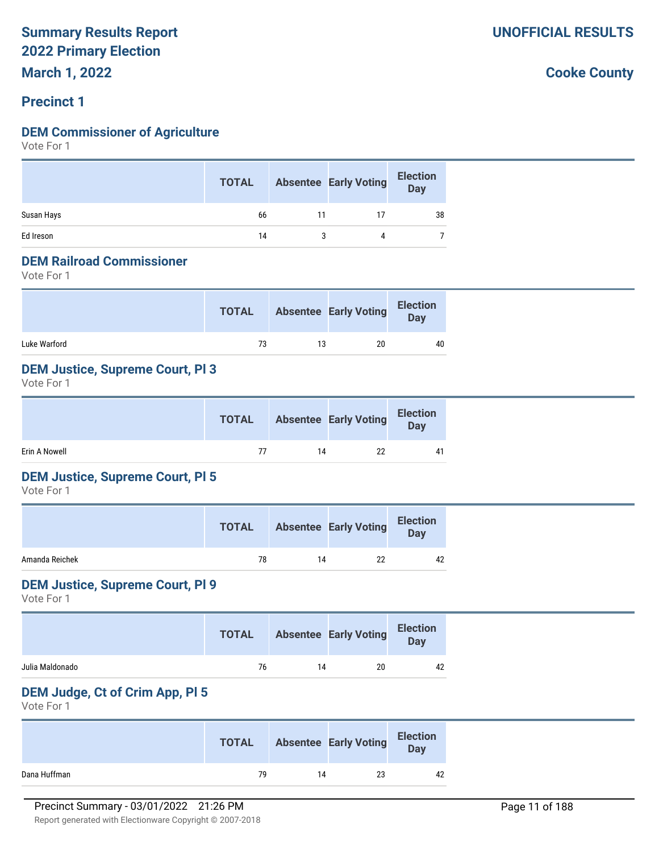#### **Precinct 1**

#### **DEM Commissioner of Agriculture**

Vote For 1

|            | <b>TOTAL</b> |    | <b>Absentee Early Voting</b> | <b>Election</b><br>Day |
|------------|--------------|----|------------------------------|------------------------|
| Susan Hays | 66           | 11 | 17                           | 38                     |
| Ed Ireson  | 14           |    |                              |                        |

#### **DEM Railroad Commissioner**

Vote For 1

|              | <b>TOTAL</b> |    | <b>Absentee Early Voting</b> | <b>Election</b><br>Day |
|--------------|--------------|----|------------------------------|------------------------|
| Luke Warford | 73           | 13 | 20                           | 40                     |

#### **DEM Justice, Supreme Court, Pl 3**

Vote For 1

|               | <b>TOTAL</b> |    | <b>Absentee Early Voting</b> | <b>Election</b><br>Day |
|---------------|--------------|----|------------------------------|------------------------|
| Erin A Nowell | 77           | 14 | 22                           | 41                     |

#### **DEM Justice, Supreme Court, Pl 5**

Vote For 1

|                | <b>TOTAL</b> |    | <b>Absentee Early Voting</b> | <b>Election</b><br>Day |
|----------------|--------------|----|------------------------------|------------------------|
| Amanda Reichek | 78           | 14 | 22                           | 42                     |

#### **DEM Justice, Supreme Court, Pl 9**

Vote For 1

|                 | <b>TOTAL</b> |    | <b>Absentee Early Voting</b> | <b>Election</b><br>Day |
|-----------------|--------------|----|------------------------------|------------------------|
| Julia Maldonado | 76           | 14 | 20                           | 42                     |

#### **DEM Judge, Ct of Crim App, Pl 5**

Vote For 1

|              | <b>TOTAL</b> |    | <b>Absentee Early Voting</b> | <b>Election</b><br>Day |
|--------------|--------------|----|------------------------------|------------------------|
| Dana Huffman | 79           | 14 | 23                           | 42                     |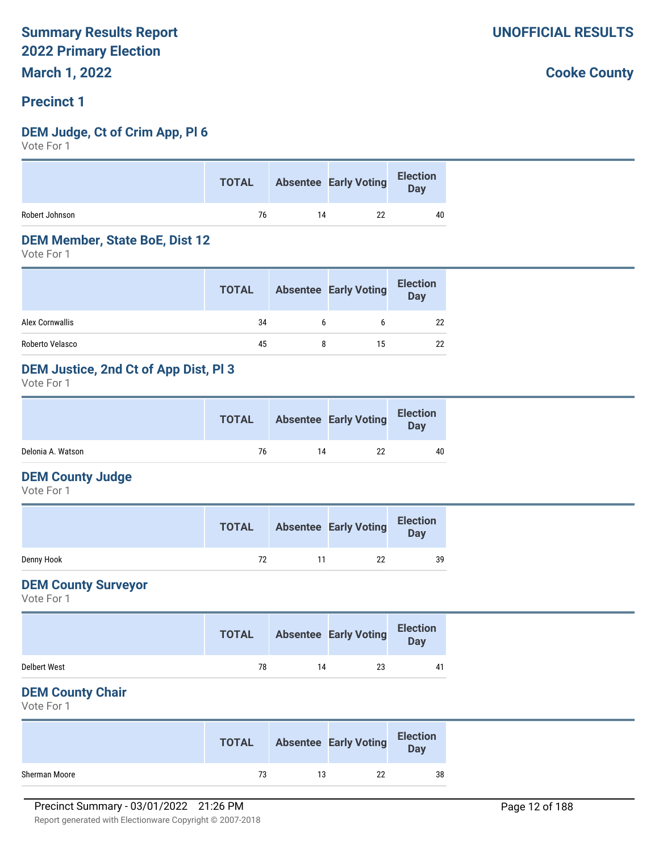#### **Precinct 1**

#### **DEM Judge, Ct of Crim App, Pl 6**

Vote For 1

| 22<br>76<br>14<br>40 |                | <b>TOTAL</b> | Absentee Early Voting Election |  |
|----------------------|----------------|--------------|--------------------------------|--|
|                      | Robert Johnson |              |                                |  |

#### **DEM Member, State BoE, Dist 12**

Vote For 1

|                 | <b>TOTAL</b> | <b>Absentee Early Voting</b> | <b>Election</b><br><b>Day</b> |
|-----------------|--------------|------------------------------|-------------------------------|
| Alex Cornwallis | 34           |                              | 22                            |
| Roberto Velasco | 45           | 15                           | 22                            |

#### **DEM Justice, 2nd Ct of App Dist, Pl 3**

Vote For 1

|                   | <b>TOTAL</b> |    | <b>Absentee Early Voting</b> | <b>Election</b><br>Day |  |
|-------------------|--------------|----|------------------------------|------------------------|--|
| Delonia A. Watson | 76           | 14 | 22                           | 40                     |  |

#### **DEM County Judge**

Vote For 1

|            | <b>TOTAL</b> |    | <b>Absentee Early Voting</b> | <b>Election</b><br><b>Day</b> |
|------------|--------------|----|------------------------------|-------------------------------|
| Denny Hook | 72           | 11 | 22                           | 39                            |

#### **DEM County Surveyor**

Vote For 1

|                     | <b>TOTAL</b> |    | <b>Absentee Early Voting</b> | <b>Election</b><br><b>Day</b> |
|---------------------|--------------|----|------------------------------|-------------------------------|
| <b>Delbert West</b> | 78           | 14 | 23                           | 41                            |

#### **DEM County Chair**

Vote For 1

|               | <b>TOTAL</b> |    | <b>Absentee Early Voting</b> | <b>Election</b><br>Day |
|---------------|--------------|----|------------------------------|------------------------|
| Sherman Moore | 73           | 13 | 22                           | 38                     |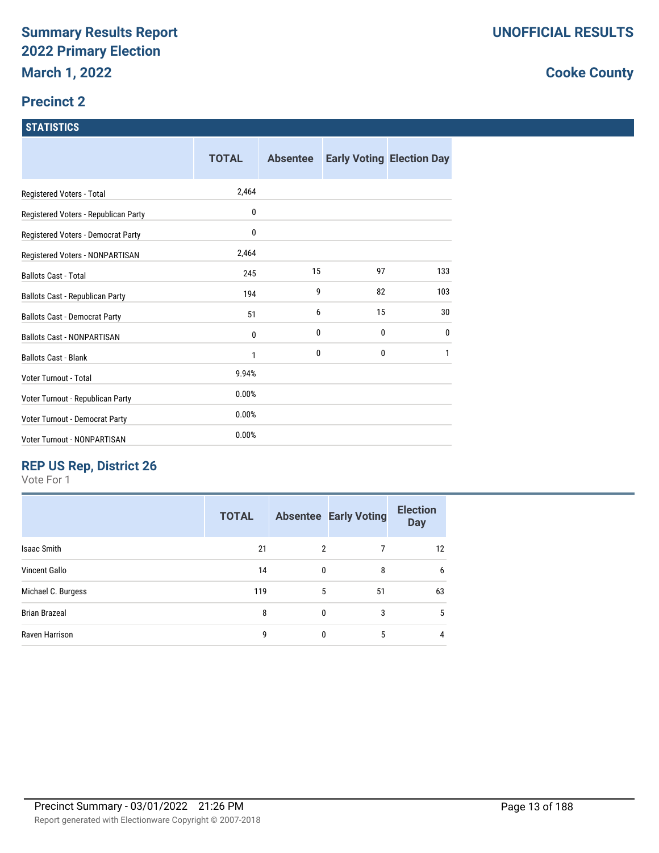#### **Precinct 2**

#### **STATISTICS**

|                                        | <b>TOTAL</b> | <b>Absentee</b> |    | <b>Early Voting Election Day</b> |
|----------------------------------------|--------------|-----------------|----|----------------------------------|
| Registered Voters - Total              | 2,464        |                 |    |                                  |
| Registered Voters - Republican Party   | 0            |                 |    |                                  |
| Registered Voters - Democrat Party     | 0            |                 |    |                                  |
| Registered Voters - NONPARTISAN        | 2,464        |                 |    |                                  |
| <b>Ballots Cast - Total</b>            | 245          | 15              | 97 | 133                              |
| <b>Ballots Cast - Republican Party</b> | 194          | 9               | 82 | 103                              |
| <b>Ballots Cast - Democrat Party</b>   | 51           | 6               | 15 | 30                               |
| <b>Ballots Cast - NONPARTISAN</b>      | 0            | 0               | 0  | $\mathbf{0}$                     |
| <b>Ballots Cast - Blank</b>            | 1            | 0               | 0  | 1                                |
| Voter Turnout - Total                  | 9.94%        |                 |    |                                  |
| Voter Turnout - Republican Party       | 0.00%        |                 |    |                                  |
| Voter Turnout - Democrat Party         | 0.00%        |                 |    |                                  |
| Voter Turnout - NONPARTISAN            | 0.00%        |                 |    |                                  |

## **REP US Rep, District 26**

Vote For 1

|                      | <b>TOTAL</b> |              | <b>Absentee Early Voting</b> | <b>Election</b><br><b>Day</b> |
|----------------------|--------------|--------------|------------------------------|-------------------------------|
| <b>Isaac Smith</b>   | 21           | 2            | 7                            | 12                            |
| <b>Vincent Gallo</b> | 14           | $\mathbf{0}$ | 8                            | 6                             |
| Michael C. Burgess   | 119          | 5            | 51                           | 63                            |
| <b>Brian Brazeal</b> | 8            | 0            | 3                            | 5                             |
| Raven Harrison       | 9            | $\Omega$     | 5                            | 4                             |
|                      |              |              |                              |                               |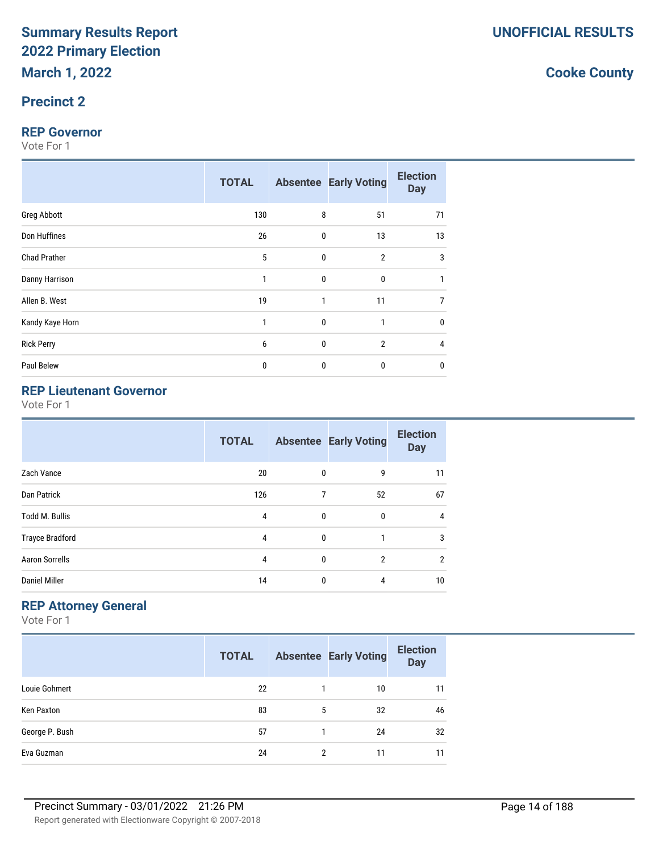#### **Precinct 2**

#### **REP Governor**

Vote For 1

|                     | <b>TOTAL</b> |              | <b>Absentee Early Voting</b> | <b>Election</b><br><b>Day</b> |
|---------------------|--------------|--------------|------------------------------|-------------------------------|
| <b>Greg Abbott</b>  | 130          | 8            | 51                           | 71                            |
| Don Huffines        | 26           | 0            | 13                           | 13                            |
| <b>Chad Prather</b> | 5            | $\mathbf 0$  | $\overline{2}$               | 3                             |
| Danny Harrison      | 1            | 0            | $\mathbf 0$                  | 1                             |
| Allen B. West       | 19           | $\mathbf{1}$ | 11                           | $\overline{7}$                |
| Kandy Kaye Horn     | 1            | 0            | 1                            | $\bf{0}$                      |
| <b>Rick Perry</b>   | 6            | $\mathbf 0$  | $\overline{2}$               | $\overline{4}$                |
| Paul Belew          | 0            | 0            | $\mathbf 0$                  | $\mathbf{0}$                  |

## **REP Lieutenant Governor**

Vote For 1

|                        | <b>TOTAL</b> |              | <b>Absentee Early Voting</b> | <b>Election</b><br><b>Day</b> |
|------------------------|--------------|--------------|------------------------------|-------------------------------|
| Zach Vance             | 20           | $\mathbf{0}$ | 9                            | 11                            |
| Dan Patrick            | 126          | 7            | 52                           | 67                            |
| <b>Todd M. Bullis</b>  | 4            | 0            | 0                            | 4                             |
| <b>Trayce Bradford</b> | 4            | 0            |                              | 3                             |
| <b>Aaron Sorrells</b>  | 4            | $\mathbf{0}$ | $\overline{2}$               | $\overline{2}$                |
| <b>Daniel Miller</b>   | 14           | 0            | 4                            | 10                            |

## **REP Attorney General**

Vote For 1

|                | <b>TOTAL</b> |   | <b>Absentee Early Voting</b> | <b>Election</b><br><b>Day</b> |
|----------------|--------------|---|------------------------------|-------------------------------|
| Louie Gohmert  | 22           |   | 10                           | 11                            |
| Ken Paxton     | 83           | 5 | 32                           | 46                            |
| George P. Bush | 57           |   | 24                           | 32                            |
| Eva Guzman     | 24           | 2 | 11                           | 11                            |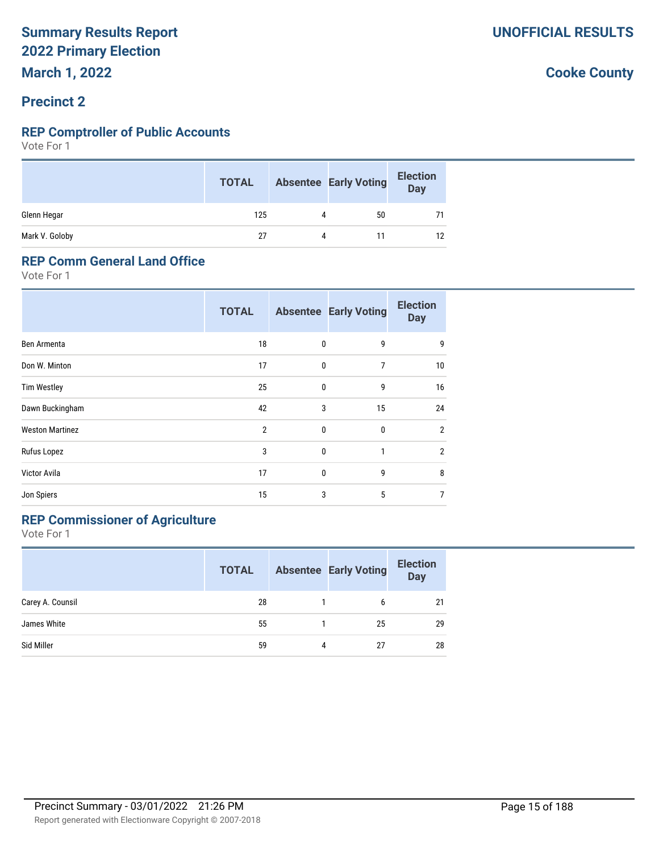#### **Precinct 2**

#### **REP Comptroller of Public Accounts**

Vote For 1

|                | <b>TOTAL</b> |           | <b>Absentee Early Voting</b> | <b>Election</b><br>Day |
|----------------|--------------|-----------|------------------------------|------------------------|
| Glenn Hegar    | 125          | 4         | 50                           |                        |
| Mark V. Goloby | 27           | $\Lambda$ |                              | 12                     |

#### **REP Comm General Land Office**

Vote For 1

|                        | <b>TOTAL</b>   |   | <b>Absentee Early Voting</b> | <b>Election</b><br><b>Day</b> |
|------------------------|----------------|---|------------------------------|-------------------------------|
| Ben Armenta            | 18             | 0 | 9                            | 9                             |
| Don W. Minton          | 17             | 0 | 7                            | 10                            |
| <b>Tim Westley</b>     | 25             | 0 | 9                            | 16                            |
| Dawn Buckingham        | 42             | 3 | 15                           | 24                            |
| <b>Weston Martinez</b> | $\overline{2}$ | 0 | 0                            | $\overline{2}$                |
| Rufus Lopez            | 3              | 0 | 1                            | $\overline{2}$                |
| Victor Avila           | 17             | 0 | 9                            | 8                             |
| Jon Spiers             | 15             | 3 | 5                            | $\overline{7}$                |

## **REP Commissioner of Agriculture**

Vote For 1

|                  | <b>TOTAL</b> |   | <b>Absentee Early Voting</b> | <b>Election</b><br>Day |
|------------------|--------------|---|------------------------------|------------------------|
| Carey A. Counsil | 28           |   | 6                            | 21                     |
| James White      | 55           |   | 25                           | 29                     |
| Sid Miller       | 59           | 4 | 27                           | 28                     |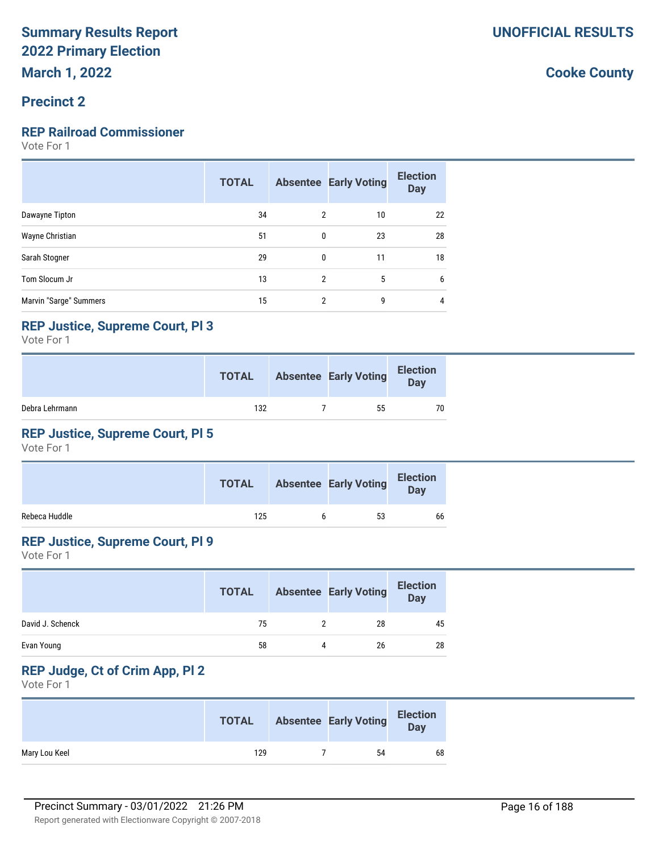#### **Precinct 2**

#### **REP Railroad Commissioner**

Vote For 1

|                        | <b>TOTAL</b> |                | <b>Absentee Early Voting</b> | <b>Election</b><br><b>Day</b> |
|------------------------|--------------|----------------|------------------------------|-------------------------------|
| Dawayne Tipton         | 34           | $\mathcal{P}$  | 10                           | 22                            |
| Wayne Christian        | 51           | $\mathbf{0}$   | 23                           | 28                            |
| Sarah Stogner          | 29           | $\mathbf{0}$   | 11                           | 18                            |
| Tom Slocum Jr          | 13           | $\mathfrak{p}$ | 5                            | 6                             |
| Marvin "Sarge" Summers | 15           | 2              | 9                            |                               |

#### **REP Justice, Supreme Court, Pl 3**

Vote For 1

|                | <b>TOTAL</b> | <b>Absentee Early Voting</b> | <b>Election</b><br>Day |
|----------------|--------------|------------------------------|------------------------|
| Debra Lehrmann | 132          | 55                           | 70                     |

#### **REP Justice, Supreme Court, Pl 5**

Vote For 1

|               | <b>TOTAL</b> | <b>Absentee Early Voting</b> | <b>Election</b><br>Day |
|---------------|--------------|------------------------------|------------------------|
| Rebeca Huddle | 125          | 53                           | 66                     |

#### **REP Justice, Supreme Court, Pl 9**

Vote For 1

|                  | <b>TOTAL</b> |   | <b>Absentee Early Voting</b> | <b>Election</b><br><b>Day</b> |
|------------------|--------------|---|------------------------------|-------------------------------|
| David J. Schenck | 75           |   | 28                           | 45                            |
| Evan Young       | 58           | Δ | 26                           | 28                            |

## **REP Judge, Ct of Crim App, Pl 2**

Vote For 1

|               | <b>TOTAL</b> | <b>Absentee Early Voting</b> | <b>Election</b><br><b>Day</b> |
|---------------|--------------|------------------------------|-------------------------------|
| Mary Lou Keel | 129          | 54                           | 68                            |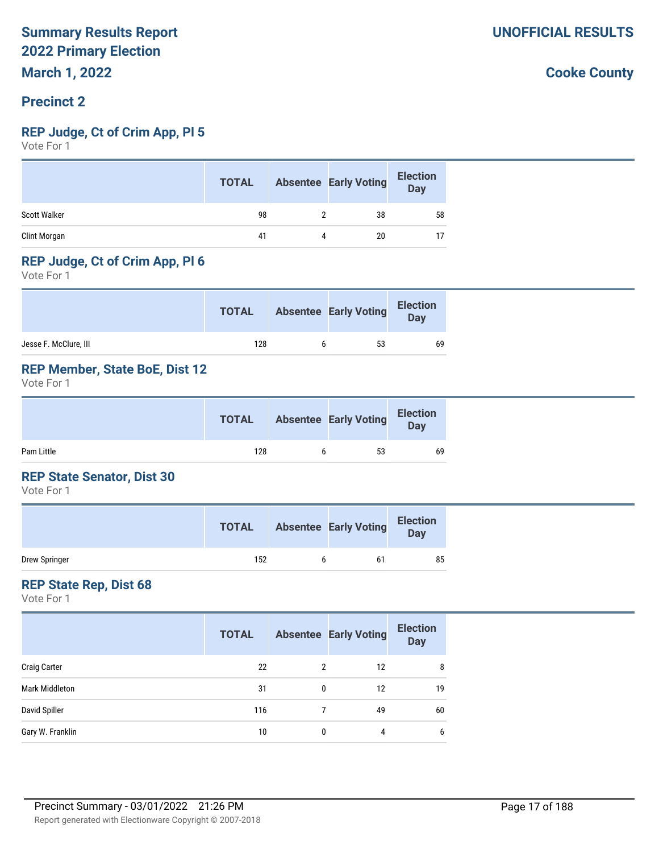#### **Precinct 2**

#### **REP Judge, Ct of Crim App, Pl 5**

Vote For 1

|              | <b>TOTAL</b> |   | <b>Absentee Early Voting</b> | <b>Election</b><br><b>Day</b> |
|--------------|--------------|---|------------------------------|-------------------------------|
| Scott Walker | 98           |   | 38                           | 58                            |
| Clint Morgan | 41           | 4 | 20                           |                               |

#### **REP Judge, Ct of Crim App, Pl 6**

Vote For 1

|                       | <b>TOTAL</b> | <b>Absentee Early Voting</b> | <b>Election</b><br>Day |
|-----------------------|--------------|------------------------------|------------------------|
| Jesse F. McClure, III | 128          | 53                           | 69                     |

#### **REP Member, State BoE, Dist 12**

Vote For 1

|            | <b>TOTAL</b> | <b>Absentee Early Voting</b> | <b>Election</b><br>Day |  |
|------------|--------------|------------------------------|------------------------|--|
| Pam Little | 128          | 53                           | 69                     |  |

#### **REP State Senator, Dist 30**

Vote For 1

|               | <b>TOTAL</b> | <b>Absentee Early Voting</b> | <b>Election</b><br>Day |
|---------------|--------------|------------------------------|------------------------|
| Drew Springer | 152          | 61                           | 85                     |

#### **REP State Rep, Dist 68**

Vote For 1

|                     | <b>TOTAL</b> |   | <b>Absentee Early Voting</b> | <b>Election</b><br><b>Day</b> |
|---------------------|--------------|---|------------------------------|-------------------------------|
| <b>Craig Carter</b> | 22           | 2 | 12                           | 8                             |
| Mark Middleton      | 31           | 0 | 12                           | 19                            |
| David Spiller       | 116          |   | 49                           | 60                            |
| Gary W. Franklin    | 10           | 0 | 4                            | 6                             |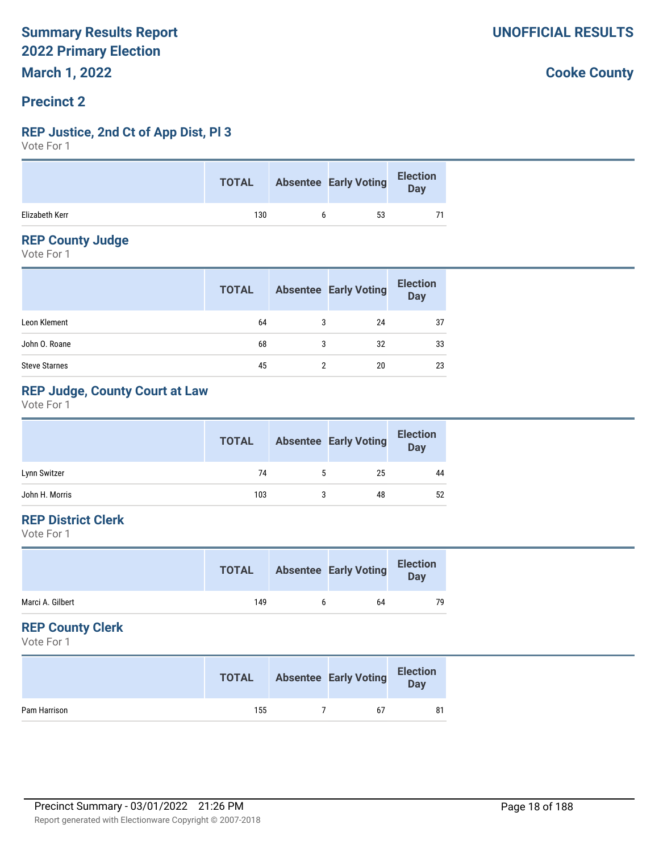#### **Precinct 2**

#### **REP Justice, 2nd Ct of App Dist, Pl 3**

Vote For 1

|                | TOTAL Absentee Early Voting Election |    |  |
|----------------|--------------------------------------|----|--|
| Elizabeth Kerr | 130                                  | 53 |  |

#### **REP County Judge**

Vote For 1

|                      | <b>TOTAL</b> |   | <b>Absentee Early Voting</b> | <b>Election</b><br>Day |
|----------------------|--------------|---|------------------------------|------------------------|
| Leon Klement         | 64           | 3 | 24                           | 37                     |
| John O. Roane        | 68           | 3 | 32                           | 33                     |
| <b>Steve Starnes</b> | 45           | っ | 20                           | 23                     |

#### **REP Judge, County Court at Law**

Vote For 1

|                | <b>TOTAL</b> |   | <b>Absentee Early Voting</b> | <b>Election</b><br><b>Day</b> |
|----------------|--------------|---|------------------------------|-------------------------------|
| Lynn Switzer   | 74           | 5 | 25                           | 44                            |
| John H. Morris | 103          |   | 48                           | 52                            |

#### **REP District Clerk**

Vote For 1

| <b>TOTAL</b> |    | <b>Election</b><br>Day       |
|--------------|----|------------------------------|
| 149          | 64 | 79                           |
|              |    | <b>Absentee Early Voting</b> |

#### **REP County Clerk**

Vote For 1

|              | <b>TOTAL</b> | <b>Absentee Early Voting</b> | <b>Election</b><br>Day |
|--------------|--------------|------------------------------|------------------------|
| Pam Harrison | 155          | 67                           | 81                     |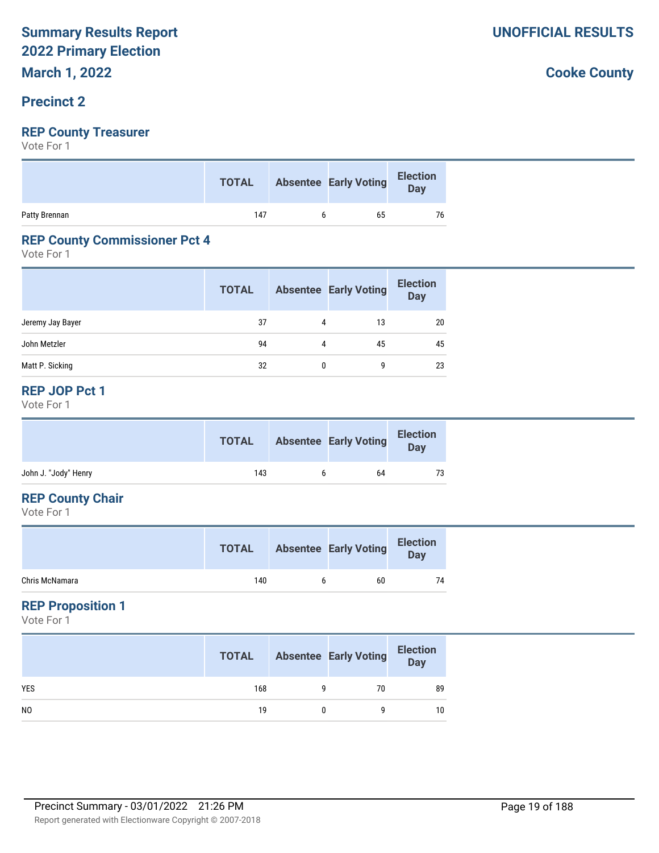#### **Precinct 2**

#### **REP County Treasurer**

Vote For 1

|               | TOTAL Absentee Early Voting Election |    |    |
|---------------|--------------------------------------|----|----|
| Patty Brennan | 147                                  | 65 | 76 |

#### **REP County Commissioner Pct 4**

Vote For 1

|                  | <b>TOTAL</b> |   | <b>Absentee Early Voting</b> | <b>Election</b><br><b>Day</b> |
|------------------|--------------|---|------------------------------|-------------------------------|
| Jeremy Jay Bayer | 37           | 4 | 13                           | 20                            |
| John Metzler     | 94           | 4 | 45                           | 45                            |
| Matt P. Sicking  | 32           | 0 | 9                            | 23                            |

#### **REP JOP Pct 1**

Vote For 1

|                      | <b>TOTAL</b> |   | <b>Absentee Early Voting</b> | <b>Election</b><br><b>Day</b> |
|----------------------|--------------|---|------------------------------|-------------------------------|
| John J. "Jody" Henry | 143          | h | 64                           | 73                            |

#### **REP County Chair**

Vote For 1

|                | <b>TOTAL</b> |   | <b>Absentee Early Voting</b> | <b>Election</b><br>Day |
|----------------|--------------|---|------------------------------|------------------------|
| Chris McNamara | 140          | h | 60                           | 74                     |

#### **REP Proposition 1**

Vote For 1

|                | <b>TOTAL</b> | <b>Absentee Early Voting</b> | <b>Election</b><br>Day |
|----------------|--------------|------------------------------|------------------------|
| <b>YES</b>     | 168          | 70                           | 89                     |
| N <sub>0</sub> | 19           |                              | 10                     |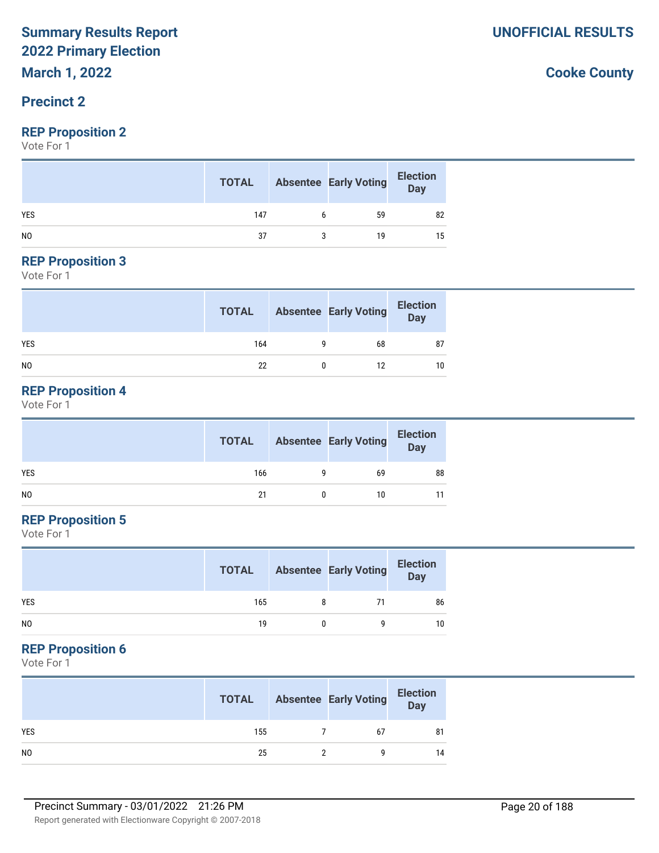## **March 1, 2022**

#### **Precinct 2**

#### **REP Proposition 2**

Vote For 1

|                | <b>TOTAL</b> | <b>Absentee Early Voting</b> | <b>Election</b><br>Day |
|----------------|--------------|------------------------------|------------------------|
| <b>YES</b>     | 147          | 59                           | 82                     |
| N <sub>0</sub> | 37           | 19                           | 15                     |

#### **REP Proposition 3**

Vote For 1

|                | <b>TOTAL</b> |   | <b>Absentee Early Voting</b> | <b>Election</b><br>Day |
|----------------|--------------|---|------------------------------|------------------------|
| <b>YES</b>     | 164          | a | 68                           | 87                     |
| N <sub>0</sub> | 22           |   | 12                           | 10                     |

#### **REP Proposition 4**

Vote For 1

|     | <b>TOTAL</b> |   | <b>Absentee Early Voting</b> | <b>Election</b><br>Day |
|-----|--------------|---|------------------------------|------------------------|
| YES | 166          | a | 69                           | 88                     |
| NO  | 21           |   | 10                           |                        |

#### **REP Proposition 5**

Vote For 1

|                | <b>TOTAL</b> | <b>Absentee Early Voting</b> | <b>Election</b><br>Day |
|----------------|--------------|------------------------------|------------------------|
| <b>YES</b>     | 165          | 71                           | 86                     |
| N <sub>0</sub> | 19           |                              | 10                     |

#### **REP Proposition 6**

Vote For 1

|                | <b>TOTAL</b> | <b>Absentee Early Voting</b> | <b>Election</b><br>Day |
|----------------|--------------|------------------------------|------------------------|
| <b>YES</b>     | 155          | 67                           | 81                     |
| N <sub>0</sub> | 25           |                              | 14                     |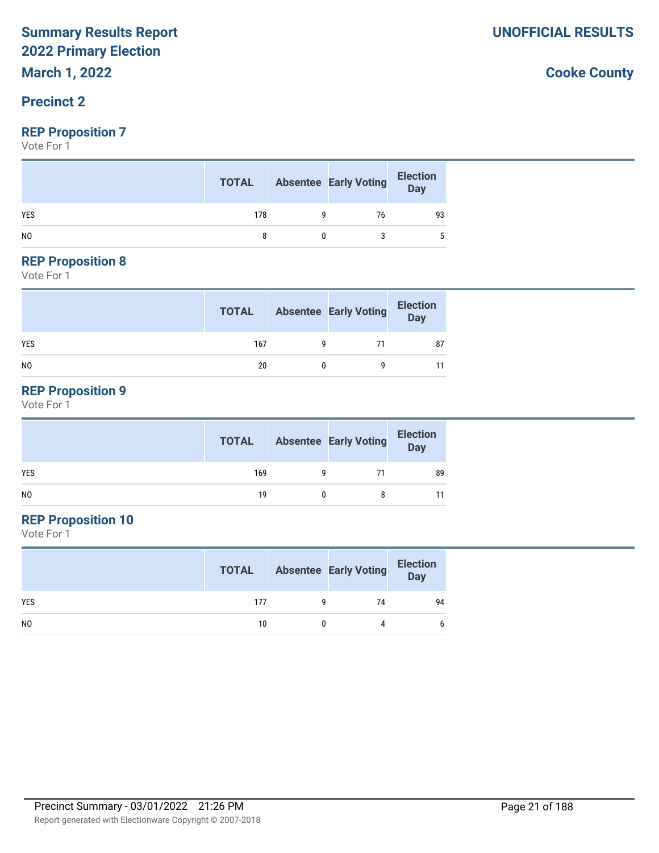## **March 1, 2022**

#### **Precinct 2**

#### **REP Proposition 7**

Vote For 1

|            | <b>TOTAL</b> | <b>Absentee Early Voting</b> | <b>Election</b><br>Day |
|------------|--------------|------------------------------|------------------------|
| <b>YES</b> | 178          | 76                           | 93                     |
| NO         |              |                              |                        |

#### **REP Proposition 8**

Vote For 1

|                | <b>TOTAL</b> | <b>Absentee Early Voting</b> | <b>Election</b><br>Day |
|----------------|--------------|------------------------------|------------------------|
| <b>YES</b>     | 167          | 71                           | 87                     |
| N <sub>0</sub> | 20           |                              |                        |

#### **REP Proposition 9**

Vote For 1

|                | <b>TOTAL</b> | <b>Absentee Early Voting</b> | <b>Election</b><br>Day |
|----------------|--------------|------------------------------|------------------------|
| <b>YES</b>     | 169          | 71                           | 89                     |
| N <sub>O</sub> | 19           |                              |                        |

### **REP Proposition 10**

Vote For 1

|                | <b>TOTAL</b> | <b>Absentee Early Voting</b> | <b>Election</b><br>Day |
|----------------|--------------|------------------------------|------------------------|
| <b>YES</b>     | 177          | 74                           | 94                     |
| N <sub>0</sub> | 10           |                              | 6                      |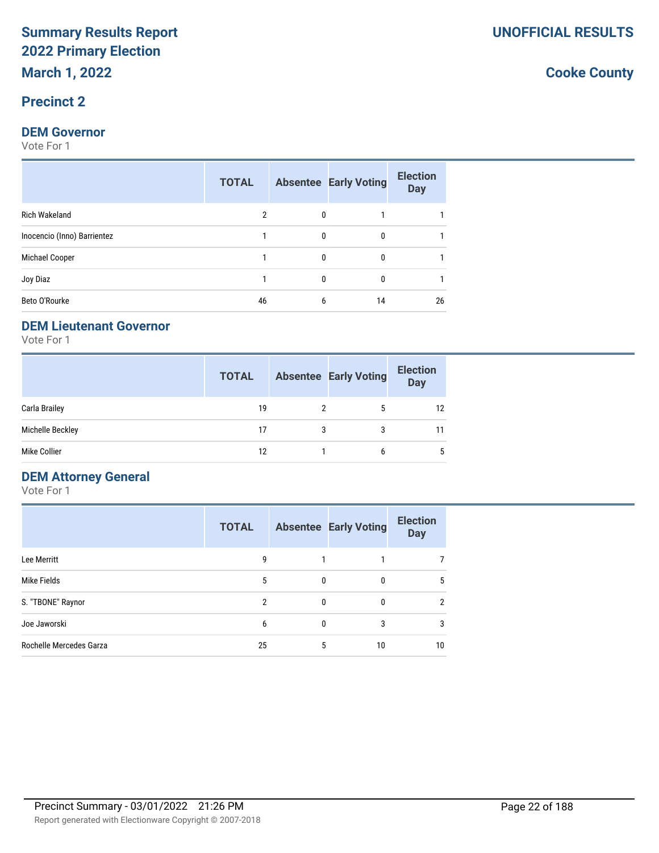#### **Precinct 2**

#### **DEM Governor**

Vote For 1

|                             | 2  |          |              |    |
|-----------------------------|----|----------|--------------|----|
| Rich Wakeland               |    | $\Omega$ |              |    |
| Inocencio (Inno) Barrientez |    | $\Omega$ | 0            |    |
| Michael Cooper              |    | 0        | $\mathbf{0}$ |    |
| Joy Diaz                    |    | $\Omega$ | 0            |    |
| Beto O'Rourke               | 46 | 6        | 14           | 26 |

#### **DEM Lieutenant Governor**

Vote For 1

|                  | <b>TOTAL</b> |   | <b>Absentee Early Voting</b> | <b>Election</b><br><b>Day</b> |
|------------------|--------------|---|------------------------------|-------------------------------|
| Carla Brailey    | 19           |   | 5                            | 12                            |
| Michelle Beckley | 17           | 3 | 3                            | 11                            |
| Mike Collier     | 12           |   | 6                            | 5                             |

#### **DEM Attorney General**

Vote For 1

|                         | <b>TOTAL</b> |   | <b>Absentee Early Voting</b> | <b>Election</b><br><b>Day</b> |
|-------------------------|--------------|---|------------------------------|-------------------------------|
| Lee Merritt             | 9            |   |                              | 7                             |
| Mike Fields             | 5            | 0 |                              | 5                             |
| S. "TBONE" Raynor       | 2            | 0 | $\Omega$                     | $\overline{2}$                |
| Joe Jaworski            | 6            | 0 | 3                            | 3                             |
| Rochelle Mercedes Garza | 25           | 5 | 10                           | 10                            |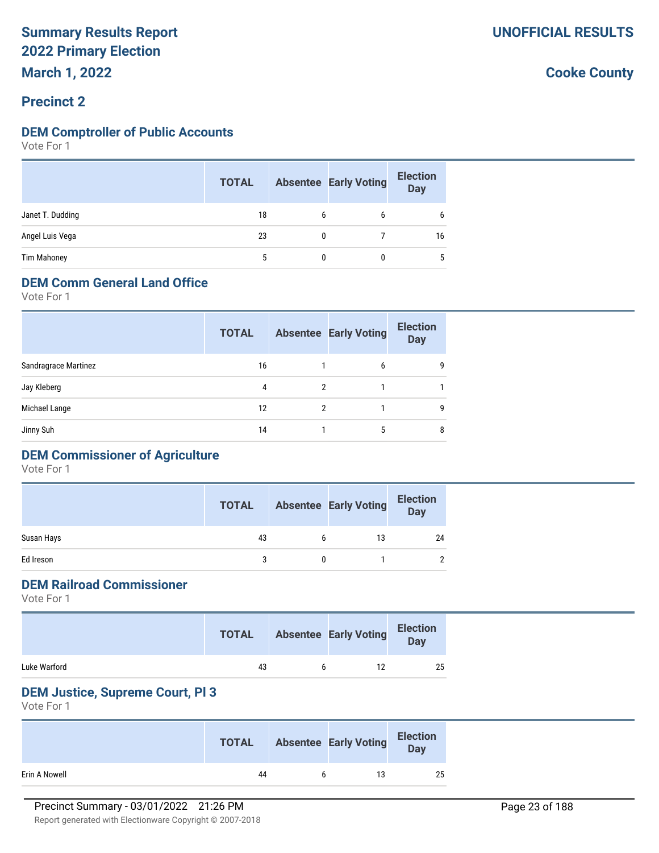#### **Precinct 2**

#### **DEM Comptroller of Public Accounts**

Vote For 1

|                    | <b>TOTAL</b> |   | <b>Absentee Early Voting</b> | <b>Election</b><br><b>Day</b> |
|--------------------|--------------|---|------------------------------|-------------------------------|
| Janet T. Dudding   | 18           | 6 | 6                            | 6                             |
| Angel Luis Vega    | 23           |   |                              | 16                            |
| <b>Tim Mahoney</b> | 5            |   |                              | 5                             |

#### **DEM Comm General Land Office**

Vote For 1

| <b>TOTAL</b> |   | <b>Election</b><br><b>Day</b>          |
|--------------|---|----------------------------------------|
| 16           | 6 | 9                                      |
| 4            |   |                                        |
| 12           |   | 9                                      |
| 14           | 5 | 8                                      |
|              |   | <b>Absentee Early Voting</b><br>2<br>2 |

## **DEM Commissioner of Agriculture**

Vote For 1

|            | <b>TOTAL</b> |   | <b>Absentee Early Voting</b> | <b>Election</b><br><b>Day</b> |
|------------|--------------|---|------------------------------|-------------------------------|
| Susan Hays | 43           | b | 13                           | 24                            |
| Ed Ireson  |              |   |                              | $\overline{2}$                |

#### **DEM Railroad Commissioner**

Vote For 1

|              | <b>TOTAL</b> |   | <b>Absentee Early Voting</b> | <b>Election</b><br>Day |
|--------------|--------------|---|------------------------------|------------------------|
| Luke Warford | 43           | h |                              | 25                     |

#### **DEM Justice, Supreme Court, Pl 3**

Vote For 1

|               | <b>TOTAL</b> | <b>Absentee Early Voting</b> | <b>Election</b><br>Day |
|---------------|--------------|------------------------------|------------------------|
| Erin A Nowell | 44           | 13                           | 25                     |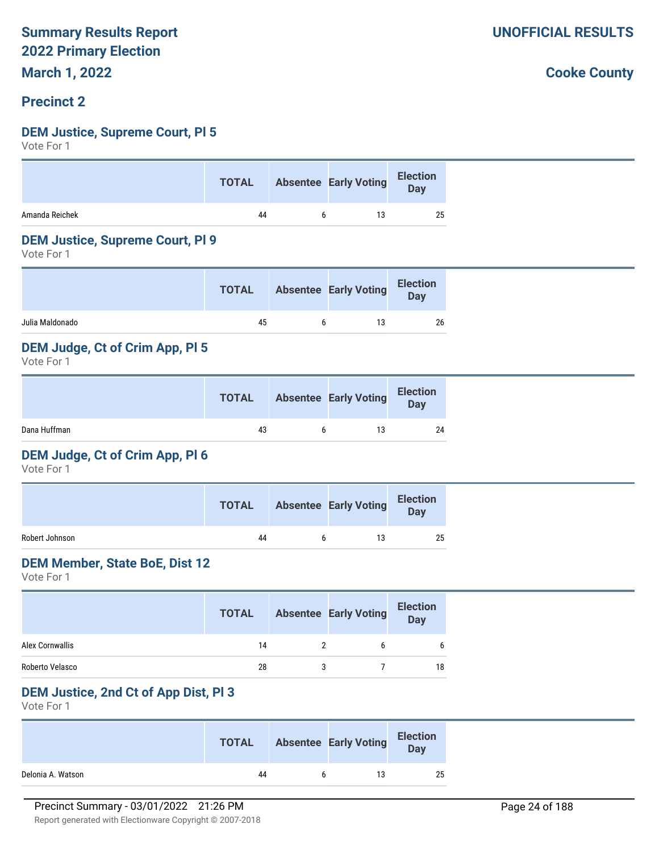#### **Precinct 2**

#### **DEM Justice, Supreme Court, Pl 5**

Vote For 1

|                | <b>TOTAL</b> | Absentee Early Voting Election |    |
|----------------|--------------|--------------------------------|----|
| Amanda Reichek | 44           |                                | 25 |

#### **DEM Justice, Supreme Court, Pl 9**

Vote For 1

|                 | <b>TOTAL</b> | <b>Absentee Early Voting</b> | <b>Election</b><br><b>Day</b> |
|-----------------|--------------|------------------------------|-------------------------------|
| Julia Maldonado | 45           | 13                           | 26                            |

#### **DEM Judge, Ct of Crim App, Pl 5**

Vote For 1

|              | <b>TOTAL</b> | <b>Absentee Early Voting</b> | <b>Election</b><br>Day |
|--------------|--------------|------------------------------|------------------------|
| Dana Huffman | 43           | 13                           | 24                     |

#### **DEM Judge, Ct of Crim App, Pl 6**

Vote For 1

|                | <b>TOTAL</b> | <b>Absentee Early Voting</b> | <b>Election</b><br><b>Day</b> |
|----------------|--------------|------------------------------|-------------------------------|
| Robert Johnson | 44           | 13                           | 25                            |

#### **DEM Member, State BoE, Dist 12**

Vote For 1

|                 | <b>TOTAL</b> | <b>Absentee Early Voting</b> | <b>Election</b><br><b>Day</b> |
|-----------------|--------------|------------------------------|-------------------------------|
| Alex Cornwallis | 14           |                              |                               |
| Roberto Velasco | 28           |                              | 18                            |

#### **DEM Justice, 2nd Ct of App Dist, Pl 3**

Vote For 1

|                   | <b>TOTAL</b> | <b>Absentee Early Voting</b> | <b>Election</b><br>Day |
|-------------------|--------------|------------------------------|------------------------|
| Delonia A. Watson | 44           | 13                           | 25                     |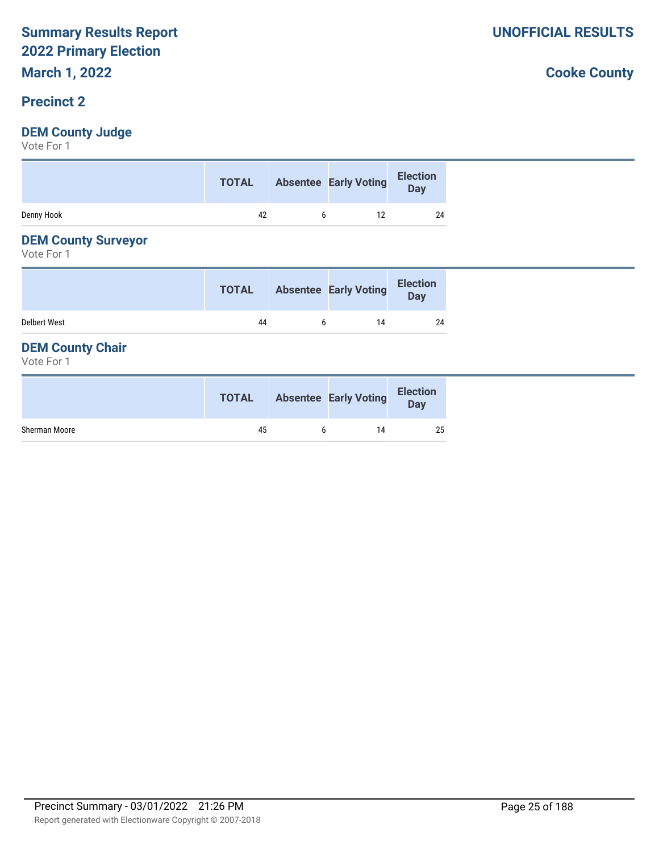#### **Precinct 2**

#### **DEM County Judge**

Vote For 1

| Election<br>Day<br>Absentee Early Voting<br><b>TOTAL</b> |
|----------------------------------------------------------|
| Denny Hook<br>24<br>42                                   |

#### **DEM County Surveyor**

Vote For 1

|                     | <b>TOTAL</b> |   | <b>Absentee Early Voting</b> | <b>Election</b><br>Day |
|---------------------|--------------|---|------------------------------|------------------------|
| <b>Delbert West</b> | 44           | h | 14                           | 24                     |

#### **DEM County Chair**

Vote For 1

|               | <b>TOTAL</b> | <b>Absentee Early Voting</b> | <b>Election</b><br>Day |
|---------------|--------------|------------------------------|------------------------|
| Sherman Moore | 45           | 14                           | 25                     |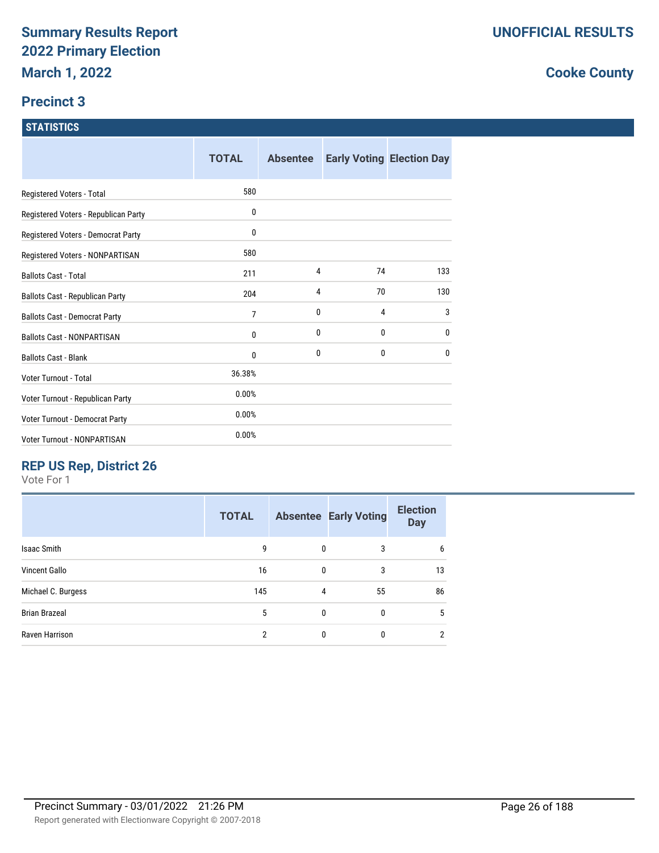#### **Precinct 3**

#### **STATISTICS**

|                                      | <b>TOTAL</b> | <b>Absentee</b> |    | <b>Early Voting Election Day</b> |
|--------------------------------------|--------------|-----------------|----|----------------------------------|
| Registered Voters - Total            | 580          |                 |    |                                  |
| Registered Voters - Republican Party | 0            |                 |    |                                  |
| Registered Voters - Democrat Party   | 0            |                 |    |                                  |
| Registered Voters - NONPARTISAN      | 580          |                 |    |                                  |
| <b>Ballots Cast - Total</b>          | 211          | 4               | 74 | 133                              |
| Ballots Cast - Republican Party      | 204          | 4               | 70 | 130                              |
| <b>Ballots Cast - Democrat Party</b> | 7            | 0               | 4  | 3                                |
| <b>Ballots Cast - NONPARTISAN</b>    | 0            | 0               | 0  | 0                                |
| <b>Ballots Cast - Blank</b>          | 0            | 0               | 0  | 0                                |
| Voter Turnout - Total                | 36.38%       |                 |    |                                  |
| Voter Turnout - Republican Party     | 0.00%        |                 |    |                                  |
| Voter Turnout - Democrat Party       | 0.00%        |                 |    |                                  |
| Voter Turnout - NONPARTISAN          | 0.00%        |                 |    |                                  |

## **REP US Rep, District 26**

Vote For 1

|                      | <b>TOTAL</b>   |              | <b>Absentee Early Voting</b> | <b>Election</b><br><b>Day</b> |
|----------------------|----------------|--------------|------------------------------|-------------------------------|
| <b>Isaac Smith</b>   | 9              | $\mathbf{0}$ | 3                            | 6                             |
| Vincent Gallo        | 16             | 0            | 3                            | 13                            |
| Michael C. Burgess   | 145            | 4            | 55                           | 86                            |
| <b>Brian Brazeal</b> | 5              | $\mathbf{0}$ | $\mathbf{0}$                 | 5                             |
| Raven Harrison       | $\mathfrak{p}$ | 0            | $\Omega$                     | 2                             |
|                      |                |              |                              |                               |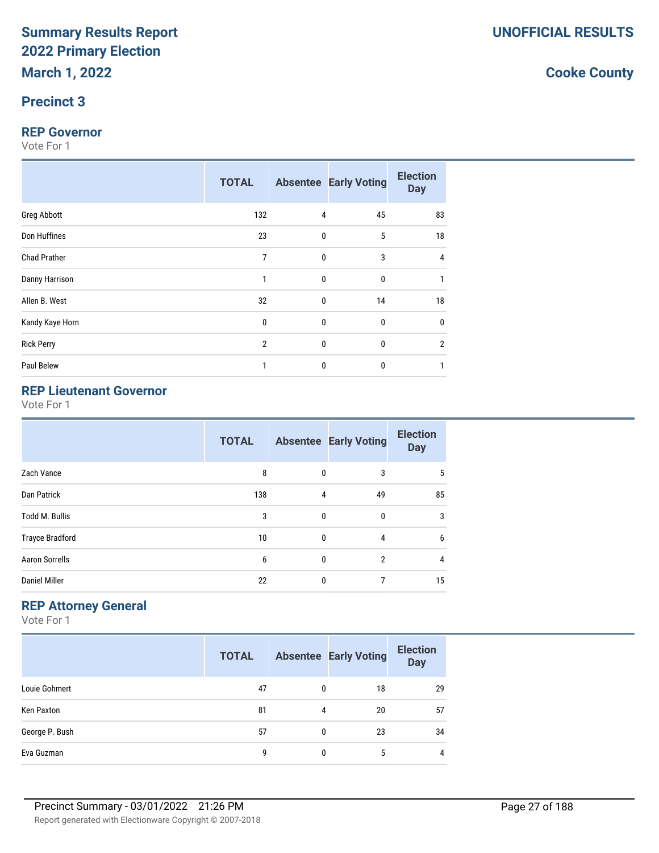#### **Precinct 3**

#### **REP Governor**

Vote For 1

|                     | <b>TOTAL</b>   |              | <b>Absentee Early Voting</b> | <b>Election</b><br><b>Day</b> |
|---------------------|----------------|--------------|------------------------------|-------------------------------|
| <b>Greg Abbott</b>  | 132            | 4            | 45                           | 83                            |
| Don Huffines        | 23             | 0            | 5                            | 18                            |
| <b>Chad Prather</b> | $\overline{7}$ | 0            | 3                            | 4                             |
| Danny Harrison      | 1              | $\mathbf{0}$ | $\bf{0}$                     |                               |
| Allen B. West       | 32             | $\mathbf 0$  | 14                           | 18                            |
| Kandy Kaye Horn     | $\pmb{0}$      | $\bf{0}$     | $\pmb{0}$                    | 0                             |
| <b>Rick Perry</b>   | $\overline{2}$ | 0            | $\bf{0}$                     | $\overline{2}$                |
| Paul Belew          | 1              | 0            | $\bf{0}$                     |                               |

## **REP Lieutenant Governor**

Vote For 1

|                        | <b>TOTAL</b> |              | <b>Absentee Early Voting</b> | <b>Election</b><br><b>Day</b> |
|------------------------|--------------|--------------|------------------------------|-------------------------------|
| Zach Vance             | 8            | 0            | 3                            | 5                             |
| Dan Patrick            | 138          | 4            | 49                           | 85                            |
| <b>Todd M. Bullis</b>  | 3            | 0            | 0                            | 3                             |
| <b>Trayce Bradford</b> | 10           | $\mathbf{0}$ | 4                            | 6                             |
| <b>Aaron Sorrells</b>  | 6            | $\mathbf{0}$ | $\overline{2}$               | 4                             |
| <b>Daniel Miller</b>   | 22           | 0            | 7                            | 15                            |

#### **REP Attorney General**

Vote For 1

|                | <b>TOTAL</b> |   | <b>Absentee Early Voting</b> | <b>Election</b><br><b>Day</b> |
|----------------|--------------|---|------------------------------|-------------------------------|
| Louie Gohmert  | 47           | 0 | 18                           | 29                            |
| Ken Paxton     | 81           | 4 | 20                           | 57                            |
| George P. Bush | 57           | 0 | 23                           | 34                            |
| Eva Guzman     | 9            | 0 | 5                            | 4                             |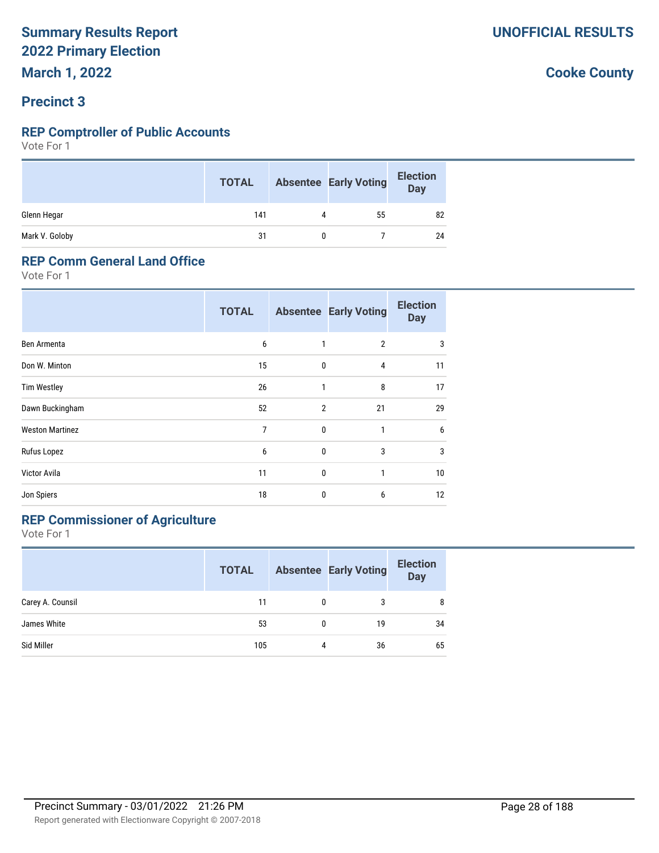#### **Precinct 3**

#### **REP Comptroller of Public Accounts**

Vote For 1

|                | <b>TOTAL</b> |   | <b>Absentee Early Voting</b> | <b>Election</b><br>Day |
|----------------|--------------|---|------------------------------|------------------------|
| Glenn Hegar    | 141          | 4 | 55                           | 82                     |
| Mark V. Goloby | 31           |   |                              | 24                     |

#### **REP Comm General Land Office**

Vote For 1

|                        | <b>TOTAL</b> |                | <b>Absentee Early Voting</b> | <b>Election</b><br><b>Day</b> |
|------------------------|--------------|----------------|------------------------------|-------------------------------|
| Ben Armenta            | 6            | 1              | $\overline{2}$               | 3                             |
| Don W. Minton          | 15           | $\mathbf{0}$   | 4                            | 11                            |
| <b>Tim Westley</b>     | 26           | 1              | 8                            | 17                            |
| Dawn Buckingham        | 52           | $\overline{2}$ | 21                           | 29                            |
| <b>Weston Martinez</b> | 7            | $\mathbf{0}$   | 1                            | 6                             |
| Rufus Lopez            | 6            | $\mathbf{0}$   | 3                            | 3                             |
| Victor Avila           | 11           | $\mathbf{0}$   | 1                            | 10                            |
| Jon Spiers             | 18           | 0              | 6                            | 12                            |

## **REP Commissioner of Agriculture**

Vote For 1

|                  | <b>TOTAL</b> |   | <b>Absentee Early Voting</b> | <b>Election</b><br><b>Day</b> |
|------------------|--------------|---|------------------------------|-------------------------------|
| Carey A. Counsil | 11           | 0 | 3                            | 8                             |
| James White      | 53           | 0 | 19                           | 34                            |
| Sid Miller       | 105          | 4 | 36                           | 65                            |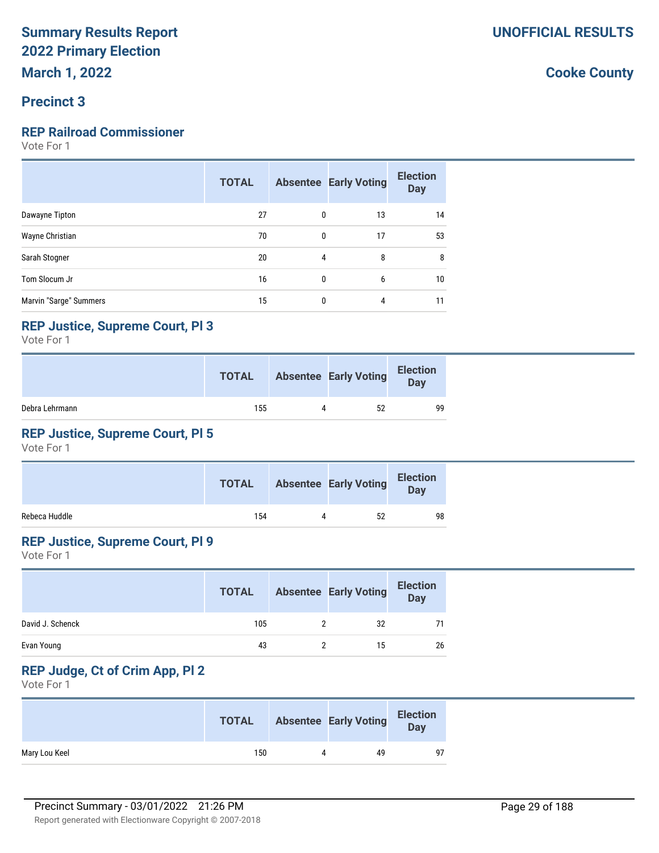#### **Precinct 3**

#### **REP Railroad Commissioner**

Vote For 1

|                        | <b>TOTAL</b> |   | <b>Absentee Early Voting</b> | <b>Election</b><br><b>Day</b> |
|------------------------|--------------|---|------------------------------|-------------------------------|
| Dawayne Tipton         | 27           | 0 | 13                           | 14                            |
| Wayne Christian        | 70           | 0 | 17                           | 53                            |
| Sarah Stogner          | 20           | 4 | 8                            | 8                             |
| Tom Slocum Jr          | 16           | 0 | 6                            | 10                            |
| Marvin "Sarge" Summers | 15           | 0 | 4                            | 11                            |

#### **REP Justice, Supreme Court, Pl 3**

Vote For 1

|                | <b>TOTAL</b> | <b>Absentee Early Voting</b> | <b>Election</b><br>Day |
|----------------|--------------|------------------------------|------------------------|
| Debra Lehrmann | 155          | 52                           | 99                     |

#### **REP Justice, Supreme Court, Pl 5**

Vote For 1

|               | <b>TOTAL</b> |   | <b>Absentee Early Voting</b> | <b>Election</b><br><b>Day</b> |
|---------------|--------------|---|------------------------------|-------------------------------|
| Rebeca Huddle | 154          | 4 | 52                           | 98                            |

#### **REP Justice, Supreme Court, Pl 9**

Vote For 1

|                  | <b>TOTAL</b> | <b>Absentee Early Voting</b> | <b>Election</b><br><b>Day</b> |
|------------------|--------------|------------------------------|-------------------------------|
| David J. Schenck | 105          | 32                           |                               |
| Evan Young       | 43           | 15                           | 26                            |

## **REP Judge, Ct of Crim App, Pl 2**

Vote For 1

|               | <b>TOTAL</b> |              | <b>Absentee Early Voting</b> | <b>Election</b><br>Day |
|---------------|--------------|--------------|------------------------------|------------------------|
| Mary Lou Keel | 150          | $\mathbf{u}$ | 49                           |                        |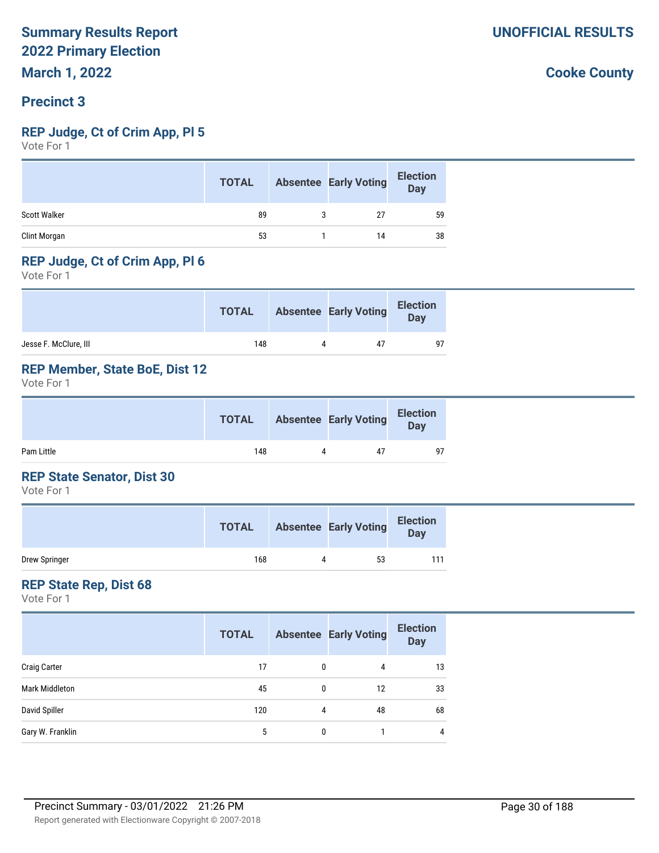#### **Precinct 3**

#### **REP Judge, Ct of Crim App, Pl 5**

Vote For 1

|              | <b>TOTAL</b> | <b>Absentee Early Voting</b> | <b>Election</b><br>Day |
|--------------|--------------|------------------------------|------------------------|
| Scott Walker | 89           | 27                           | 59                     |
| Clint Morgan | 53           | 14                           | 38                     |

#### **REP Judge, Ct of Crim App, Pl 6**

Vote For 1

|                       | <b>TOTAL</b> | <b>Absentee Early Voting</b> | <b>Election</b><br>Day |
|-----------------------|--------------|------------------------------|------------------------|
| Jesse F. McClure, III | 148          | 47                           | 97                     |

#### **REP Member, State BoE, Dist 12**

Vote For 1

|            | <b>TOTAL</b> |   | <b>Absentee Early Voting</b> | <b>Election</b><br>Day |  |
|------------|--------------|---|------------------------------|------------------------|--|
| Pam Little | 148          | Д | 47                           | 97                     |  |

#### **REP State Senator, Dist 30**

Vote For 1

|               | <b>TOTAL</b> | <b>Absentee Early Voting</b> | <b>Election</b><br>Day |
|---------------|--------------|------------------------------|------------------------|
| Drew Springer | 168          | 53                           | 111                    |

#### **REP State Rep, Dist 68**

Vote For 1

|                     | <b>TOTAL</b> |              | <b>Absentee Early Voting</b> | <b>Election</b><br><b>Day</b> |
|---------------------|--------------|--------------|------------------------------|-------------------------------|
| <b>Craig Carter</b> | 17           | $\mathbf{0}$ | 4                            | 13                            |
| Mark Middleton      | 45           | 0            | 12                           | 33                            |
| David Spiller       | 120          | 4            | 48                           | 68                            |
| Gary W. Franklin    | 5            | 0            |                              | 4                             |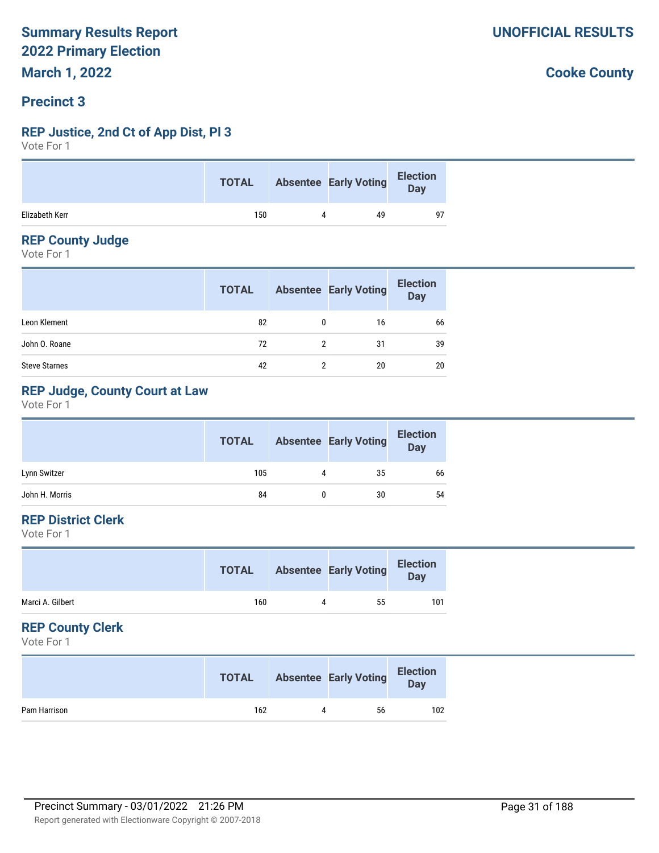#### **Precinct 3**

#### **REP Justice, 2nd Ct of App Dist, Pl 3**

Vote For 1

|                | <b>TOTAL</b> | <b>Absentee Early Voting</b> | <b>Election</b><br>Day |
|----------------|--------------|------------------------------|------------------------|
| Elizabeth Kerr | 150          | 49                           | 97                     |

#### **REP County Judge**

Vote For 1

|                      | <b>TOTAL</b> |   | <b>Absentee Early Voting</b> | <b>Election</b><br>Day |
|----------------------|--------------|---|------------------------------|------------------------|
| Leon Klement         | 82           | 0 | 16                           | 66                     |
| John O. Roane        | 72           |   | 31                           | 39                     |
| <b>Steve Starnes</b> | 42           |   | 20                           | 20                     |

#### **REP Judge, County Court at Law**

Vote For 1

|                | <b>TOTAL</b> |   | <b>Absentee Early Voting</b> | <b>Election</b><br><b>Day</b> |
|----------------|--------------|---|------------------------------|-------------------------------|
| Lynn Switzer   | 105          | 4 | 35                           | 66                            |
| John H. Morris | 84           |   | 30                           | 54                            |

#### **REP District Clerk**

Vote For 1

|                  | <b>TOTAL</b> |   | <b>Absentee Early Voting</b> | <b>Election</b><br>Day |
|------------------|--------------|---|------------------------------|------------------------|
| Marci A. Gilbert | 160          | 4 | 55                           | 101                    |
|                  |              |   |                              |                        |

#### **REP County Clerk**

Vote For 1

|              | <b>TOTAL</b> | <b>Absentee Early Voting</b> | <b>Election</b><br>Day |
|--------------|--------------|------------------------------|------------------------|
| Pam Harrison | 162          | 56                           | 102                    |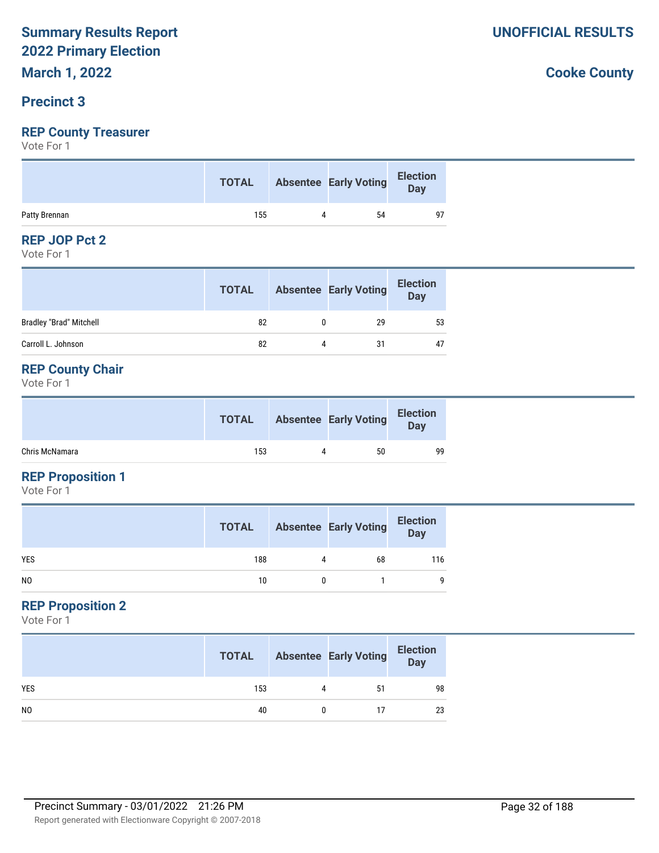## **Precinct 3**

#### **REP County Treasurer**

Vote For 1

|               | <b>TOTAL</b> | Absentee Early Voting Election |    |
|---------------|--------------|--------------------------------|----|
| Patty Brennan | 155          | 54                             | 97 |

#### **REP JOP Pct 2**

Vote For 1

|                                | <b>TOTAL</b> |   | <b>Absentee Early Voting</b> | <b>Election</b><br><b>Day</b> |
|--------------------------------|--------------|---|------------------------------|-------------------------------|
| <b>Bradley "Brad" Mitchell</b> | 82           |   | 29                           | 53                            |
| Carroll L. Johnson             | 82           | Δ | 31                           | 47                            |

#### **REP County Chair**

Vote For 1

|                | <b>TOTAL</b> |   | <b>Absentee Early Voting</b> | <b>Election</b><br><b>Day</b> |
|----------------|--------------|---|------------------------------|-------------------------------|
| Chris McNamara | 153          | 4 | 50                           | 99                            |

#### **REP Proposition 1**

Vote For 1

|                | <b>TOTAL</b> |   | <b>Absentee Early Voting</b> | <b>Election</b><br>Day |
|----------------|--------------|---|------------------------------|------------------------|
| <b>YES</b>     | 188          | 4 | 68                           | 116                    |
| N <sub>0</sub> | 10           |   |                              | 9                      |

#### **REP Proposition 2**

Vote For 1

|                | <b>TOTAL</b> |   | <b>Absentee Early Voting</b> | <b>Election</b><br>Day |
|----------------|--------------|---|------------------------------|------------------------|
| <b>YES</b>     | 153          | 4 | 51                           | 98                     |
| N <sub>0</sub> | 40           |   | 17                           | 23                     |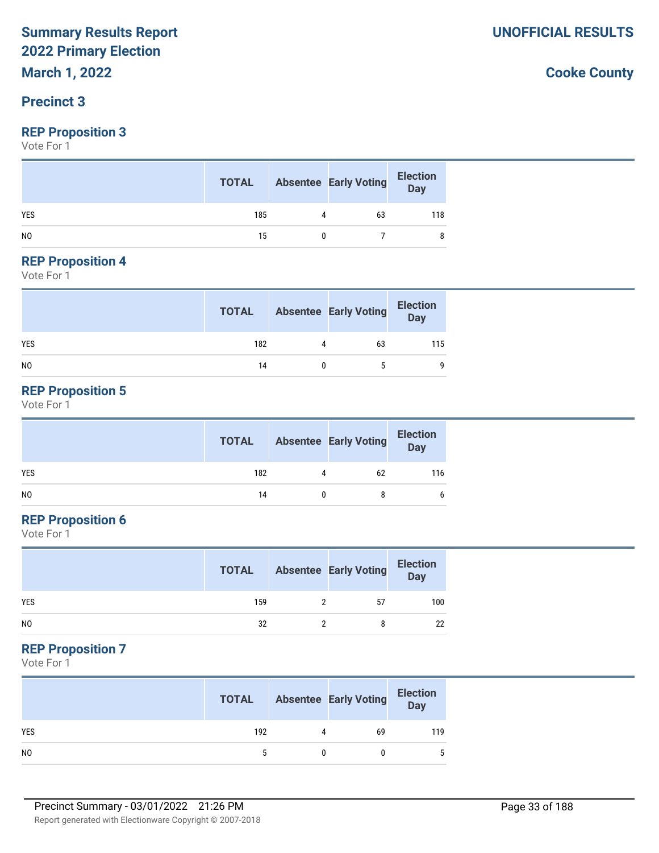## **Precinct 3**

#### **REP Proposition 3**

Vote For 1

|                | <b>TOTAL</b> |   | <b>Absentee Early Voting</b> | Election<br>Day |
|----------------|--------------|---|------------------------------|-----------------|
| <b>YES</b>     | 185          | 4 | 63                           | 118             |
| N <sub>0</sub> | 15           |   |                              |                 |

#### **REP Proposition 4**

Vote For 1

|            | <b>TOTAL</b> | <b>Absentee Early Voting</b> | <b>Election</b><br>Day |
|------------|--------------|------------------------------|------------------------|
| <b>YES</b> | 182          | 63                           | 115                    |
| NO         | 14           | 5                            | 9                      |

#### **REP Proposition 5**

Vote For 1

|     | <b>TOTAL</b> |           | <b>Absentee Early Voting</b> | <b>Election</b><br>Day |
|-----|--------------|-----------|------------------------------|------------------------|
| YES | 182          | $\Lambda$ | 62                           | 116                    |
| NO. | 14           |           |                              | 6                      |

#### **REP Proposition 6**

Vote For 1

|                | <b>TOTAL</b> | <b>Absentee Early Voting</b> | <b>Election</b><br><b>Day</b> |
|----------------|--------------|------------------------------|-------------------------------|
| <b>YES</b>     | 159          | 57                           | 100                           |
| N <sub>0</sub> | 32           |                              | 22                            |

#### **REP Proposition 7**

Vote For 1

|                | <b>TOTAL</b> |   | <b>Absentee Early Voting</b> | <b>Election</b><br>Day |
|----------------|--------------|---|------------------------------|------------------------|
| <b>YES</b>     | 192          | 4 | 69                           | 119                    |
| N <sub>0</sub> |              |   |                              | 5                      |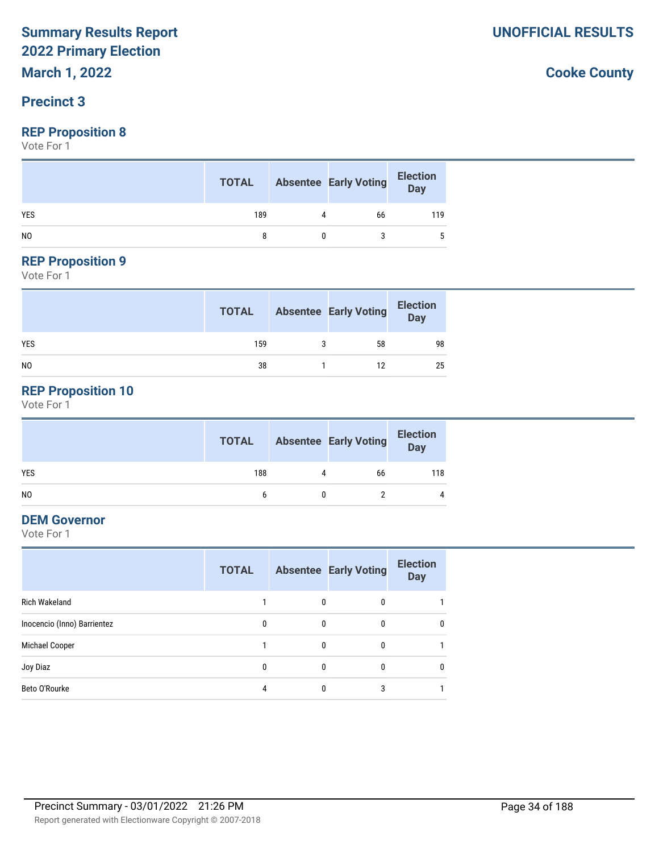#### **Precinct 3**

#### **REP Proposition 8**

Vote For 1

|                | <b>TOTAL</b> |   | <b>Absentee Early Voting</b> | Election<br>Day |
|----------------|--------------|---|------------------------------|-----------------|
| <b>YES</b>     | 189          | 4 | 66                           | 119             |
| N <sub>0</sub> |              |   |                              |                 |

## **REP Proposition 9**

Vote For 1

|            | <b>TOTAL</b> | <b>Absentee Early Voting</b> | <b>Election</b><br>Day |
|------------|--------------|------------------------------|------------------------|
| <b>YES</b> | 159          | 58                           | 98                     |
| NO         | 38           | 12                           | 25                     |

#### **REP Proposition 10**

Vote For 1

|                | <b>TOTAL</b> |   | <b>Absentee Early Voting</b> | <b>Election</b><br>Day |
|----------------|--------------|---|------------------------------|------------------------|
| <b>YES</b>     | 188          | 4 | 66                           | 118                    |
| N <sub>0</sub> | 6            |   |                              | 4                      |

#### **DEM Governor**

Vote For 1

|                             | <b>TOTAL</b> |          | <b>Absentee Early Voting</b> | <b>Election</b><br><b>Day</b> |
|-----------------------------|--------------|----------|------------------------------|-------------------------------|
| <b>Rich Wakeland</b>        |              | 0        | 0                            |                               |
| Inocencio (Inno) Barrientez | 0            | 0        | 0                            | $\mathbf{0}$                  |
| Michael Cooper              |              | 0        | 0                            |                               |
| Joy Diaz                    | $\theta$     | $\theta$ | 0                            | $\mathbf{0}$                  |
| Beto O'Rourke               | 4            | 0        | 3                            |                               |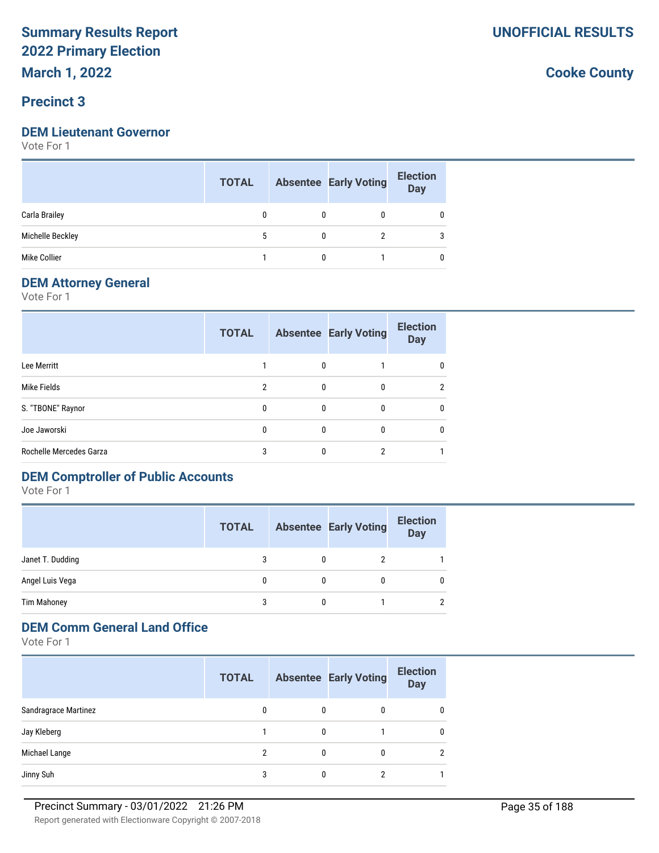**March 1, 2022**

#### **Precinct 3**

#### **DEM Lieutenant Governor**

Vote For 1

|                  | <b>TOTAL</b> |   | <b>Absentee Early Voting</b> | <b>Election</b><br><b>Day</b> |
|------------------|--------------|---|------------------------------|-------------------------------|
| Carla Brailey    |              |   |                              |                               |
| Michelle Beckley |              |   |                              |                               |
| Mike Collier     |              | 0 |                              |                               |

#### **DEM Attorney General**

Vote For 1

|                         | <b>TOTAL</b> |              | <b>Absentee Early Voting</b> | <b>Election</b><br><b>Day</b> |
|-------------------------|--------------|--------------|------------------------------|-------------------------------|
| Lee Merritt             |              | $\mathbf{0}$ |                              | 0                             |
| Mike Fields             | 2            | 0            | 0                            | $\overline{2}$                |
| S. "TBONE" Raynor       | $\mathbf{0}$ | $\mathbf{0}$ | 0                            | 0                             |
| Joe Jaworski            | $\Omega$     | $\Omega$     | $\Omega$                     | 0                             |
| Rochelle Mercedes Garza | 3            | 0            | າ                            |                               |

## **DEM Comptroller of Public Accounts**

Vote For 1

|                    | <b>TOTAL</b> |   | <b>Absentee Early Voting</b> | <b>Election</b><br><b>Day</b> |
|--------------------|--------------|---|------------------------------|-------------------------------|
| Janet T. Dudding   |              |   |                              |                               |
| Angel Luis Vega    | 0            | 0 | 0                            |                               |
| <b>Tim Mahoney</b> | 3            | 0 |                              | $\overline{2}$                |

#### **DEM Comm General Land Office**

Vote For 1

|                      | <b>TOTAL</b> |   | <b>Absentee Early Voting</b> | <b>Election</b><br><b>Day</b> |
|----------------------|--------------|---|------------------------------|-------------------------------|
| Sandragrace Martinez | 0            | 0 | 0                            | 0                             |
| Jay Kleberg          |              | 0 |                              | $\mathbf{0}$                  |
| Michael Lange        | 2            | 0 |                              | $\mathfrak{p}$                |
| Jinny Suh            | 3            |   |                              |                               |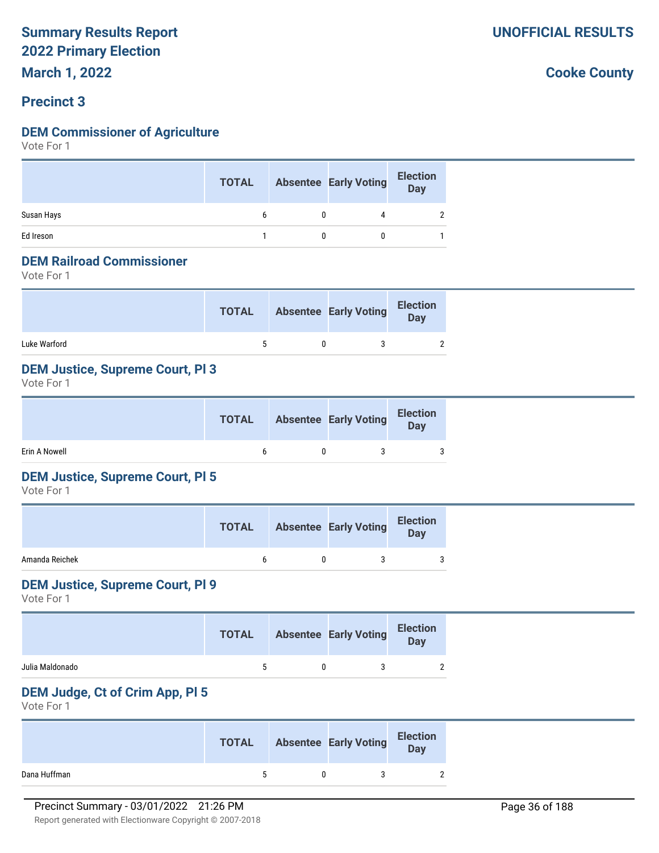#### **Precinct 3**

#### **DEM Commissioner of Agriculture**

Vote For 1

|            | <b>TOTAL</b> | <b>Absentee Early Voting</b> | <b>Election</b><br>Day |
|------------|--------------|------------------------------|------------------------|
| Susan Hays |              |                              |                        |
| Ed Ireson  |              |                              |                        |

#### **DEM Railroad Commissioner**

Vote For 1

|              | <b>TOTAL</b> | <b>Absentee Early Voting</b> | <b>Election</b><br><b>Day</b> |
|--------------|--------------|------------------------------|-------------------------------|
| Luke Warford |              |                              |                               |

#### **DEM Justice, Supreme Court, Pl 3**

Vote For 1

|               |  | <b>TOTAL</b> Absentee Early Voting | <b>Election</b><br>Day |
|---------------|--|------------------------------------|------------------------|
| Erin A Nowell |  |                                    |                        |

#### **DEM Justice, Supreme Court, Pl 5**

Vote For 1

|                | <b>TOTAL</b> | <b>Absentee Early Voting</b> | <b>Election</b><br><b>Day</b> |
|----------------|--------------|------------------------------|-------------------------------|
| Amanda Reichek |              |                              | 3                             |

#### **DEM Justice, Supreme Court, Pl 9**

Vote For 1

|                 | <b>TOTAL</b> | <b>Absentee Early Voting</b> | <b>Election</b><br>Day |
|-----------------|--------------|------------------------------|------------------------|
| Julia Maldonado | $\mathbf{r}$ |                              |                        |

#### **DEM Judge, Ct of Crim App, Pl 5**

Vote For 1

|              | <b>TOTAL</b> | <b>Absentee Early Voting</b> | <b>Election</b><br>Day |
|--------------|--------------|------------------------------|------------------------|
| Dana Huffman | ъ.           |                              |                        |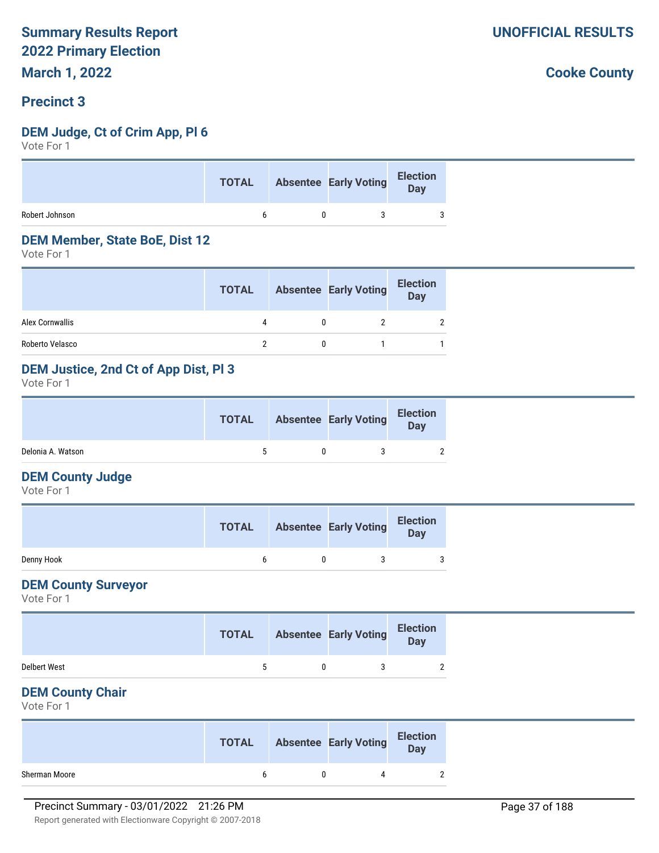#### **Precinct 3**

#### **DEM Judge, Ct of Crim App, Pl 6**

Vote For 1

|                | <b>TOTAL</b> | Absentee Early Voting Election |  |
|----------------|--------------|--------------------------------|--|
| Robert Johnson | h h          |                                |  |

#### **DEM Member, State BoE, Dist 12**

Vote For 1

|                 | <b>TOTAL</b> | <b>Absentee Early Voting</b> | <b>Election</b><br>Day |
|-----------------|--------------|------------------------------|------------------------|
| Alex Cornwallis | Δ            |                              | $\overline{2}$         |
| Roberto Velasco |              |                              |                        |

#### **DEM Justice, 2nd Ct of App Dist, Pl 3**

Vote For 1

|                   | <b>TOTAL</b> | <b>Absentee Early Voting</b> | <b>Election</b><br>Day |  |
|-------------------|--------------|------------------------------|------------------------|--|
| Delonia A. Watson |              |                              |                        |  |

#### **DEM County Judge**

Vote For 1

|            | <b>TOTAL</b> | <b>Absentee Early Voting</b> | <b>Election</b><br>Day |
|------------|--------------|------------------------------|------------------------|
| Denny Hook |              |                              | ্                      |

#### **DEM County Surveyor**

Vote For 1

|                     | <b>TOTAL</b> | <b>Absentee Early Voting</b> | <b>Election</b><br>Day |  |
|---------------------|--------------|------------------------------|------------------------|--|
| <b>Delbert West</b> | ь.           |                              |                        |  |

#### **DEM County Chair**

Vote For 1

|               | <b>TOTAL</b> | <b>Absentee Early Voting</b> | <b>Election</b><br>Day |
|---------------|--------------|------------------------------|------------------------|
| Sherman Moore |              |                              |                        |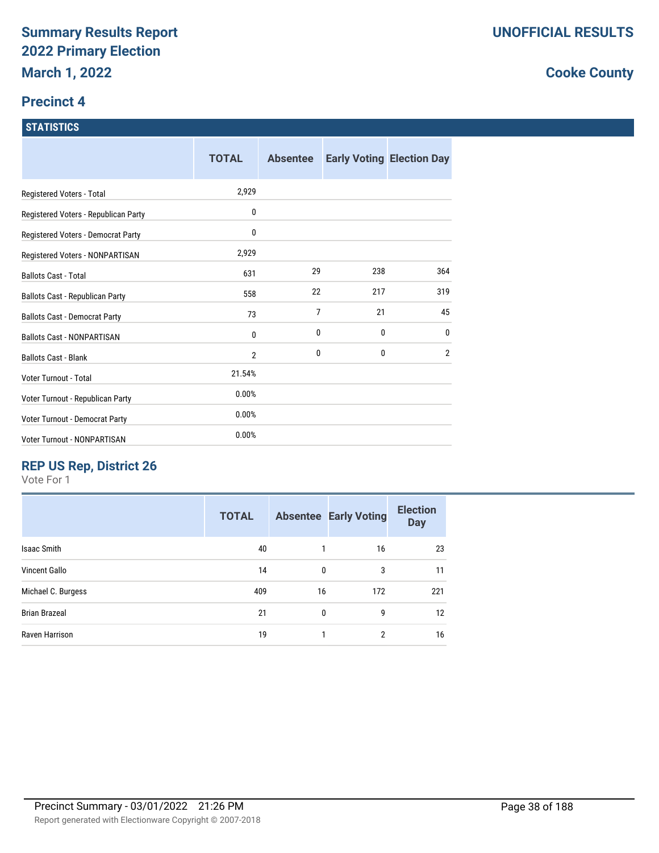#### **Precinct 4**

#### **STATISTICS**

|                                        | <b>TOTAL</b>   | <b>Absentee</b> |              | <b>Early Voting Election Day</b> |
|----------------------------------------|----------------|-----------------|--------------|----------------------------------|
| Registered Voters - Total              | 2,929          |                 |              |                                  |
| Registered Voters - Republican Party   | 0              |                 |              |                                  |
| Registered Voters - Democrat Party     | 0              |                 |              |                                  |
| Registered Voters - NONPARTISAN        | 2,929          |                 |              |                                  |
| <b>Ballots Cast - Total</b>            | 631            | 29              | 238          | 364                              |
| <b>Ballots Cast - Republican Party</b> | 558            | 22              | 217          | 319                              |
| <b>Ballots Cast - Democrat Party</b>   | 73             | $\overline{7}$  | 21           | 45                               |
| <b>Ballots Cast - NONPARTISAN</b>      | 0              | 0               | 0            | 0                                |
| <b>Ballots Cast - Blank</b>            | $\overline{2}$ | 0               | $\mathbf{0}$ | $\overline{2}$                   |
| Voter Turnout - Total                  | 21.54%         |                 |              |                                  |
| Voter Turnout - Republican Party       | 0.00%          |                 |              |                                  |
| Voter Turnout - Democrat Party         | 0.00%          |                 |              |                                  |
| Voter Turnout - NONPARTISAN            | 0.00%          |                 |              |                                  |

# **REP US Rep, District 26**

Vote For 1

| <b>TOTAL</b> |              |     | <b>Election</b><br><b>Day</b>      |
|--------------|--------------|-----|------------------------------------|
| 40           |              | 16  | 23                                 |
| 14           | 0            | 3   | 11                                 |
| 409          |              | 172 | 221                                |
| 21           | $\mathbf{0}$ | 9   | 12                                 |
| 19           |              | 2   | 16                                 |
|              |              |     | <b>Absentee Early Voting</b><br>16 |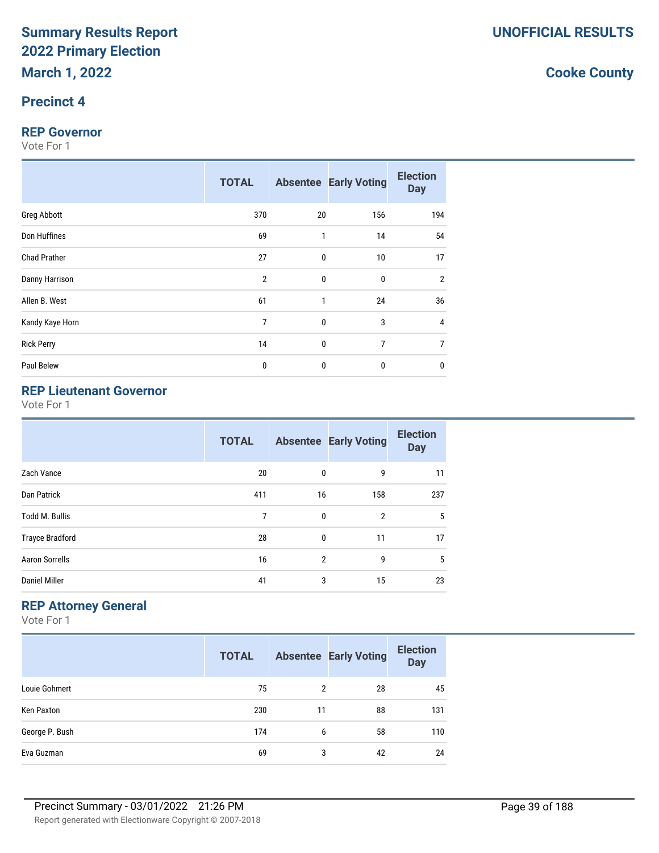#### **Precinct 4**

#### **REP Governor**

Vote For 1

|                     | <b>TOTAL</b>   |             | <b>Absentee Early Voting</b> | <b>Election</b><br><b>Day</b> |
|---------------------|----------------|-------------|------------------------------|-------------------------------|
| Greg Abbott         | 370            | 20          | 156                          | 194                           |
| Don Huffines        | 69             | 1           | 14                           | 54                            |
| <b>Chad Prather</b> | 27             | 0           | 10                           | 17                            |
| Danny Harrison      | $\overline{2}$ | $\mathbf 0$ | $\mathbf{0}$                 | $\overline{2}$                |
| Allen B. West       | 61             | 1           | 24                           | 36                            |
| Kandy Kaye Horn     | 7              | 0           | 3                            | 4                             |
| <b>Rick Perry</b>   | 14             | 0           | 7                            | 7                             |
| Paul Belew          | 0              | 0           | $\mathbf{0}$                 | 0                             |

# **REP Lieutenant Governor**

Vote For 1

|                        | <b>TOTAL</b> |                | <b>Absentee Early Voting</b> | <b>Election</b><br><b>Day</b> |
|------------------------|--------------|----------------|------------------------------|-------------------------------|
| Zach Vance             | 20           | 0              | 9                            | 11                            |
| Dan Patrick            | 411          | 16             | 158                          | 237                           |
| <b>Todd M. Bullis</b>  | 7            | $\mathbf 0$    | $\overline{2}$               | 5                             |
| <b>Trayce Bradford</b> | 28           | $\mathbf 0$    | 11                           | 17                            |
| <b>Aaron Sorrells</b>  | 16           | $\overline{2}$ | 9                            | 5                             |
| <b>Daniel Miller</b>   | 41           | 3              | 15                           | 23                            |

### **REP Attorney General**

Vote For 1

|                | <b>TOTAL</b> |    | <b>Absentee Early Voting</b> | <b>Election</b><br><b>Day</b> |
|----------------|--------------|----|------------------------------|-------------------------------|
| Louie Gohmert  | 75           | 2  | 28                           | 45                            |
| Ken Paxton     | 230          | 11 | 88                           | 131                           |
| George P. Bush | 174          | 6  | 58                           | 110                           |
| Eva Guzman     | 69           | 3  | 42                           | 24                            |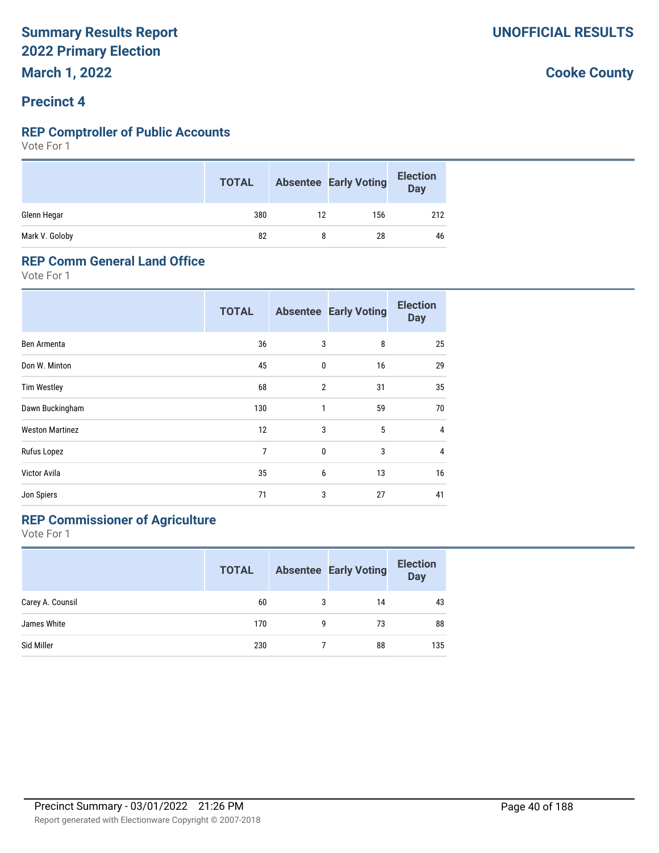#### **Precinct 4**

#### **REP Comptroller of Public Accounts**

Vote For 1

|                | <b>TOTAL</b> |    | <b>Absentee Early Voting</b> | <b>Election</b><br>Day |
|----------------|--------------|----|------------------------------|------------------------|
| Glenn Hegar    | 380          | 12 | 156                          | 212                    |
| Mark V. Goloby | 82           |    | 28                           | 46                     |

#### **REP Comm General Land Office**

Vote For 1

|                        | <b>TOTAL</b>   |                | <b>Absentee Early Voting</b> | <b>Election</b><br><b>Day</b> |
|------------------------|----------------|----------------|------------------------------|-------------------------------|
| Ben Armenta            | 36             | 3              | 8                            | 25                            |
| Don W. Minton          | 45             | 0              | 16                           | 29                            |
| <b>Tim Westley</b>     | 68             | $\overline{2}$ | 31                           | 35                            |
| Dawn Buckingham        | 130            | 1              | 59                           | 70                            |
| <b>Weston Martinez</b> | 12             | 3              | 5                            | 4                             |
| Rufus Lopez            | $\overline{7}$ | 0              | 3                            | $\overline{4}$                |
| Victor Avila           | 35             | 6              | 13                           | 16                            |
| Jon Spiers             | 71             | 3              | 27                           | 41                            |

# **REP Commissioner of Agriculture**

Vote For 1

|                  | <b>TOTAL</b> |   | <b>Absentee Early Voting</b> | <b>Election</b><br><b>Day</b> |
|------------------|--------------|---|------------------------------|-------------------------------|
| Carey A. Counsil | 60           | 3 | 14                           | 43                            |
| James White      | 170          | g | 73                           | 88                            |
| Sid Miller       | 230          |   | 88                           | 135                           |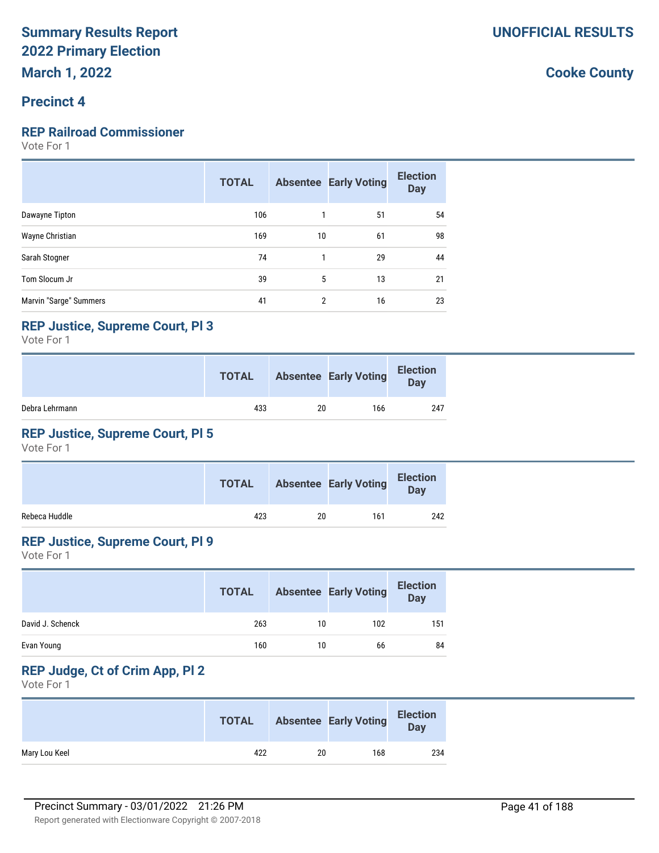#### **Precinct 4**

#### **REP Railroad Commissioner**

Vote For 1

|                        | <b>TOTAL</b> |                | <b>Absentee Early Voting</b> | <b>Election</b><br><b>Day</b> |
|------------------------|--------------|----------------|------------------------------|-------------------------------|
| Dawayne Tipton         | 106          |                | 51                           | 54                            |
| Wayne Christian        | 169          | 10             | 61                           | 98                            |
| Sarah Stogner          | 74           |                | 29                           | 44                            |
| Tom Slocum Jr          | 39           | 5              | 13                           | 21                            |
| Marvin "Sarge" Summers | 41           | $\overline{2}$ | 16                           | 23                            |

#### **REP Justice, Supreme Court, Pl 3**

Vote For 1

|                | <b>TOTAL</b> |    | <b>Absentee Early Voting</b> | <b>Election</b><br>Day |
|----------------|--------------|----|------------------------------|------------------------|
| Debra Lehrmann | 433          | 20 | 166                          | 247                    |

### **REP Justice, Supreme Court, Pl 5**

Vote For 1

|               | <b>TOTAL</b> |    | <b>Absentee Early Voting</b> | <b>Election</b><br>Day |
|---------------|--------------|----|------------------------------|------------------------|
| Rebeca Huddle | 423          | 20 | 161                          | 242                    |

#### **REP Justice, Supreme Court, Pl 9**

Vote For 1

|                  | <b>TOTAL</b> |    | <b>Absentee Early Voting</b> | <b>Election</b><br><b>Day</b> |
|------------------|--------------|----|------------------------------|-------------------------------|
| David J. Schenck | 263          | 10 | 102                          | 151                           |
| Evan Young       | 160          | 10 | 66                           | 84                            |

# **REP Judge, Ct of Crim App, Pl 2**

Vote For 1

|               | <b>TOTAL</b> |    | <b>Absentee Early Voting</b> | <b>Election</b><br>Day |
|---------------|--------------|----|------------------------------|------------------------|
| Mary Lou Keel | 422          | 20 | 168                          | 234                    |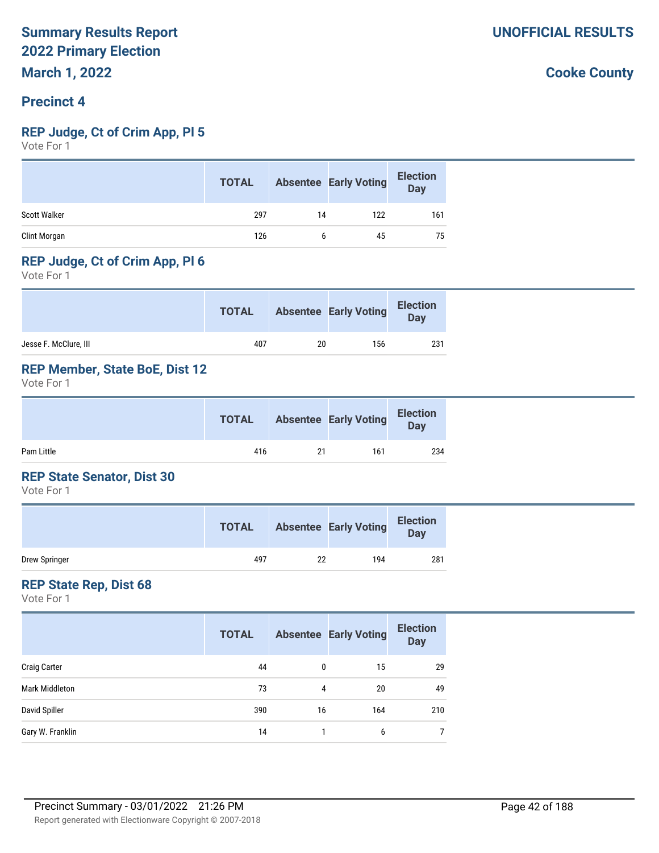#### **Precinct 4**

#### **REP Judge, Ct of Crim App, Pl 5**

Vote For 1

|                     | <b>TOTAL</b> |    | <b>Absentee Early Voting</b> | <b>Election</b><br><b>Day</b> |
|---------------------|--------------|----|------------------------------|-------------------------------|
| <b>Scott Walker</b> | 297          | 14 | 122                          | 161                           |
| Clint Morgan        | 126          | b  | 45                           | 75                            |

#### **REP Judge, Ct of Crim App, Pl 6**

Vote For 1

|                       | <b>TOTAL</b> |    | <b>Absentee Early Voting</b> | <b>Election</b><br>Day |
|-----------------------|--------------|----|------------------------------|------------------------|
| Jesse F. McClure, III | 407          | 20 | 156                          | 231                    |

#### **REP Member, State BoE, Dist 12**

Vote For 1

|            | <b>TOTAL</b> |    | <b>Absentee Early Voting</b> | <b>Election</b><br>Day |  |
|------------|--------------|----|------------------------------|------------------------|--|
| Pam Little | 416          | 21 | 161                          | 234                    |  |

#### **REP State Senator, Dist 30**

Vote For 1

|               | <b>TOTAL</b> |    | <b>Absentee Early Voting</b> | <b>Election</b><br><b>Day</b> |
|---------------|--------------|----|------------------------------|-------------------------------|
| Drew Springer | 497          | 22 | 194                          | 281                           |

#### **REP State Rep, Dist 68**

Vote For 1

|                       | <b>TOTAL</b> |    | <b>Absentee Early Voting</b> | <b>Election</b><br><b>Day</b> |
|-----------------------|--------------|----|------------------------------|-------------------------------|
| <b>Craig Carter</b>   | 44           | 0  | 15                           | 29                            |
| <b>Mark Middleton</b> | 73           | 4  | 20                           | 49                            |
| David Spiller         | 390          | 16 | 164                          | 210                           |
| Gary W. Franklin      | 14           |    | 6                            |                               |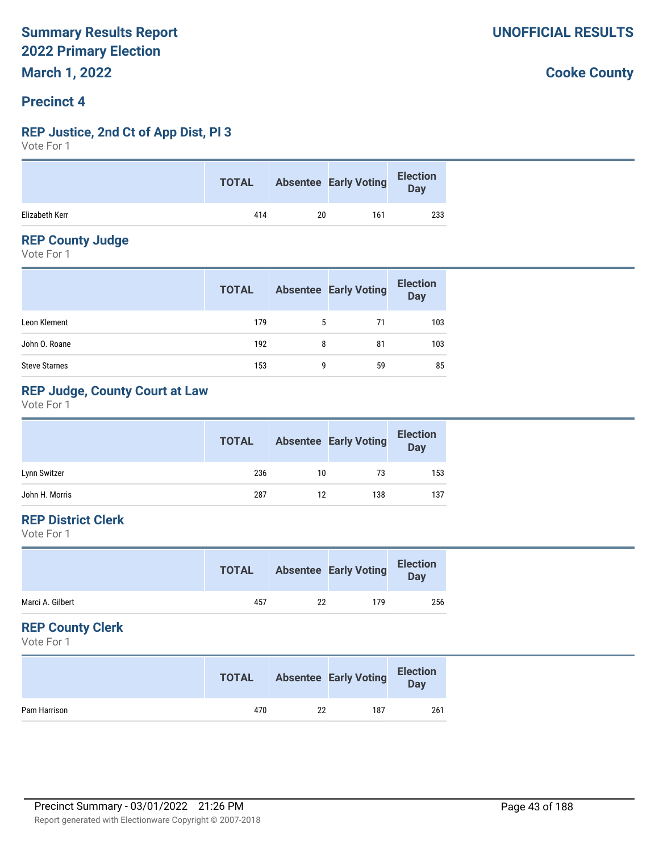#### **Precinct 4**

#### **REP Justice, 2nd Ct of App Dist, Pl 3**

Vote For 1

|                |     |    | <b>TOTAL</b> Absentee Early Voting | Bection |
|----------------|-----|----|------------------------------------|---------|
| Elizabeth Kerr | 414 | 20 | 161                                | 233     |

#### **REP County Judge**

Vote For 1

|                      | <b>TOTAL</b> |   | <b>Absentee Early Voting</b> | <b>Election</b><br>Day |
|----------------------|--------------|---|------------------------------|------------------------|
| Leon Klement         | 179          | 5 | 71                           | 103                    |
| John O. Roane        | 192          | 8 | 81                           | 103                    |
| <b>Steve Starnes</b> | 153          | g | 59                           | 85                     |

### **REP Judge, County Court at Law**

Vote For 1

|                | <b>TOTAL</b> |    | <b>Absentee Early Voting</b> | <b>Election</b><br>Day |
|----------------|--------------|----|------------------------------|------------------------|
| Lynn Switzer   | 236          | 10 | 73                           | 153                    |
| John H. Morris | 287          | 12 | 138                          | 137                    |

#### **REP District Clerk**

Vote For 1

| Marci A. Gilbert<br>457<br>179<br>22 | <b>TOTAL</b> | <b>Absentee Early Voting</b> | <b>Election</b><br>Day |
|--------------------------------------|--------------|------------------------------|------------------------|
|                                      |              |                              | 256                    |

#### **REP County Clerk**

Vote For 1

|              | <b>TOTAL</b> |    | <b>Absentee Early Voting</b> | <b>Election</b><br><b>Day</b> |
|--------------|--------------|----|------------------------------|-------------------------------|
| Pam Harrison | 470          | 22 | 187                          | 261                           |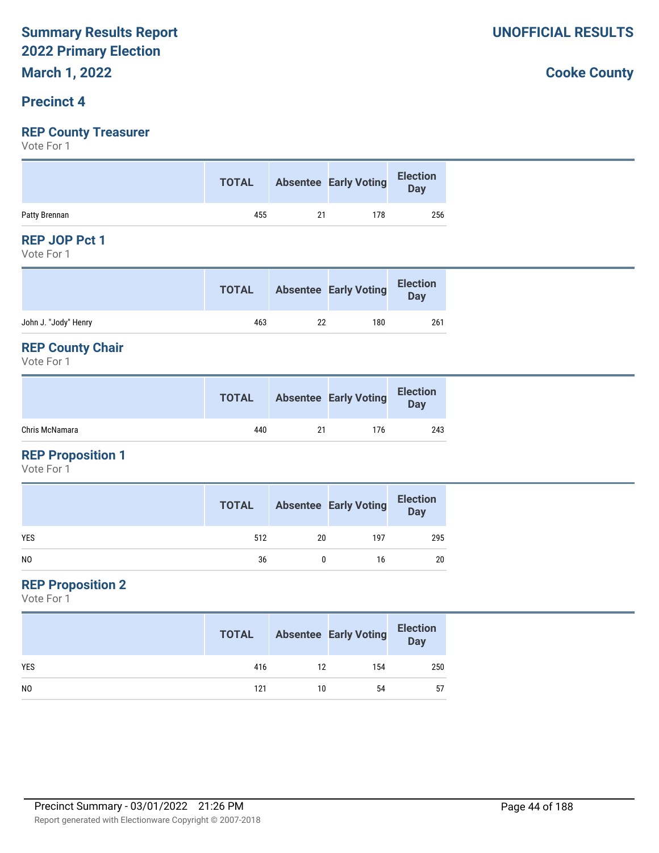# **Precinct 4**

# **REP County Treasurer**

Vote For 1

|               |     | TOTAL Absentee Early Voting Election |     |
|---------------|-----|--------------------------------------|-----|
| Patty Brennan | 455 | 178                                  | 256 |

#### **REP JOP Pct 1**

Vote For 1

|                      | <b>TOTAL</b> |    | <b>Absentee Early Voting</b> | <b>Election</b><br><b>Day</b> |
|----------------------|--------------|----|------------------------------|-------------------------------|
| John J. "Jody" Henry | 463          | 22 | 180                          | 261                           |

#### **REP County Chair**

Vote For 1

|                | <b>TOTAL</b> |    | <b>Absentee Early Voting</b> | <b>Election</b><br><b>Day</b> |
|----------------|--------------|----|------------------------------|-------------------------------|
| Chris McNamara | 440          | 21 | 176                          | 243                           |

#### **REP Proposition 1**

Vote For 1

|                | <b>TOTAL</b> |    | <b>Absentee Early Voting</b> | <b>Election</b><br>Day |
|----------------|--------------|----|------------------------------|------------------------|
| <b>YES</b>     | 512          | 20 | 197                          | 295                    |
| N <sub>0</sub> | 36           |    | 16                           | 20                     |

#### **REP Proposition 2**

Vote For 1

|                | <b>TOTAL</b> |    | <b>Absentee Early Voting</b> | <b>Election</b><br>Day |
|----------------|--------------|----|------------------------------|------------------------|
| <b>YES</b>     | 416          | 12 | 154                          | 250                    |
| N <sub>0</sub> | 121          | 10 | 54                           | 57                     |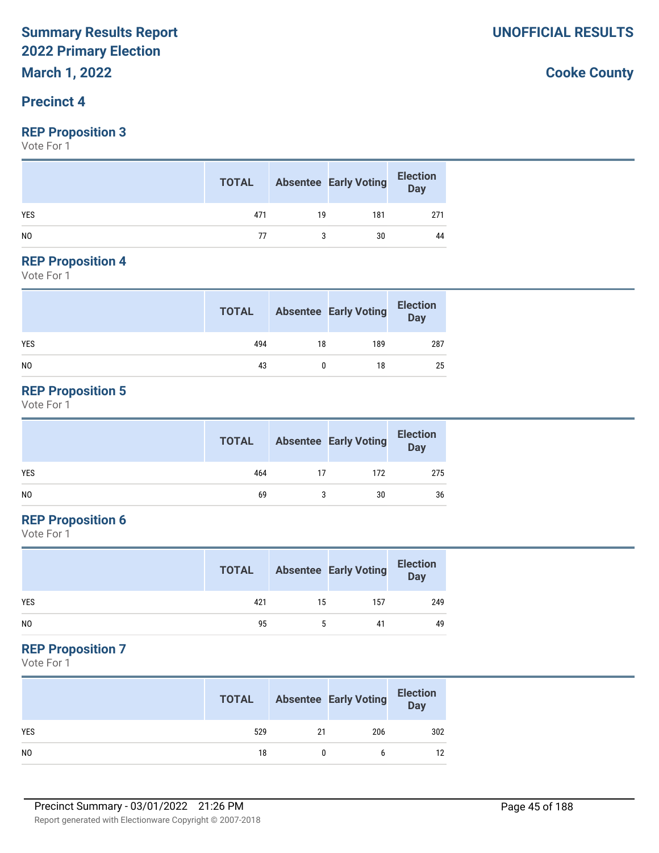# **March 1, 2022**

#### **Precinct 4**

#### **REP Proposition 3**

Vote For 1

|                | <b>TOTAL</b> |    | <b>Absentee Early Voting</b> | <b>Election</b><br><b>Day</b> |
|----------------|--------------|----|------------------------------|-------------------------------|
| <b>YES</b>     | 471          | 19 | 181                          | 271                           |
| N <sub>0</sub> | 77           |    | 30                           | 44                            |

#### **REP Proposition 4**

Vote For 1

|                | <b>TOTAL</b> |    | <b>Absentee Early Voting</b> | <b>Election</b><br>Day |
|----------------|--------------|----|------------------------------|------------------------|
| <b>YES</b>     | 494          | 18 | 189                          | 287                    |
| N <sub>0</sub> | 43           |    | 18                           | 25                     |

#### **REP Proposition 5**

Vote For 1

|     | <b>TOTAL</b> |    | <b>Absentee Early Voting</b> | <b>Election</b><br>Day |
|-----|--------------|----|------------------------------|------------------------|
| YES | 464          | 17 | 172                          | 275                    |
| NO  | 69           |    | 30                           | 36                     |

#### **REP Proposition 6**

Vote For 1

|                | <b>TOTAL</b> |    | <b>Absentee Early Voting</b> | <b>Election</b><br>Day |
|----------------|--------------|----|------------------------------|------------------------|
| <b>YES</b>     | 421          | 15 | 157                          | 249                    |
| N <sub>0</sub> | 95           |    | 41                           | 49                     |

#### **REP Proposition 7**

Vote For 1

|                | <b>TOTAL</b> |    | <b>Absentee Early Voting</b> | <b>Election</b><br>Day |
|----------------|--------------|----|------------------------------|------------------------|
| <b>YES</b>     | 529          | 21 | 206                          | 302                    |
| N <sub>0</sub> | 18           |    |                              | 12                     |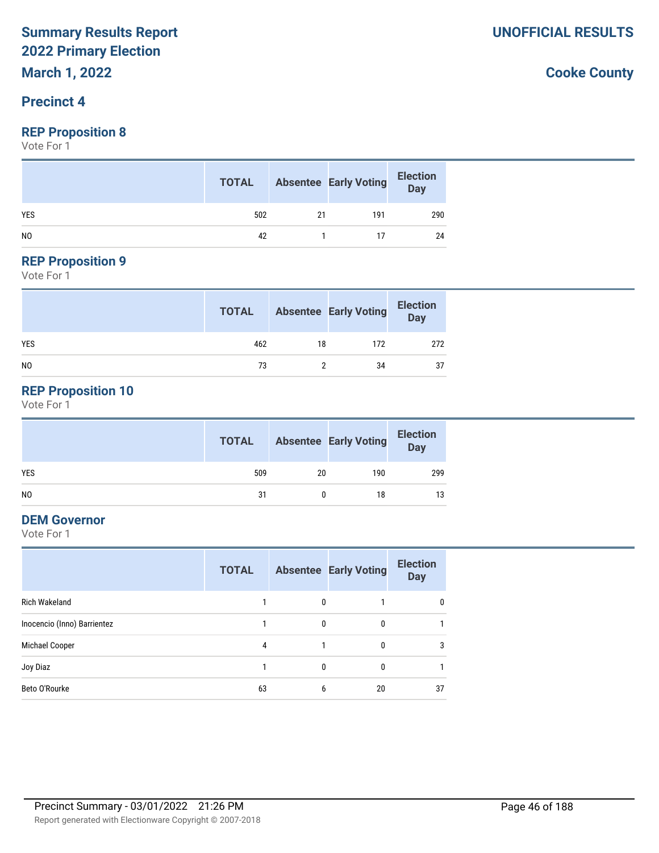#### **Precinct 4**

#### **REP Proposition 8**

Vote For 1

|                | <b>TOTAL</b> |    | <b>Absentee Early Voting</b> | <b>Election</b><br>Day |
|----------------|--------------|----|------------------------------|------------------------|
| <b>YES</b>     | 502          | 21 | 191                          | 290                    |
| N <sub>0</sub> | 42           |    |                              | 24                     |

# **REP Proposition 9**

Vote For 1

|            | <b>TOTAL</b> |    | <b>Absentee Early Voting</b> | <b>Election</b><br>Day |
|------------|--------------|----|------------------------------|------------------------|
| <b>YES</b> | 462          | 18 | 172                          | 272                    |
| NO         | 73           |    | 34                           | 37                     |

#### **REP Proposition 10**

Vote For 1

|                | <b>TOTAL</b> |    | <b>Absentee Early Voting</b> | <b>Election</b><br>Day |
|----------------|--------------|----|------------------------------|------------------------|
| <b>YES</b>     | 509          | 20 | 190                          | 299                    |
| N <sub>O</sub> | 31           |    | 18                           | 13                     |

#### **DEM Governor**

Vote For 1

|                             | <b>TOTAL</b> |          | <b>Absentee Early Voting</b> | <b>Election</b><br><b>Day</b> |
|-----------------------------|--------------|----------|------------------------------|-------------------------------|
| Rich Wakeland               |              | $\Omega$ |                              | $\mathbf{0}$                  |
| Inocencio (Inno) Barrientez |              | 0        | 0                            |                               |
| Michael Cooper              | 4            |          | 0                            | 3                             |
| Joy Diaz                    |              | 0        | 0                            |                               |
| Beto O'Rourke               | 63           | 6        | 20                           | 37                            |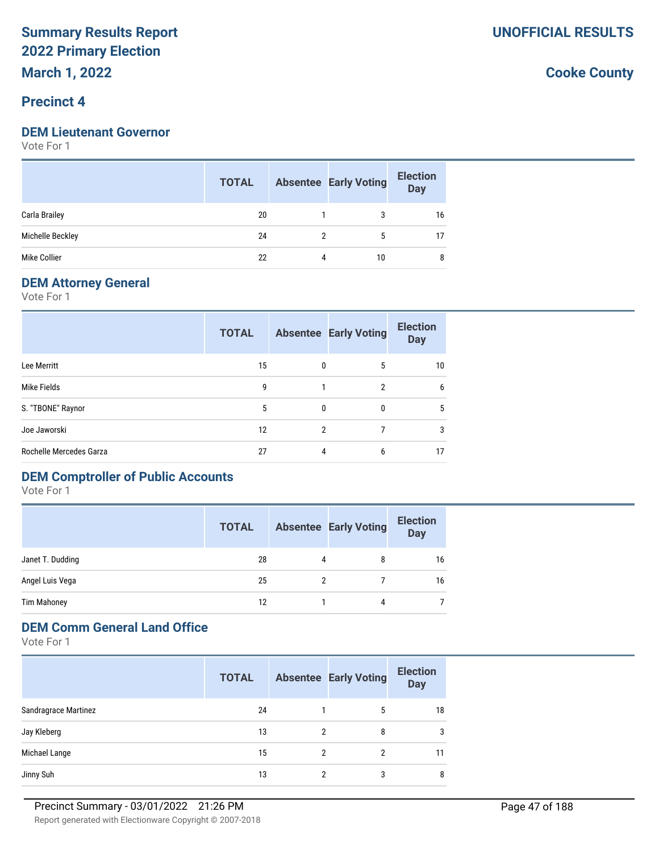#### **Precinct 4**

#### **DEM Lieutenant Governor**

Vote For 1

|                  | <b>TOTAL</b> |   | <b>Absentee Early Voting</b> | <b>Election</b><br><b>Day</b> |
|------------------|--------------|---|------------------------------|-------------------------------|
| Carla Brailey    | 20           |   | 3                            | 16                            |
| Michelle Beckley | 24           |   | 5                            | 17                            |
| Mike Collier     | 22           | 4 | 10                           | 8                             |

#### **DEM Attorney General**

Vote For 1

|                         | <b>TOTAL</b> |   | <b>Absentee Early Voting</b> | <b>Election</b><br><b>Day</b> |
|-------------------------|--------------|---|------------------------------|-------------------------------|
| Lee Merritt             | 15           | 0 | 5                            | 10                            |
| Mike Fields             | 9            |   | $\overline{2}$               | 6                             |
| S. "TBONE" Raynor       | 5            | 0 | 0                            | 5                             |
| Joe Jaworski            | 12           | 2 |                              | 3                             |
| Rochelle Mercedes Garza | 27           | 4 | 6                            | 17                            |

# **DEM Comptroller of Public Accounts**

Vote For 1

|                  | <b>TOTAL</b> |   | <b>Absentee Early Voting</b> | <b>Election</b><br><b>Day</b> |
|------------------|--------------|---|------------------------------|-------------------------------|
| Janet T. Dudding | 28           | 4 | 8                            | 16                            |
| Angel Luis Vega  | 25           |   |                              | 16                            |
| Tim Mahoney      | 12           |   | 4                            |                               |

#### **DEM Comm General Land Office**

Vote For 1

|                      | <b>TOTAL</b> |   | <b>Absentee Early Voting</b> | <b>Election</b><br><b>Day</b> |
|----------------------|--------------|---|------------------------------|-------------------------------|
| Sandragrace Martinez | 24           |   | 5                            | 18                            |
| Jay Kleberg          | 13           | 2 | 8                            | 3                             |
| Michael Lange        | 15           | 2 | 2                            | 11                            |
| Jinny Suh            | 13           | 2 | 3                            | 8                             |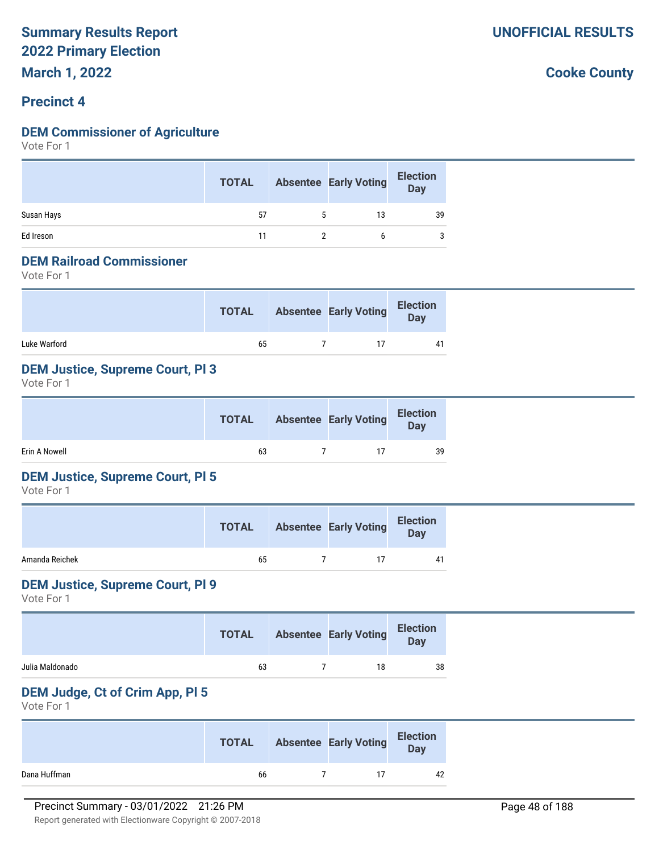#### **Precinct 4**

#### **DEM Commissioner of Agriculture**

Vote For 1

|            | <b>TOTAL</b> |   | <b>Absentee Early Voting</b> | <b>Election</b><br>Day |
|------------|--------------|---|------------------------------|------------------------|
| Susan Hays | 57           | 5 | 13                           | 39                     |
| Ed Ireson  | 11           |   |                              |                        |

#### **DEM Railroad Commissioner**

Vote For 1

|              | <b>TOTAL</b> | <b>Absentee Early Voting</b> | <b>Election</b><br>Day |
|--------------|--------------|------------------------------|------------------------|
| Luke Warford | 65           |                              | 41                     |

#### **DEM Justice, Supreme Court, Pl 3**

Vote For 1

|               |    |                | <b>TOTAL</b> Absentee Early Voting | <b>Election</b><br>Day |
|---------------|----|----------------|------------------------------------|------------------------|
| Erin A Nowell | 63 | $\overline{7}$ |                                    | 39                     |

#### **DEM Justice, Supreme Court, Pl 5**

Vote For 1

|                | <b>TOTAL</b> | <b>Absentee Early Voting</b> | <b>Election</b><br>Day |
|----------------|--------------|------------------------------|------------------------|
| Amanda Reichek | 65           | 17                           | 41                     |

#### **DEM Justice, Supreme Court, Pl 9**

Vote For 1

|                 | <b>TOTAL</b> | <b>Absentee Early Voting</b> | <b>Election</b><br><b>Day</b> |
|-----------------|--------------|------------------------------|-------------------------------|
| Julia Maldonado | 63           | 18                           | 38                            |

#### **DEM Judge, Ct of Crim App, Pl 5**

Vote For 1

|              | <b>TOTAL</b> | <b>Absentee Early Voting</b> | <b>Election</b><br>Day |
|--------------|--------------|------------------------------|------------------------|
| Dana Huffman | 66           |                              | 42                     |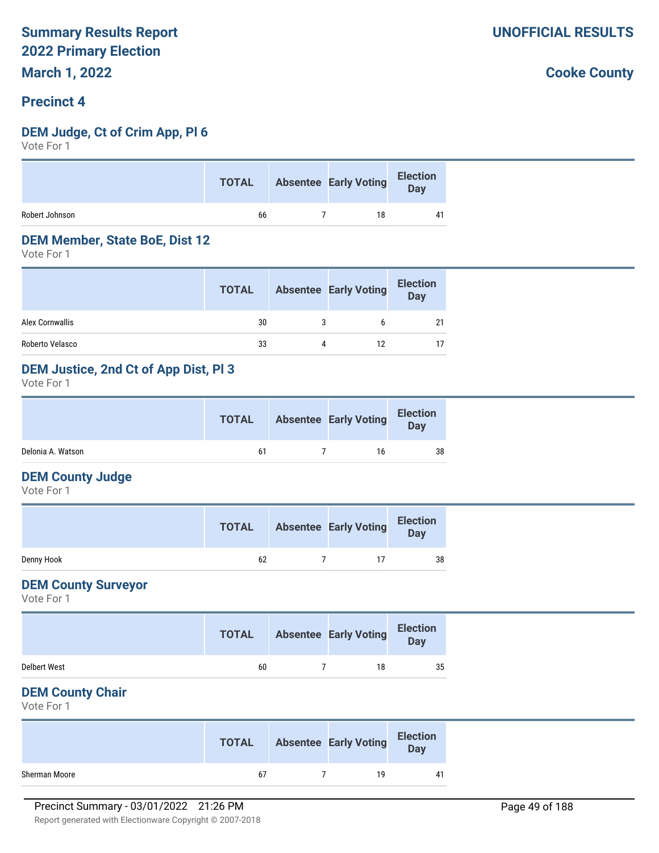#### **Precinct 4**

#### **DEM Judge, Ct of Crim App, Pl 6**

Vote For 1

| 66<br>18 |                | <b>TOTAL</b> | Absentee Early Voting Election |  |
|----------|----------------|--------------|--------------------------------|--|
|          | Robert Johnson |              |                                |  |

#### **DEM Member, State BoE, Dist 12**

Vote For 1

|                 | <b>TOTAL</b> |   | <b>Absentee Early Voting</b> | <b>Election</b><br>Day |
|-----------------|--------------|---|------------------------------|------------------------|
| Alex Cornwallis | 30           | 3 |                              | 21                     |
| Roberto Velasco | 33           | 4 | 12                           | 17                     |

#### **DEM Justice, 2nd Ct of App Dist, Pl 3**

Vote For 1

|                   | <b>TOTAL</b> | <b>Absentee Early Voting</b> | <b>Election</b><br>Day |
|-------------------|--------------|------------------------------|------------------------|
| Delonia A. Watson | 61           | 16                           | 38                     |

#### **DEM County Judge**

Vote For 1

|            | <b>TOTAL</b> | <b>Absentee Early Voting</b> | <b>Election</b><br><b>Day</b> |
|------------|--------------|------------------------------|-------------------------------|
| Denny Hook | 62           |                              | 38                            |

#### **DEM County Surveyor**

Vote For 1

|                     | <b>TOTAL</b> | <b>Absentee Early Voting</b> | <b>Election</b><br>Day |  |
|---------------------|--------------|------------------------------|------------------------|--|
| <b>Delbert West</b> | 60           | 18                           | 35                     |  |

#### **DEM County Chair**

Vote For 1

|               | <b>TOTAL</b> | <b>Absentee Early Voting</b> | <b>Election</b><br>Day |
|---------------|--------------|------------------------------|------------------------|
| Sherman Moore | 67           | 1 Q                          | 41                     |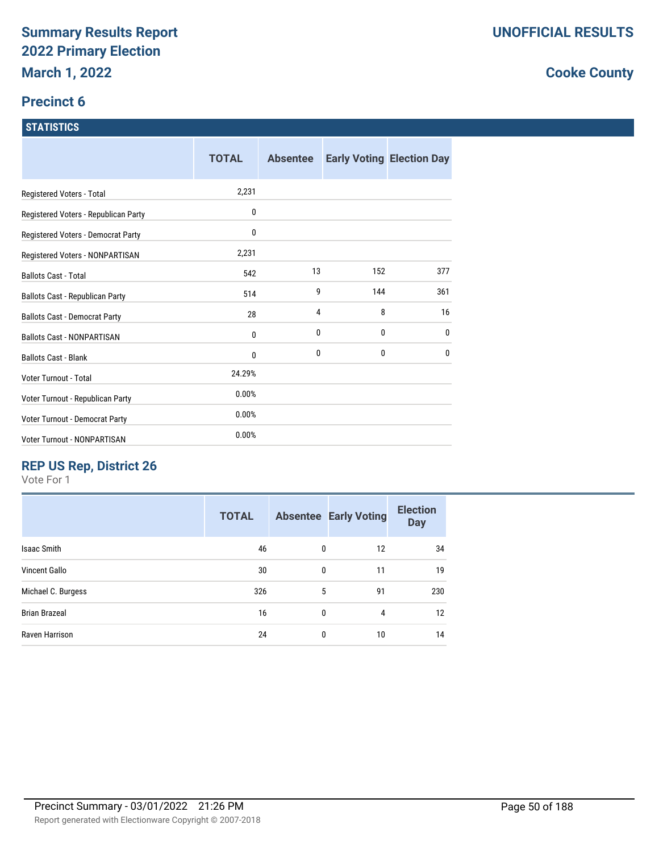#### **Precinct 6**

#### **STATISTICS**

|                                      | <b>TOTAL</b> | <b>Absentee</b> |     | <b>Early Voting Election Day</b> |
|--------------------------------------|--------------|-----------------|-----|----------------------------------|
| Registered Voters - Total            | 2,231        |                 |     |                                  |
| Registered Voters - Republican Party | 0            |                 |     |                                  |
| Registered Voters - Democrat Party   | 0            |                 |     |                                  |
| Registered Voters - NONPARTISAN      | 2,231        |                 |     |                                  |
| <b>Ballots Cast - Total</b>          | 542          | 13              | 152 | 377                              |
| Ballots Cast - Republican Party      | 514          | 9               | 144 | 361                              |
| <b>Ballots Cast - Democrat Party</b> | 28           | 4               | 8   | 16                               |
| <b>Ballots Cast - NONPARTISAN</b>    | 0            | 0               | 0   | 0                                |
| <b>Ballots Cast - Blank</b>          | 0            | 0               | 0   | 0                                |
| Voter Turnout - Total                | 24.29%       |                 |     |                                  |
| Voter Turnout - Republican Party     | 0.00%        |                 |     |                                  |
| Voter Turnout - Democrat Party       | 0.00%        |                 |     |                                  |
| Voter Turnout - NONPARTISAN          | 0.00%        |                 |     |                                  |

# **REP US Rep, District 26**

Vote For 1

| <b>TOTAL</b> |              |    | <b>Election</b><br><b>Day</b> |
|--------------|--------------|----|-------------------------------|
| 46           | 0            | 12 | 34                            |
| 30           | $\mathbf 0$  | 11 | 19                            |
| 326          | 5            | 91 | 230                           |
| 16           | $\mathbf{0}$ | 4  | 12                            |
| 24           | 0            | 10 | 14                            |
|              |              |    | <b>Absentee Early Voting</b>  |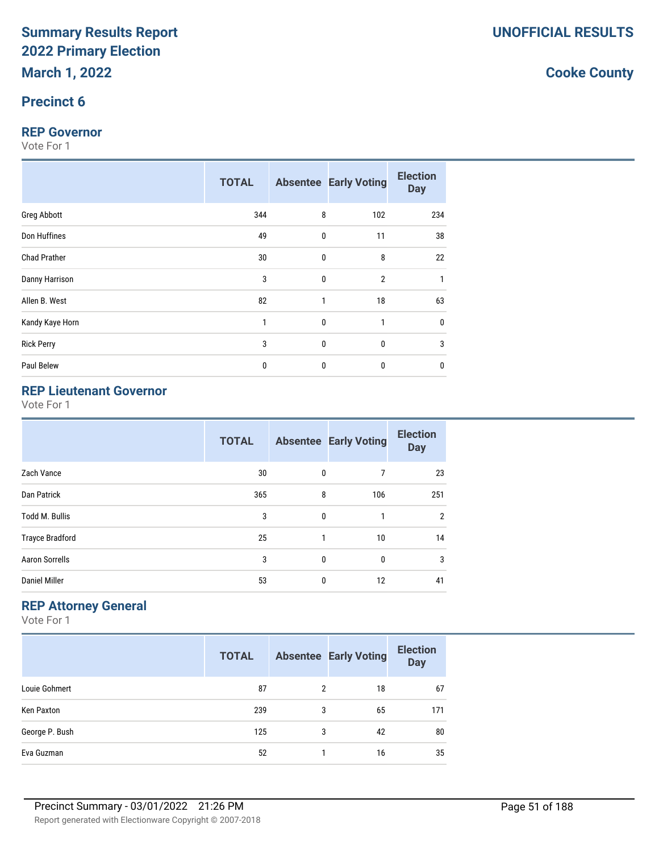#### **Precinct 6**

#### **REP Governor**

Vote For 1

|                     | <b>TOTAL</b> |           | <b>Absentee Early Voting</b> | <b>Election</b><br><b>Day</b> |
|---------------------|--------------|-----------|------------------------------|-------------------------------|
| Greg Abbott         | 344          | 8         | 102                          | 234                           |
| Don Huffines        | 49           | $\pmb{0}$ | 11                           | 38                            |
| <b>Chad Prather</b> | 30           | 0         | 8                            | 22                            |
| Danny Harrison      | 3            | 0         | $\overline{2}$               |                               |
| Allen B. West       | 82           | 1         | 18                           | 63                            |
| Kandy Kaye Horn     | 1            | 0         | 1                            | 0                             |
| <b>Rick Perry</b>   | 3            | 0         | $\mathbf{0}$                 | 3                             |
| Paul Belew          | $\bf{0}$     | 0         | $\bf{0}$                     | $\mathbf{0}$                  |

# **REP Lieutenant Governor**

Vote For 1

|                        | <b>TOTAL</b> |              | <b>Absentee Early Voting</b> | <b>Election</b><br><b>Day</b> |
|------------------------|--------------|--------------|------------------------------|-------------------------------|
| Zach Vance             | 30           | 0            | 7                            | 23                            |
| Dan Patrick            | 365          | 8            | 106                          | 251                           |
| <b>Todd M. Bullis</b>  | 3            | $\mathbf{0}$ |                              | $\overline{2}$                |
| <b>Trayce Bradford</b> | 25           | 1            | 10                           | 14                            |
| <b>Aaron Sorrells</b>  | 3            | $\mathbf{0}$ | $\mathbf{0}$                 | 3                             |
| <b>Daniel Miller</b>   | 53           | 0            | 12                           | 41                            |

## **REP Attorney General**

Vote For 1

|                | <b>TOTAL</b> |                | <b>Absentee Early Voting</b> | <b>Election</b><br><b>Day</b> |
|----------------|--------------|----------------|------------------------------|-------------------------------|
| Louie Gohmert  | 87           | $\overline{2}$ | 18                           | 67                            |
| Ken Paxton     | 239          | 3              | 65                           | 171                           |
| George P. Bush | 125          | 3              | 42                           | 80                            |
| Eva Guzman     | 52           |                | 16                           | 35                            |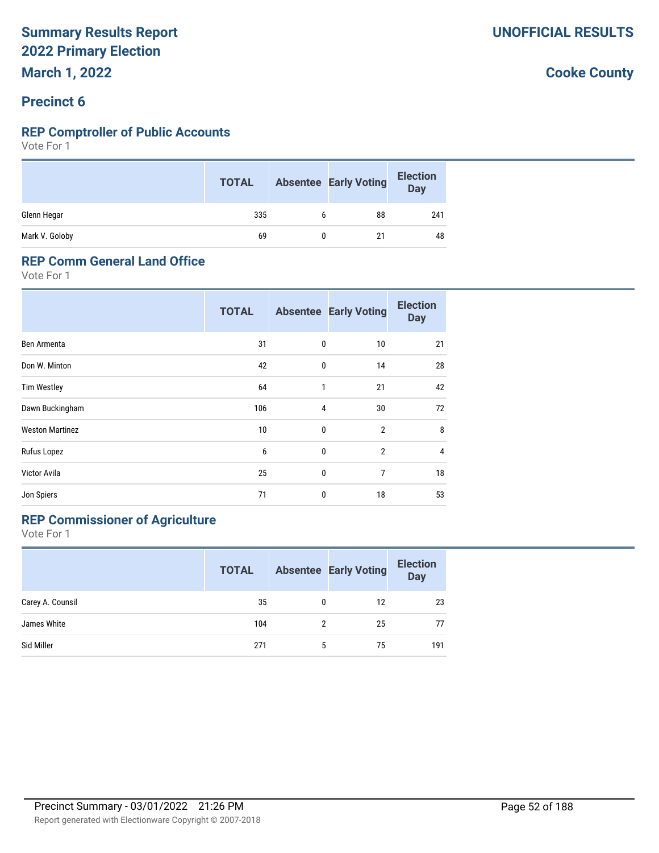#### **Precinct 6**

#### **REP Comptroller of Public Accounts**

Vote For 1

|                | <b>TOTAL</b> |   | <b>Absentee Early Voting</b> | <b>Election</b><br><b>Day</b> |
|----------------|--------------|---|------------------------------|-------------------------------|
| Glenn Hegar    | 335          | b | 88                           | 241                           |
| Mark V. Goloby | 69           |   | 21                           | 48                            |

#### **REP Comm General Land Office**

Vote For 1

|                        | <b>TOTAL</b> |   | <b>Absentee Early Voting</b> | <b>Election</b><br><b>Day</b> |
|------------------------|--------------|---|------------------------------|-------------------------------|
| Ben Armenta            | 31           | 0 | 10                           | 21                            |
| Don W. Minton          | 42           | 0 | 14                           | 28                            |
| <b>Tim Westley</b>     | 64           | 1 | 21                           | 42                            |
| Dawn Buckingham        | 106          | 4 | 30                           | 72                            |
| <b>Weston Martinez</b> | 10           | 0 | $\overline{2}$               | 8                             |
| Rufus Lopez            | 6            | 0 | $\overline{2}$               | $\overline{4}$                |
| Victor Avila           | 25           | 0 | 7                            | 18                            |
| Jon Spiers             | 71           | 0 | 18                           | 53                            |

# **REP Commissioner of Agriculture**

Vote For 1

|                  | <b>TOTAL</b> |   | <b>Absentee Early Voting</b> | <b>Election</b><br><b>Day</b> |
|------------------|--------------|---|------------------------------|-------------------------------|
| Carey A. Counsil | 35           | 0 | 12                           | 23                            |
| James White      | 104          | 2 | 25                           | 77                            |
| Sid Miller       | 271          | 5 | 75                           | 191                           |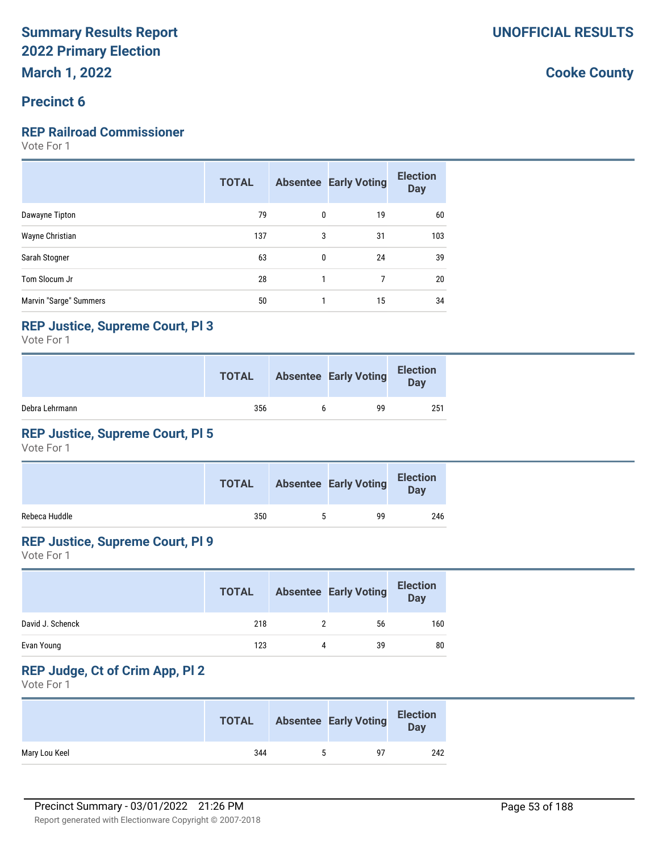#### **Precinct 6**

#### **REP Railroad Commissioner**

Vote For 1

|                        | <b>TOTAL</b> |              | <b>Absentee Early Voting</b> | <b>Election</b><br><b>Day</b> |
|------------------------|--------------|--------------|------------------------------|-------------------------------|
| Dawayne Tipton         | 79           | $\mathbf{0}$ | 19                           | 60                            |
| Wayne Christian        | 137          | 3            | 31                           | 103                           |
| Sarah Stogner          | 63           | $\mathbf{0}$ | 24                           | 39                            |
| Tom Slocum Jr          | 28           |              |                              | 20                            |
| Marvin "Sarge" Summers | 50           |              | 15                           | 34                            |

#### **REP Justice, Supreme Court, Pl 3**

Vote For 1

|                | <b>TOTAL</b> | <b>Absentee Early Voting</b> | <b>Election</b><br>Day |
|----------------|--------------|------------------------------|------------------------|
| Debra Lehrmann | 356          | 99                           | 251                    |

### **REP Justice, Supreme Court, Pl 5**

Vote For 1

|               | <b>TOTAL</b> | <b>Absentee Early Voting</b> | <b>Election</b><br>Day |
|---------------|--------------|------------------------------|------------------------|
| Rebeca Huddle | 350          | 99                           | 246                    |

#### **REP Justice, Supreme Court, Pl 9**

Vote For 1

|                  | <b>TOTAL</b> |   | <b>Absentee Early Voting</b> | <b>Election</b><br><b>Day</b> |
|------------------|--------------|---|------------------------------|-------------------------------|
| David J. Schenck | 218          |   | 56                           | 160                           |
| Evan Young       | 123          | 4 | 39                           | 80                            |

# **REP Judge, Ct of Crim App, Pl 2**

Vote For 1

|               | <b>TOTAL</b> | <b>Absentee Early Voting</b> | <b>Election</b><br>Day |
|---------------|--------------|------------------------------|------------------------|
| Mary Lou Keel | 344          | ۹7                           | 242                    |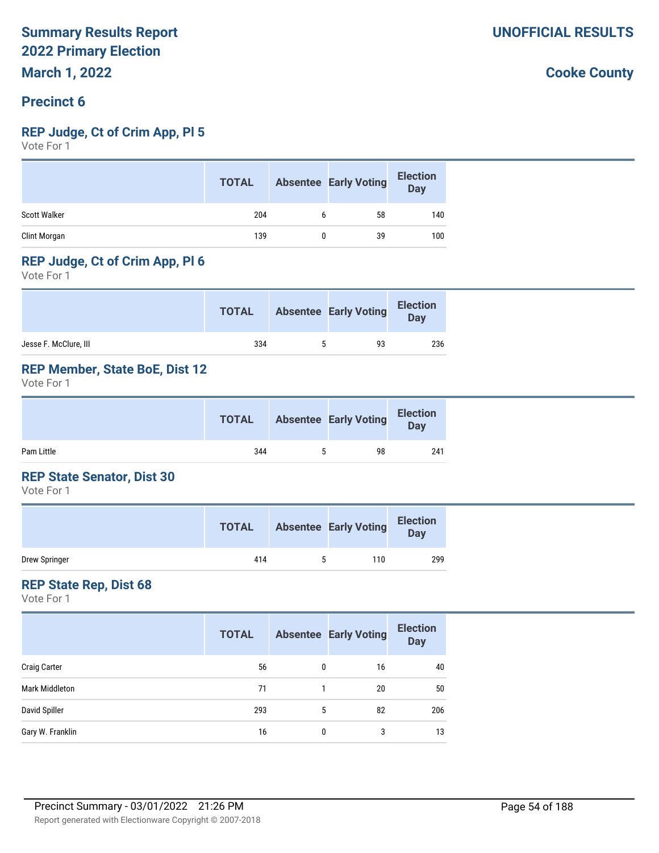#### **Precinct 6**

#### **REP Judge, Ct of Crim App, Pl 5**

Vote For 1

|                     | <b>TOTAL</b> | <b>Absentee Early Voting</b> | <b>Election</b><br><b>Day</b> |
|---------------------|--------------|------------------------------|-------------------------------|
| <b>Scott Walker</b> | 204          | 58                           | 140                           |
| Clint Morgan        | 139          | 39                           | 100                           |

#### **REP Judge, Ct of Crim App, Pl 6**

Vote For 1

|                       | <b>TOTAL</b> |    | <b>Absentee Early Voting</b> | <b>Election</b><br><b>Day</b> |
|-----------------------|--------------|----|------------------------------|-------------------------------|
| Jesse F. McClure, III | 334          | ь. | 93                           | 236                           |

#### **REP Member, State BoE, Dist 12**

Vote For 1

|            | <b>TOTAL</b> | <b>Absentee Early Voting</b> | <b>Election</b><br>Day |
|------------|--------------|------------------------------|------------------------|
| Pam Little | 344          | 98                           | 241                    |

#### **REP State Senator, Dist 30**

Vote For 1

|               | <b>TOTAL</b> |   | <b>Absentee Early Voting</b> | <b>Election</b><br>Day |
|---------------|--------------|---|------------------------------|------------------------|
| Drew Springer | 414          | ∽ | 110                          | 299                    |

#### **REP State Rep, Dist 68**

Vote For 1

|                     | <b>TOTAL</b> |   | <b>Absentee Early Voting</b> | <b>Election</b><br><b>Day</b> |
|---------------------|--------------|---|------------------------------|-------------------------------|
| <b>Craig Carter</b> | 56           | 0 | 16                           | 40                            |
| Mark Middleton      | 71           |   | 20                           | 50                            |
| David Spiller       | 293          | 5 | 82                           | 206                           |
| Gary W. Franklin    | 16           | 0 | 3                            | 13                            |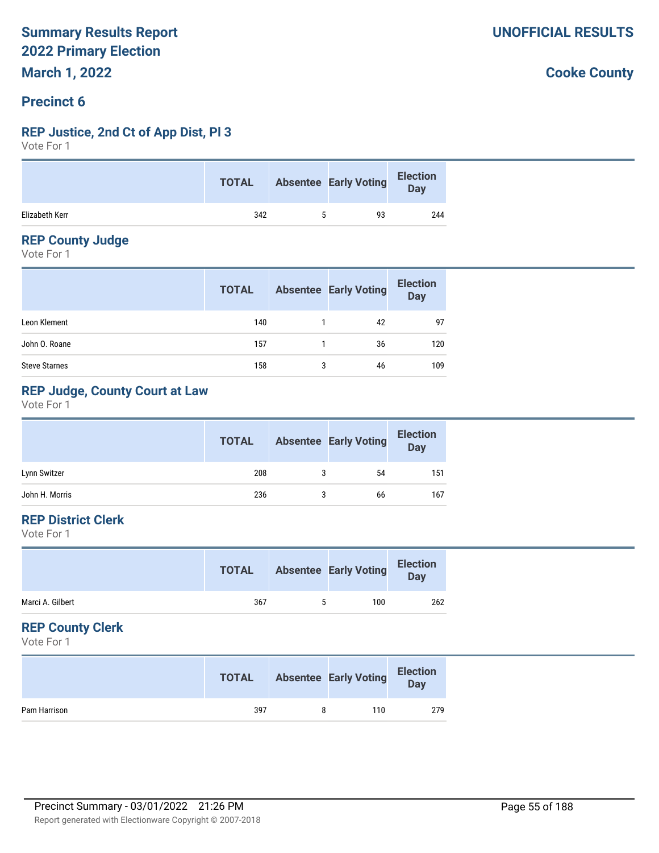#### **Precinct 6**

#### **REP Justice, 2nd Ct of App Dist, Pl 3**

Vote For 1

|                | <b>TOTAL</b> | <b>Absentee Early Voting</b> | Election<br>Day |
|----------------|--------------|------------------------------|-----------------|
| Elizabeth Kerr | 342          | 93                           | 244             |

#### **REP County Judge**

Vote For 1

|                      | <b>TOTAL</b> |   | <b>Absentee Early Voting</b> | <b>Election</b><br>Day |
|----------------------|--------------|---|------------------------------|------------------------|
| Leon Klement         | 140          |   | 42                           | 97                     |
| John O. Roane        | 157          |   | 36                           | 120                    |
| <b>Steve Starnes</b> | 158          | 3 | 46                           | 109                    |

### **REP Judge, County Court at Law**

Vote For 1

|                | <b>TOTAL</b> | <b>Absentee Early Voting</b> | <b>Election</b><br>Day |
|----------------|--------------|------------------------------|------------------------|
| Lynn Switzer   | 208          | 54                           | 151                    |
| John H. Morris | 236          | 66                           | 167                    |

#### **REP District Clerk**

Vote For 1

| Marci A. Gilbert<br>367<br>100<br>b. | <b>TOTAL</b> | <b>Absentee Early Voting</b> | <b>Election</b><br>Day |
|--------------------------------------|--------------|------------------------------|------------------------|
|                                      |              |                              | 262                    |

#### **REP County Clerk**

Vote For 1

|              | <b>TOTAL</b> |   | <b>Absentee Early Voting</b> | <b>Election</b><br>Day |
|--------------|--------------|---|------------------------------|------------------------|
| Pam Harrison | 397          | Ω | 110                          | 279                    |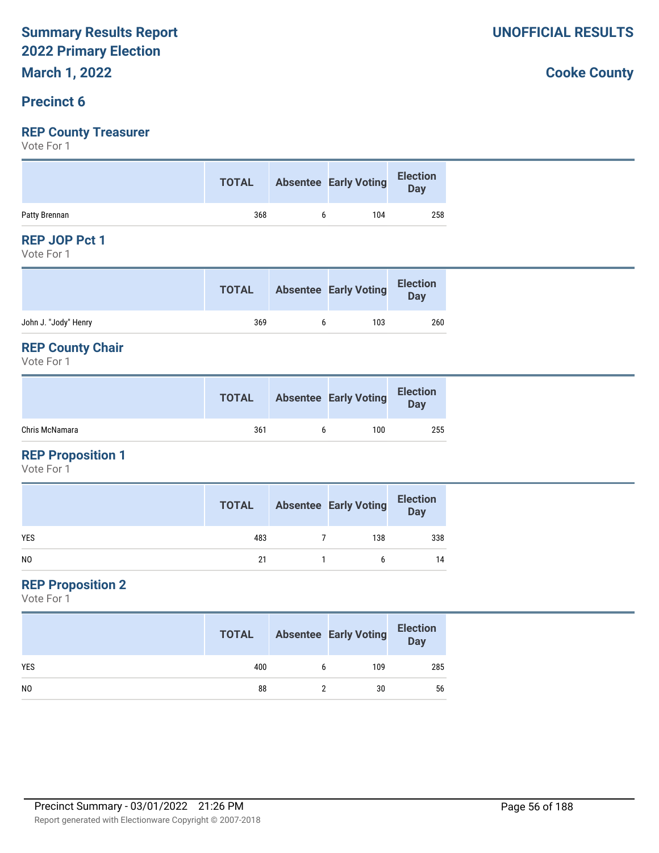# **March 1, 2022**

# **Precinct 6**

# **REP County Treasurer**

Vote For 1

|               | <b>TOTAL</b> | Absentee Early Voting | Election<br>Day |
|---------------|--------------|-----------------------|-----------------|
| Patty Brennan | 368          | 104                   | 258             |

#### **REP JOP Pct 1**

Vote For 1

|                      | <b>TOTAL</b> | <b>Absentee Early Voting</b> | <b>Election</b><br>Day |
|----------------------|--------------|------------------------------|------------------------|
| John J. "Jody" Henry | 369          | 103                          | 260                    |
|                      |              |                              |                        |

#### **REP County Chair**

Vote For 1

|                | <b>TOTAL</b> | <b>Absentee Early Voting</b> | <b>Election</b><br>Day |
|----------------|--------------|------------------------------|------------------------|
| Chris McNamara | 361          | 100                          | 255                    |

#### **REP Proposition 1**

Vote For 1

|            | <b>TOTAL</b> | <b>Absentee Early Voting</b> | <b>Election</b><br>Day |
|------------|--------------|------------------------------|------------------------|
| <b>YES</b> | 483          | 138                          | 338                    |
| NO         | 21           | h                            | 14                     |

#### **REP Proposition 2**

Vote For 1

|                | <b>TOTAL</b> | <b>Absentee Early Voting</b> | <b>Election</b><br>Day |
|----------------|--------------|------------------------------|------------------------|
| <b>YES</b>     | 400          | 109                          | 285                    |
| N <sub>0</sub> | 88           | 30                           | 56                     |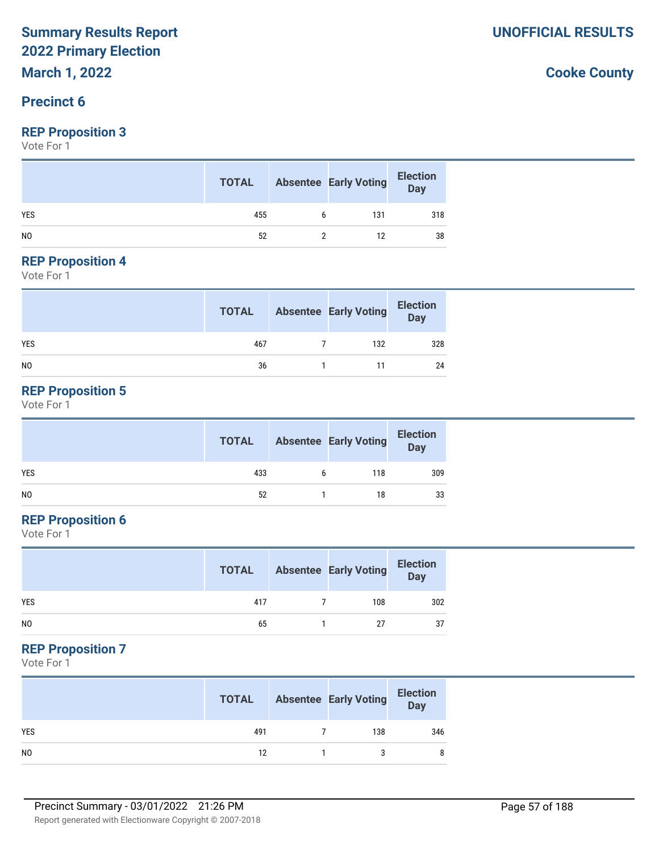# **March 1, 2022**

#### **Precinct 6**

#### **REP Proposition 3**

Vote For 1

|            | <b>TOTAL</b> |   | <b>Absentee Early Voting</b> | <b>Election</b><br>Day |
|------------|--------------|---|------------------------------|------------------------|
| <b>YES</b> | 455          | b | 131                          | 318                    |
| NO.        | 52           |   | 12                           | 38                     |

#### **REP Proposition 4**

Vote For 1

|                | <b>TOTAL</b> | <b>Absentee Early Voting</b> | <b>Election</b><br>Day |
|----------------|--------------|------------------------------|------------------------|
| <b>YES</b>     | 467          | 132                          | 328                    |
| N <sub>0</sub> | 36           |                              | 24                     |

#### **REP Proposition 5**

Vote For 1

|                | <b>TOTAL</b> |   | <b>Absentee Early Voting</b> | <b>Election</b><br>Day |
|----------------|--------------|---|------------------------------|------------------------|
| <b>YES</b>     | 433          | 6 | 118                          | 309                    |
| N <sub>O</sub> | 52           |   | 18                           | 33                     |

#### **REP Proposition 6**

Vote For 1

|                | <b>TOTAL</b> | <b>Absentee Early Voting</b> | <b>Election</b><br><b>Day</b> |
|----------------|--------------|------------------------------|-------------------------------|
| <b>YES</b>     | 417          | 108                          | 302                           |
| N <sub>0</sub> | 65           | 27                           | 37                            |

#### **REP Proposition 7**

Vote For 1

|            | <b>TOTAL</b> | <b>Absentee Early Voting</b> | <b>Election</b><br>Day |
|------------|--------------|------------------------------|------------------------|
| <b>YES</b> | 491          | 138                          | 346                    |
| NO         | 12           |                              | 8                      |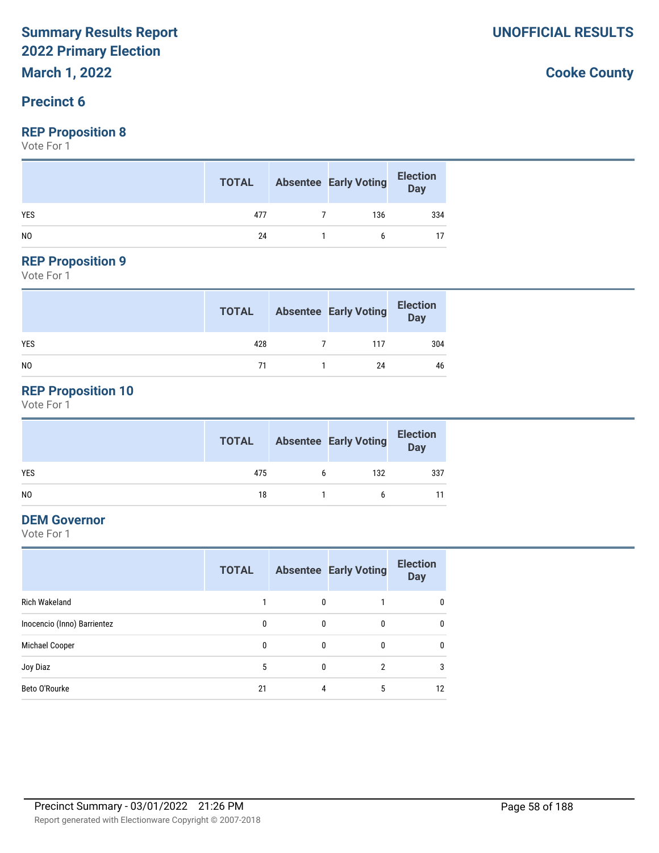**March 1, 2022**

#### **Precinct 6**

#### **REP Proposition 8**

Vote For 1

|                | <b>TOTAL</b> | <b>Absentee Early Voting</b> | <b>Election</b><br>Day |
|----------------|--------------|------------------------------|------------------------|
| <b>YES</b>     | 477          | 136                          | 334                    |
| N <sub>0</sub> | 24           |                              |                        |

# **REP Proposition 9**

Vote For 1

|                | <b>TOTAL</b> | <b>Absentee Early Voting</b> | <b>Election</b><br>Day |
|----------------|--------------|------------------------------|------------------------|
| <b>YES</b>     | 428          | 117                          | 304                    |
| N <sub>0</sub> | 71           | 24                           | 46                     |

# **REP Proposition 10**

Vote For 1

|                | <b>TOTAL</b> | <b>Absentee Early Voting</b> | <b>Election</b><br>Day |
|----------------|--------------|------------------------------|------------------------|
| <b>YES</b>     | 475          | 132                          | 337                    |
| N <sub>O</sub> | 18           |                              |                        |

#### **DEM Governor**

Vote For 1

|                             | <b>TOTAL</b> |          | <b>Absentee Early Voting</b> | <b>Election</b><br><b>Day</b> |
|-----------------------------|--------------|----------|------------------------------|-------------------------------|
| <b>Rich Wakeland</b>        |              | 0        |                              | $\mathbf{0}$                  |
| Inocencio (Inno) Barrientez | 0            | 0        | 0                            | $\mathbf{0}$                  |
| Michael Cooper              | 0            | 0        | 0                            | $\mathbf{0}$                  |
| Joy Diaz                    | 5            | $\theta$ | 2                            | 3                             |
| Beto O'Rourke               | 21           | 4        | 5                            | 12                            |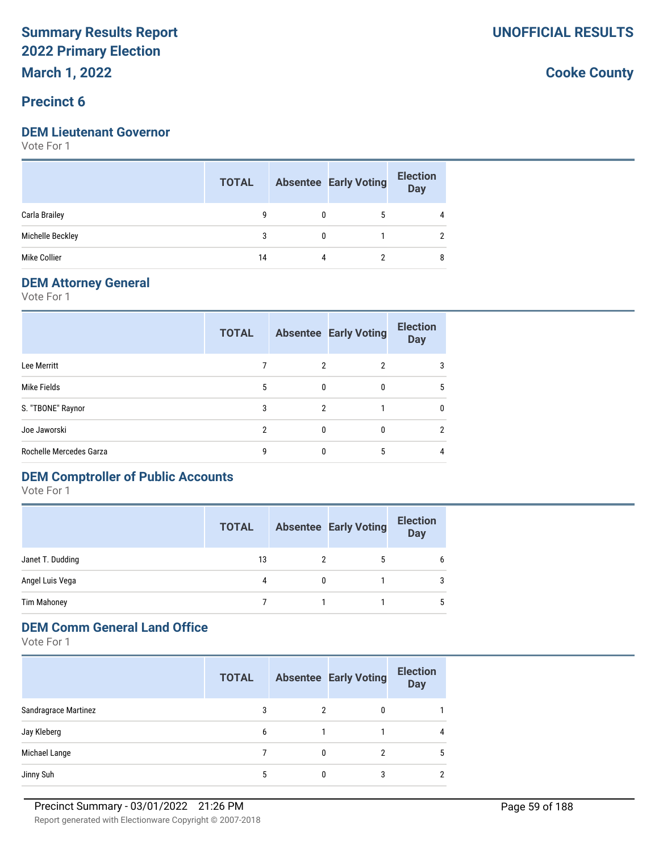**March 1, 2022**

#### **Precinct 6**

#### **DEM Lieutenant Governor**

Vote For 1

|                  | <b>TOTAL</b> |   | <b>Absentee Early Voting</b> | <b>Election</b><br><b>Day</b> |
|------------------|--------------|---|------------------------------|-------------------------------|
| Carla Brailey    | g            | 0 | 5                            | 4                             |
| Michelle Beckley | 3            | 0 |                              |                               |
| Mike Collier     | 14           | 4 |                              | 8                             |

#### **DEM Attorney General**

Vote For 1

|                         | <b>TOTAL</b> |              | <b>Absentee Early Voting</b> | <b>Election</b><br><b>Day</b> |
|-------------------------|--------------|--------------|------------------------------|-------------------------------|
| Lee Merritt             |              | 2            | 2                            | 3                             |
| Mike Fields             | 5            | $\mathbf{0}$ | $\Omega$                     | 5                             |
| S. "TBONE" Raynor       | 3            | 2            |                              | $\mathbf{0}$                  |
| Joe Jaworski            | 2            | $\mathbf{0}$ | $\Omega$                     | $\overline{2}$                |
| Rochelle Mercedes Garza | q            | $\Omega$     | 5                            | 4                             |

# **DEM Comptroller of Public Accounts**

Vote For 1

|                    | <b>TOTAL</b> | <b>Absentee Early Voting</b> | <b>Election</b><br><b>Day</b> |
|--------------------|--------------|------------------------------|-------------------------------|
| Janet T. Dudding   | 13           | 5                            | 6                             |
| Angel Luis Vega    | 4            |                              | 3                             |
| <b>Tim Mahoney</b> |              |                              | 5                             |

#### **DEM Comm General Land Office**

Vote For 1

|                      | <b>TOTAL</b> |   | <b>Absentee Early Voting</b> | <b>Election</b><br><b>Day</b> |
|----------------------|--------------|---|------------------------------|-------------------------------|
| Sandragrace Martinez | 3            | 2 | 0                            |                               |
| Jay Kleberg          | 6            |   |                              | 4                             |
| Michael Lange        |              | 0 | っ                            | 5                             |
| Jinny Suh            | 5            |   |                              | 2                             |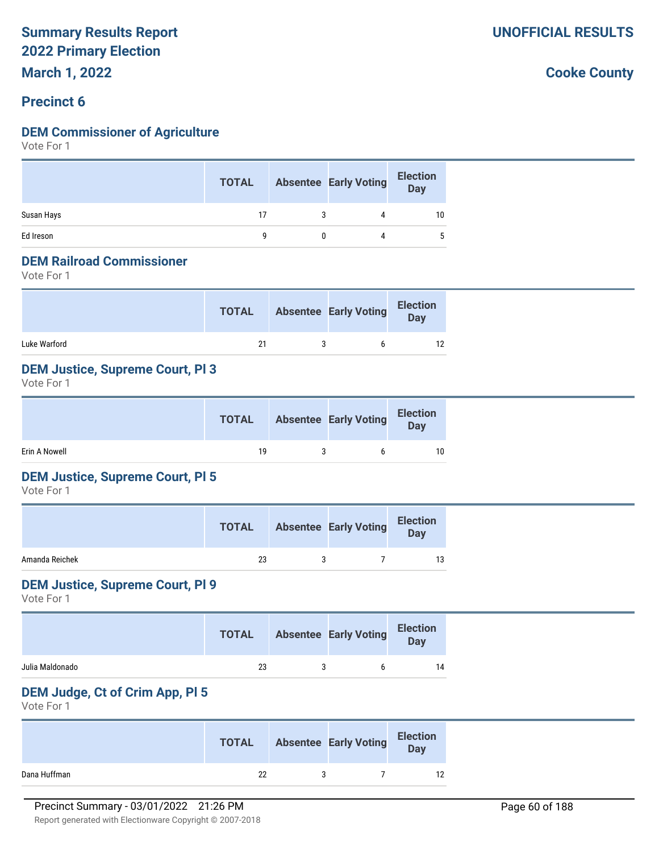#### **Precinct 6**

#### **DEM Commissioner of Agriculture**

Vote For 1

|            | <b>TOTAL</b> |   | <b>Absentee Early Voting</b> | <b>Election</b><br>Day |
|------------|--------------|---|------------------------------|------------------------|
| Susan Hays | 17           | 3 | 4                            | 10                     |
| Ed Ireson  |              |   |                              |                        |

#### **DEM Railroad Commissioner**

Vote For 1

|              | <b>TOTAL</b> | <b>Absentee Early Voting</b> | <b>Election</b><br>Day |
|--------------|--------------|------------------------------|------------------------|
| Luke Warford | 21           |                              | 12                     |

#### **DEM Justice, Supreme Court, Pl 3**

Vote For 1

|               | <b>TOTAL</b> | Absentee Early Voting | <b>Election</b><br>Day |
|---------------|--------------|-----------------------|------------------------|
| Erin A Nowell | 10           |                       | 10                     |

#### **DEM Justice, Supreme Court, Pl 5**

Vote For 1

|                | <b>TOTAL</b> | <b>Absentee Early Voting</b> | <b>Election</b><br><b>Day</b> |
|----------------|--------------|------------------------------|-------------------------------|
| Amanda Reichek | 23           |                              | 13                            |

#### **DEM Justice, Supreme Court, Pl 9**

Vote For 1

|                 | <b>TOTAL</b> | <b>Absentee Early Voting</b> | <b>Election</b><br><b>Day</b> |
|-----------------|--------------|------------------------------|-------------------------------|
| Julia Maldonado | 23           |                              |                               |

#### **DEM Judge, Ct of Crim App, Pl 5**

Vote For 1

|              | <b>TOTAL</b> | <b>Absentee Early Voting</b> | <b>Election</b><br>Day |
|--------------|--------------|------------------------------|------------------------|
| Dana Huffman | 22           |                              | 12                     |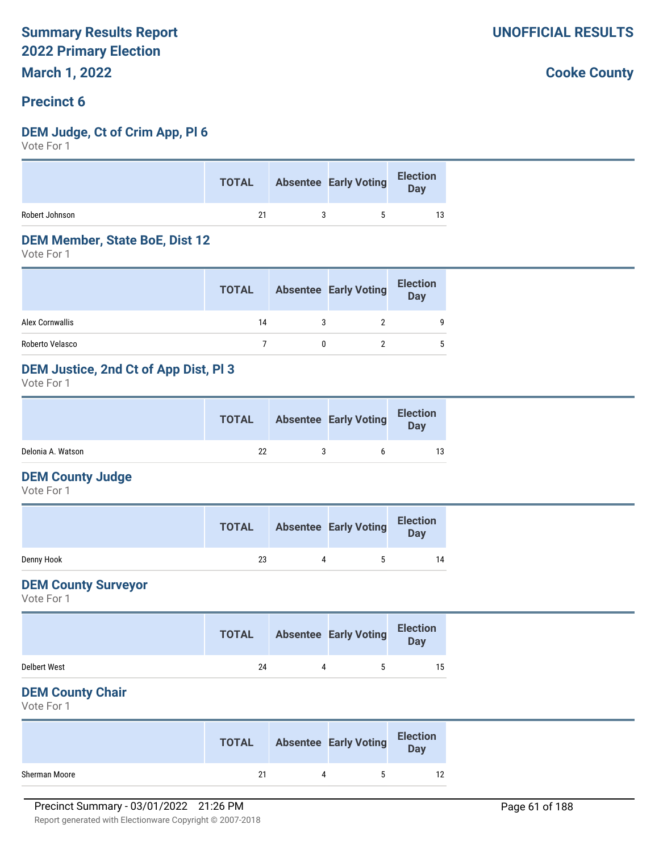#### **Precinct 6**

#### **DEM Judge, Ct of Crim App, Pl 6**

Vote For 1

| 21<br>13<br>5 |                | <b>TOTAL</b> | Absentee Early Voting Election |  |
|---------------|----------------|--------------|--------------------------------|--|
|               | Robert Johnson |              |                                |  |

#### **DEM Member, State BoE, Dist 12**

Vote For 1

|                 | <b>TOTAL</b> | <b>Absentee Early Voting</b> | <b>Election</b><br><b>Day</b> |
|-----------------|--------------|------------------------------|-------------------------------|
| Alex Cornwallis | 14           |                              | 9                             |
| Roberto Velasco |              |                              | 5                             |

#### **DEM Justice, 2nd Ct of App Dist, Pl 3**

Vote For 1

|                   | <b>TOTAL</b> | <b>Absentee Early Voting</b> | <b>Election</b><br><b>Day</b> |
|-------------------|--------------|------------------------------|-------------------------------|
| Delonia A. Watson | 22           |                              |                               |

#### **DEM County Judge**

Vote For 1

|            | <b>TOTAL</b> | <b>Absentee Early Voting</b> | <b>Election</b><br>Day |
|------------|--------------|------------------------------|------------------------|
| Denny Hook | 23           | ь.                           | 14                     |

#### **DEM County Surveyor**

Vote For 1

|              | <b>TOTAL</b> |           | <b>Absentee Early Voting</b> | <b>Election</b><br>Day |  |
|--------------|--------------|-----------|------------------------------|------------------------|--|
| Delbert West | 24           | $\Lambda$ | ь.                           | 15                     |  |

#### **DEM County Chair**

Vote For 1

|               | <b>TOTAL</b> | <b>Absentee Early Voting</b> | <b>Election</b><br><b>Day</b> |
|---------------|--------------|------------------------------|-------------------------------|
| Sherman Moore | 21           | `                            |                               |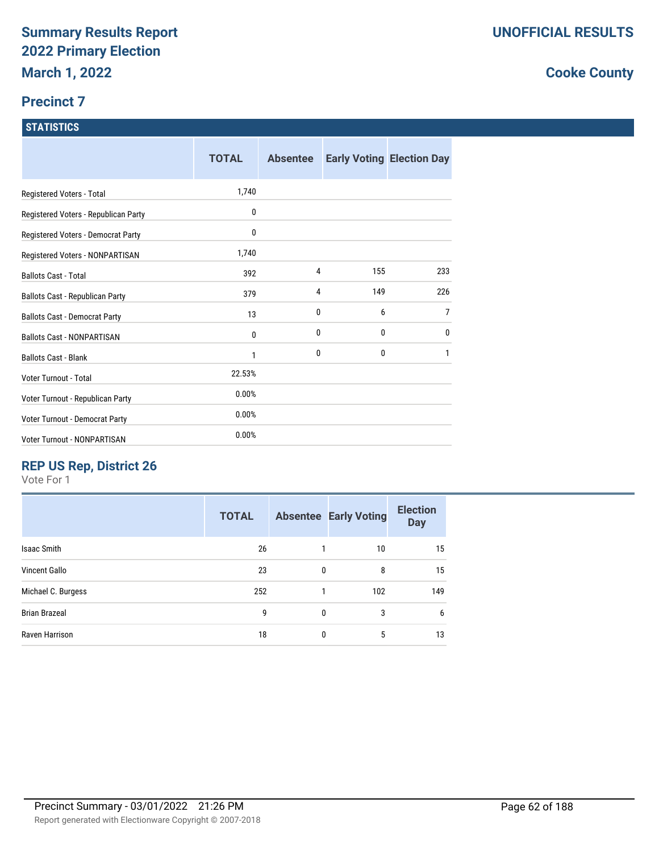#### **Precinct 7**

#### **STATISTICS**

|                                        | <b>TOTAL</b> | <b>Absentee</b> |              | <b>Early Voting Election Day</b> |
|----------------------------------------|--------------|-----------------|--------------|----------------------------------|
| Registered Voters - Total              | 1,740        |                 |              |                                  |
| Registered Voters - Republican Party   | 0            |                 |              |                                  |
| Registered Voters - Democrat Party     | 0            |                 |              |                                  |
| Registered Voters - NONPARTISAN        | 1,740        |                 |              |                                  |
| <b>Ballots Cast - Total</b>            | 392          | 4               | 155          | 233                              |
| <b>Ballots Cast - Republican Party</b> | 379          | 4               | 149          | 226                              |
| <b>Ballots Cast - Democrat Party</b>   | 13           | 0               | 6            | $\overline{7}$                   |
| <b>Ballots Cast - NONPARTISAN</b>      | 0            | 0               | 0            | 0                                |
| <b>Ballots Cast - Blank</b>            | 1            | 0               | $\mathbf{0}$ | 1                                |
| Voter Turnout - Total                  | 22.53%       |                 |              |                                  |
| Voter Turnout - Republican Party       | 0.00%        |                 |              |                                  |
| Voter Turnout - Democrat Party         | 0.00%        |                 |              |                                  |
| Voter Turnout - NONPARTISAN            | 0.00%        |                 |              |                                  |

# **REP US Rep, District 26**

Vote For 1

|                      | <b>TOTAL</b> |   | <b>Absentee Early Voting</b> | <b>Election</b><br><b>Day</b> |
|----------------------|--------------|---|------------------------------|-------------------------------|
| <b>Isaac Smith</b>   | 26           |   | 10                           | 15                            |
| <b>Vincent Gallo</b> | 23           | 0 | 8                            | 15                            |
| Michael C. Burgess   | 252          | 1 | 102                          | 149                           |
| <b>Brian Brazeal</b> | 9            | 0 | 3                            | 6                             |
| Raven Harrison       | 18           | 0 | 5                            | 13                            |
|                      |              |   |                              |                               |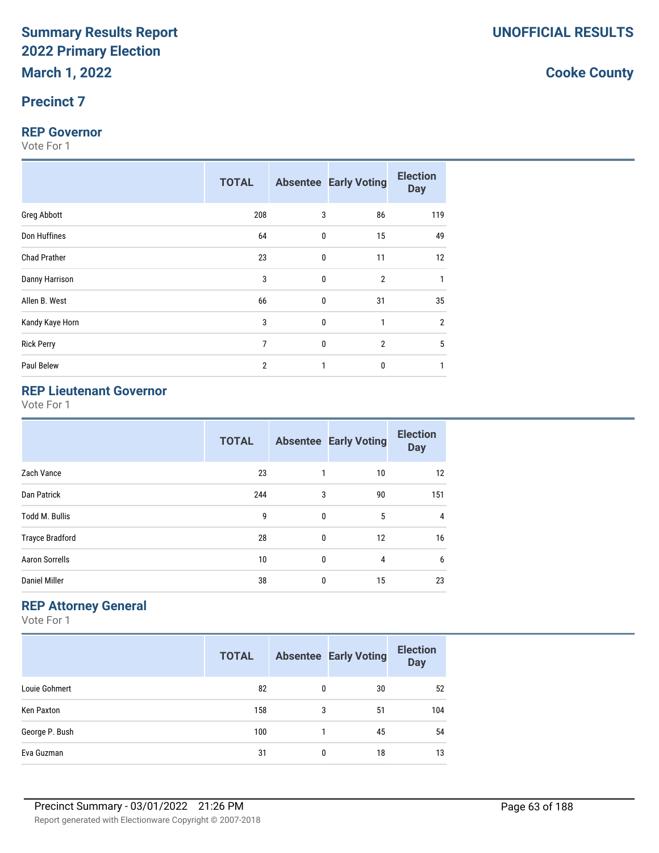#### **Precinct 7**

#### **REP Governor**

Vote For 1

|                     | <b>TOTAL</b>   |                  | <b>Absentee Early Voting</b> | <b>Election</b><br><b>Day</b> |
|---------------------|----------------|------------------|------------------------------|-------------------------------|
| <b>Greg Abbott</b>  | 208            | 3                | 86                           | 119                           |
| Don Huffines        | 64             | 0                | 15                           | 49                            |
| <b>Chad Prather</b> | 23             | $\boldsymbol{0}$ | 11                           | 12                            |
| Danny Harrison      | 3              | $\mathbf 0$      | $\overline{2}$               |                               |
| Allen B. West       | 66             | $\mathbf 0$      | 31                           | 35                            |
| Kandy Kaye Horn     | 3              | $\mathbf 0$      | $\mathbf{1}$                 | $\overline{2}$                |
| <b>Rick Perry</b>   | 7              | $\boldsymbol{0}$ | $\overline{2}$               | 5                             |
| Paul Belew          | $\overline{2}$ | 1                | 0                            |                               |

# **REP Lieutenant Governor**

Vote For 1

|                        | <b>TOTAL</b> |              | <b>Absentee Early Voting</b> | <b>Election</b><br><b>Day</b> |
|------------------------|--------------|--------------|------------------------------|-------------------------------|
| Zach Vance             | 23           | 1            | 10                           | 12                            |
| Dan Patrick            | 244          | 3            | 90                           | 151                           |
| <b>Todd M. Bullis</b>  | 9            | $\mathbf{0}$ | 5                            | 4                             |
| <b>Trayce Bradford</b> | 28           | $\mathbf{0}$ | 12                           | 16                            |
| <b>Aaron Sorrells</b>  | 10           | $\mathbf{0}$ | 4                            | 6                             |
| <b>Daniel Miller</b>   | 38           | 0            | 15                           | 23                            |

### **REP Attorney General**

Vote For 1

|                | <b>TOTAL</b> |   | <b>Absentee Early Voting</b> | <b>Election</b><br><b>Day</b> |
|----------------|--------------|---|------------------------------|-------------------------------|
| Louie Gohmert  | 82           | 0 | 30                           | 52                            |
| Ken Paxton     | 158          | 3 | 51                           | 104                           |
| George P. Bush | 100          |   | 45                           | 54                            |
| Eva Guzman     | 31           | 0 | 18                           | 13                            |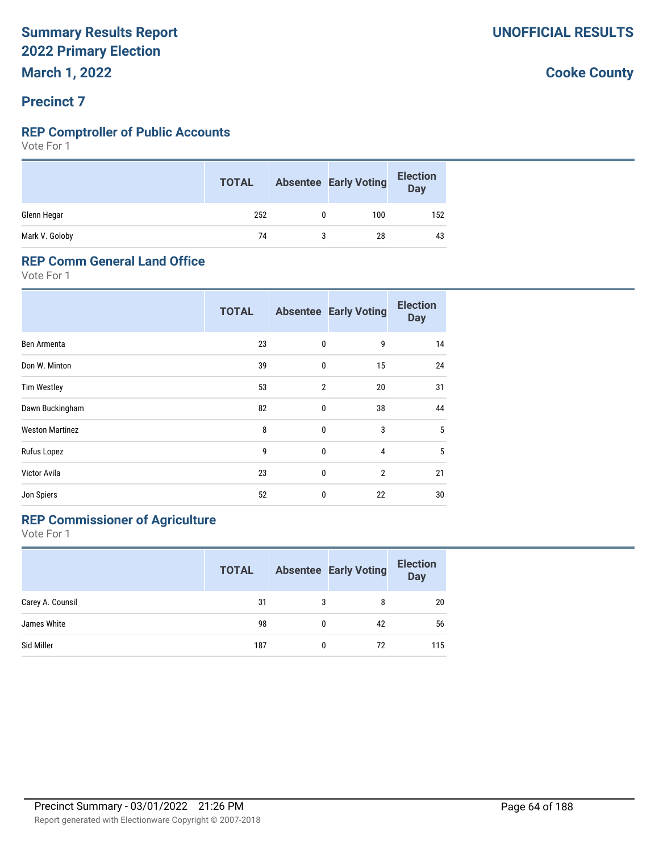# **Precinct 7**

#### **REP Comptroller of Public Accounts**

Vote For 1

|                | <b>TOTAL</b> | <b>Absentee Early Voting</b> | <b>Election</b><br>Day |
|----------------|--------------|------------------------------|------------------------|
| Glenn Hegar    | 252          | 100                          | 152                    |
| Mark V. Goloby | 74           | 28                           | 43                     |

#### **REP Comm General Land Office**

Vote For 1

|                        | <b>TOTAL</b> |                | <b>Absentee Early Voting</b> | <b>Election</b><br><b>Day</b> |
|------------------------|--------------|----------------|------------------------------|-------------------------------|
| Ben Armenta            | 23           | 0              | 9                            | 14                            |
| Don W. Minton          | 39           | 0              | 15                           | 24                            |
| <b>Tim Westley</b>     | 53           | $\overline{2}$ | 20                           | 31                            |
| Dawn Buckingham        | 82           | 0              | 38                           | 44                            |
| <b>Weston Martinez</b> | 8            | 0              | 3                            | 5                             |
| Rufus Lopez            | 9            | 0              | 4                            | 5                             |
| Victor Avila           | 23           | 0              | $\overline{2}$               | 21                            |
| Jon Spiers             | 52           | 0              | 22                           | 30                            |

# **REP Commissioner of Agriculture**

Vote For 1

|                  | <b>TOTAL</b> |   | <b>Absentee Early Voting</b> | <b>Election</b><br><b>Day</b> |
|------------------|--------------|---|------------------------------|-------------------------------|
| Carey A. Counsil | 31           | 3 | 8                            | 20                            |
| James White      | 98           | 0 | 42                           | 56                            |
| Sid Miller       | 187          | 0 | 72                           | 115                           |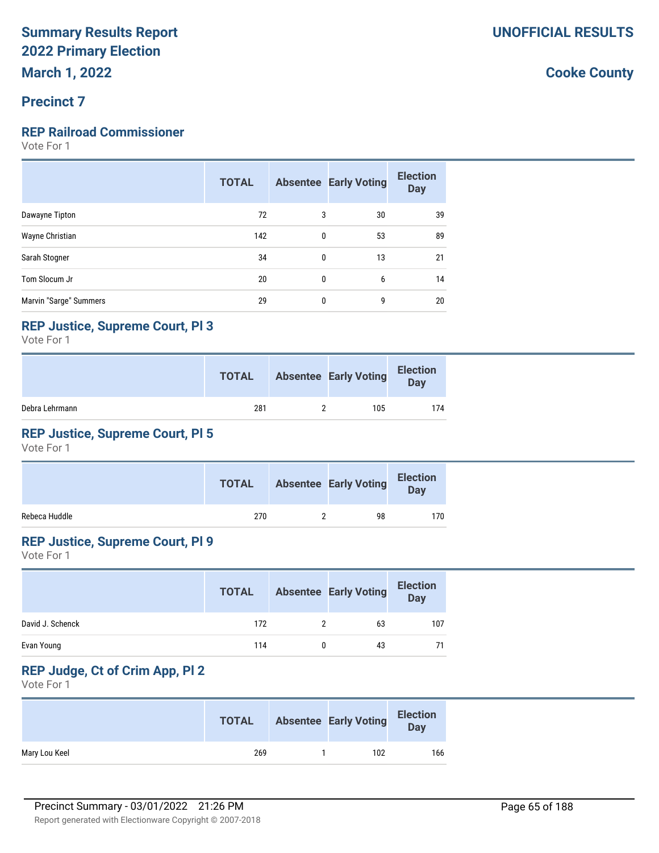#### **Precinct 7**

#### **REP Railroad Commissioner**

Vote For 1

|                        | <b>TOTAL</b> |   | <b>Absentee Early Voting</b> | <b>Election</b><br><b>Day</b> |
|------------------------|--------------|---|------------------------------|-------------------------------|
| Dawayne Tipton         | 72           | 3 | 30                           | 39                            |
| Wayne Christian        | 142          | 0 | 53                           | 89                            |
| Sarah Stogner          | 34           | 0 | 13                           | 21                            |
| Tom Slocum Jr          | 20           | 0 | 6                            | 14                            |
| Marvin "Sarge" Summers | 29           | 0 | 9                            | 20                            |

#### **REP Justice, Supreme Court, Pl 3**

Vote For 1

|                | <b>TOTAL</b> | <b>Absentee Early Voting</b> | <b>Election</b><br>Day |
|----------------|--------------|------------------------------|------------------------|
| Debra Lehrmann | 281          | 105                          | 174                    |

### **REP Justice, Supreme Court, Pl 5**

Vote For 1

|               | <b>TOTAL</b> | <b>Absentee Early Voting</b> | <b>Election</b><br>Day |  |
|---------------|--------------|------------------------------|------------------------|--|
| Rebeca Huddle | 270          | 98                           | 170                    |  |

#### **REP Justice, Supreme Court, Pl 9**

Vote For 1

|                  | <b>TOTAL</b> | <b>Absentee Early Voting</b> | <b>Election</b><br><b>Day</b> |
|------------------|--------------|------------------------------|-------------------------------|
| David J. Schenck | 172          | 63                           | 107                           |
| Evan Young       | 114          | 43                           |                               |

# **REP Judge, Ct of Crim App, Pl 2**

Vote For 1

|               | <b>TOTAL</b> | <b>Absentee Early Voting</b> | <b>Election</b><br>Day |
|---------------|--------------|------------------------------|------------------------|
| Mary Lou Keel | 269          | 102                          | 166                    |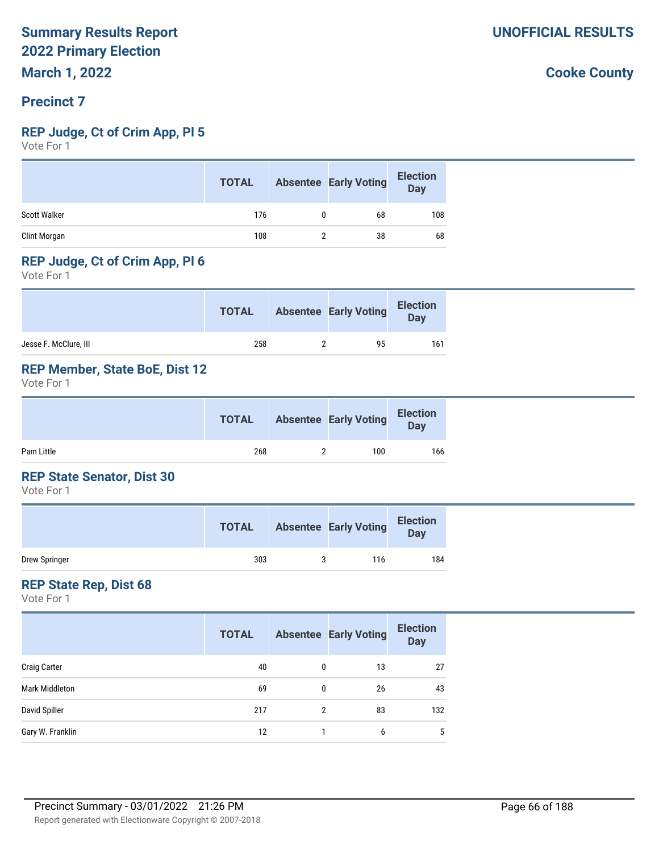#### **Precinct 7**

#### **REP Judge, Ct of Crim App, Pl 5**

Vote For 1

|                     | <b>TOTAL</b> |   | <b>Absentee Early Voting</b> | <b>Election</b><br><b>Day</b> |
|---------------------|--------------|---|------------------------------|-------------------------------|
| <b>Scott Walker</b> | 176          | 0 | 68                           | 108                           |
| Clint Morgan        | 108          |   | 38                           | 68                            |

#### **REP Judge, Ct of Crim App, Pl 6**

Vote For 1

|                       | <b>TOTAL</b> | <b>Absentee Early Voting</b> | <b>Election</b><br><b>Day</b> |
|-----------------------|--------------|------------------------------|-------------------------------|
| Jesse F. McClure, III | 258          | 95                           | 161                           |

#### **REP Member, State BoE, Dist 12**

Vote For 1

|            | <b>TOTAL</b> | <b>Absentee Early Voting</b> | <b>Election</b><br><b>Day</b> |
|------------|--------------|------------------------------|-------------------------------|
| Pam Little | 268          | 100                          | 166                           |

#### **REP State Senator, Dist 30**

Vote For 1

|               | <b>TOTAL</b> | <b>Absentee Early Voting</b> | <b>Election</b><br>Day |
|---------------|--------------|------------------------------|------------------------|
| Drew Springer | 303          | 116                          | 184                    |

#### **REP State Rep, Dist 68**

Vote For 1

|                       | <b>TOTAL</b> |   | <b>Absentee Early Voting</b> | <b>Election</b><br><b>Day</b> |
|-----------------------|--------------|---|------------------------------|-------------------------------|
| <b>Craig Carter</b>   | 40           | 0 | 13                           | 27                            |
| <b>Mark Middleton</b> | 69           | 0 | 26                           | 43                            |
| David Spiller         | 217          | 2 | 83                           | 132                           |
| Gary W. Franklin      | 12           |   | 6                            | 5                             |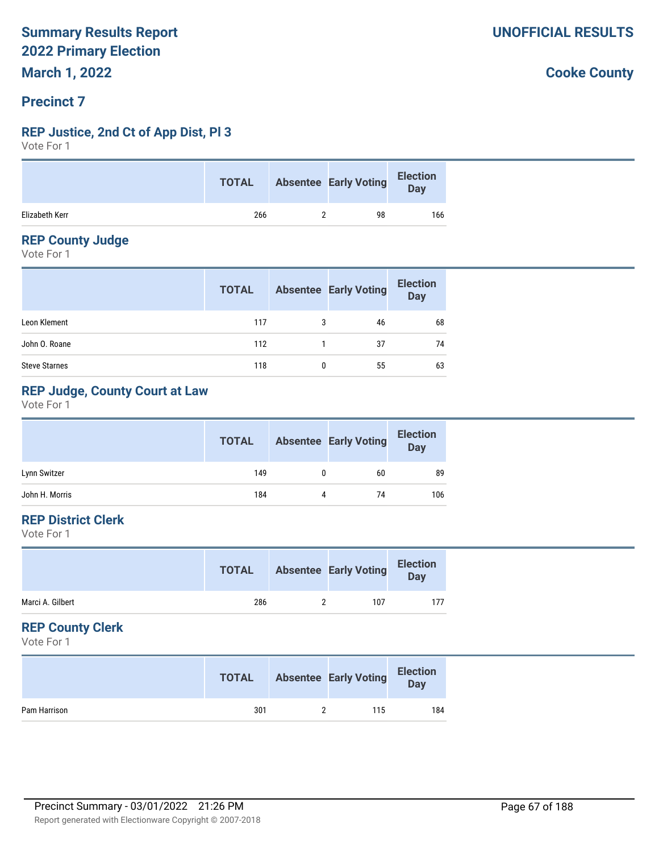#### **Precinct 7**

#### **REP Justice, 2nd Ct of App Dist, Pl 3**

Vote For 1

|                | <b>TOTAL</b> | <b>Absentee Early Voting</b> | <b>Election</b><br>Day |
|----------------|--------------|------------------------------|------------------------|
| Elizabeth Kerr | 266          | 98                           | 166                    |

#### **REP County Judge**

Vote For 1

|                      | <b>TOTAL</b> |   | <b>Absentee Early Voting</b> | <b>Election</b><br>Day |
|----------------------|--------------|---|------------------------------|------------------------|
| Leon Klement         | 117          |   | 46                           | 68                     |
| John O. Roane        | 112          |   | -37                          | 74                     |
| <b>Steve Starnes</b> | 118          | 0 | 55                           | 63                     |

#### **REP Judge, County Court at Law**

Vote For 1

|                | <b>TOTAL</b> |   | <b>Absentee Early Voting</b> | <b>Election</b><br>Day |
|----------------|--------------|---|------------------------------|------------------------|
| Lynn Switzer   | 149          |   | 60                           | 89                     |
| John H. Morris | 184          | 4 | 74                           | 106                    |

#### **REP District Clerk**

Vote For 1

| <b>TOTAL</b> |     | <b>Election</b><br>Day       |
|--------------|-----|------------------------------|
| 286          | 107 | 177                          |
|              |     | <b>Absentee Early Voting</b> |

#### **REP County Clerk**

Vote For 1

|              | <b>TOTAL</b> | <b>Absentee Early Voting</b> | <b>Election</b><br>Day |
|--------------|--------------|------------------------------|------------------------|
| Pam Harrison | 301          | 115                          | 184                    |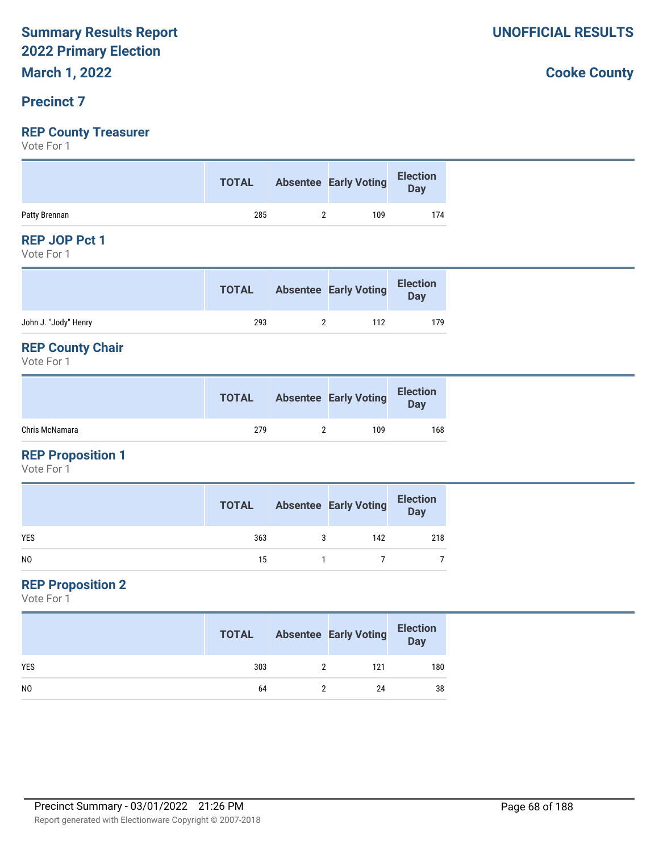#### **Precinct 7**

### **REP County Treasurer**

Vote For 1

|               |     | TOTAL Absentee Early Voting Election |     |
|---------------|-----|--------------------------------------|-----|
| Patty Brennan | 285 | 109                                  | 174 |

#### **REP JOP Pct 1**

Vote For 1

|                      | <b>TOTAL</b> | <b>Absentee Early Voting</b> | <b>Election</b><br>Day |
|----------------------|--------------|------------------------------|------------------------|
| John J. "Jody" Henry | 293          | 112                          | 179                    |

#### **REP County Chair**

Vote For 1

|                | <b>TOTAL</b> | <b>Absentee Early Voting</b> | <b>Election</b><br><b>Day</b> |
|----------------|--------------|------------------------------|-------------------------------|
| Chris McNamara | 279          | 109                          | 168                           |

#### **REP Proposition 1**

Vote For 1

|                | <b>TOTAL</b> |   | <b>Absentee Early Voting</b> | <b>Election</b><br>Day |
|----------------|--------------|---|------------------------------|------------------------|
| <b>YES</b>     | 363          | 3 | 142                          | 218                    |
| N <sub>0</sub> | 15           |   |                              |                        |

#### **REP Proposition 2**

Vote For 1

|                | <b>TOTAL</b> | <b>Absentee Early Voting</b> | <b>Election</b><br>Day |
|----------------|--------------|------------------------------|------------------------|
| <b>YES</b>     | 303          | 121                          | 180                    |
| N <sub>0</sub> | 64           | 24                           | 38                     |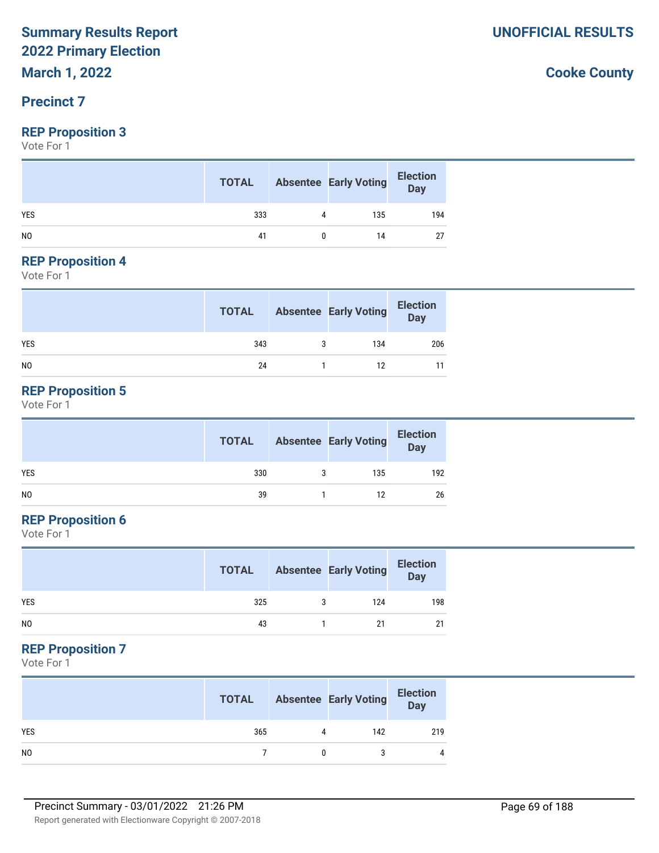**March 1, 2022**

#### **Precinct 7**

#### **REP Proposition 3**

Vote For 1

|                | <b>TOTAL</b> |   | <b>Absentee Early Voting</b> | <b>Election</b><br>Day |
|----------------|--------------|---|------------------------------|------------------------|
| <b>YES</b>     | 333          | Λ | 135                          | 194                    |
| N <sub>0</sub> | 41           |   | 14                           |                        |

#### **REP Proposition 4**

Vote For 1

|            | <b>TOTAL</b> | <b>Absentee Early Voting</b> | <b>Election</b><br>Day |
|------------|--------------|------------------------------|------------------------|
| <b>YES</b> | 343          | 134                          | 206                    |
| NO         | 24           | 12                           |                        |

#### **REP Proposition 5**

Vote For 1

|                | <b>TOTAL</b> | <b>Absentee Early Voting</b> | <b>Election</b><br>Day |
|----------------|--------------|------------------------------|------------------------|
| <b>YES</b>     | 330          | 135                          | 192                    |
| N <sub>0</sub> | 39           | 12                           | 26                     |

#### **REP Proposition 6**

Vote For 1

|                | <b>TOTAL</b> | <b>Absentee Early Voting</b> | <b>Election</b><br>Day |
|----------------|--------------|------------------------------|------------------------|
| <b>YES</b>     | 325          | 124                          | 198                    |
| N <sub>0</sub> | 43           | 21                           | 21                     |

#### **REP Proposition 7**

Vote For 1

|                | <b>TOTAL</b> |   | <b>Absentee Early Voting</b> | <b>Election</b><br>Day |
|----------------|--------------|---|------------------------------|------------------------|
| <b>YES</b>     | 365          | 4 | 142                          | 219                    |
| N <sub>0</sub> |              |   |                              | 4                      |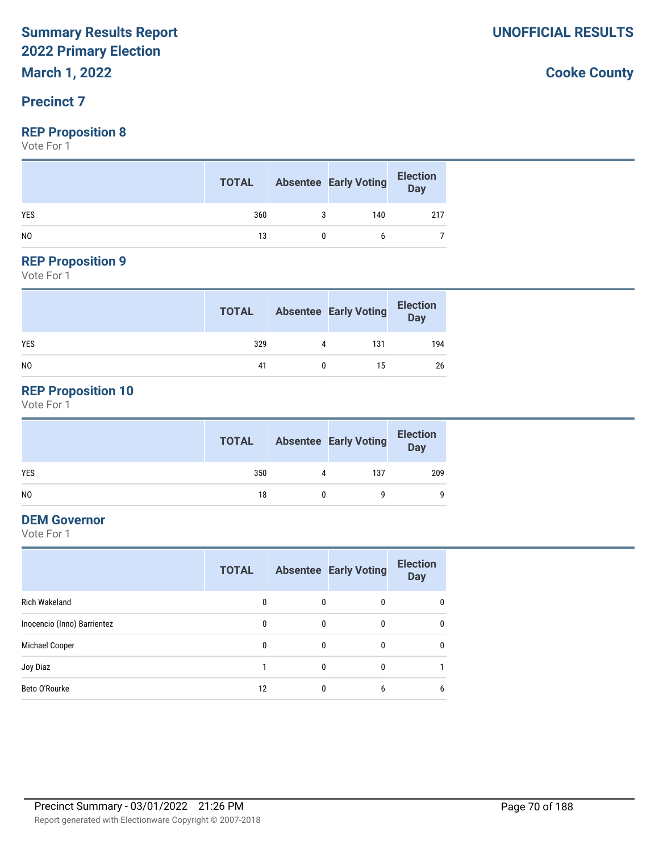**March 1, 2022**

#### **Precinct 7**

#### **REP Proposition 8**

Vote For 1

|                | <b>TOTAL</b> | <b>Absentee Early Voting</b> | <b>Election</b><br>Day |
|----------------|--------------|------------------------------|------------------------|
| <b>YES</b>     | 360          | 140                          | 217                    |
| N <sub>0</sub> | 13           | h                            |                        |

# **REP Proposition 9**

Vote For 1

|                | <b>TOTAL</b> |   | <b>Absentee Early Voting</b> | <b>Election</b><br>Day |
|----------------|--------------|---|------------------------------|------------------------|
| <b>YES</b>     | 329          | 4 | 131                          | 194                    |
| N <sub>0</sub> | 41           |   | 15                           | 26                     |

# **REP Proposition 10**

Vote For 1

|     | <b>TOTAL</b> |   | <b>Absentee Early Voting</b> | <b>Election</b><br>Day |
|-----|--------------|---|------------------------------|------------------------|
| YES | 350          | 4 | 137                          | 209                    |
| NO. | 18           |   |                              | 9                      |

#### **DEM Governor**

Vote For 1

|                             | <b>TOTAL</b> |   | <b>Absentee Early Voting</b> | <b>Election</b><br><b>Day</b> |
|-----------------------------|--------------|---|------------------------------|-------------------------------|
| <b>Rich Wakeland</b>        | 0            | 0 | 0                            | 0                             |
| Inocencio (Inno) Barrientez | 0            | 0 | 0                            | 0                             |
| Michael Cooper              | 0            | 0 | 0                            | $\mathbf{0}$                  |
| Joy Diaz                    |              | 0 | $\Omega$                     |                               |
| Beto O'Rourke               | 12           | 0 | 6                            | 6                             |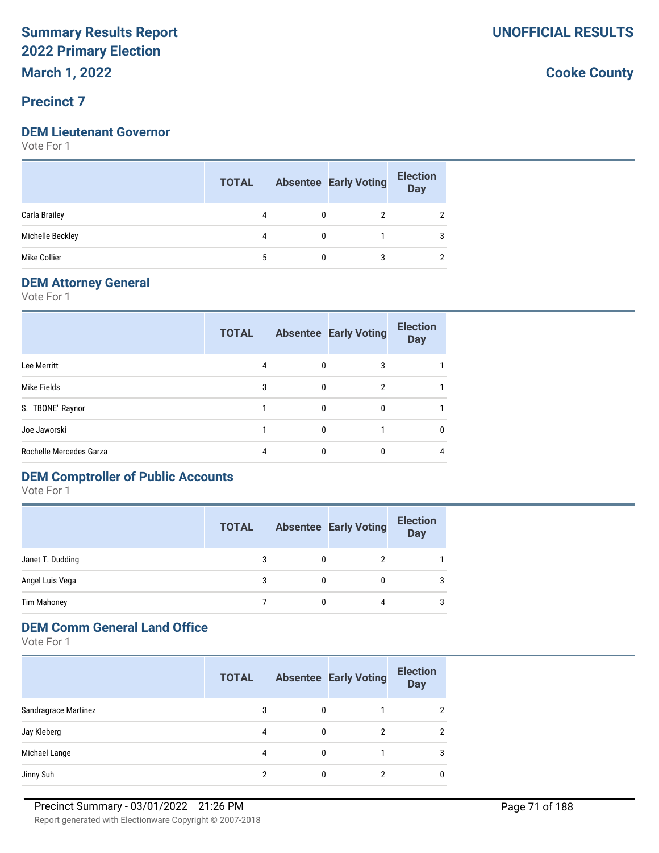**March 1, 2022**

#### **Precinct 7**

#### **DEM Lieutenant Governor**

Vote For 1

|                  | <b>TOTAL</b> |              | <b>Absentee Early Voting</b> | <b>Election</b><br>Day |
|------------------|--------------|--------------|------------------------------|------------------------|
| Carla Brailey    | 4            | $\mathbf{0}$ | 2                            |                        |
| Michelle Beckley | 4            | $\mathbf{0}$ |                              |                        |
| Mike Collier     | 5            |              | 3                            |                        |

#### **DEM Attorney General**

Vote For 1

|                         | <b>TOTAL</b> |          | <b>Absentee Early Voting</b> | <b>Election</b><br><b>Day</b> |
|-------------------------|--------------|----------|------------------------------|-------------------------------|
| Lee Merritt             | 4            | 0        | 3                            |                               |
| Mike Fields             | 3            | $\Omega$ | 2                            |                               |
| S. "TBONE" Raynor       |              | $\Omega$ | 0                            |                               |
| Joe Jaworski            |              | $\Omega$ |                              | 0                             |
| Rochelle Mercedes Garza |              | $\Omega$ |                              | 4                             |

# **DEM Comptroller of Public Accounts**

Vote For 1

|                    | <b>TOTAL</b> |   | <b>Absentee Early Voting</b> | <b>Election</b><br><b>Day</b> |
|--------------------|--------------|---|------------------------------|-------------------------------|
| Janet T. Dudding   | 3            | 0 |                              |                               |
| Angel Luis Vega    |              |   |                              | 3                             |
| <b>Tim Mahoney</b> |              |   | 4                            | 3                             |

#### **DEM Comm General Land Office**

Vote For 1

|                      | <b>TOTAL</b> |              | <b>Absentee Early Voting</b> | <b>Election</b><br><b>Day</b> |
|----------------------|--------------|--------------|------------------------------|-------------------------------|
| Sandragrace Martinez | 3            | $\mathbf{0}$ |                              | 2                             |
| Jay Kleberg          | 4            | $\mathbf{0}$ | 2                            | $\mathcal{P}$                 |
| Michael Lange        | 4            | 0            |                              | 3                             |
| Jinny Suh            |              | 0            |                              | 0                             |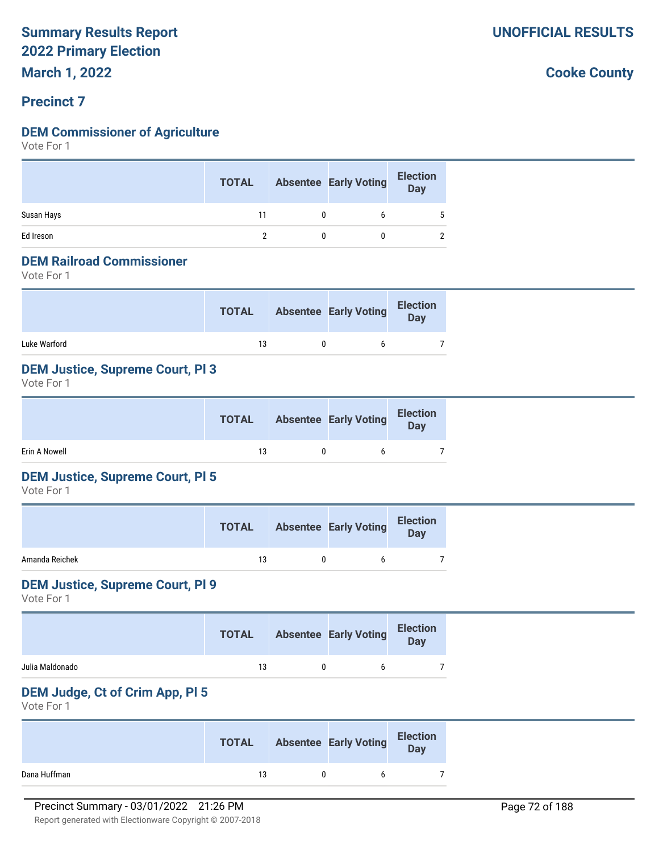**March 1, 2022**

#### **Precinct 7**

#### **DEM Commissioner of Agriculture**

Vote For 1

|            | <b>TOTAL</b> |   | <b>Absentee Early Voting</b> | <b>Election</b><br>Day |  |
|------------|--------------|---|------------------------------|------------------------|--|
| Susan Hays | 11           | 0 |                              |                        |  |
| Ed Ireson  |              |   |                              |                        |  |

#### **DEM Railroad Commissioner**

Vote For 1

|              | <b>TOTAL</b> | <b>Absentee Early Voting</b> | <b>Election</b><br><b>Day</b> |
|--------------|--------------|------------------------------|-------------------------------|
| Luke Warford | 13           | h                            |                               |

#### **DEM Justice, Supreme Court, Pl 3**

Vote For 1

|               | <b>TOTAL</b> | <b>Absentee Early Voting</b> | <b>Election</b><br>Day |
|---------------|--------------|------------------------------|------------------------|
| Erin A Nowell | 13           |                              |                        |

#### **DEM Justice, Supreme Court, Pl 5**

Vote For 1

|                | <b>TOTAL</b> | <b>Absentee Early Voting</b> | <b>Election</b><br>Day |
|----------------|--------------|------------------------------|------------------------|
| Amanda Reichek | 13           |                              |                        |

#### **DEM Justice, Supreme Court, Pl 9**

Vote For 1

|                 | <b>TOTAL</b> | <b>Absentee Early Voting</b> | <b>Election</b><br><b>Day</b> |
|-----------------|--------------|------------------------------|-------------------------------|
| Julia Maldonado | 13           |                              |                               |

#### **DEM Judge, Ct of Crim App, Pl 5**

Vote For 1

|              | <b>TOTAL</b> | <b>Absentee Early Voting</b> | <b>Election</b><br>Day |
|--------------|--------------|------------------------------|------------------------|
| Dana Huffman | 13           |                              |                        |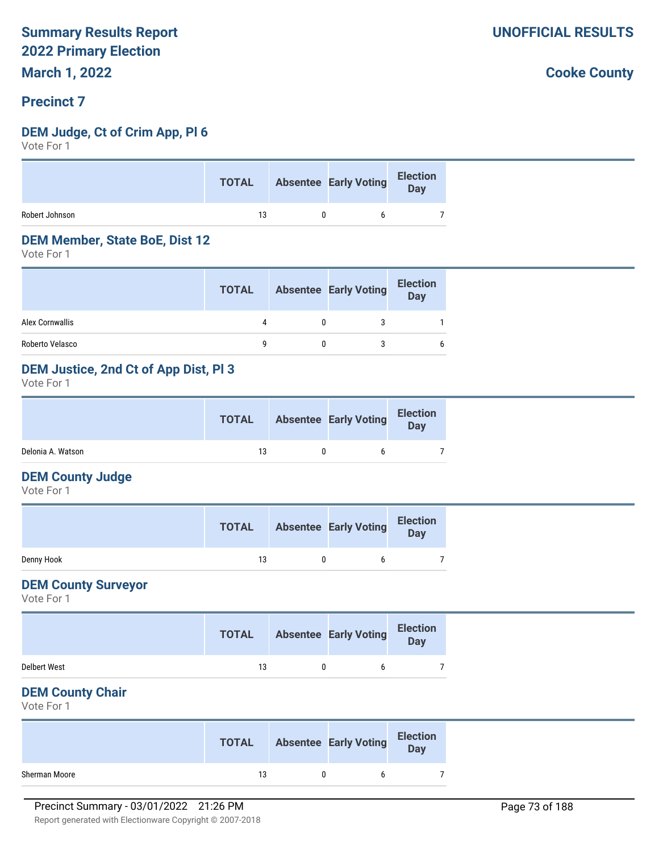### **Precinct 7**

### **DEM Judge, Ct of Crim App, Pl 6**

Vote For 1

|                | <b>TOTAL</b> |              | Absentee Early Voting | Election<br>Day |
|----------------|--------------|--------------|-----------------------|-----------------|
| Robert Johnson | 13           | $\mathsf{D}$ | h.                    |                 |

#### **DEM Member, State BoE, Dist 12**

Vote For 1

|                 | <b>TOTAL</b> | <b>Absentee Early Voting</b> | <b>Election</b><br><b>Day</b> |
|-----------------|--------------|------------------------------|-------------------------------|
| Alex Cornwallis | Δ            |                              |                               |
| Roberto Velasco |              |                              | 6                             |

## **DEM Justice, 2nd Ct of App Dist, Pl 3**

Vote For 1

|                   | <b>TOTAL</b> | <b>Absentee Early Voting</b> | <b>Election</b><br>Day |  |
|-------------------|--------------|------------------------------|------------------------|--|
| Delonia A. Watson | 13           |                              |                        |  |

### **DEM County Judge**

Vote For 1

|            | <b>TOTAL</b> | <b>Absentee Early Voting</b> | <b>Election</b><br>Day |
|------------|--------------|------------------------------|------------------------|
| Denny Hook | 13           |                              |                        |

### **DEM County Surveyor**

Vote For 1

|                     | <b>TOTAL</b> | <b>Absentee Early Voting</b> | <b>Election</b><br><b>Day</b> |  |
|---------------------|--------------|------------------------------|-------------------------------|--|
| <b>Delbert West</b> | 13           | n                            |                               |  |

### **DEM County Chair**

Vote For 1

|               | <b>TOTAL</b> | <b>Absentee Early Voting</b> | <b>Election</b><br>Day |
|---------------|--------------|------------------------------|------------------------|
| Sherman Moore | 13           |                              |                        |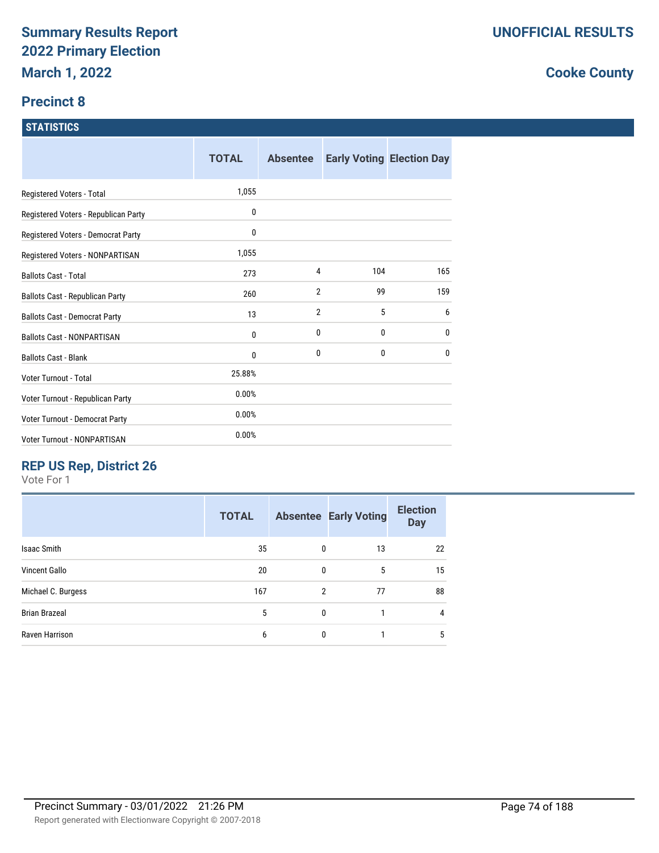# **Precinct 8**

#### **STATISTICS**

|                                      | <b>TOTAL</b> | <b>Absentee</b> |     | <b>Early Voting Election Day</b> |
|--------------------------------------|--------------|-----------------|-----|----------------------------------|
| Registered Voters - Total            | 1,055        |                 |     |                                  |
| Registered Voters - Republican Party | 0            |                 |     |                                  |
| Registered Voters - Democrat Party   | 0            |                 |     |                                  |
| Registered Voters - NONPARTISAN      | 1,055        |                 |     |                                  |
| <b>Ballots Cast - Total</b>          | 273          | 4               | 104 | 165                              |
| Ballots Cast - Republican Party      | 260          | $\overline{2}$  | 99  | 159                              |
| <b>Ballots Cast - Democrat Party</b> | 13           | $\overline{2}$  | 5   | 6                                |
| <b>Ballots Cast - NONPARTISAN</b>    | 0            | 0               | 0   | 0                                |
| <b>Ballots Cast - Blank</b>          | 0            | 0               | 0   | 0                                |
| Voter Turnout - Total                | 25.88%       |                 |     |                                  |
| Voter Turnout - Republican Party     | 0.00%        |                 |     |                                  |
| Voter Turnout - Democrat Party       | 0.00%        |                 |     |                                  |
| Voter Turnout - NONPARTISAN          | 0.00%        |                 |     |                                  |

# **REP US Rep, District 26**

Vote For 1

| 35<br>13<br><b>Isaac Smith</b><br>0               | 22             |
|---------------------------------------------------|----------------|
| <b>Vincent Gallo</b><br>20<br>5<br>0              | 15             |
| Michael C. Burgess<br>$\overline{2}$<br>77<br>167 | 88             |
| <b>Brian Brazeal</b><br>5<br>0<br>1               | $\overline{4}$ |
| Raven Harrison<br>0<br>6                          | 5              |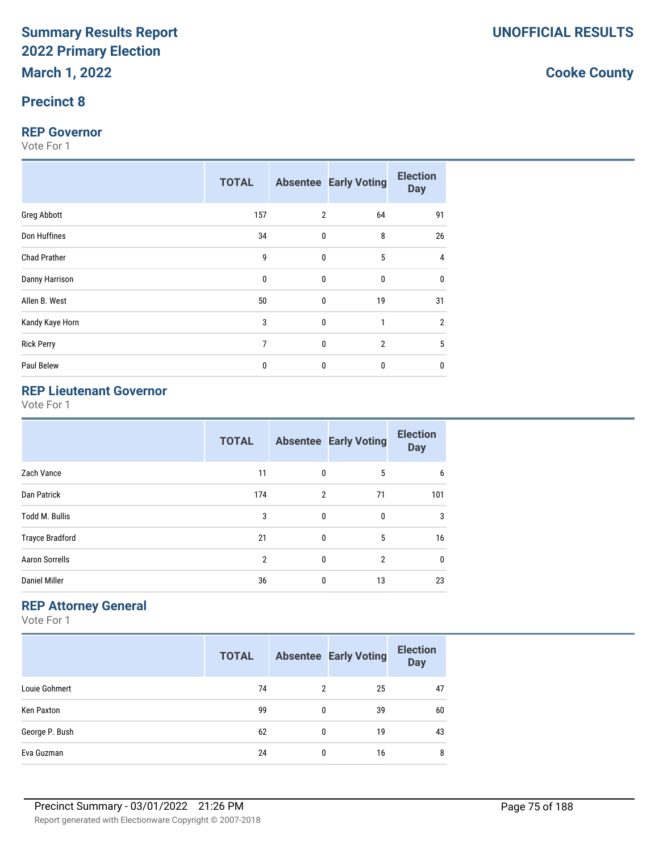# **Precinct 8**

### **REP Governor**

Vote For 1

|                     | <b>TOTAL</b> |                | <b>Absentee Early Voting</b> | <b>Election</b><br><b>Day</b> |
|---------------------|--------------|----------------|------------------------------|-------------------------------|
| Greg Abbott         | 157          | $\overline{2}$ | 64                           | 91                            |
| Don Huffines        | 34           | $\pmb{0}$      | 8                            | 26                            |
| <b>Chad Prather</b> | 9            | $\mathbf{0}$   | 5                            | 4                             |
| Danny Harrison      | $\mathbf 0$  | $\mathbf{0}$   | 0                            | $\mathbf{0}$                  |
| Allen B. West       | 50           | $\mathbf 0$    | 19                           | 31                            |
| Kandy Kaye Horn     | 3            | $\bf{0}$       | 1                            | $\overline{2}$                |
| <b>Rick Perry</b>   | 7            | $\mathbf{0}$   | $\overline{2}$               | 5                             |
| Paul Belew          | 0            | $\bf{0}$       | $\mathbf{0}$                 | 0                             |

# **REP Lieutenant Governor**

Vote For 1

|                        | <b>TOTAL</b>   |                | <b>Absentee Early Voting</b> | <b>Election</b><br><b>Day</b> |
|------------------------|----------------|----------------|------------------------------|-------------------------------|
| Zach Vance             | 11             | 0              | 5                            | 6                             |
| Dan Patrick            | 174            | $\overline{2}$ | 71                           | 101                           |
| <b>Todd M. Bullis</b>  | 3              | $\mathbf{0}$   | 0                            | 3                             |
| <b>Trayce Bradford</b> | 21             | 0              | 5                            | 16                            |
| <b>Aaron Sorrells</b>  | $\overline{2}$ | $\mathbf{0}$   | $\overline{2}$               | 0                             |
| <b>Daniel Miller</b>   | 36             | 0              | 13                           | 23                            |

# **REP Attorney General**

Vote For 1

|                | <b>TOTAL</b> |                | <b>Absentee Early Voting</b> | <b>Election</b><br><b>Day</b> |
|----------------|--------------|----------------|------------------------------|-------------------------------|
| Louie Gohmert  | 74           | $\overline{2}$ | 25                           | 47                            |
| Ken Paxton     | 99           | 0              | 39                           | 60                            |
| George P. Bush | 62           | 0              | 19                           | 43                            |
| Eva Guzman     | 24           | 0              | 16                           | 8                             |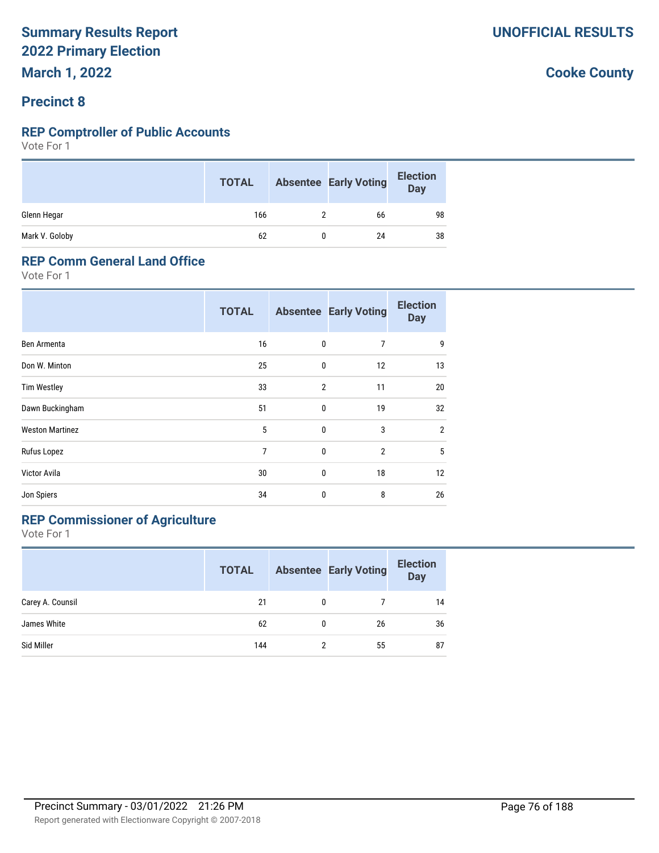# **Precinct 8**

### **REP Comptroller of Public Accounts**

Vote For 1

|                | <b>TOTAL</b> | <b>Absentee Early Voting</b> | <b>Election</b><br><b>Day</b> |
|----------------|--------------|------------------------------|-------------------------------|
| Glenn Hegar    | 166          | 66                           | 98                            |
| Mark V. Goloby | 62           | 24                           | 38                            |

### **REP Comm General Land Office**

Vote For 1

|                        | <b>TOTAL</b>   |                | <b>Absentee Early Voting</b> | <b>Election</b><br><b>Day</b> |
|------------------------|----------------|----------------|------------------------------|-------------------------------|
| Ben Armenta            | 16             | 0              | 7                            | 9                             |
| Don W. Minton          | 25             | 0              | 12                           | 13                            |
| <b>Tim Westley</b>     | 33             | $\overline{2}$ | 11                           | 20                            |
| Dawn Buckingham        | 51             | 0              | 19                           | 32                            |
| <b>Weston Martinez</b> | 5              | 0              | 3                            | $\overline{2}$                |
| Rufus Lopez            | $\overline{7}$ | 0              | $\overline{2}$               | 5                             |
| Victor Avila           | 30             | 0              | 18                           | 12                            |
| Jon Spiers             | 34             | 0              | 8                            | 26                            |

# **REP Commissioner of Agriculture**

Vote For 1

|                  | <b>TOTAL</b> |   | <b>Absentee Early Voting</b> | <b>Election</b><br><b>Day</b> |
|------------------|--------------|---|------------------------------|-------------------------------|
| Carey A. Counsil | 21           | 0 |                              | 14                            |
| James White      | 62           | 0 | 26                           | 36                            |
| Sid Miller       | 144          | 2 | 55                           | 87                            |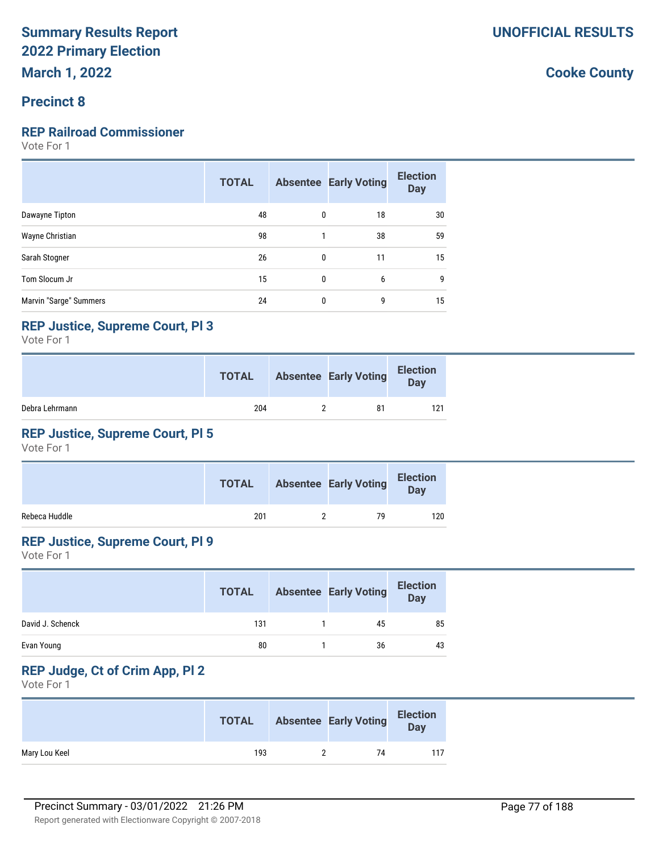## **Precinct 8**

#### **REP Railroad Commissioner**

Vote For 1

|                        | <b>TOTAL</b> |   | <b>Absentee Early Voting</b> | <b>Election</b><br><b>Day</b> |
|------------------------|--------------|---|------------------------------|-------------------------------|
| Dawayne Tipton         | 48           | 0 | 18                           | 30                            |
| Wayne Christian        | 98           |   | 38                           | 59                            |
| Sarah Stogner          | 26           | 0 | 11                           | 15                            |
| Tom Slocum Jr          | 15           | 0 | 6                            | 9                             |
| Marvin "Sarge" Summers | 24           | 0 | 9                            | 15                            |

### **REP Justice, Supreme Court, Pl 3**

Vote For 1

|                | <b>TOTAL</b> | <b>Absentee Early Voting</b> | <b>Election</b><br><b>Day</b> |
|----------------|--------------|------------------------------|-------------------------------|
| Debra Lehrmann | 204          | 81                           | 121                           |

# **REP Justice, Supreme Court, Pl 5**

Vote For 1

|               | <b>TOTAL</b> | <b>Absentee Early Voting</b> | <b>Election</b><br><b>Day</b> |  |
|---------------|--------------|------------------------------|-------------------------------|--|
| Rebeca Huddle | 201          | 79                           | 120                           |  |

# **REP Justice, Supreme Court, Pl 9**

Vote For 1

|                  | <b>TOTAL</b> | <b>Absentee Early Voting</b> | <b>Election</b><br><b>Day</b> |
|------------------|--------------|------------------------------|-------------------------------|
| David J. Schenck | 131          | 45                           | 85                            |
| Evan Young       | 80           | 36                           | 43                            |

# **REP Judge, Ct of Crim App, Pl 2**

Vote For 1

|               | <b>TOTAL</b> | <b>Absentee Early Voting</b> | <b>Election</b><br>Day |
|---------------|--------------|------------------------------|------------------------|
| Mary Lou Keel | 193          | 74                           | 117                    |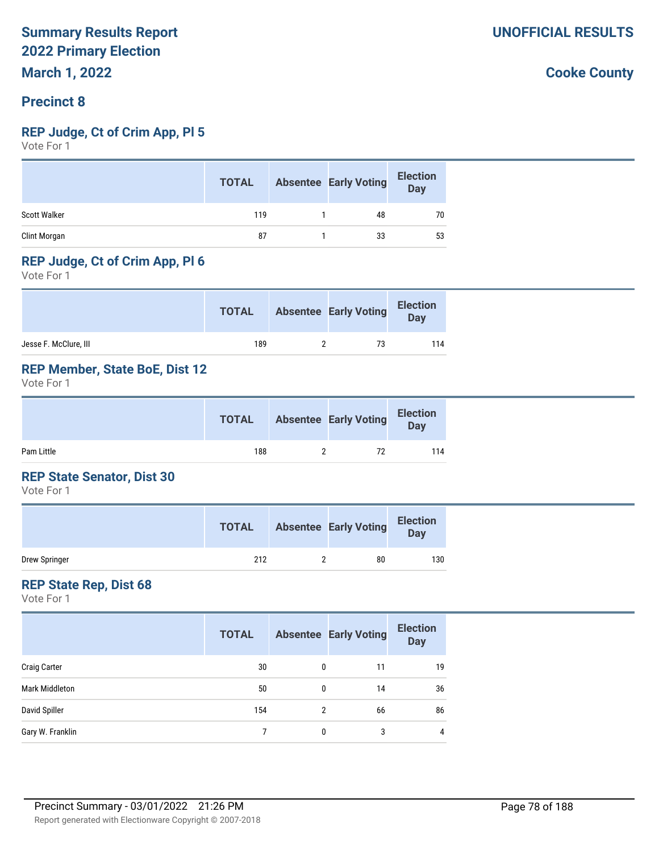### **Precinct 8**

### **REP Judge, Ct of Crim App, Pl 5**

Vote For 1

|              | <b>TOTAL</b> | <b>Absentee Early Voting</b> | <b>Election</b><br><b>Day</b> |
|--------------|--------------|------------------------------|-------------------------------|
| Scott Walker | 119          | 48                           | 70                            |
| Clint Morgan | 87           | 33                           | 53                            |

### **REP Judge, Ct of Crim App, Pl 6**

Vote For 1

|                       | <b>TOTAL</b> | <b>Absentee Early Voting</b> | <b>Election</b><br><b>Day</b> |
|-----------------------|--------------|------------------------------|-------------------------------|
| Jesse F. McClure, III | 189          | 73                           | 114                           |

## **REP Member, State BoE, Dist 12**

Vote For 1

|            | <b>TOTAL</b> | <b>Absentee Early Voting</b> | <b>Election</b><br>Day |
|------------|--------------|------------------------------|------------------------|
| Pam Little | 188          | 72                           | 114                    |

### **REP State Senator, Dist 30**

Vote For 1

|               | <b>TOTAL</b> | <b>Absentee Early Voting</b> | <b>Election</b><br>Day |
|---------------|--------------|------------------------------|------------------------|
| Drew Springer | 212          | 80                           | 130                    |

### **REP State Rep, Dist 68**

Vote For 1

|                       | <b>TOTAL</b> |   | <b>Absentee Early Voting</b> | <b>Election</b><br><b>Day</b> |
|-----------------------|--------------|---|------------------------------|-------------------------------|
| <b>Craig Carter</b>   | 30           | 0 | 11                           | 19                            |
| <b>Mark Middleton</b> | 50           | 0 | 14                           | 36                            |
| David Spiller         | 154          | 2 | 66                           | 86                            |
| Gary W. Franklin      |              | 0 | 3                            | 4                             |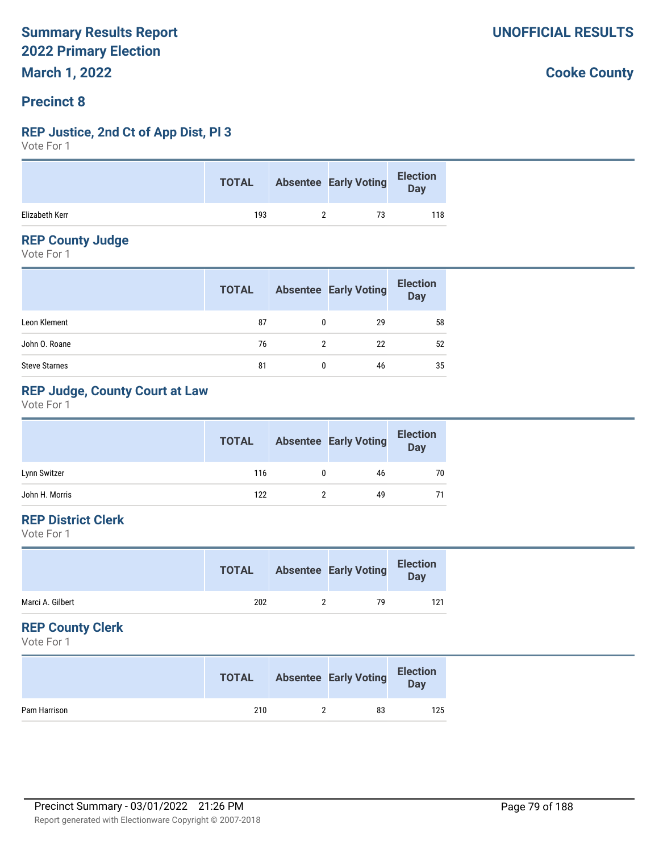# **Precinct 8**

### **REP Justice, 2nd Ct of App Dist, Pl 3**

Vote For 1

|                | <b>TOTAL</b> | Absentee Early Voting | Election<br>Day |
|----------------|--------------|-----------------------|-----------------|
| Elizabeth Kerr | 193          |                       | 118             |

### **REP County Judge**

Vote For 1

|                      | <b>TOTAL</b> |   | <b>Absentee Early Voting</b> | <b>Election</b><br>Day |
|----------------------|--------------|---|------------------------------|------------------------|
| Leon Klement         | 87           | 0 | 29                           | 58                     |
| John O. Roane        | 76           | 2 | 22                           | 52                     |
| <b>Steve Starnes</b> | 81           | 0 | 46                           | 35                     |

# **REP Judge, County Court at Law**

Vote For 1

|                | <b>TOTAL</b> | <b>Absentee Early Voting</b> | <b>Election</b><br>Day |
|----------------|--------------|------------------------------|------------------------|
| Lynn Switzer   | 116          | 46                           | 70                     |
| John H. Morris | 122          | 49                           | 71                     |

# **REP District Clerk**

Vote For 1

|                  | <b>TOTAL</b> | <b>Absentee Early Voting</b> | <b>Election</b><br>Day |
|------------------|--------------|------------------------------|------------------------|
| Marci A. Gilbert | 202          | 79                           | 121                    |
|                  |              |                              |                        |

### **REP County Clerk**

Vote For 1

|              | <b>TOTAL</b> | <b>Absentee Early Voting</b> | <b>Election</b><br>Day |
|--------------|--------------|------------------------------|------------------------|
| Pam Harrison | 210          | 83                           | 125                    |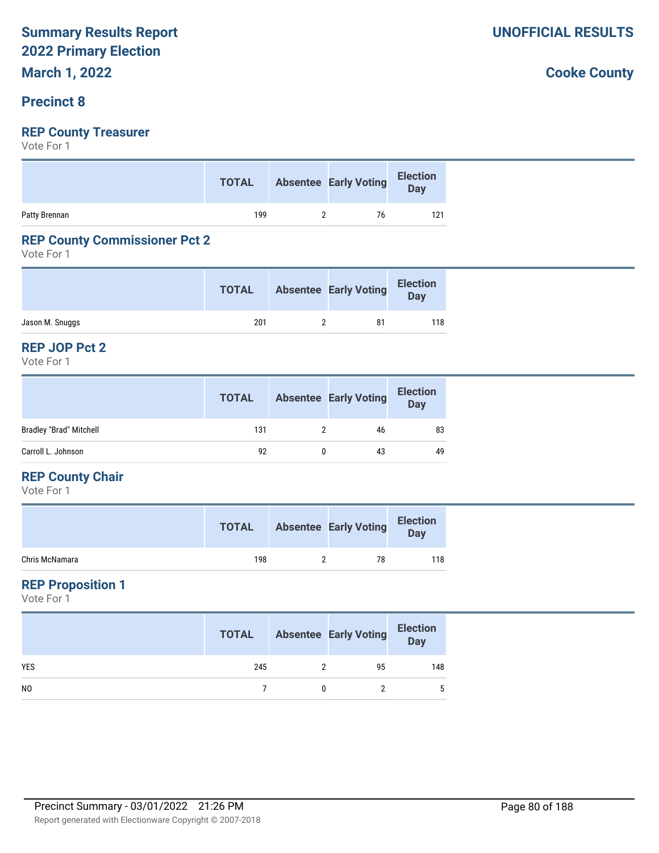# **Precinct 8**

# **REP County Treasurer**

Vote For 1

|               | <b>TOTAL</b> | Absentee Early Voting Election |     |
|---------------|--------------|--------------------------------|-----|
| Patty Brennan | 199          | 76                             | 121 |

### **REP County Commissioner Pct 2**

Vote For 1

|                 | <b>TOTAL</b> | <b>Absentee Early Voting</b> | <b>Election</b><br>Day |
|-----------------|--------------|------------------------------|------------------------|
| Jason M. Snuggs | 201          | 81                           | 118                    |

#### **REP JOP Pct 2**

Vote For 1

|                                | <b>TOTAL</b> | <b>Absentee Early Voting</b> | <b>Election</b><br><b>Day</b> |
|--------------------------------|--------------|------------------------------|-------------------------------|
| <b>Bradley "Brad" Mitchell</b> | 131          | 46                           | 83                            |
| Carroll L. Johnson             | 92           | 43                           | 49                            |

### **REP County Chair**

Vote For 1

|                | <b>TOTAL</b> | <b>Absentee Early Voting</b> | <b>Election</b><br>Day |
|----------------|--------------|------------------------------|------------------------|
| Chris McNamara | 198          | 78                           | 118                    |

## **REP Proposition 1**

Vote For 1

|                | <b>TOTAL</b> | <b>Absentee Early Voting</b> | <b>Election</b><br>Day |
|----------------|--------------|------------------------------|------------------------|
| <b>YES</b>     | 245          | 95                           | 148                    |
| N <sub>0</sub> |              |                              |                        |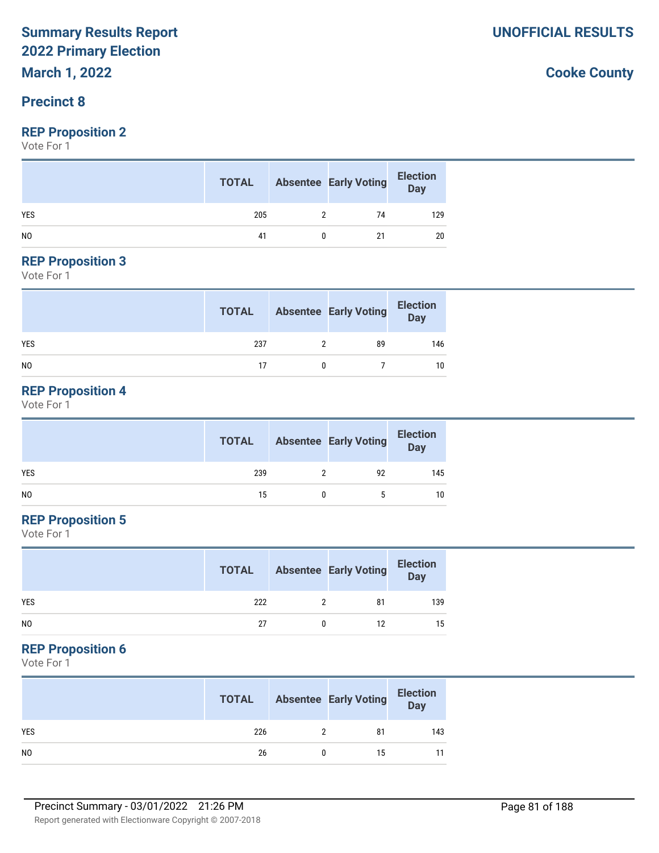# **Precinct 8**

### **REP Proposition 2**

Vote For 1

|                | <b>TOTAL</b> |   | <b>Absentee Early Voting</b> | <b>Election</b><br>Day |
|----------------|--------------|---|------------------------------|------------------------|
| <b>YES</b>     | 205          | າ | 74                           | 129                    |
| N <sub>0</sub> | 41           |   | 21                           | 20                     |

#### **REP Proposition 3**

Vote For 1

|                | <b>TOTAL</b> | <b>Absentee Early Voting</b> | Election<br>Day |
|----------------|--------------|------------------------------|-----------------|
| <b>YES</b>     | 237          | 89                           | 146             |
| N <sub>0</sub> | 17           |                              | 10              |

# **REP Proposition 4**

Vote For 1

|     | <b>TOTAL</b> | <b>Absentee Early Voting</b> | <b>Election</b><br>Day |
|-----|--------------|------------------------------|------------------------|
| YES | 239          | 92                           | 145                    |
| NO. | 15           |                              | 10                     |

# **REP Proposition 5**

Vote For 1

|                | <b>TOTAL</b> | <b>Absentee Early Voting</b> | <b>Election</b><br><b>Day</b> |
|----------------|--------------|------------------------------|-------------------------------|
| <b>YES</b>     | 222          | 81                           | 139                           |
| N <sub>0</sub> | 27           | 12                           | 15                            |

# **REP Proposition 6**

Vote For 1

|                | <b>TOTAL</b> | <b>Absentee Early Voting</b> | <b>Election</b><br>Day |
|----------------|--------------|------------------------------|------------------------|
| <b>YES</b>     | 226          | 81                           | 143                    |
| N <sub>0</sub> | 26           | 15                           |                        |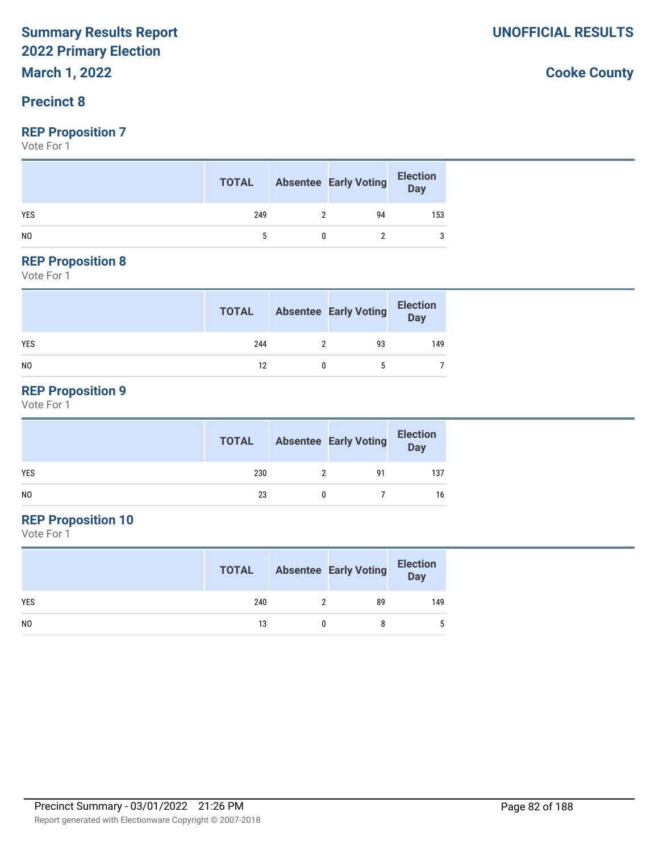# **March 1, 2022**

# **Precinct 8**

## **REP Proposition 7**

Vote For 1

|                | <b>TOTAL</b> | <b>Absentee Early Voting</b> | <b>Election</b><br><b>Day</b> |
|----------------|--------------|------------------------------|-------------------------------|
| <b>YES</b>     | 249          | 94                           | 153                           |
| N <sub>0</sub> |              |                              |                               |

#### **REP Proposition 8**

Vote For 1

|                | <b>TOTAL</b> | <b>Absentee Early Voting</b> | <b>Election</b><br>Day |
|----------------|--------------|------------------------------|------------------------|
| <b>YES</b>     | 244          | 93                           | 149                    |
| N <sub>0</sub> | 12           |                              |                        |

# **REP Proposition 9**

Vote For 1

|     | <b>TOTAL</b> | <b>Absentee Early Voting</b> | <b>Election</b><br>Day |
|-----|--------------|------------------------------|------------------------|
| YES | 230          | 91                           | 137                    |
| NO. | 23           |                              | 16                     |

# **REP Proposition 10**

Vote For 1

|                | <b>TOTAL</b> | <b>Absentee Early Voting</b> | <b>Election</b><br>Day |
|----------------|--------------|------------------------------|------------------------|
| <b>YES</b>     | 240          | 89                           | 149                    |
| N <sub>0</sub> | 13           | 8                            | 5                      |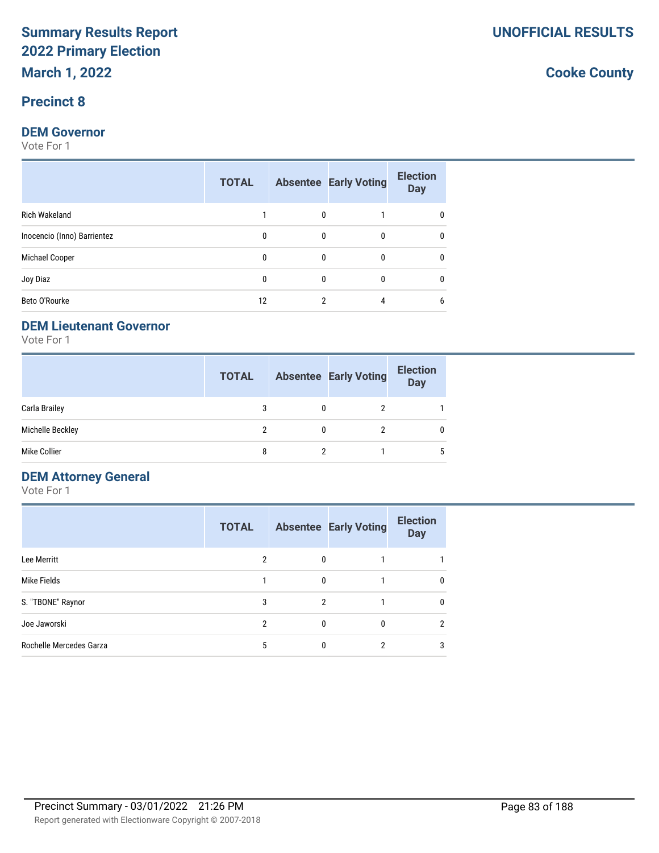# **Precinct 8**

### **DEM Governor**

Vote For 1

|                             | <b>TOTAL</b> |              | <b>Absentee Early Voting</b> | <b>Election</b><br><b>Day</b> |
|-----------------------------|--------------|--------------|------------------------------|-------------------------------|
| <b>Rich Wakeland</b>        |              | $\mathbf{0}$ |                              | 0                             |
| Inocencio (Inno) Barrientez | 0            | $\mathbf{0}$ | $\Omega$                     | 0                             |
| Michael Cooper              | 0            | $\mathbf{0}$ | $\Omega$                     | 0                             |
| Joy Diaz                    | $\Omega$     | $\Omega$     | $\Omega$                     | 0                             |
| Beto O'Rourke               | 12           | 2            | 4                            | 6                             |

### **DEM Lieutenant Governor**

Vote For 1

|                  | <b>TOTAL</b> |   | <b>Absentee Early Voting</b> | <b>Election</b><br><b>Day</b> |
|------------------|--------------|---|------------------------------|-------------------------------|
| Carla Brailey    |              |   |                              |                               |
| Michelle Beckley |              | 0 |                              |                               |
| Mike Collier     |              |   |                              | 5                             |

# **DEM Attorney General**

Vote For 1

|                         | <b>TOTAL</b> |   | <b>Absentee Early Voting</b> | <b>Election</b><br><b>Day</b> |
|-------------------------|--------------|---|------------------------------|-------------------------------|
| Lee Merritt             | 2            | 0 |                              |                               |
| Mike Fields             |              | 0 |                              | 0                             |
| S. "TBONE" Raynor       | 3            | 2 |                              | 0                             |
| Joe Jaworski            | 2            | 0 |                              | $\overline{2}$                |
| Rochelle Mercedes Garza | 5            | 0 | 2                            | 3                             |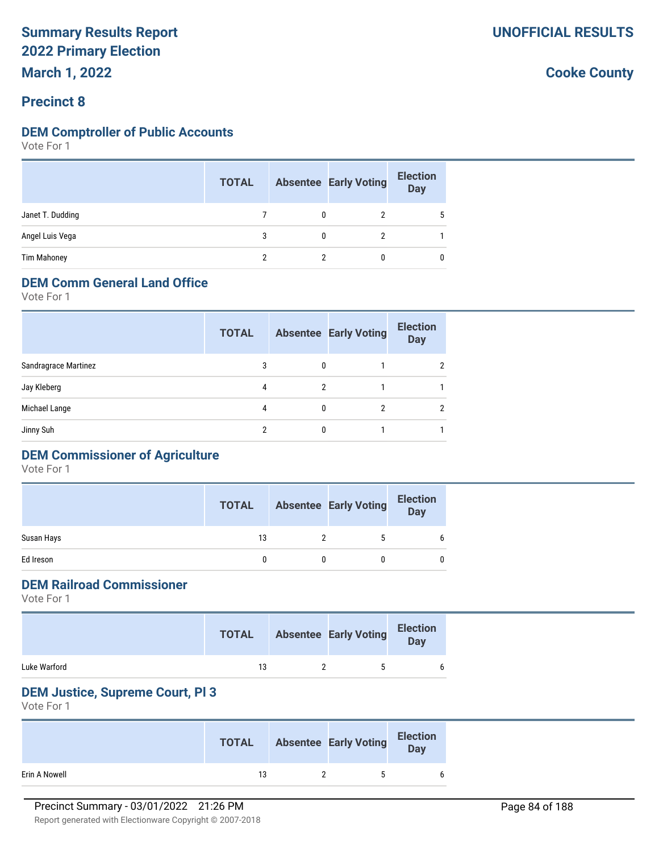# **Precinct 8**

### **DEM Comptroller of Public Accounts**

Vote For 1

|                    | <b>TOTAL</b> | <b>Absentee Early Voting</b> | <b>Election</b><br><b>Day</b> |
|--------------------|--------------|------------------------------|-------------------------------|
| Janet T. Dudding   |              |                              |                               |
| Angel Luis Vega    |              |                              |                               |
| <b>Tim Mahoney</b> | ≘            |                              |                               |

# **DEM Comm General Land Office**

Vote For 1

|                      | <b>TOTAL</b> |          | <b>Absentee Early Voting</b> | <b>Election</b><br><b>Day</b> |
|----------------------|--------------|----------|------------------------------|-------------------------------|
| Sandragrace Martinez | 3            | 0        |                              | 2                             |
| Jay Kleberg          | 4            | 2        |                              |                               |
| Michael Lange        | 4            | $\Omega$ |                              | $\mathfrak{p}$                |
| Jinny Suh            | 2            |          |                              |                               |
|                      |              |          |                              |                               |

# **DEM Commissioner of Agriculture**

Vote For 1

|            | <b>TOTAL</b> | <b>Absentee Early Voting</b> | <b>Election</b><br><b>Day</b> |
|------------|--------------|------------------------------|-------------------------------|
| Susan Hays | 13           | 5                            | 6                             |
| Ed Ireson  |              |                              |                               |

# **DEM Railroad Commissioner**

Vote For 1

|              | <b>TOTAL</b> | <b>Absentee Early Voting</b> | <b>Election</b><br>Day |
|--------------|--------------|------------------------------|------------------------|
| Luke Warford | 13           | ъ                            |                        |

### **DEM Justice, Supreme Court, Pl 3**

Vote For 1

|               | <b>TOTAL</b> | <b>Absentee Early Voting</b> | <b>Election</b><br>Day |
|---------------|--------------|------------------------------|------------------------|
| Erin A Nowell | 13           | $\ddot{\phantom{1}}$         |                        |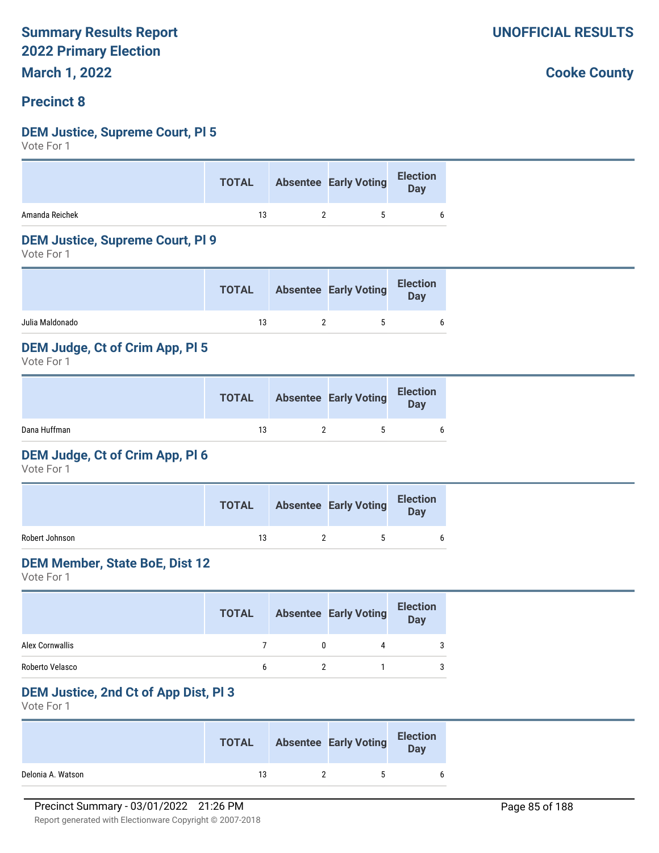## **Precinct 8**

### **DEM Justice, Supreme Court, Pl 5**

Vote For 1

|                | <b>TOTAL</b> | Absentee Early Voting Election |   |
|----------------|--------------|--------------------------------|---|
| Amanda Reichek | 13           | $\ddot{\phantom{1}}$           | h |

#### **DEM Justice, Supreme Court, Pl 9**

Vote For 1

| Julia Maldonado<br>13<br>$\ddot{\phantom{1}}$ | <b>TOTAL</b> | <b>Absentee Early Voting</b> | <b>Election</b><br><b>Day</b> |
|-----------------------------------------------|--------------|------------------------------|-------------------------------|
|                                               |              |                              |                               |

### **DEM Judge, Ct of Crim App, Pl 5**

Vote For 1

|              | <b>TOTAL</b> | <b>Absentee Early Voting</b> | <b>Election</b><br>Day |
|--------------|--------------|------------------------------|------------------------|
| Dana Huffman | 13           | ь.                           | 6                      |

### **DEM Judge, Ct of Crim App, Pl 6**

Vote For 1

|                | <b>TOTAL</b> | <b>Absentee Early Voting</b> | <b>Election</b><br>Day |
|----------------|--------------|------------------------------|------------------------|
| Robert Johnson | 13           | ъ.                           |                        |

#### **DEM Member, State BoE, Dist 12**

Vote For 1

|                 | <b>TOTAL</b> | <b>Absentee Early Voting</b> | <b>Election</b><br><b>Day</b> |
|-----------------|--------------|------------------------------|-------------------------------|
| Alex Cornwallis |              |                              |                               |
| Roberto Velasco | h            |                              |                               |

### **DEM Justice, 2nd Ct of App Dist, Pl 3**

Vote For 1

|                   | <b>TOTAL</b> | <b>Absentee Early Voting</b> | <b>Election</b><br>Day |
|-------------------|--------------|------------------------------|------------------------|
| Delonia A. Watson | 13           | $\ddot{\phantom{1}}$         | 6                      |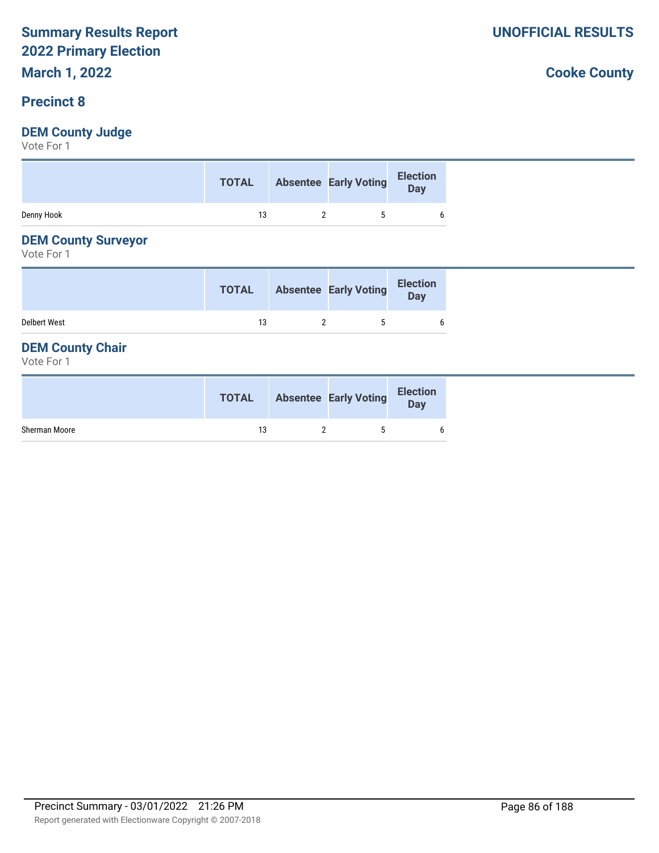# **Precinct 8**

# **DEM County Judge**

Vote For 1

|            | <b>TOTAL</b> | Absentee Early Voting Election |   |
|------------|--------------|--------------------------------|---|
| Denny Hook | 13           | $5^{\circ}$                    | h |

### **DEM County Surveyor**

Vote For 1

|                     | <b>TOTAL</b> | <b>Absentee Early Voting</b> | <b>Election</b><br>Day |
|---------------------|--------------|------------------------------|------------------------|
| <b>Delbert West</b> | 13           | 5                            |                        |

### **DEM County Chair**

Vote For 1

|               | <b>TOTAL</b> | <b>Absentee Early Voting</b> | <b>Election</b><br>Day |
|---------------|--------------|------------------------------|------------------------|
| Sherman Moore | 13           | ъ.                           |                        |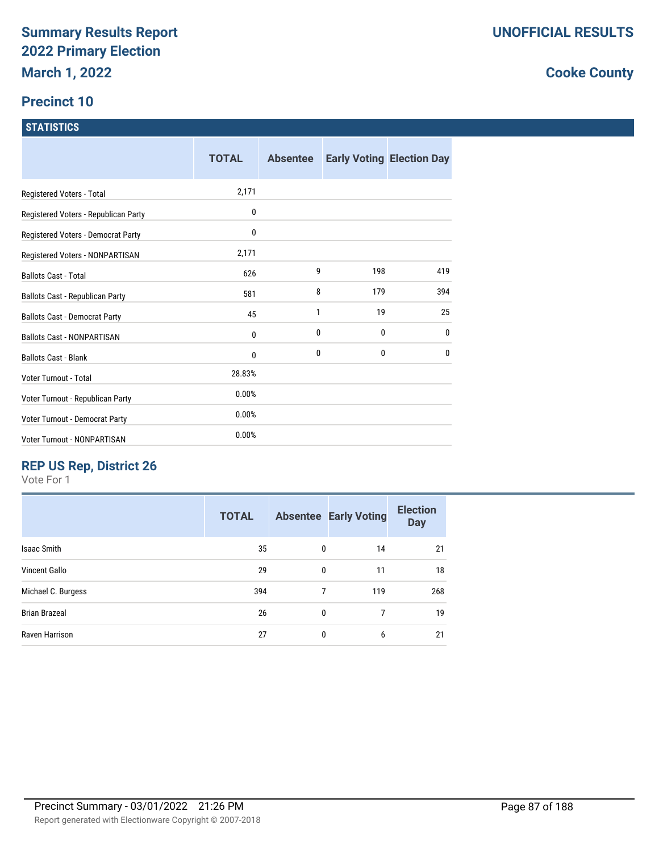# **Precinct 10**

### **STATISTICS**

|                                      | <b>TOTAL</b> | <b>Absentee</b> |     | <b>Early Voting Election Day</b> |
|--------------------------------------|--------------|-----------------|-----|----------------------------------|
| Registered Voters - Total            | 2,171        |                 |     |                                  |
| Registered Voters - Republican Party | 0            |                 |     |                                  |
| Registered Voters - Democrat Party   | 0            |                 |     |                                  |
| Registered Voters - NONPARTISAN      | 2,171        |                 |     |                                  |
| <b>Ballots Cast - Total</b>          | 626          | 9               | 198 | 419                              |
| Ballots Cast - Republican Party      | 581          | 8               | 179 | 394                              |
| <b>Ballots Cast - Democrat Party</b> | 45           | 1               | 19  | 25                               |
| <b>Ballots Cast - NONPARTISAN</b>    | 0            | 0               | 0   | 0                                |
| <b>Ballots Cast - Blank</b>          | 0            | 0               | 0   | 0                                |
| Voter Turnout - Total                | 28.83%       |                 |     |                                  |
| Voter Turnout - Republican Party     | 0.00%        |                 |     |                                  |
| Voter Turnout - Democrat Party       | 0.00%        |                 |     |                                  |
| Voter Turnout - NONPARTISAN          | 0.00%        |                 |     |                                  |

# **REP US Rep, District 26**

Vote For 1

| <b>TOTAL</b> |   |     | <b>Election</b><br><b>Day</b> |
|--------------|---|-----|-------------------------------|
| 35           | 0 | 14  | 21                            |
| 29           | 0 | 11  | 18                            |
| 394          | 7 | 119 | 268                           |
| 26           | 0 | 7   | 19                            |
| 27           | 0 | 6   | 21                            |
|              |   |     | <b>Absentee Early Voting</b>  |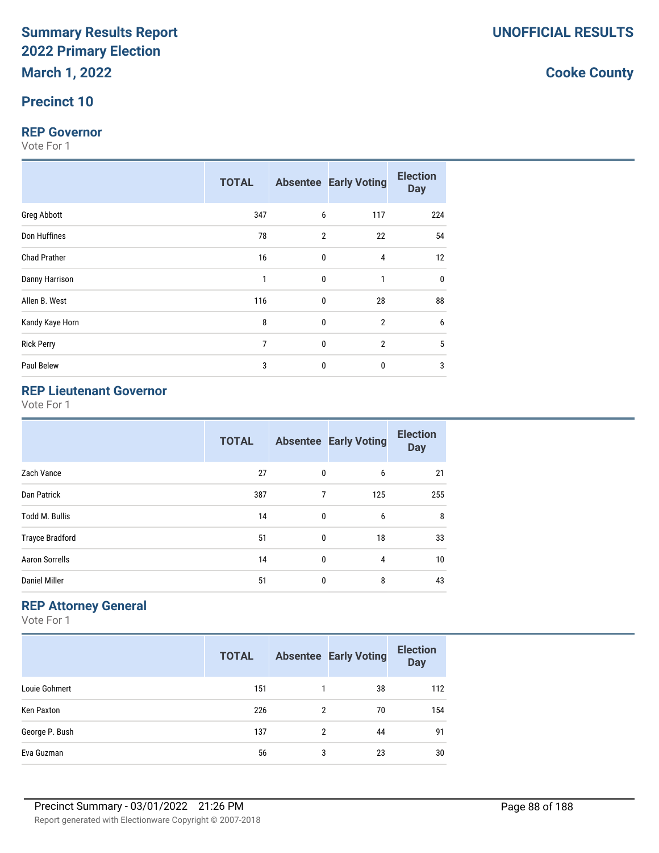# **Precinct 10**

### **REP Governor**

Vote For 1

|                     | <b>TOTAL</b>   |             | <b>Absentee Early Voting</b> | <b>Election</b><br><b>Day</b> |
|---------------------|----------------|-------------|------------------------------|-------------------------------|
| Greg Abbott         | 347            | 6           | 117                          | 224                           |
| Don Huffines        | 78             | 2           | 22                           | 54                            |
| <b>Chad Prather</b> | 16             | 0           | 4                            | 12                            |
| Danny Harrison      | 1              | $\mathbf 0$ | $\mathbf{1}$                 | $\mathbf 0$                   |
| Allen B. West       | 116            | $\mathbf 0$ | 28                           | 88                            |
| Kandy Kaye Horn     | 8              | 0           | $\overline{2}$               | 6                             |
| <b>Rick Perry</b>   | $\overline{7}$ | 0           | $\overline{2}$               | 5                             |
| Paul Belew          | 3              | $\mathbf 0$ | $\mathbf 0$                  | 3                             |

# **REP Lieutenant Governor**

Vote For 1

|                        | <b>TOTAL</b> |              | <b>Absentee Early Voting</b> | <b>Election</b><br><b>Day</b> |
|------------------------|--------------|--------------|------------------------------|-------------------------------|
| Zach Vance             | 27           | 0            | 6                            | 21                            |
| Dan Patrick            | 387          | 7            | 125                          | 255                           |
| <b>Todd M. Bullis</b>  | 14           | 0            | 6                            | 8                             |
| <b>Trayce Bradford</b> | 51           | $\mathbf{0}$ | 18                           | 33                            |
| <b>Aaron Sorrells</b>  | 14           | $\mathbf{0}$ | 4                            | 10                            |
| <b>Daniel Miller</b>   | 51           | 0            | 8                            | 43                            |

# **REP Attorney General**

Vote For 1

|                | <b>TOTAL</b> |   | <b>Absentee Early Voting</b> | <b>Election</b><br><b>Day</b> |
|----------------|--------------|---|------------------------------|-------------------------------|
| Louie Gohmert  | 151          |   | 38                           | 112                           |
| Ken Paxton     | 226          | 2 | 70                           | 154                           |
| George P. Bush | 137          | 2 | 44                           | 91                            |
| Eva Guzman     | 56           | 3 | 23                           | 30                            |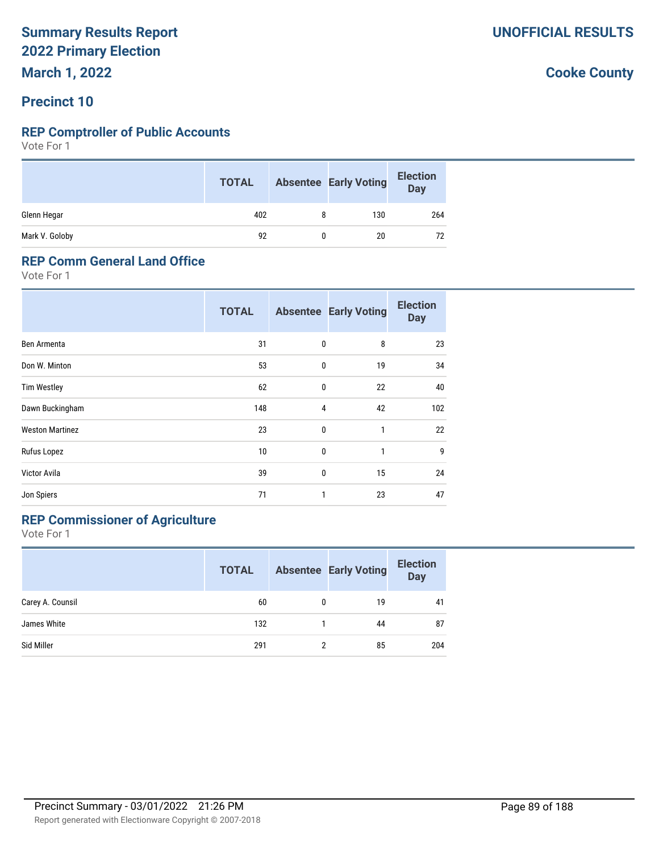**March 1, 2022**

# **Precinct 10**

### **REP Comptroller of Public Accounts**

Vote For 1

|                | <b>TOTAL</b> |   | <b>Absentee Early Voting</b> | <b>Election</b><br>Day |
|----------------|--------------|---|------------------------------|------------------------|
| Glenn Hegar    | 402          | 8 | 130                          | 264                    |
| Mark V. Goloby | 92           |   | 20                           | 72                     |

### **REP Comm General Land Office**

Vote For 1

|                        | <b>TOTAL</b> |   | <b>Absentee Early Voting</b> | <b>Election</b><br><b>Day</b> |
|------------------------|--------------|---|------------------------------|-------------------------------|
| Ben Armenta            | 31           | 0 | 8                            | 23                            |
| Don W. Minton          | 53           | 0 | 19                           | 34                            |
| <b>Tim Westley</b>     | 62           | 0 | 22                           | 40                            |
| Dawn Buckingham        | 148          | 4 | 42                           | 102                           |
| <b>Weston Martinez</b> | 23           | 0 | 1                            | 22                            |
| Rufus Lopez            | 10           | 0 | 1                            | 9                             |
| Victor Avila           | 39           | 0 | 15                           | 24                            |
| Jon Spiers             | 71           | 1 | 23                           | 47                            |

# **REP Commissioner of Agriculture**

Vote For 1

|                  | <b>TOTAL</b> | <b>Absentee Early Voting</b> | <b>Election</b><br><b>Day</b> |
|------------------|--------------|------------------------------|-------------------------------|
| Carey A. Counsil | 60           | 19                           | 41                            |
| James White      | 132          | 44                           | 87                            |
| Sid Miller       | 291          | 85                           | 204                           |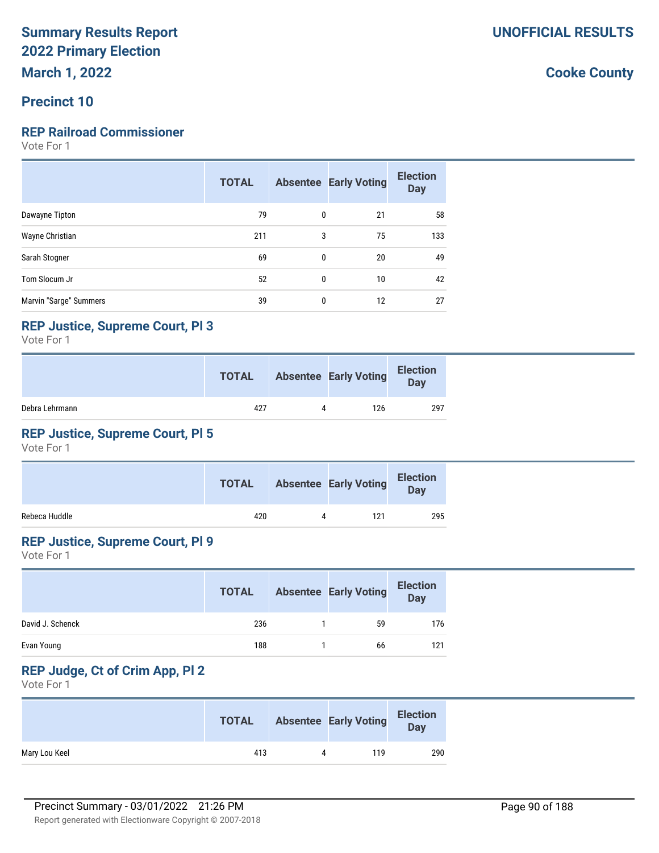# **Precinct 10**

# **REP Railroad Commissioner**

Vote For 1

|                        | <b>TOTAL</b> |              | <b>Absentee Early Voting</b> | <b>Election</b><br><b>Day</b> |
|------------------------|--------------|--------------|------------------------------|-------------------------------|
| Dawayne Tipton         | 79           | $\mathbf{0}$ | 21                           | 58                            |
| Wayne Christian        | 211          | 3            | 75                           | 133                           |
| Sarah Stogner          | 69           | 0            | 20                           | 49                            |
| Tom Slocum Jr          | 52           | 0            | 10                           | 42                            |
| Marvin "Sarge" Summers | 39           | 0            | 12                           | 27                            |

### **REP Justice, Supreme Court, Pl 3**

Vote For 1

|                | <b>TOTAL</b> |           | <b>Absentee Early Voting</b> | <b>Election</b><br><b>Day</b> |
|----------------|--------------|-----------|------------------------------|-------------------------------|
| Debra Lehrmann | 427          | $\Lambda$ | 126                          | 297                           |

# **REP Justice, Supreme Court, Pl 5**

Vote For 1

|               | <b>TOTAL</b> | <b>Absentee Early Voting</b> | <b>Election</b><br>Day |
|---------------|--------------|------------------------------|------------------------|
| Rebeca Huddle | 420          | 121                          | 295                    |

# **REP Justice, Supreme Court, Pl 9**

Vote For 1

|                  | <b>TOTAL</b> | <b>Absentee Early Voting</b> | <b>Election</b><br><b>Day</b> |
|------------------|--------------|------------------------------|-------------------------------|
| David J. Schenck | 236          | 59                           | 176                           |
| Evan Young       | 188          | 66                           | 121                           |

# **REP Judge, Ct of Crim App, Pl 2**

Vote For 1

|               | <b>TOTAL</b> |           | <b>Absentee Early Voting</b> | <b>Election</b><br>Day |
|---------------|--------------|-----------|------------------------------|------------------------|
| Mary Lou Keel | 413          | $\Lambda$ | 119                          | 290                    |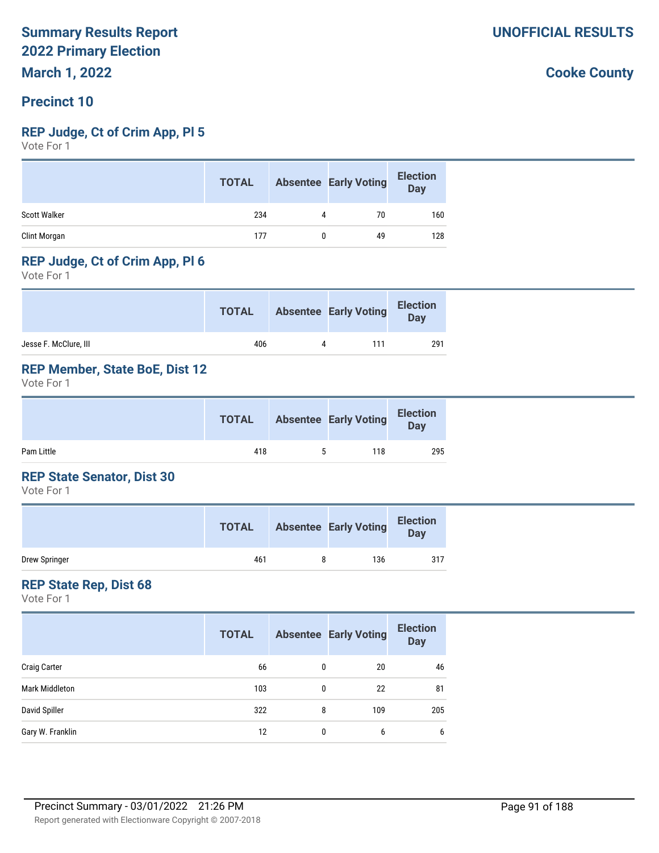# **Precinct 10**

### **REP Judge, Ct of Crim App, Pl 5**

Vote For 1

|                     | <b>TOTAL</b> |   | <b>Absentee Early Voting</b> | <b>Election</b><br><b>Day</b> |
|---------------------|--------------|---|------------------------------|-------------------------------|
| <b>Scott Walker</b> | 234          | 4 | 70                           | 160                           |
| Clint Morgan        | 177          |   | 49                           | 128                           |

### **REP Judge, Ct of Crim App, Pl 6**

Vote For 1

|                       | <b>TOTAL</b> |           | <b>Absentee Early Voting</b> | <b>Election</b><br>Day |
|-----------------------|--------------|-----------|------------------------------|------------------------|
| Jesse F. McClure, III | 406          | $\Lambda$ | 111                          | 291                    |

## **REP Member, State BoE, Dist 12**

Vote For 1

|            | <b>TOTAL</b> |   | <b>Absentee Early Voting</b> | <b>Election</b><br>Day |  |
|------------|--------------|---|------------------------------|------------------------|--|
| Pam Little | 418          | 5 | 118                          | 295                    |  |

### **REP State Senator, Dist 30**

Vote For 1

|               | <b>TOTAL</b> | <b>Absentee Early Voting</b> | <b>Election</b><br><b>Day</b> |
|---------------|--------------|------------------------------|-------------------------------|
| Drew Springer | 461          | 136                          | 317                           |

### **REP State Rep, Dist 68**

Vote For 1

|                     | <b>TOTAL</b> |   | <b>Absentee Early Voting</b> | <b>Election</b><br><b>Day</b> |
|---------------------|--------------|---|------------------------------|-------------------------------|
| <b>Craig Carter</b> | 66           | 0 | 20                           | 46                            |
| Mark Middleton      | 103          | 0 | 22                           | 81                            |
| David Spiller       | 322          | 8 | 109                          | 205                           |
| Gary W. Franklin    | 12           | 0 | 6                            | 6                             |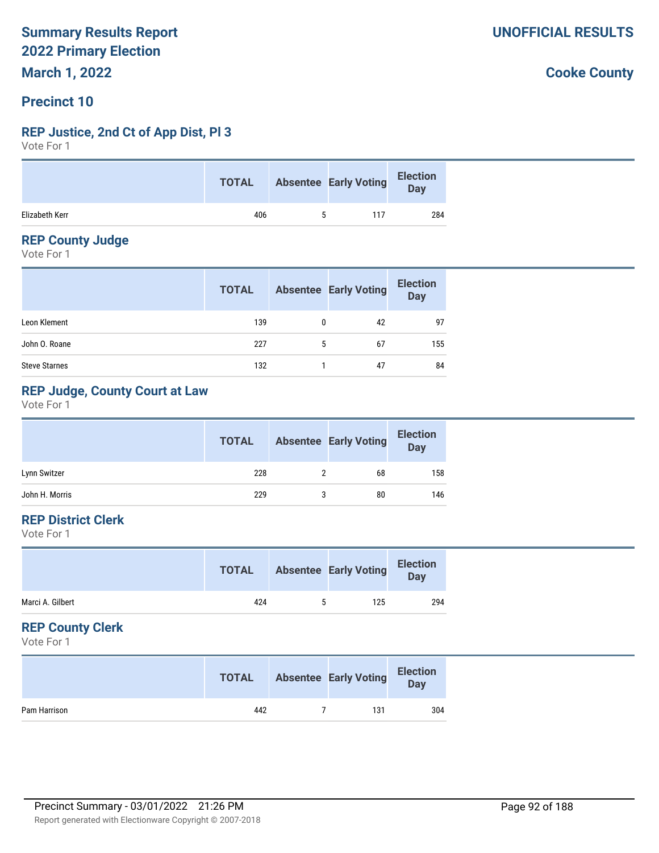# **Precinct 10**

### **REP Justice, 2nd Ct of App Dist, Pl 3**

Vote For 1

|                |     | <b>TOTAL</b> Absentee Early Voting | Election<br>Day |
|----------------|-----|------------------------------------|-----------------|
| Elizabeth Kerr | 406 | 117                                | 284             |

### **REP County Judge**

Vote For 1

|                      | <b>TOTAL</b> |   | <b>Absentee Early Voting</b> | <b>Election</b><br>Day |
|----------------------|--------------|---|------------------------------|------------------------|
| Leon Klement         | 139          | 0 | 42                           | 97                     |
| John O. Roane        | 227          | 5 | 67                           | 155                    |
| <b>Steve Starnes</b> | 132          |   | 47                           | 84                     |

# **REP Judge, County Court at Law**

Vote For 1

|                | <b>TOTAL</b> | <b>Absentee Early Voting</b> | <b>Election</b><br><b>Day</b> |
|----------------|--------------|------------------------------|-------------------------------|
| Lynn Switzer   | 228          | 68                           | 158                           |
| John H. Morris | 229          | 80                           | 146                           |

# **REP District Clerk**

Vote For 1

| Marci A. Gilbert<br>424<br>125<br>5 | <b>TOTAL</b> | <b>Absentee Early Voting</b> | <b>Election</b><br>Day |
|-------------------------------------|--------------|------------------------------|------------------------|
|                                     |              |                              | 294                    |

### **REP County Clerk**

Vote For 1

|              | <b>TOTAL</b> | <b>Absentee Early Voting</b> | <b>Election</b><br>Day |
|--------------|--------------|------------------------------|------------------------|
| Pam Harrison | 442          | 131                          | 304                    |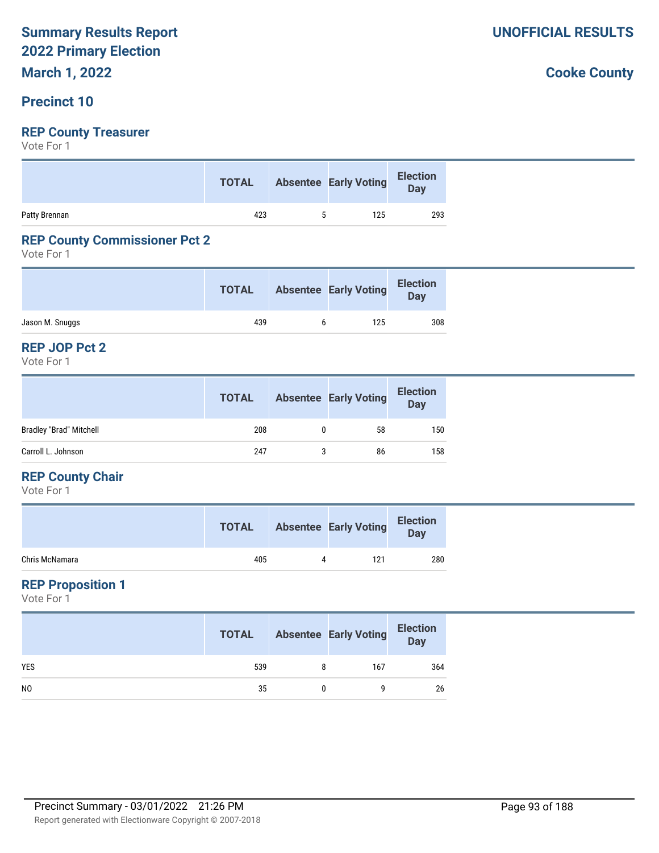# **March 1, 2022**

### **Precinct 10**

# **REP County Treasurer**

Vote For 1

|               | <b>TOTAL</b> | <b>Absentee Early Voting</b> | Election<br>Day |
|---------------|--------------|------------------------------|-----------------|
| Patty Brennan | 423          | 125                          | 293             |

# **REP County Commissioner Pct 2**

Vote For 1

|                 | <b>TOTAL</b> | <b>Absentee Early Voting</b> | <b>Election</b><br>Day |
|-----------------|--------------|------------------------------|------------------------|
| Jason M. Snuggs | 439          | 125                          | 308                    |

#### **REP JOP Pct 2**

Vote For 1

|                                | <b>TOTAL</b> | <b>Absentee Early Voting</b> | <b>Election</b><br><b>Day</b> |
|--------------------------------|--------------|------------------------------|-------------------------------|
| <b>Bradley "Brad" Mitchell</b> | 208          | 58                           | 150                           |
| Carroll L. Johnson             | 247          | 86                           | 158                           |

### **REP County Chair**

Vote For 1

|                | <b>TOTAL</b> | <b>Absentee Early Voting</b> | <b>Election</b><br>Day |
|----------------|--------------|------------------------------|------------------------|
| Chris McNamara | 405          | 121                          | 280                    |

## **REP Proposition 1**

Vote For 1

|                | <b>TOTAL</b> | <b>Absentee Early Voting</b> | <b>Election</b><br><b>Day</b> |
|----------------|--------------|------------------------------|-------------------------------|
| <b>YES</b>     | 539          | 167                          | 364                           |
| N <sub>0</sub> | 35           |                              | 26                            |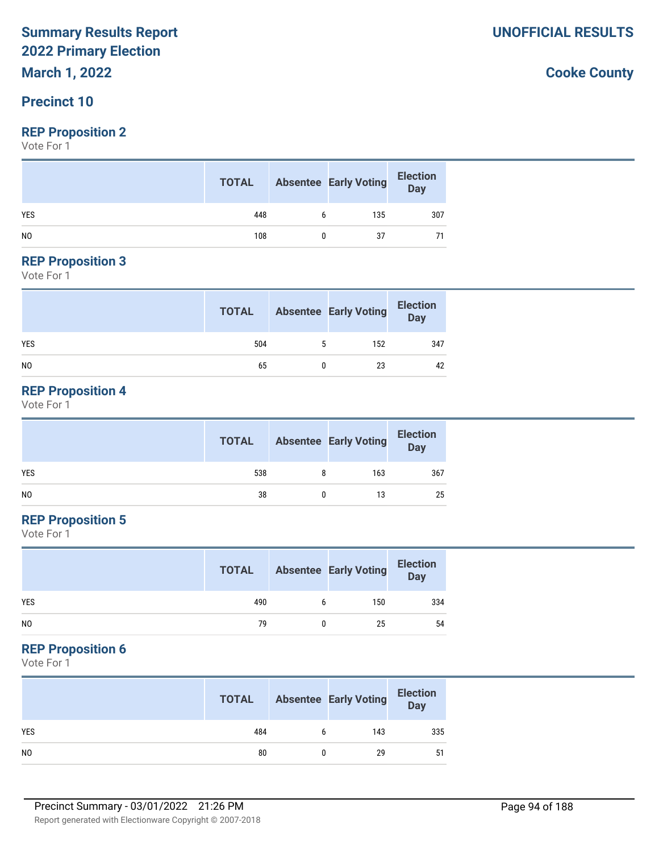# **March 1, 2022**

# **Precinct 10**

### **REP Proposition 2**

Vote For 1

|                | <b>TOTAL</b> |   | <b>Absentee Early Voting</b> | <b>Election</b><br>Day |
|----------------|--------------|---|------------------------------|------------------------|
| <b>YES</b>     | 448          | 6 | 135                          | 307                    |
| N <sub>0</sub> | 108          |   | 37                           |                        |

#### **REP Proposition 3**

Vote For 1

|                | <b>TOTAL</b> |   | <b>Absentee Early Voting</b> | <b>Election</b><br>Day |
|----------------|--------------|---|------------------------------|------------------------|
| <b>YES</b>     | 504          | 5 | 152                          | 347                    |
| N <sub>0</sub> | 65           |   | 23                           | 42                     |

# **REP Proposition 4**

Vote For 1

|     | <b>TOTAL</b> |   | <b>Absentee Early Voting</b> | <b>Election</b><br>Day |
|-----|--------------|---|------------------------------|------------------------|
| YES | 538          | 8 | 163                          | 367                    |
| NO  | 38           |   | 13                           | 25                     |

# **REP Proposition 5**

Vote For 1

|                | <b>TOTAL</b> |   | <b>Absentee Early Voting</b> | <b>Election</b><br><b>Day</b> |
|----------------|--------------|---|------------------------------|-------------------------------|
| <b>YES</b>     | 490          | b | 150                          | 334                           |
| N <sub>0</sub> | 79           |   | 25                           | 54                            |

### **REP Proposition 6**

Vote For 1

|                | <b>TOTAL</b> |   | <b>Absentee Early Voting</b> | <b>Election</b><br>Day |
|----------------|--------------|---|------------------------------|------------------------|
| <b>YES</b>     | 484          | 6 | 143                          | 335                    |
| N <sub>0</sub> | 80           |   | 29                           | 51                     |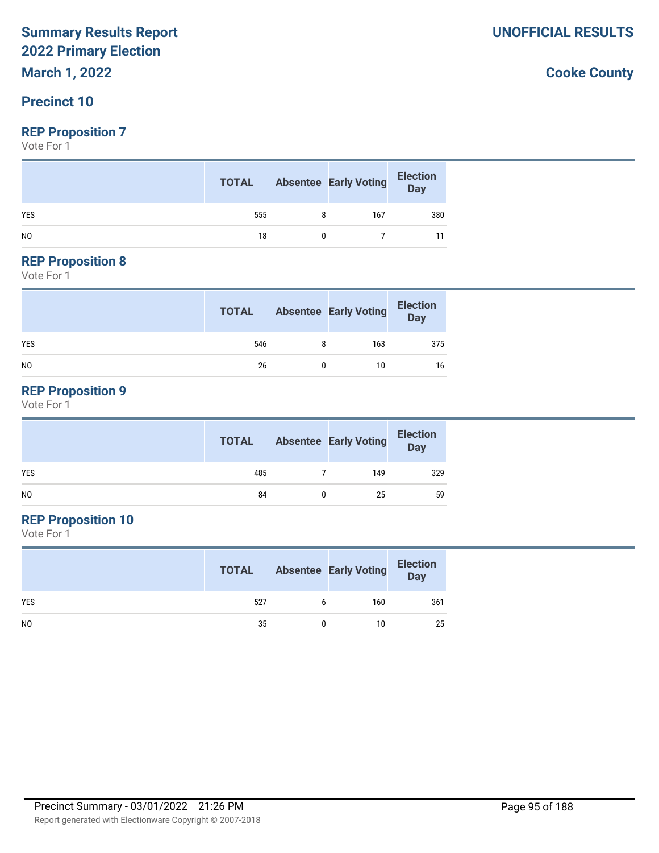# **March 1, 2022**

# **Precinct 10**

### **REP Proposition 7**

Vote For 1

|                | <b>TOTAL</b> | <b>Absentee Early Voting</b> | <b>Election</b><br>Day |
|----------------|--------------|------------------------------|------------------------|
| <b>YES</b>     | 555          | 167                          | 380                    |
| N <sub>0</sub> | 18           |                              |                        |

#### **REP Proposition 8**

Vote For 1

|                | <b>TOTAL</b> | <b>Absentee Early Voting</b> | <b>Election</b><br>Day |
|----------------|--------------|------------------------------|------------------------|
| <b>YES</b>     | 546          | 163                          | 375                    |
| N <sub>0</sub> | 26           | 10                           | 16                     |

# **REP Proposition 9**

Vote For 1

|                | <b>TOTAL</b> | <b>Absentee Early Voting</b> | <b>Election</b><br>Day |
|----------------|--------------|------------------------------|------------------------|
| <b>YES</b>     | 485          | 149                          | 329                    |
| N <sub>O</sub> | 84           | 25                           | 59                     |

# **REP Proposition 10**

Vote For 1

|                | <b>TOTAL</b> |   | <b>Absentee Early Voting</b> | <b>Election</b><br>Day |
|----------------|--------------|---|------------------------------|------------------------|
| <b>YES</b>     | 527          | b | 160                          | 361                    |
| N <sub>0</sub> | 35           |   | 10                           | 25                     |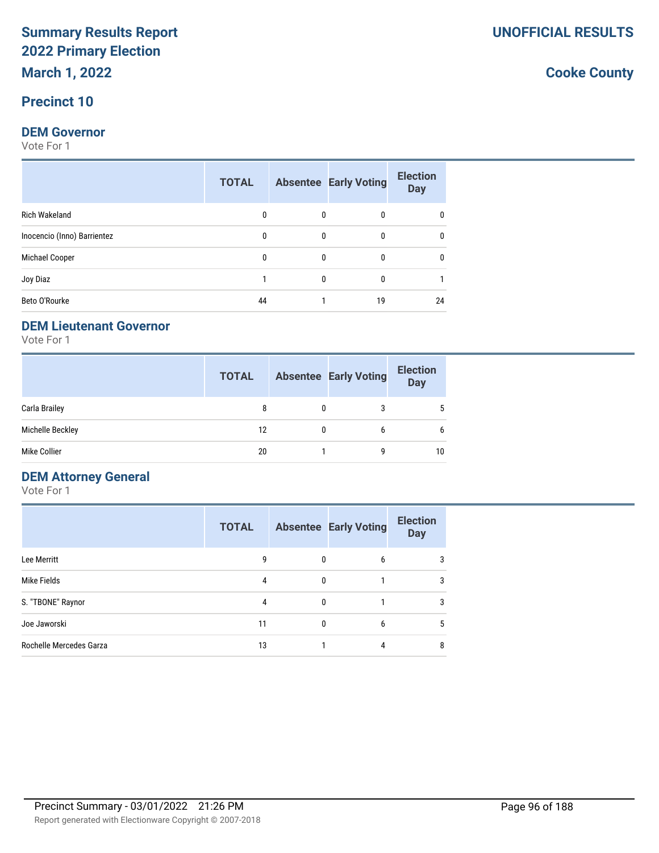# **Precinct 10**

#### **DEM Governor**

Vote For 1

|                             | <b>TOTAL</b> |              | <b>Absentee Early Voting</b> | <b>Election</b><br><b>Day</b> |
|-----------------------------|--------------|--------------|------------------------------|-------------------------------|
| <b>Rich Wakeland</b>        | 0            | $\mathbf{0}$ | 0                            |                               |
| Inocencio (Inno) Barrientez | 0            | $\mathbf{0}$ | 0                            |                               |
| Michael Cooper              | 0            | 0            | 0                            |                               |
| Joy Diaz                    |              | 0            | 0                            |                               |
| Beto O'Rourke               | 44           |              | 19                           | 24                            |

### **DEM Lieutenant Governor**

Vote For 1

|                  | <b>TOTAL</b> |   | <b>Absentee Early Voting</b> | <b>Election</b><br><b>Day</b> |
|------------------|--------------|---|------------------------------|-------------------------------|
| Carla Brailey    | 8            |   | 3                            | 5                             |
| Michelle Beckley | 12           | 0 | 6                            | 6                             |
| Mike Collier     | 20           |   | q                            | 10                            |

# **DEM Attorney General**

Vote For 1

|                         | <b>TOTAL</b> |   | <b>Absentee Early Voting</b> | <b>Election</b><br><b>Day</b> |
|-------------------------|--------------|---|------------------------------|-------------------------------|
| Lee Merritt             | 9            | 0 | 6                            | 3                             |
| Mike Fields             | 4            | 0 |                              | 3                             |
| S. "TBONE" Raynor       | 4            | 0 |                              | 3                             |
| Joe Jaworski            | 11           | 0 | 6                            | 5                             |
| Rochelle Mercedes Garza | 13           |   | 4                            | 8                             |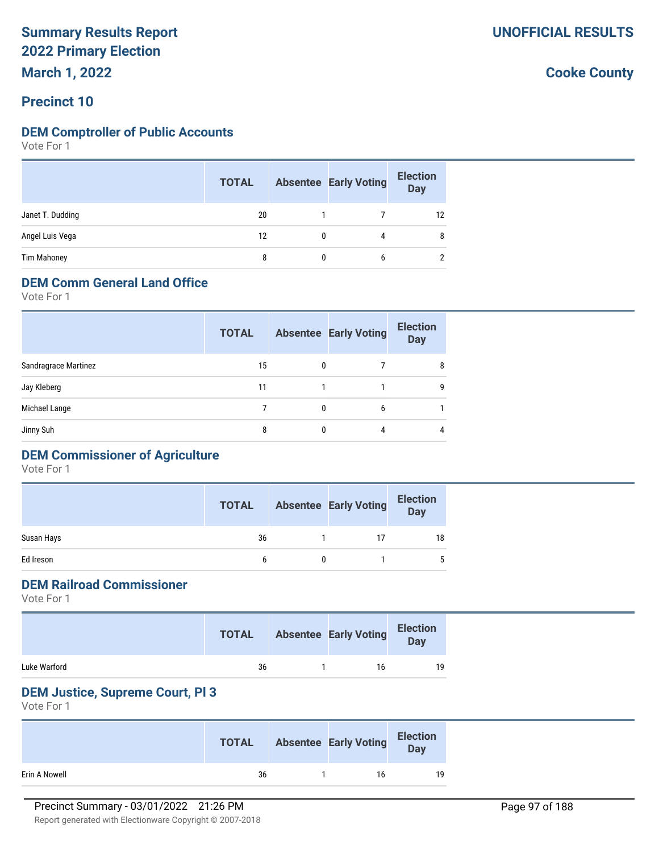**March 1, 2022**

# **Precinct 10**

### **DEM Comptroller of Public Accounts**

Vote For 1

|                    | <b>TOTAL</b> | <b>Absentee Early Voting</b> | <b>Election</b><br><b>Day</b> |
|--------------------|--------------|------------------------------|-------------------------------|
| Janet T. Dudding   | 20           |                              | 12                            |
| Angel Luis Vega    | 12           | 4                            | 8                             |
| <b>Tim Mahoney</b> | 8            | 6                            | 2                             |

# **DEM Comm General Land Office**

Vote For 1

|                      | <b>TOTAL</b> |              | <b>Absentee Early Voting</b> | <b>Election</b><br><b>Day</b> |
|----------------------|--------------|--------------|------------------------------|-------------------------------|
| Sandragrace Martinez | 15           | $\mathbf{0}$ |                              | 8                             |
| Jay Kleberg          | 11           |              |                              | 9                             |
| Michael Lange        |              | 0            | 6                            |                               |
| Jinny Suh            | 8            |              | 4                            | 4                             |
|                      |              |              |                              |                               |

# **DEM Commissioner of Agriculture**

Vote For 1

|            | <b>TOTAL</b> | <b>Absentee Early Voting</b> | <b>Election</b><br><b>Day</b> |
|------------|--------------|------------------------------|-------------------------------|
| Susan Hays | 36           | 17                           | 18                            |
| Ed Ireson  | h            |                              | 5                             |

# **DEM Railroad Commissioner**

Vote For 1

|              | <b>TOTAL</b> | <b>Absentee Early Voting</b> | <b>Election</b><br>Day |
|--------------|--------------|------------------------------|------------------------|
| Luke Warford | 36           | 16                           | 19                     |

### **DEM Justice, Supreme Court, Pl 3**

Vote For 1

|               | <b>TOTAL</b> | <b>Absentee Early Voting</b> | <b>Election</b><br>Day |
|---------------|--------------|------------------------------|------------------------|
| Erin A Nowell | 36           | 16                           | 19                     |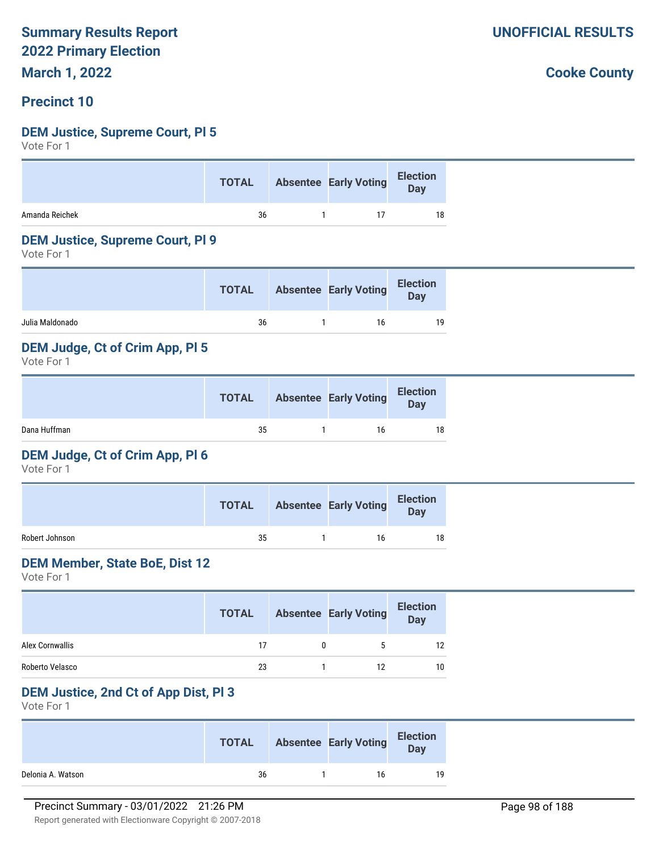**March 1, 2022**

# **Precinct 10**

### **DEM Justice, Supreme Court, Pl 5**

Vote For 1

| Absentee Early Voting Election<br><b>TOTAL</b> |
|------------------------------------------------|
| Amanda Reichek<br>36<br>18                     |

#### **DEM Justice, Supreme Court, Pl 9**

Vote For 1

|                 | <b>TOTAL</b> | <b>Absentee Early Voting</b> | <b>Election</b><br>Day |
|-----------------|--------------|------------------------------|------------------------|
| Julia Maldonado | 36           | 16                           | 19                     |

### **DEM Judge, Ct of Crim App, Pl 5**

Vote For 1

|              | <b>TOTAL</b> | <b>Absentee Early Voting</b> | <b>Election</b><br>Day |
|--------------|--------------|------------------------------|------------------------|
| Dana Huffman | 35           | 16                           | 18                     |

#### **DEM Judge, Ct of Crim App, Pl 6**

Vote For 1

|                | <b>TOTAL</b> | <b>Absentee Early Voting</b> | <b>Election</b><br>Day |
|----------------|--------------|------------------------------|------------------------|
| Robert Johnson | 35           | 16                           | 18                     |

#### **DEM Member, State BoE, Dist 12**

Vote For 1

|                 | <b>TOTAL</b> | <b>Absentee Early Voting</b> | <b>Election</b><br><b>Day</b> |
|-----------------|--------------|------------------------------|-------------------------------|
| Alex Cornwallis | 17           | 5                            | 12                            |
| Roberto Velasco | 23           | 12                           | 10                            |

### **DEM Justice, 2nd Ct of App Dist, Pl 3**

Vote For 1

|                   | <b>TOTAL</b> | <b>Absentee Early Voting</b> | <b>Election</b><br>Day |
|-------------------|--------------|------------------------------|------------------------|
| Delonia A. Watson | 36           | 16                           | 19                     |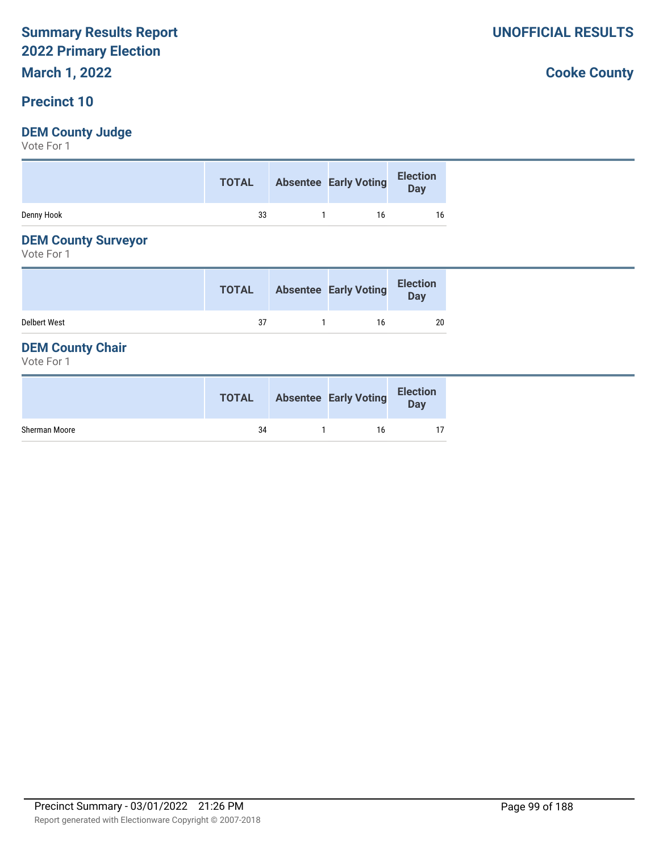# **March 1, 2022**

# **Precinct 10**

# **DEM County Judge**

Vote For 1

|            | <b>TOTAL</b> | Absentee Early Voting Election |    |
|------------|--------------|--------------------------------|----|
| Denny Hook | 33           | 16                             | 16 |

# **DEM County Surveyor**

Vote For 1

|                     | <b>TOTAL</b> | <b>Absentee Early Voting</b> | <b>Election</b><br>Day |
|---------------------|--------------|------------------------------|------------------------|
| <b>Delbert West</b> | 37           | 16                           | 20                     |

# **DEM County Chair**

Vote For 1

|               | <b>TOTAL</b> | <b>Absentee Early Voting</b> | <b>Election</b><br>Day |
|---------------|--------------|------------------------------|------------------------|
| Sherman Moore | 34           | 16                           |                        |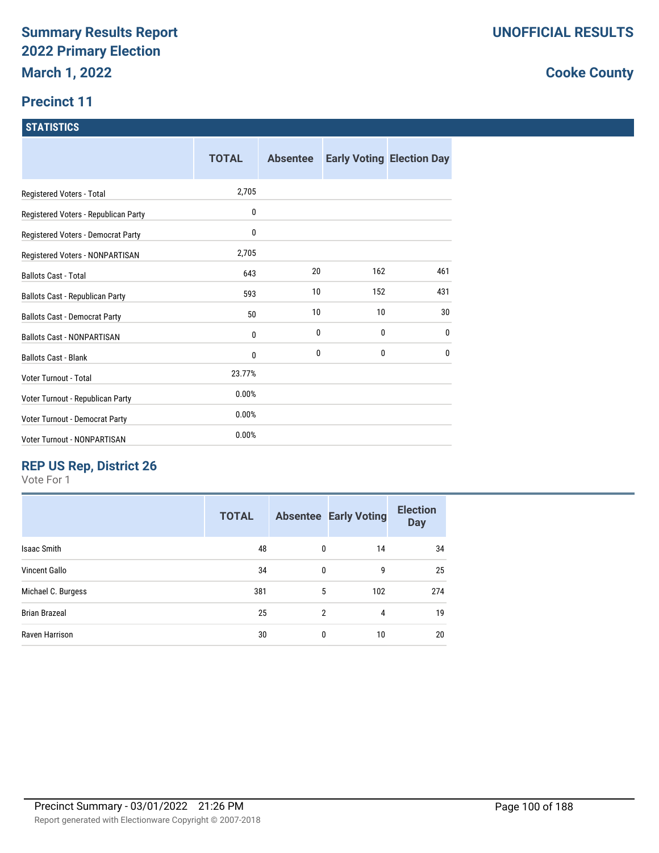# **Precinct 11**

### **STATISTICS**

|                                      | <b>TOTAL</b> | <b>Absentee</b> |     | <b>Early Voting Election Day</b> |
|--------------------------------------|--------------|-----------------|-----|----------------------------------|
| Registered Voters - Total            | 2,705        |                 |     |                                  |
| Registered Voters - Republican Party | 0            |                 |     |                                  |
| Registered Voters - Democrat Party   | 0            |                 |     |                                  |
| Registered Voters - NONPARTISAN      | 2,705        |                 |     |                                  |
| <b>Ballots Cast - Total</b>          | 643          | 20              | 162 | 461                              |
| Ballots Cast - Republican Party      | 593          | 10              | 152 | 431                              |
| <b>Ballots Cast - Democrat Party</b> | 50           | 10              | 10  | 30                               |
| <b>Ballots Cast - NONPARTISAN</b>    | 0            | 0               | 0   | 0                                |
| <b>Ballots Cast - Blank</b>          | 0            | 0               | 0   | 0                                |
| Voter Turnout - Total                | 23.77%       |                 |     |                                  |
| Voter Turnout - Republican Party     | 0.00%        |                 |     |                                  |
| Voter Turnout - Democrat Party       | 0.00%        |                 |     |                                  |
| Voter Turnout - NONPARTISAN          | 0.00%        |                 |     |                                  |

# **REP US Rep, District 26**

Vote For 1

| <b>TOTAL</b> |             |     | <b>Election</b><br><b>Day</b>                  |
|--------------|-------------|-----|------------------------------------------------|
| 48           | 0           | 14  | 34                                             |
| 34           | $\mathbf 0$ | 9   | 25                                             |
| 381          | 5           | 102 | 274                                            |
| 25           |             | 4   | 19                                             |
| 30           | 0           | 10  | 20                                             |
|              |             |     | <b>Absentee Early Voting</b><br>$\overline{2}$ |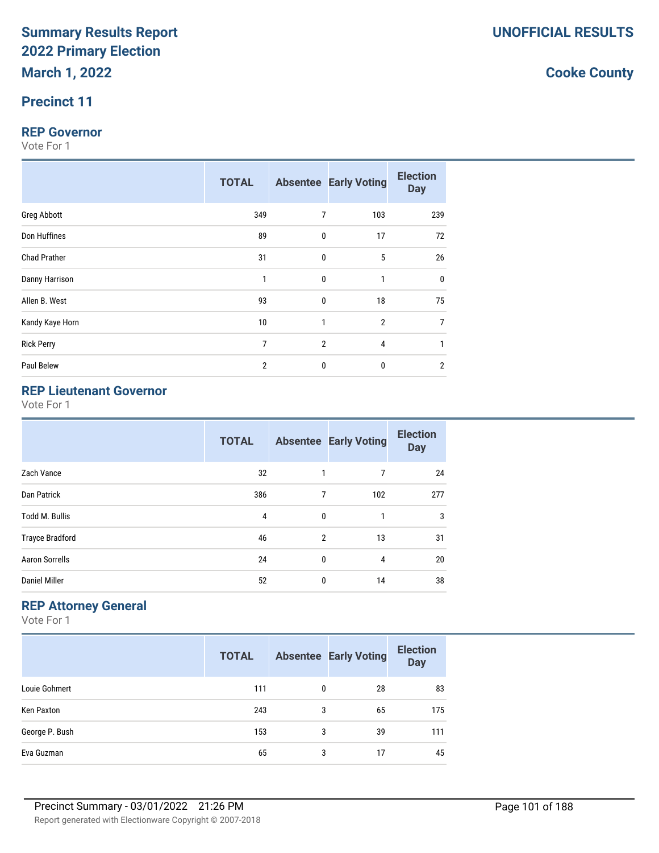# **Precinct 11**

#### **REP Governor**

Vote For 1

|                     | <b>TOTAL</b>   |                | <b>Absentee Early Voting</b> | <b>Election</b><br><b>Day</b> |
|---------------------|----------------|----------------|------------------------------|-------------------------------|
| Greg Abbott         | 349            | $\overline{7}$ | 103                          | 239                           |
| Don Huffines        | 89             | $\pmb{0}$      | 17                           | 72                            |
| <b>Chad Prather</b> | 31             | $\mathbf 0$    | 5                            | 26                            |
| Danny Harrison      | $\mathbf{1}$   | $\mathbf 0$    | 1                            | $\mathbf 0$                   |
| Allen B. West       | 93             | $\mathbf 0$    | 18                           | 75                            |
| Kandy Kaye Horn     | 10             | $\mathbf{1}$   | $\overline{2}$               | 7                             |
| <b>Rick Perry</b>   | $\overline{7}$ | $\overline{2}$ | 4                            |                               |
| Paul Belew          | $\overline{2}$ | 0              | $\bf{0}$                     | $\overline{2}$                |

# **REP Lieutenant Governor**

Vote For 1

|                        | <b>TOTAL</b> |                | <b>Absentee Early Voting</b> | <b>Election</b><br><b>Day</b> |
|------------------------|--------------|----------------|------------------------------|-------------------------------|
| Zach Vance             | 32           | 1              | 7                            | 24                            |
| Dan Patrick            | 386          | 7              | 102                          | 277                           |
| <b>Todd M. Bullis</b>  | 4            | $\mathbf{0}$   |                              | 3                             |
| <b>Trayce Bradford</b> | 46           | $\overline{2}$ | 13                           | 31                            |
| <b>Aaron Sorrells</b>  | 24           | $\mathbf{0}$   | 4                            | 20                            |
| <b>Daniel Miller</b>   | 52           | 0              | 14                           | 38                            |

# **REP Attorney General**

Vote For 1

|                | <b>TOTAL</b> |   | <b>Absentee Early Voting</b> | <b>Election</b><br><b>Day</b> |
|----------------|--------------|---|------------------------------|-------------------------------|
| Louie Gohmert  | 111          | 0 | 28                           | 83                            |
| Ken Paxton     | 243          | 3 | 65                           | 175                           |
| George P. Bush | 153          | 3 | 39                           | 111                           |
| Eva Guzman     | 65           | 3 | 17                           | 45                            |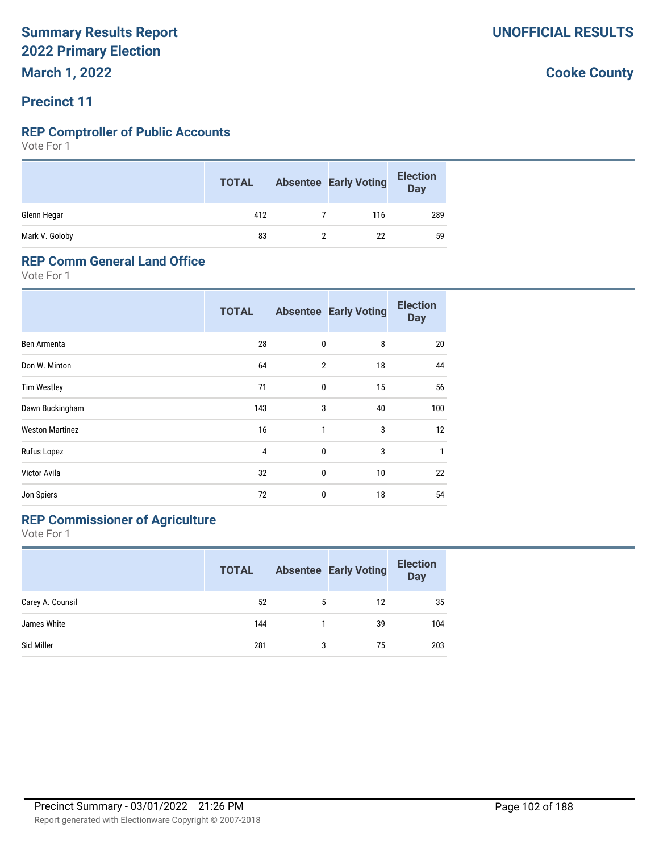# **Precinct 11**

### **REP Comptroller of Public Accounts**

Vote For 1

|                | <b>TOTAL</b> | <b>Absentee Early Voting</b> | <b>Election</b><br>Day |
|----------------|--------------|------------------------------|------------------------|
| Glenn Hegar    | 412          | 116                          | 289                    |
| Mark V. Goloby | 83           | 22                           | 59                     |

### **REP Comm General Land Office**

Vote For 1

|                        | <b>TOTAL</b>   |                | <b>Absentee Early Voting</b> | <b>Election</b><br><b>Day</b> |
|------------------------|----------------|----------------|------------------------------|-------------------------------|
| Ben Armenta            | 28             | 0              | 8                            | 20                            |
| Don W. Minton          | 64             | $\overline{2}$ | 18                           | 44                            |
| <b>Tim Westley</b>     | 71             | $\mathbf{0}$   | 15                           | 56                            |
| Dawn Buckingham        | 143            | 3              | 40                           | 100                           |
| <b>Weston Martinez</b> | 16             | 1              | 3                            | 12                            |
| Rufus Lopez            | $\overline{4}$ | 0              | 3                            | $\mathbf{1}$                  |
| Victor Avila           | 32             | 0              | 10                           | 22                            |
| Jon Spiers             | 72             | 0              | 18                           | 54                            |

# **REP Commissioner of Agriculture**

Vote For 1

|                  | <b>TOTAL</b> |   | <b>Absentee Early Voting</b> | <b>Election</b><br><b>Day</b> |
|------------------|--------------|---|------------------------------|-------------------------------|
| Carey A. Counsil | 52           | 5 | 12                           | 35                            |
| James White      | 144          |   | 39                           | 104                           |
| Sid Miller       | 281          | 3 | 75                           | 203                           |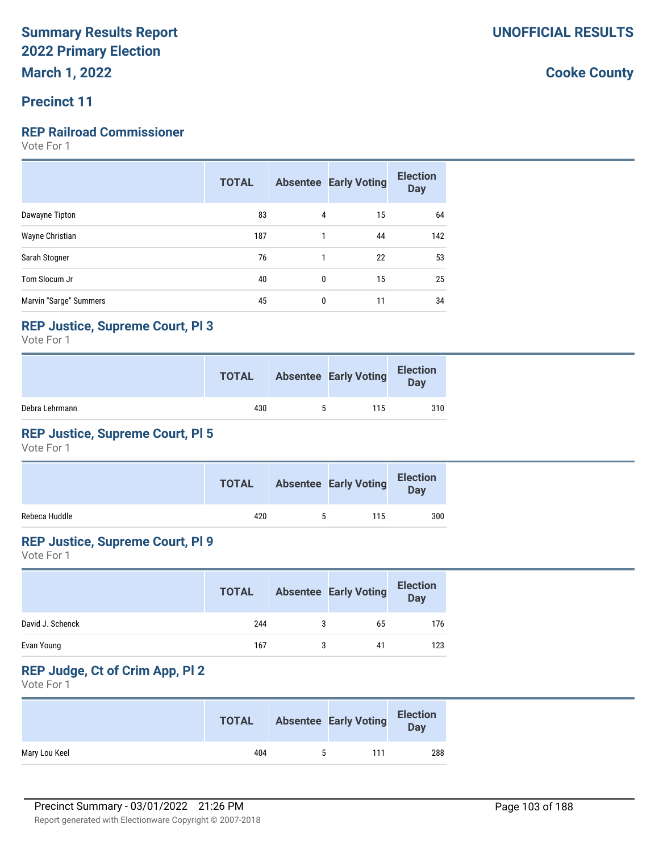# **Precinct 11**

# **REP Railroad Commissioner**

Vote For 1

|                        | <b>TOTAL</b> |              | <b>Absentee Early Voting</b> | <b>Election</b><br><b>Day</b> |
|------------------------|--------------|--------------|------------------------------|-------------------------------|
| Dawayne Tipton         | 83           | 4            | 15                           | 64                            |
| Wayne Christian        | 187          | 1            | 44                           | 142                           |
| Sarah Stogner          | 76           | $\mathbf{1}$ | 22                           | 53                            |
| Tom Slocum Jr          | 40           | 0            | 15                           | 25                            |
| Marvin "Sarge" Summers | 45           | 0            | 11                           | 34                            |

### **REP Justice, Supreme Court, Pl 3**

Vote For 1

|                | <b>TOTAL</b> | <b>Absentee Early Voting</b> | <b>Election</b><br>Day |
|----------------|--------------|------------------------------|------------------------|
| Debra Lehrmann | 430          | 115                          | 310                    |

# **REP Justice, Supreme Court, Pl 5**

Vote For 1

|               | <b>TOTAL</b> |   | <b>Absentee Early Voting</b> | <b>Election</b><br><b>Day</b> |
|---------------|--------------|---|------------------------------|-------------------------------|
| Rebeca Huddle | 420          | 5 | 115                          | 300                           |

# **REP Justice, Supreme Court, Pl 9**

Vote For 1

|                  | <b>TOTAL</b> | <b>Absentee Early Voting</b> | <b>Election</b><br><b>Day</b> |
|------------------|--------------|------------------------------|-------------------------------|
| David J. Schenck | 244          | 65                           | 176                           |
| Evan Young       | 167          | 41                           | 123                           |

# **REP Judge, Ct of Crim App, Pl 2**

Vote For 1

|               | <b>TOTAL</b> |    | <b>Absentee Early Voting</b> | <b>Election</b><br>Day |
|---------------|--------------|----|------------------------------|------------------------|
| Mary Lou Keel | 404          | ь. | 111                          | 288                    |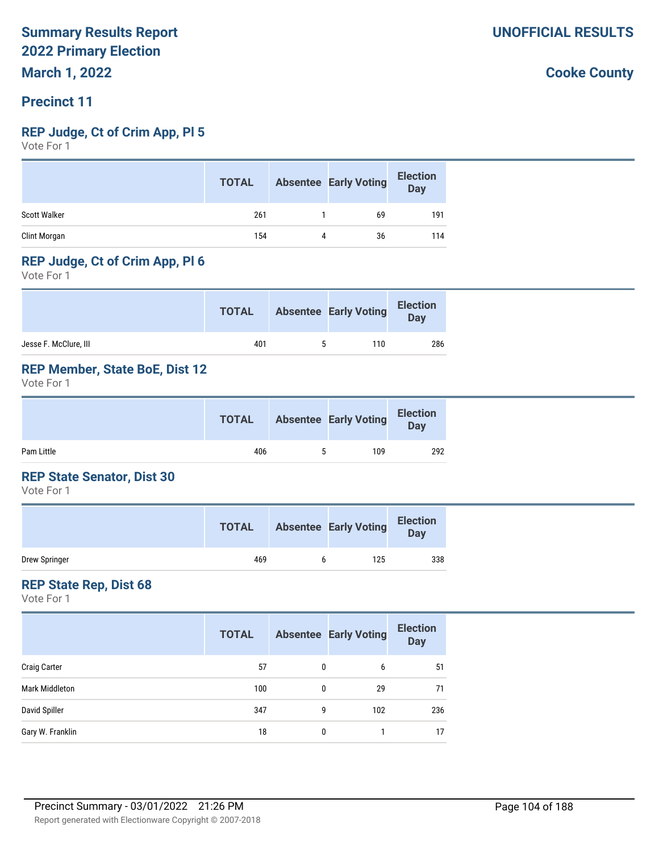### **Precinct 11**

### **REP Judge, Ct of Crim App, Pl 5**

Vote For 1

|                     | <b>TOTAL</b> |   | <b>Absentee Early Voting</b> | <b>Election</b><br><b>Day</b> |
|---------------------|--------------|---|------------------------------|-------------------------------|
| <b>Scott Walker</b> | 261          |   | 69                           | 191                           |
| Clint Morgan        | 154          | 4 | 36                           | 114                           |

### **REP Judge, Ct of Crim App, Pl 6**

Vote For 1

|                       | <b>TOTAL</b> |   | <b>Absentee Early Voting</b> | <b>Election</b><br>Day |
|-----------------------|--------------|---|------------------------------|------------------------|
| Jesse F. McClure, III | 401          | ь | 110                          | 286                    |

## **REP Member, State BoE, Dist 12**

Vote For 1

|            | <b>TOTAL</b> |    | <b>Absentee Early Voting</b> | <b>Election</b><br><b>Day</b> |  |
|------------|--------------|----|------------------------------|-------------------------------|--|
| Pam Little | 406          | ь. | 109                          | 292                           |  |

### **REP State Senator, Dist 30**

Vote For 1

|               | <b>TOTAL</b> | <b>Absentee Early Voting</b> | <b>Election</b><br>Day |
|---------------|--------------|------------------------------|------------------------|
| Drew Springer | 469          | 125                          | 338                    |

### **REP State Rep, Dist 68**

Vote For 1

|                     | <b>TOTAL</b> |              | <b>Absentee Early Voting</b> | <b>Election</b><br><b>Day</b> |
|---------------------|--------------|--------------|------------------------------|-------------------------------|
| <b>Craig Carter</b> | 57           | 0            | 6                            | 51                            |
| Mark Middleton      | 100          | 0            | 29                           | 71                            |
| David Spiller       | 347          | 9            | 102                          | 236                           |
| Gary W. Franklin    | 18           | $\mathbf{0}$ |                              | 17                            |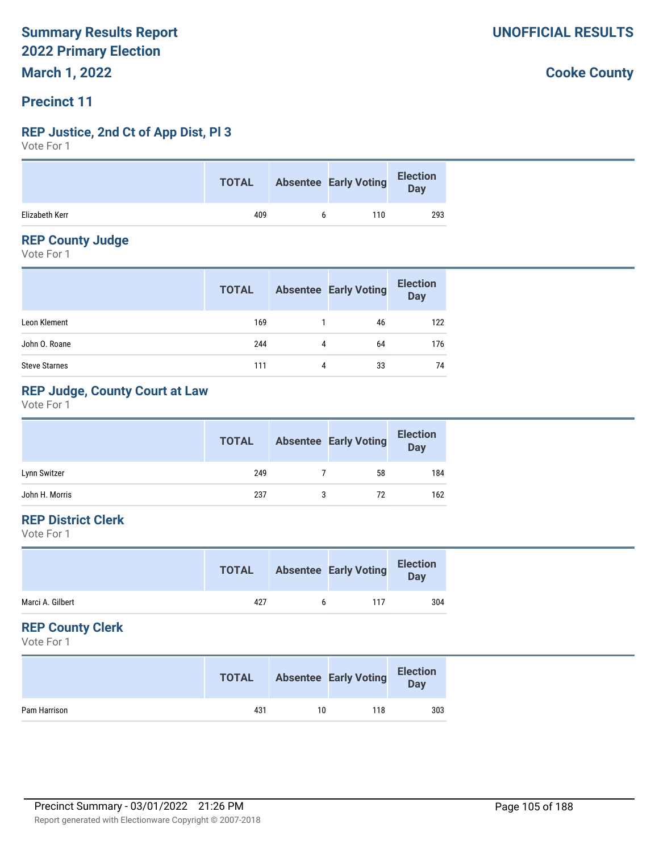# **Precinct 11**

### **REP Justice, 2nd Ct of App Dist, Pl 3**

Vote For 1

|                | <b>TOTAL</b> | <b>Absentee Early Voting</b> | Election<br>Day |
|----------------|--------------|------------------------------|-----------------|
| Elizabeth Kerr | 409          | 110                          | 293             |

### **REP County Judge**

Vote For 1

|                      | <b>TOTAL</b> |   | <b>Absentee Early Voting</b> | <b>Election</b><br>Day |
|----------------------|--------------|---|------------------------------|------------------------|
| Leon Klement         | 169          |   | 46                           | 122                    |
| John O. Roane        | 244          | 4 | 64                           | 176                    |
| <b>Steve Starnes</b> | 111          | 4 | 33                           | 74                     |

# **REP Judge, County Court at Law**

Vote For 1

|                | <b>TOTAL</b> | <b>Absentee Early Voting</b> | <b>Election</b><br><b>Day</b> |
|----------------|--------------|------------------------------|-------------------------------|
| Lynn Switzer   | 249          | 58                           | 184                           |
| John H. Morris | 237          | 72                           | 162                           |

# **REP District Clerk**

Vote For 1

|                  | <b>TOTAL</b> |   | <b>Absentee Early Voting</b> | <b>Election</b><br>Day |
|------------------|--------------|---|------------------------------|------------------------|
| Marci A. Gilbert | 427          | h | 117                          | 304                    |
|                  |              |   |                              |                        |

### **REP County Clerk**

Vote For 1

|              | <b>TOTAL</b> |    | <b>Absentee Early Voting</b> | <b>Election</b><br>Day |
|--------------|--------------|----|------------------------------|------------------------|
| Pam Harrison | 431          | 10 | 118                          | 303                    |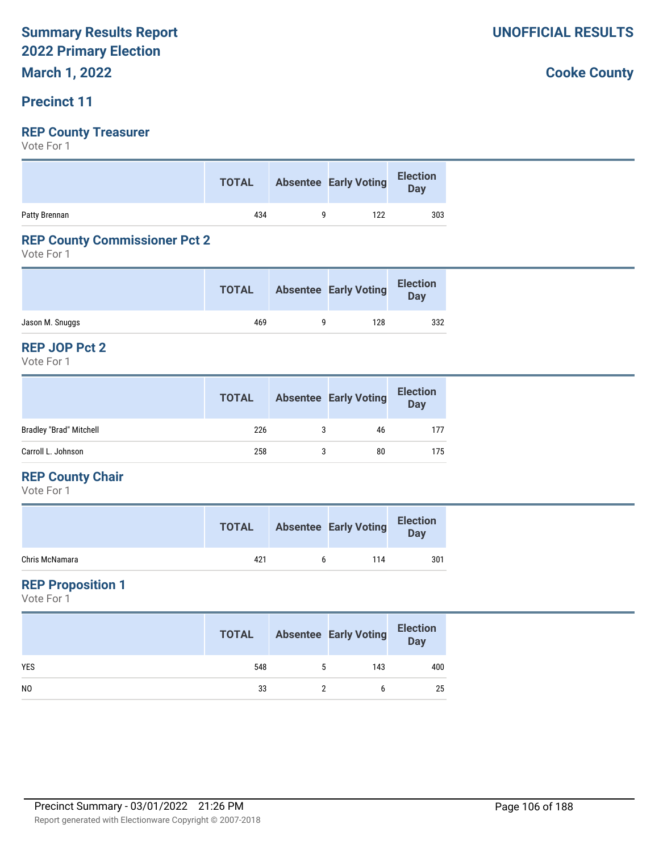# **Precinct 11**

# **REP County Treasurer**

Vote For 1

|               |     | TOTAL Absentee Early Voting Election |     |
|---------------|-----|--------------------------------------|-----|
| Patty Brennan | 434 | 122                                  | 303 |

### **REP County Commissioner Pct 2**

Vote For 1

|                 | <b>TOTAL</b> | <b>Absentee Early Voting</b> | <b>Election</b><br>Day |
|-----------------|--------------|------------------------------|------------------------|
| Jason M. Snuggs | 469          | 128                          | 332                    |

#### **REP JOP Pct 2**

Vote For 1

|                                | <b>TOTAL</b> |   | <b>Absentee Early Voting</b> | <b>Election</b><br>Day |
|--------------------------------|--------------|---|------------------------------|------------------------|
| <b>Bradley "Brad" Mitchell</b> | 226          | 3 | 46                           | 177                    |
| Carroll L. Johnson             | 258          |   | 80                           | 175                    |

### **REP County Chair**

Vote For 1

|                | <b>TOTAL</b> |   | <b>Absentee Early Voting</b> | <b>Election</b><br>Day |
|----------------|--------------|---|------------------------------|------------------------|
| Chris McNamara | 421          | h | 114                          | 301                    |

## **REP Proposition 1**

Vote For 1

|                | <b>TOTAL</b> | <b>Absentee Early Voting</b> | <b>Election</b><br>Day |
|----------------|--------------|------------------------------|------------------------|
| <b>YES</b>     | 548          | 143                          | 400                    |
| N <sub>0</sub> | 33           |                              | 25                     |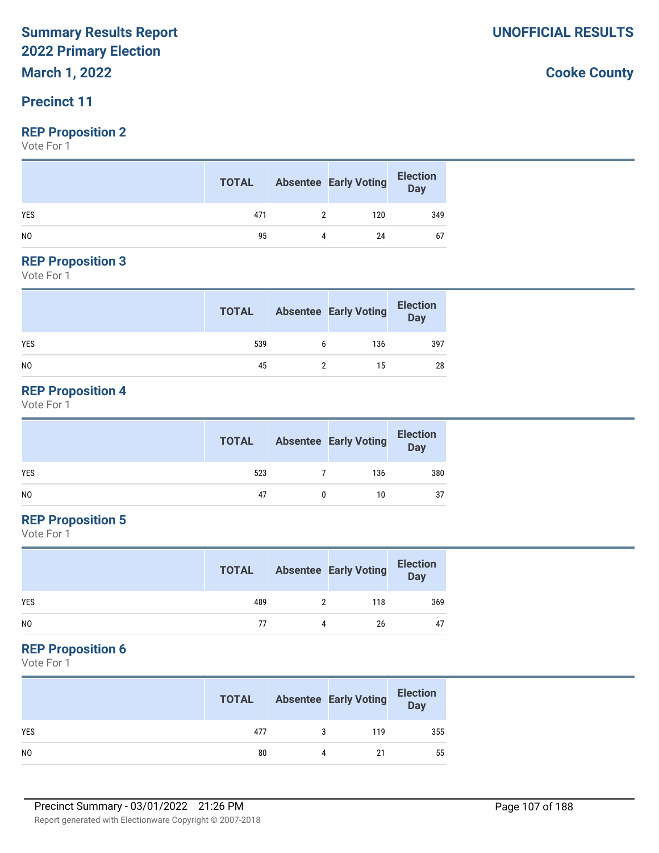**March 1, 2022**

# **Precinct 11**

### **REP Proposition 2**

Vote For 1

|                | <b>TOTAL</b> |   | <b>Absentee Early Voting</b> | <b>Election</b><br>Day |
|----------------|--------------|---|------------------------------|------------------------|
| <b>YES</b>     | 471          |   | 120                          | 349                    |
| N <sub>0</sub> | 95           | 4 | 24                           | 67                     |

### **REP Proposition 3**

Vote For 1

|                | <b>TOTAL</b> |   | <b>Absentee Early Voting</b> | <b>Election</b><br>Day |
|----------------|--------------|---|------------------------------|------------------------|
| <b>YES</b>     | 539          | b | 136                          | 397                    |
| N <sub>0</sub> | 45           |   | 15                           | 28                     |

# **REP Proposition 4**

Vote For 1

|     | <b>TOTAL</b> | <b>Absentee Early Voting</b> | <b>Election</b><br>Day |
|-----|--------------|------------------------------|------------------------|
| YES | 523          | 136                          | 380                    |
| NO  | 47           | 10                           | 37                     |

# **REP Proposition 5**

Vote For 1

|            | <b>TOTAL</b> |   | <b>Absentee Early Voting</b> | <b>Election</b><br>Day |
|------------|--------------|---|------------------------------|------------------------|
| <b>YES</b> | 489          |   | 118                          | 369                    |
| NO         | 77           | Λ | 26                           | 47                     |

# **REP Proposition 6**

Vote For 1

|                | <b>TOTAL</b> |   | <b>Absentee Early Voting</b> | <b>Election</b><br>Day |
|----------------|--------------|---|------------------------------|------------------------|
| <b>YES</b>     | 477          |   | 119                          | 355                    |
| N <sub>0</sub> | 80           | 4 | 21                           | 55                     |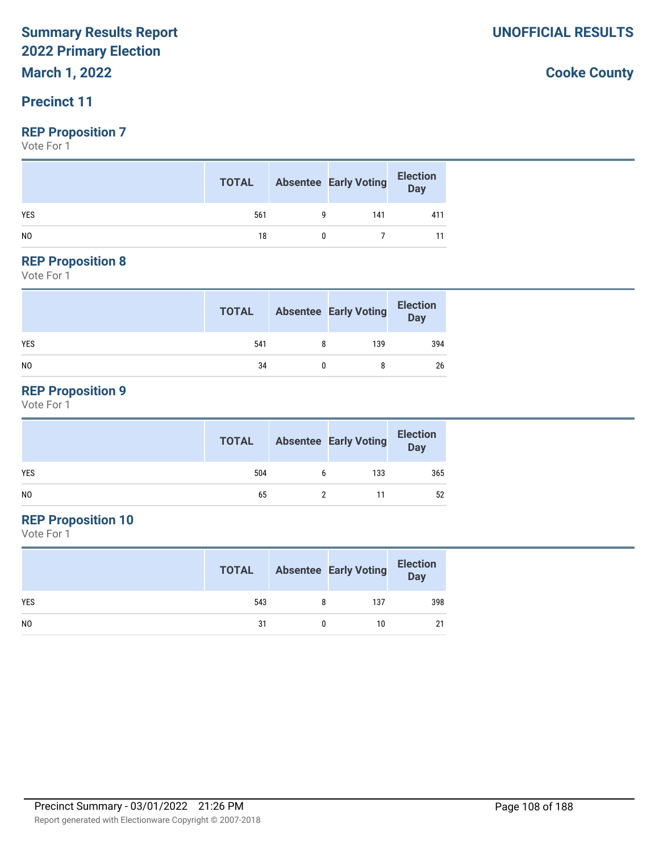**March 1, 2022**

# **Precinct 11**

### **REP Proposition 7**

Vote For 1

|                | <b>TOTAL</b> | <b>Absentee Early Voting</b> | <b>Election</b><br>$\overline{\mathsf{Day}}$ |
|----------------|--------------|------------------------------|----------------------------------------------|
| <b>YES</b>     | 561          | 141                          | 411                                          |
| N <sub>0</sub> | 18           |                              |                                              |

### **REP Proposition 8**

Vote For 1

|                | <b>TOTAL</b> | <b>Absentee Early Voting</b> | <b>Election</b><br>Day |
|----------------|--------------|------------------------------|------------------------|
| <b>YES</b>     | 541          | 139                          | 394                    |
| N <sub>0</sub> | 34           |                              | 26                     |

# **REP Proposition 9**

Vote For 1

|     | <b>TOTAL</b> |   | <b>Absentee Early Voting</b> | <b>Election</b><br>Day |
|-----|--------------|---|------------------------------|------------------------|
| YES | 504          | 6 | 133                          | 365                    |
| NO. | 65           |   |                              | 52                     |

# **REP Proposition 10**

Vote For 1

|                | <b>TOTAL</b> |   | <b>Absentee Early Voting</b> | <b>Election</b><br>Day |
|----------------|--------------|---|------------------------------|------------------------|
| <b>YES</b>     | 543          | 8 | 137                          | 398                    |
| N <sub>0</sub> | 31           |   | 10                           | 21                     |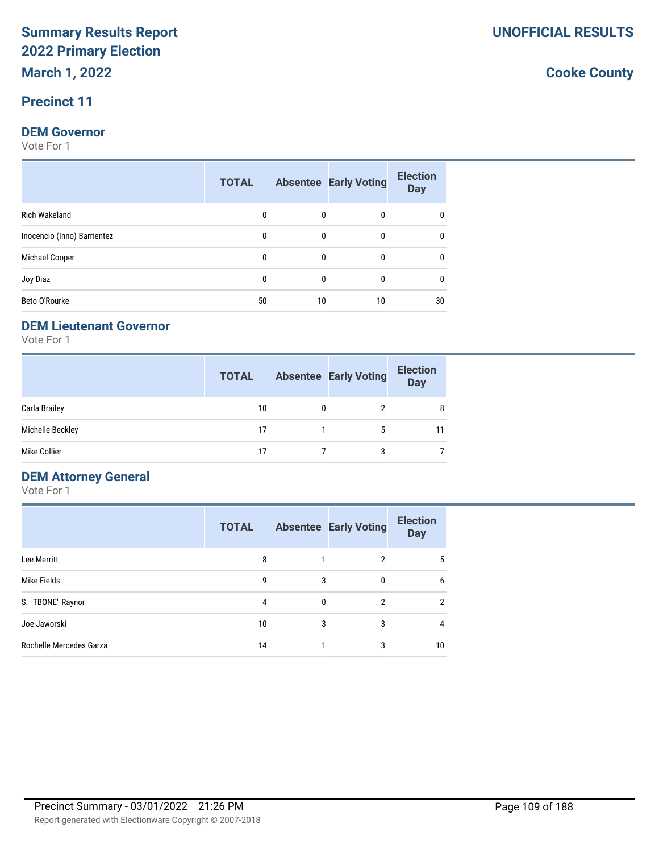# **Precinct 11**

#### **DEM Governor**

Vote For 1

|                             | <b>TOTAL</b> |              | <b>Absentee Early Voting</b> | <b>Election</b><br><b>Day</b> |
|-----------------------------|--------------|--------------|------------------------------|-------------------------------|
| Rich Wakeland               | 0            | $\mathbf{0}$ | 0                            |                               |
| Inocencio (Inno) Barrientez | 0            | $\mathbf{0}$ | 0                            |                               |
| Michael Cooper              | 0            | $\mathbf{0}$ | 0                            |                               |
| Joy Diaz                    | 0            | $\mathbf{0}$ | $\Omega$                     |                               |
| Beto O'Rourke               | 50           | 10           | 10                           | 30                            |

# **DEM Lieutenant Governor**

Vote For 1

|                  | <b>TOTAL</b> | <b>Absentee Early Voting</b> | <b>Election</b><br><b>Day</b> |
|------------------|--------------|------------------------------|-------------------------------|
| Carla Brailey    | 10           |                              | 8                             |
| Michelle Beckley | 17           | 5                            | 11                            |
| Mike Collier     | 17           | 3                            |                               |

# **DEM Attorney General**

Vote For 1

|                         | <b>TOTAL</b> |   | <b>Absentee Early Voting</b> | <b>Election</b><br><b>Day</b> |
|-------------------------|--------------|---|------------------------------|-------------------------------|
| Lee Merritt             | 8            |   | 2                            | 5                             |
| Mike Fields             | 9            | 3 |                              | 6                             |
| S. "TBONE" Raynor       | 4            | 0 | 2                            | $\overline{2}$                |
| Joe Jaworski            | 10           | 3 | 3                            | 4                             |
| Rochelle Mercedes Garza | 14           |   | 3                            | 10                            |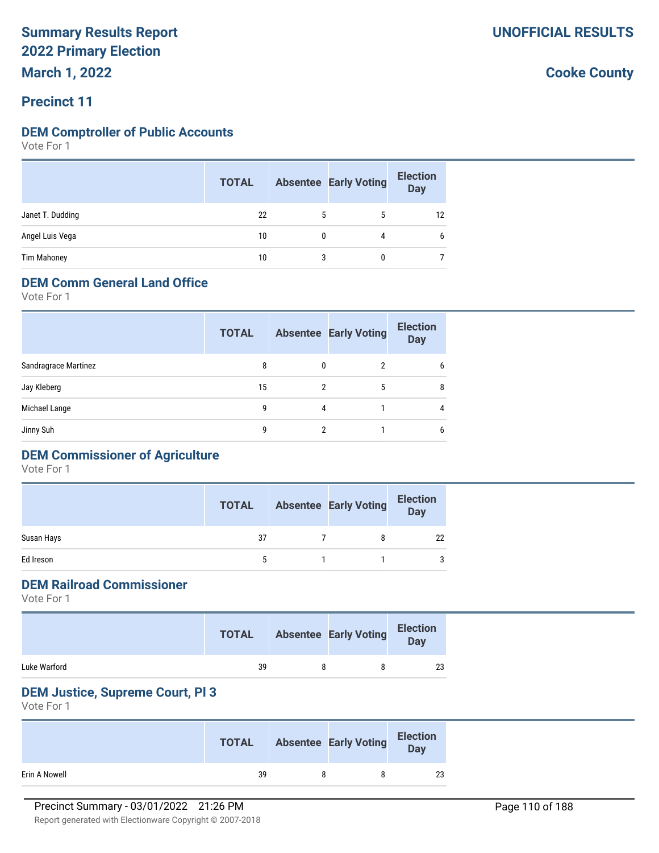**March 1, 2022**

# **Precinct 11**

# **DEM Comptroller of Public Accounts**

Vote For 1

|                    | <b>TOTAL</b> |   | <b>Absentee Early Voting</b> | <b>Election</b><br><b>Day</b> |
|--------------------|--------------|---|------------------------------|-------------------------------|
| Janet T. Dudding   | 22           | 5 |                              | 12                            |
| Angel Luis Vega    | 10           |   |                              | 6                             |
| <b>Tim Mahoney</b> | 10           | 3 |                              |                               |

# **DEM Comm General Land Office**

Vote For 1

|                      | <b>TOTAL</b> |   | <b>Absentee Early Voting</b> | <b>Election</b><br><b>Day</b> |
|----------------------|--------------|---|------------------------------|-------------------------------|
| Sandragrace Martinez | 8            | 0 | 2                            | 6                             |
| Jay Kleberg          | 15           | 2 | 5                            | 8                             |
| Michael Lange        | 9            | 4 |                              | 4                             |
| Jinny Suh            | g            | 2 |                              | 6                             |
|                      |              |   |                              |                               |

# **DEM Commissioner of Agriculture**

Vote For 1

|            | <b>TOTAL</b> | <b>Absentee Early Voting</b> | <b>Election</b><br><b>Day</b> |
|------------|--------------|------------------------------|-------------------------------|
| Susan Hays | 37           | 8                            | 22                            |
| Ed Ireson  |              |                              | 3                             |

# **DEM Railroad Commissioner**

Vote For 1

|              | <b>TOTAL</b> | <b>Absentee Early Voting</b> | <b>Election</b><br>Day |
|--------------|--------------|------------------------------|------------------------|
| Luke Warford | 39           |                              | 23                     |

# **DEM Justice, Supreme Court, Pl 3**

Vote For 1

|               | <b>TOTAL</b> | <b>Absentee Early Voting</b> | <b>Election</b><br>Day |
|---------------|--------------|------------------------------|------------------------|
| Erin A Nowell | 39           |                              | 23                     |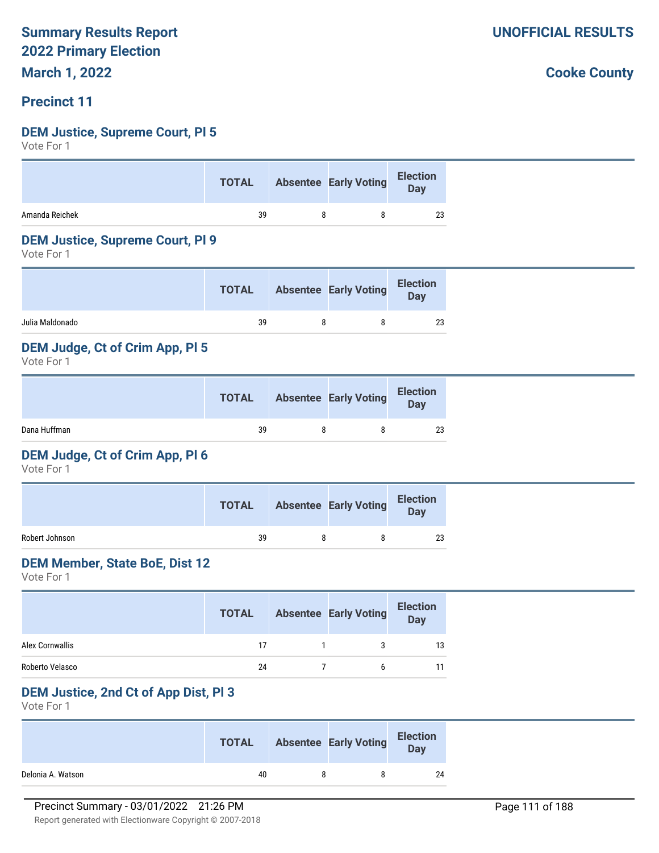**March 1, 2022**

# **Precinct 11**

# **DEM Justice, Supreme Court, Pl 5**

Vote For 1

|                | <b>TOTAL</b> | Absentee Early Voting Election |    |
|----------------|--------------|--------------------------------|----|
| Amanda Reichek | 39           |                                | 23 |

### **DEM Justice, Supreme Court, Pl 9**

Vote For 1

| <b>TOTAL</b> |  | <b>Election</b><br><b>Day</b> |
|--------------|--|-------------------------------|
| 39           |  | 23                            |
|              |  | <b>Absentee Early Voting</b>  |

# **DEM Judge, Ct of Crim App, Pl 5**

Vote For 1

|              | <b>TOTAL</b> | <b>Absentee Early Voting</b> | <b>Election</b><br>Day |
|--------------|--------------|------------------------------|------------------------|
| Dana Huffman | 39           |                              | 23                     |

### **DEM Judge, Ct of Crim App, Pl 6**

Vote For 1

|                | <b>TOTAL</b> | <b>Absentee Early Voting</b> | <b>Election</b><br>Day |
|----------------|--------------|------------------------------|------------------------|
| Robert Johnson | 39           |                              | 23                     |

#### **DEM Member, State BoE, Dist 12**

Vote For 1

|                 | <b>TOTAL</b> | <b>Absentee Early Voting</b> | <b>Election</b><br><b>Day</b> |
|-----------------|--------------|------------------------------|-------------------------------|
| Alex Cornwallis | 17           | 3                            | 13                            |
| Roberto Velasco | 24           | h                            |                               |

### **DEM Justice, 2nd Ct of App Dist, Pl 3**

Vote For 1

|                   | <b>TOTAL</b> | <b>Absentee Early Voting</b> | <b>Election</b><br>Day |
|-------------------|--------------|------------------------------|------------------------|
| Delonia A. Watson | 40           |                              | 24                     |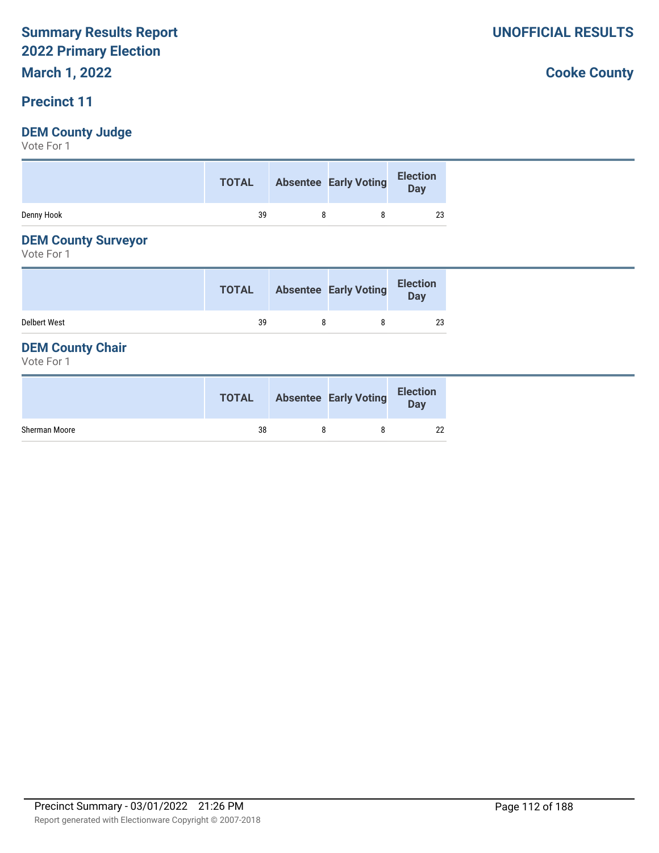# **March 1, 2022**

# **Precinct 11**

# **DEM County Judge**

Vote For 1

| Denny Hook<br>39<br>23 |
|------------------------|

# **DEM County Surveyor**

Vote For 1

|                     | <b>TOTAL</b> | <b>Absentee Early Voting</b> | <b>Election</b><br>Day |
|---------------------|--------------|------------------------------|------------------------|
| <b>Delbert West</b> | 39           |                              | 23                     |

# **DEM County Chair**

Vote For 1

|               | <b>TOTAL</b> | <b>Absentee Early Voting</b> | <b>Election</b><br><b>Day</b> |
|---------------|--------------|------------------------------|-------------------------------|
| Sherman Moore | 38           |                              | 22                            |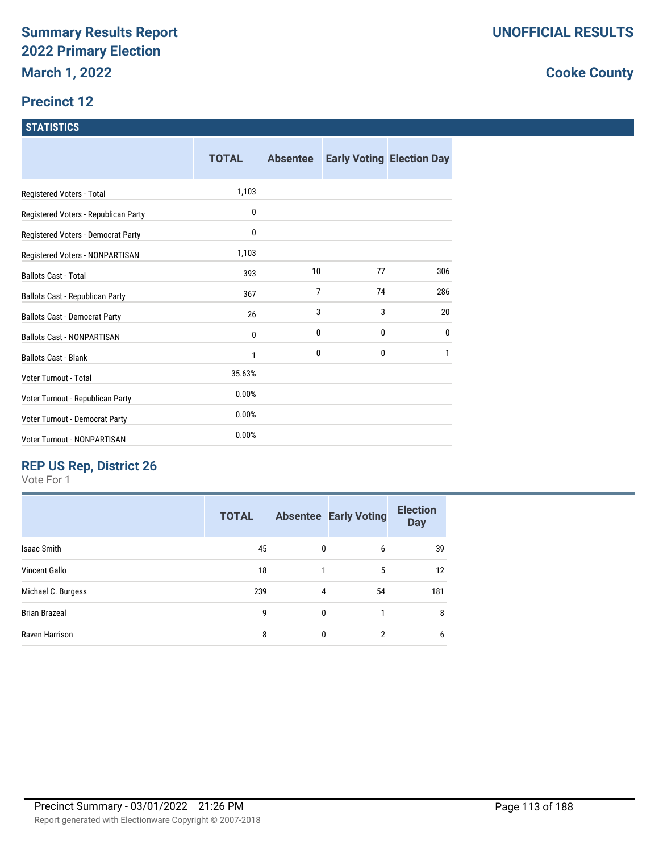# **Precinct 12**

### **STATISTICS**

|                                      | <b>TOTAL</b> | <b>Absentee</b> |    | <b>Early Voting Election Day</b> |
|--------------------------------------|--------------|-----------------|----|----------------------------------|
| Registered Voters - Total            | 1,103        |                 |    |                                  |
| Registered Voters - Republican Party | 0            |                 |    |                                  |
| Registered Voters - Democrat Party   | 0            |                 |    |                                  |
| Registered Voters - NONPARTISAN      | 1,103        |                 |    |                                  |
| <b>Ballots Cast - Total</b>          | 393          | 10              | 77 | 306                              |
| Ballots Cast - Republican Party      | 367          | 7               | 74 | 286                              |
| <b>Ballots Cast - Democrat Party</b> | 26           | 3               | 3  | 20                               |
| <b>Ballots Cast - NONPARTISAN</b>    | 0            | 0               | 0  | 0                                |
| <b>Ballots Cast - Blank</b>          | 1            | 0               | 0  | 1                                |
| Voter Turnout - Total                | 35.63%       |                 |    |                                  |
| Voter Turnout - Republican Party     | 0.00%        |                 |    |                                  |
| Voter Turnout - Democrat Party       | 0.00%        |                 |    |                                  |
| Voter Turnout - NONPARTISAN          | 0.00%        |                 |    |                                  |

# **REP US Rep, District 26**

Vote For 1

|                      | <b>TOTAL</b> |              | <b>Absentee Early Voting</b> | <b>Election</b><br><b>Day</b> |
|----------------------|--------------|--------------|------------------------------|-------------------------------|
| <b>Isaac Smith</b>   | 45           | 0            | 6                            | 39                            |
| Vincent Gallo        | 18           |              | 5                            | 12                            |
| Michael C. Burgess   | 239          | 4            | 54                           | 181                           |
| <b>Brian Brazeal</b> | 9            | $\mathbf{0}$ |                              | 8                             |
| Raven Harrison       | 8            | $\Omega$     | $\mathcal{P}$                | 6                             |
|                      |              |              |                              |                               |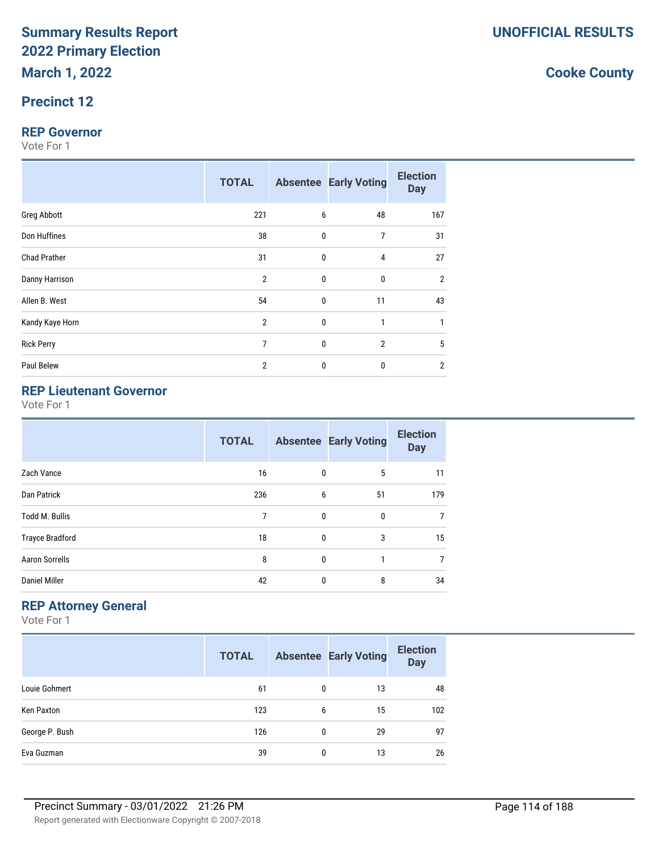# **Precinct 12**

#### **REP Governor**

Vote For 1

|                     | <b>TOTAL</b>   |              | <b>Absentee Early Voting</b> | <b>Election</b><br><b>Day</b> |
|---------------------|----------------|--------------|------------------------------|-------------------------------|
| <b>Greg Abbott</b>  | 221            | 6            | 48                           | 167                           |
| Don Huffines        | 38             | 0            | 7                            | 31                            |
| <b>Chad Prather</b> | 31             | 0            | $\overline{4}$               | 27                            |
| Danny Harrison      | $\overline{2}$ | 0            | $\mathbf{0}$                 | $\overline{2}$                |
| Allen B. West       | 54             | $\mathbf{0}$ | 11                           | 43                            |
| Kandy Kaye Horn     | $\overline{2}$ | 0            | 1                            | 1                             |
| <b>Rick Perry</b>   | $\overline{7}$ | $\mathbf{0}$ | $\overline{2}$               | 5                             |
| Paul Belew          | $\overline{2}$ | $\mathbf{0}$ | $\mathbf{0}$                 | 2                             |

# **REP Lieutenant Governor**

Vote For 1

|                        | <b>TOTAL</b> |              | <b>Absentee Early Voting</b> | <b>Election</b><br><b>Day</b> |
|------------------------|--------------|--------------|------------------------------|-------------------------------|
| Zach Vance             | 16           | 0            | 5                            | 11                            |
| Dan Patrick            | 236          | 6            | 51                           | 179                           |
| <b>Todd M. Bullis</b>  | 7            | 0            | 0                            | 7                             |
| <b>Trayce Bradford</b> | 18           | 0            | 3                            | 15                            |
| <b>Aaron Sorrells</b>  | 8            | $\mathbf{0}$ |                              | 7                             |
| <b>Daniel Miller</b>   | 42           | 0            | 8                            | 34                            |

# **REP Attorney General**

Vote For 1

|                | <b>TOTAL</b> |   | <b>Absentee Early Voting</b> | <b>Election</b><br><b>Day</b> |
|----------------|--------------|---|------------------------------|-------------------------------|
| Louie Gohmert  | 61           | 0 | 13                           | 48                            |
| Ken Paxton     | 123          | 6 | 15                           | 102                           |
| George P. Bush | 126          | 0 | 29                           | 97                            |
| Eva Guzman     | 39           | 0 | 13                           | 26                            |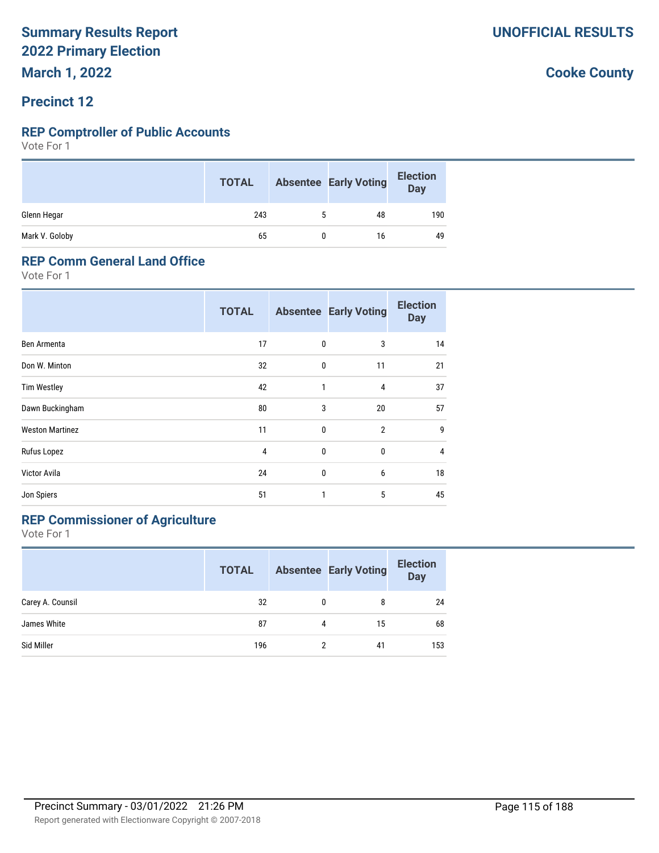# **Precinct 12**

#### **REP Comptroller of Public Accounts**

Vote For 1

|                | <b>TOTAL</b> | <b>Absentee Early Voting</b> | <b>Election</b><br>Day |
|----------------|--------------|------------------------------|------------------------|
| Glenn Hegar    | 243          | 48                           | 190                    |
| Mark V. Goloby | 65           | 16                           | 49                     |

#### **REP Comm General Land Office**

Vote For 1

|                        | <b>TOTAL</b> |              | <b>Absentee Early Voting</b> | <b>Election</b><br><b>Day</b> |
|------------------------|--------------|--------------|------------------------------|-------------------------------|
| Ben Armenta            | 17           | 0            | 3                            | 14                            |
| Don W. Minton          | 32           | $\mathbf{0}$ | 11                           | 21                            |
| <b>Tim Westley</b>     | 42           | 1            | 4                            | 37                            |
| Dawn Buckingham        | 80           | 3            | 20                           | 57                            |
| <b>Weston Martinez</b> | 11           | 0            | $\overline{2}$               | 9                             |
| Rufus Lopez            | 4            | 0            | $\bf{0}$                     | $\overline{4}$                |
| Victor Avila           | 24           | 0            | 6                            | 18                            |
| Jon Spiers             | 51           | 1            | 5                            | 45                            |

# **REP Commissioner of Agriculture**

Vote For 1

|                  | <b>TOTAL</b> |   | <b>Absentee Early Voting</b> | <b>Election</b><br><b>Day</b> |
|------------------|--------------|---|------------------------------|-------------------------------|
| Carey A. Counsil | 32           | 0 | 8                            | 24                            |
| James White      | 87           | 4 | 15                           | 68                            |
| Sid Miller       | 196          | 2 | 41                           | 153                           |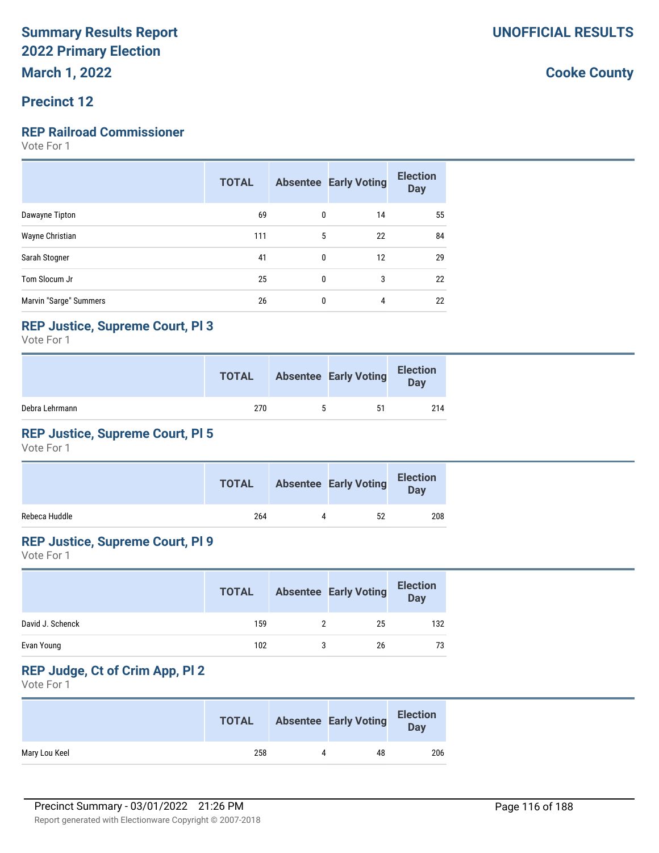# **Precinct 12**

# **REP Railroad Commissioner**

Vote For 1

|                        | <b>TOTAL</b> |              | <b>Absentee Early Voting</b> | <b>Election</b><br><b>Day</b> |
|------------------------|--------------|--------------|------------------------------|-------------------------------|
| Dawayne Tipton         | 69           | $\mathbf{0}$ | 14                           | 55                            |
| Wayne Christian        | 111          | 5            | 22                           | 84                            |
| Sarah Stogner          | 41           | $\mathbf{0}$ | 12                           | 29                            |
| Tom Slocum Jr          | 25           | 0            | 3                            | 22                            |
| Marvin "Sarge" Summers | 26           | $\mathbf{0}$ | 4                            | 22                            |

# **REP Justice, Supreme Court, Pl 3**

Vote For 1

|                | <b>TOTAL</b> |   | <b>Absentee Early Voting</b> | <b>Election</b><br>Day |
|----------------|--------------|---|------------------------------|------------------------|
| Debra Lehrmann | 270          | h | 51                           | 214                    |

# **REP Justice, Supreme Court, Pl 5**

Vote For 1

|               | <b>TOTAL</b> | <b>Absentee Early Voting</b> | <b>Election</b><br><b>Day</b> |  |
|---------------|--------------|------------------------------|-------------------------------|--|
| Rebeca Huddle | 264          | 52                           | 208                           |  |

# **REP Justice, Supreme Court, Pl 9**

Vote For 1

|                  | <b>TOTAL</b> | <b>Absentee Early Voting</b> | <b>Election</b><br><b>Day</b> |
|------------------|--------------|------------------------------|-------------------------------|
| David J. Schenck | 159          | 25                           | 132                           |
| Evan Young       | 102          | 26                           | 73                            |

# **REP Judge, Ct of Crim App, Pl 2**

Vote For 1

|               | <b>TOTAL</b> |           | <b>Absentee Early Voting</b> | <b>Election</b><br><b>Day</b> |
|---------------|--------------|-----------|------------------------------|-------------------------------|
| Mary Lou Keel | 258          | $\Lambda$ | 48                           | 206                           |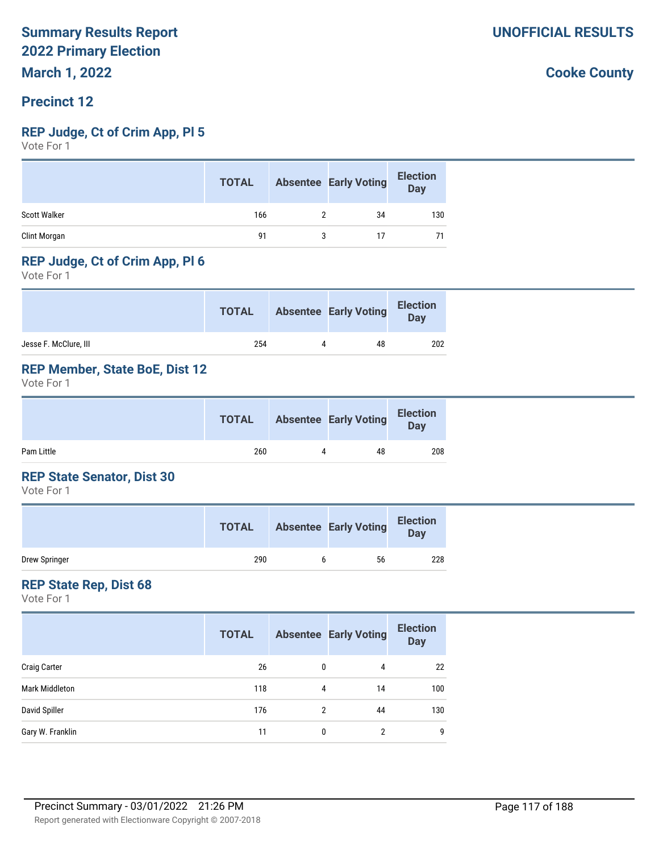# **Precinct 12**

#### **REP Judge, Ct of Crim App, Pl 5**

Vote For 1

|                     | <b>TOTAL</b> | <b>Absentee Early Voting</b> | <b>Election</b><br><b>Day</b> |
|---------------------|--------------|------------------------------|-------------------------------|
| <b>Scott Walker</b> | 166          | 34                           | 130                           |
| Clint Morgan        | 91           | 17                           | 71                            |

# **REP Judge, Ct of Crim App, Pl 6**

Vote For 1

|                       | <b>TOTAL</b> | <b>Absentee Early Voting</b> | <b>Election</b><br>Day |
|-----------------------|--------------|------------------------------|------------------------|
| Jesse F. McClure, III | 254          | 48                           | 202                    |

# **REP Member, State BoE, Dist 12**

Vote For 1

|            | <b>TOTAL</b> | <b>Absentee Early Voting</b> | <b>Election</b><br><b>Day</b> |
|------------|--------------|------------------------------|-------------------------------|
| Pam Little | 260          | 48                           | 208                           |

### **REP State Senator, Dist 30**

Vote For 1

|               | <b>TOTAL</b> | <b>Absentee Early Voting</b> | <b>Election</b><br><b>Day</b> |
|---------------|--------------|------------------------------|-------------------------------|
| Drew Springer | 290          | 56                           | 228                           |

#### **REP State Rep, Dist 68**

Vote For 1

|                     | <b>TOTAL</b> |              | <b>Absentee Early Voting</b> | <b>Election</b><br><b>Day</b> |
|---------------------|--------------|--------------|------------------------------|-------------------------------|
| <b>Craig Carter</b> | 26           | $\mathbf{0}$ | 4                            | 22                            |
| Mark Middleton      | 118          | 4            | 14                           | 100                           |
| David Spiller       | 176          | 2            | 44                           | 130                           |
| Gary W. Franklin    | 11           | 0            | 2                            | g                             |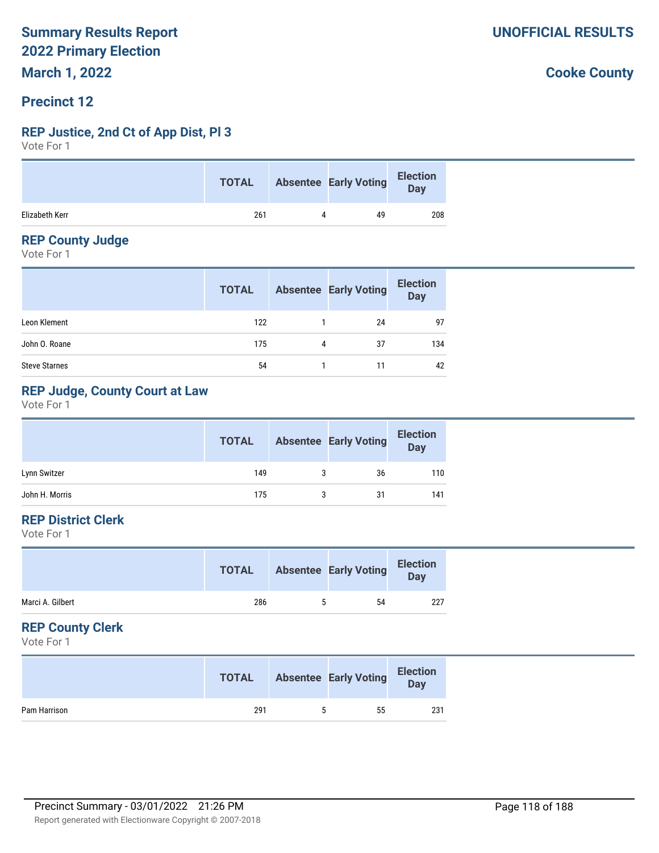# **Precinct 12**

# **REP Justice, 2nd Ct of App Dist, Pl 3**

Vote For 1

|                | <b>TOTAL</b> | <b>Absentee Early Voting</b> | <b>Election</b><br><b>Day</b> |
|----------------|--------------|------------------------------|-------------------------------|
| Elizabeth Kerr | 261          | 49                           | 208                           |

# **REP County Judge**

Vote For 1

|                      | <b>TOTAL</b> |   | <b>Absentee Early Voting</b> | <b>Election</b><br><b>Day</b> |
|----------------------|--------------|---|------------------------------|-------------------------------|
| Leon Klement         | 122          |   | 24                           | 97                            |
| John O. Roane        | 175          | 4 | 37                           | 134                           |
| <b>Steve Starnes</b> | 54           |   |                              | 42                            |

# **REP Judge, County Court at Law**

Vote For 1

|                | <b>TOTAL</b> |   | <b>Absentee Early Voting</b> | <b>Election</b><br><b>Day</b> |
|----------------|--------------|---|------------------------------|-------------------------------|
| Lynn Switzer   | 149          | 3 | 36                           | 110                           |
| John H. Morris | 175          |   | 31                           | 141                           |

# **REP District Clerk**

Vote For 1

|                  | <b>TOTAL</b> | <b>Absentee Early Voting</b> | <b>Election</b><br>Day |
|------------------|--------------|------------------------------|------------------------|
| Marci A. Gilbert | 286          | 54                           | 227                    |

# **REP County Clerk**

Vote For 1

|              | <b>TOTAL</b> | <b>Absentee Early Voting</b> | <b>Election</b><br><b>Day</b> |
|--------------|--------------|------------------------------|-------------------------------|
| Pam Harrison | 291          | 55                           | 231                           |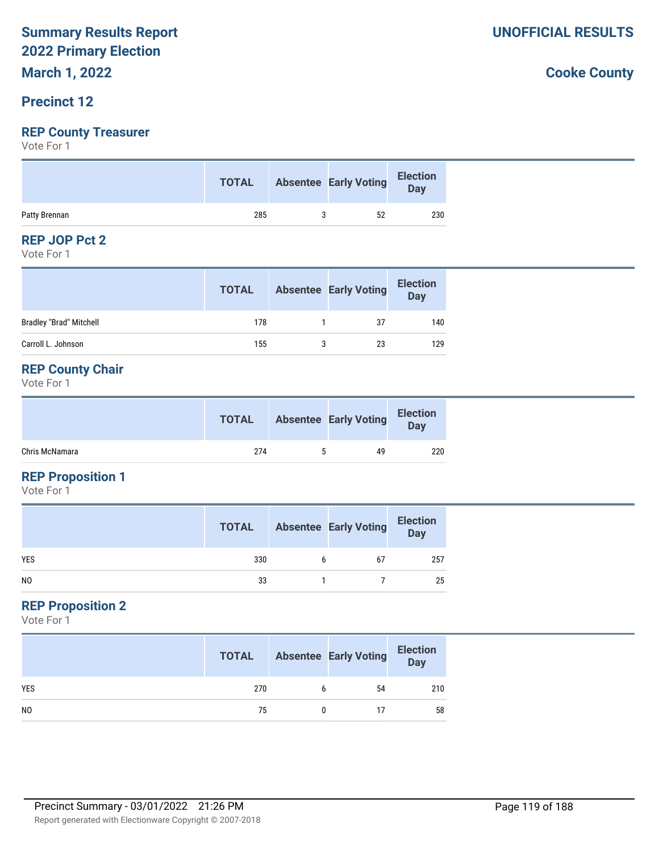# **March 1, 2022**

# **Precinct 12**

# **REP County Treasurer**

Vote For 1

|               | <b>TOTAL</b> | Absentee Early Voting | Election<br>Day |
|---------------|--------------|-----------------------|-----------------|
| Patty Brennan | 285          | 52                    | 230             |

#### **REP JOP Pct 2**

Vote For 1

|                                | <b>TOTAL</b> | <b>Absentee Early Voting</b> | <b>Election</b><br><b>Day</b> |
|--------------------------------|--------------|------------------------------|-------------------------------|
| <b>Bradley "Brad" Mitchell</b> | 178          | 37                           | 140                           |
| Carroll L. Johnson             | 155          | 23                           | 129                           |

# **REP County Chair**

Vote For 1

|                | <b>TOTAL</b> | <b>Absentee Early Voting</b> | <b>Election</b><br><b>Day</b> |
|----------------|--------------|------------------------------|-------------------------------|
| Chris McNamara | 274          | 49                           | 220                           |

# **REP Proposition 1**

Vote For 1

|                | <b>TOTAL</b> |   | <b>Absentee Early Voting</b> | <b>Election</b><br>Day |
|----------------|--------------|---|------------------------------|------------------------|
| <b>YES</b>     | 330          | 6 | 67                           | 257                    |
| N <sub>0</sub> | 33           |   |                              | 25                     |

# **REP Proposition 2**

Vote For 1

|                | <b>TOTAL</b> |   | <b>Absentee Early Voting</b> | <b>Election</b><br>Day |
|----------------|--------------|---|------------------------------|------------------------|
| <b>YES</b>     | 270          | b | 54                           | 210                    |
| N <sub>0</sub> | 75           |   | 17                           | 58                     |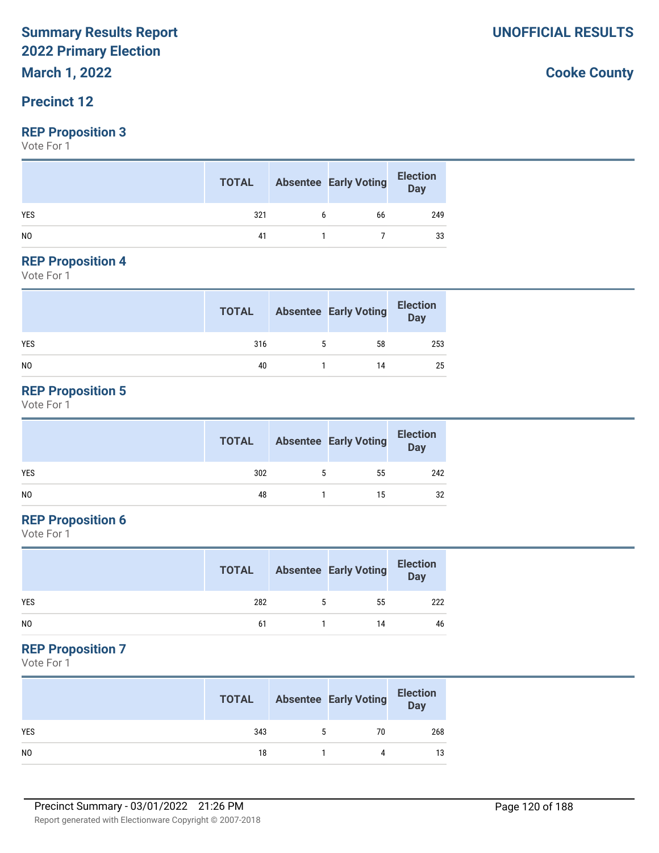**March 1, 2022**

# **Precinct 12**

# **REP Proposition 3**

Vote For 1

|                | <b>TOTAL</b> | <b>Absentee Early Voting</b> | <b>Election</b><br>$\overline{$ Day |
|----------------|--------------|------------------------------|-------------------------------------|
| <b>YES</b>     | 321          | 66                           | 249                                 |
| N <sub>0</sub> | 41           |                              | 33                                  |

#### **REP Proposition 4**

Vote For 1

|                | <b>TOTAL</b> | <b>Absentee Early Voting</b> | <b>Election</b><br>Day |
|----------------|--------------|------------------------------|------------------------|
| <b>YES</b>     | 316          | 58                           | 253                    |
| N <sub>0</sub> | 40           | 14                           | 25                     |

# **REP Proposition 5**

Vote For 1

|                | <b>TOTAL</b> | <b>Absentee Early Voting</b> | <b>Election</b><br>$\overline{\mathsf{Day}}$ |
|----------------|--------------|------------------------------|----------------------------------------------|
| <b>YES</b>     | 302          | 55                           | 242                                          |
| N <sub>0</sub> | 48           | 15                           | 32                                           |

# **REP Proposition 6**

Vote For 1

|            | <b>TOTAL</b> |   | <b>Absentee Early Voting</b> | <b>Election</b><br>$\overline{$ Day |
|------------|--------------|---|------------------------------|-------------------------------------|
| <b>YES</b> | 282          | 5 | 55                           | 222                                 |
| NO         | 61           |   | 14                           | 46                                  |

# **REP Proposition 7**

Vote For 1

|                | <b>TOTAL</b> |   | <b>Absentee Early Voting</b> | <b>Election</b><br>Day |
|----------------|--------------|---|------------------------------|------------------------|
| <b>YES</b>     | 343          | 5 | 70                           | 268                    |
| N <sub>0</sub> | 18           |   | Δ                            | 13                     |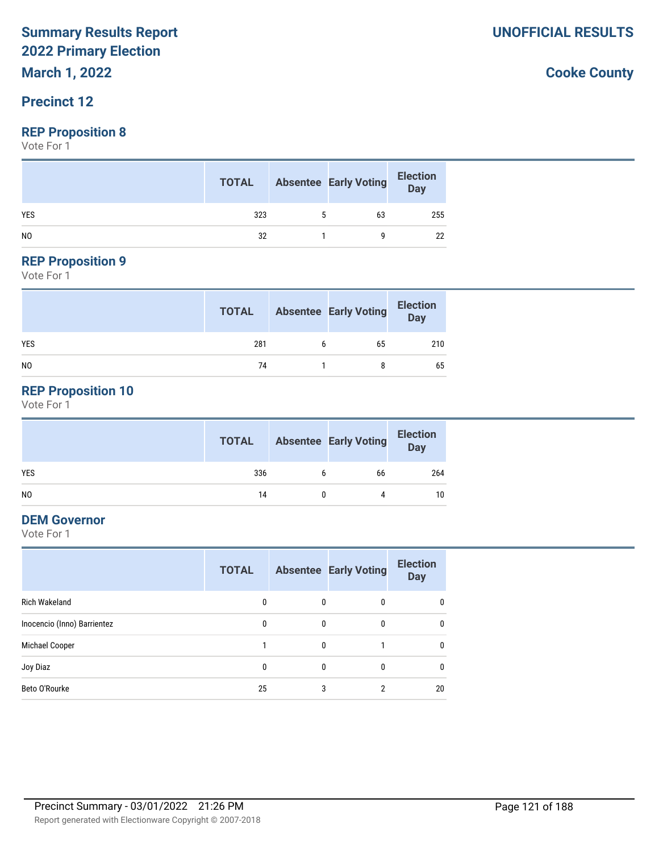**March 1, 2022**

# **Precinct 12**

### **REP Proposition 8**

Vote For 1

|                | <b>TOTAL</b> |   | <b>Absentee Early Voting</b> | <b>Election</b><br>Day |
|----------------|--------------|---|------------------------------|------------------------|
| <b>YES</b>     | 323          | 5 | 63                           | 255                    |
| N <sub>0</sub> | 32           |   |                              | 22                     |

# **REP Proposition 9**

Vote For 1

|                | <b>TOTAL</b> |   | <b>Absentee Early Voting</b> | <b>Election</b><br>Day |
|----------------|--------------|---|------------------------------|------------------------|
| <b>YES</b>     | 281          | h | 65                           | 210                    |
| N <sub>0</sub> | 74           |   |                              | 65                     |

# **REP Proposition 10**

Vote For 1

|     | <b>TOTAL</b> | <b>Absentee Early Voting</b> | <b>Election</b><br>Day |
|-----|--------------|------------------------------|------------------------|
| YES | 336          | 66                           | 264                    |
| NO. | 14           |                              | 10                     |

# **DEM Governor**

Vote For 1

|                             | <b>TOTAL</b> |              | <b>Absentee Early Voting</b> | <b>Election</b><br><b>Day</b> |
|-----------------------------|--------------|--------------|------------------------------|-------------------------------|
| <b>Rich Wakeland</b>        | 0            | 0            | 0                            | $\mathbf{0}$                  |
| Inocencio (Inno) Barrientez | 0            | 0            | 0                            | $\mathbf{0}$                  |
| Michael Cooper              |              | 0            |                              | $\mathbf{0}$                  |
| Joy Diaz                    | 0            | $\mathbf{0}$ | 0                            | $\mathbf{0}$                  |
| Beto O'Rourke               | 25           | 3            | 2                            | 20                            |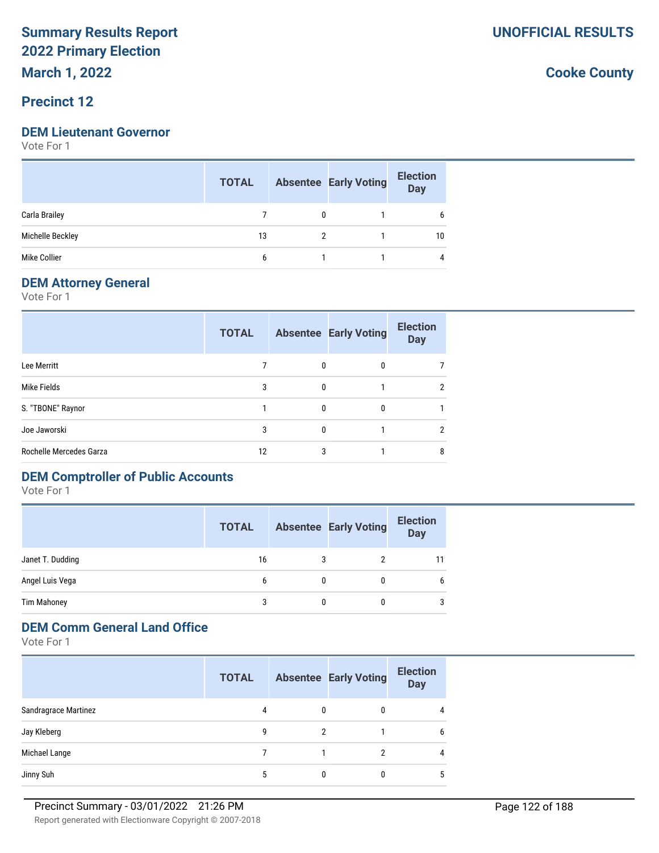**March 1, 2022**

# **Precinct 12**

#### **DEM Lieutenant Governor**

Vote For 1

|                  | <b>TOTAL</b> | <b>Absentee Early Voting</b> | <b>Election</b><br><b>Day</b> |
|------------------|--------------|------------------------------|-------------------------------|
| Carla Brailey    |              |                              | b                             |
| Michelle Beckley | 13           |                              | 10                            |
| Mike Collier     | 6            |                              | 4                             |

## **DEM Attorney General**

Vote For 1

|                         | <b>TOTAL</b> |              | <b>Absentee Early Voting</b> | <b>Election</b><br><b>Day</b> |
|-------------------------|--------------|--------------|------------------------------|-------------------------------|
| Lee Merritt             |              | 0            | 0                            |                               |
| Mike Fields             | 3            | $\mathbf{0}$ |                              | $\overline{2}$                |
| S. "TBONE" Raynor       |              | 0            | 0                            |                               |
| Joe Jaworski            | 3            | $\Omega$     |                              | $\overline{2}$                |
| Rochelle Mercedes Garza | 12           | 3            |                              | 8                             |

# **DEM Comptroller of Public Accounts**

Vote For 1

|                    | <b>TOTAL</b> |   | <b>Absentee Early Voting</b> | <b>Election</b><br><b>Day</b> |
|--------------------|--------------|---|------------------------------|-------------------------------|
| Janet T. Dudding   | 16           |   |                              | 11                            |
| Angel Luis Vega    | 6            | 0 | 0                            |                               |
| <b>Tim Mahoney</b> | 3            | 0 | 0                            | 3                             |

# **DEM Comm General Land Office**

Vote For 1

|                      | <b>TOTAL</b> |   | <b>Absentee Early Voting</b> | <b>Election</b><br><b>Day</b> |
|----------------------|--------------|---|------------------------------|-------------------------------|
| Sandragrace Martinez | 4            | 0 | 0                            | 4                             |
| Jay Kleberg          | 9            | 2 |                              | 6                             |
| Michael Lange        |              |   | 2                            | 4                             |
| Jinny Suh            | 5            |   |                              | 5                             |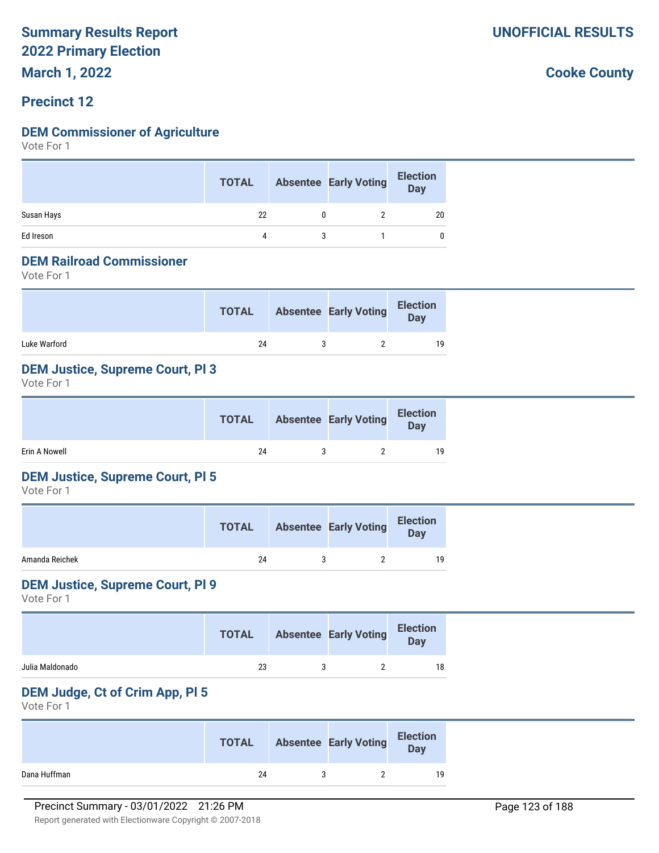**March 1, 2022**

# **Precinct 12**

# **DEM Commissioner of Agriculture**

Vote For 1

|            | <b>TOTAL</b> | <b>Absentee Early Voting</b> | <b>Election</b><br>Day |
|------------|--------------|------------------------------|------------------------|
| Susan Hays | 22           |                              | 20                     |
| Ed Ireson  | 4            |                              |                        |

#### **DEM Railroad Commissioner**

Vote For 1

|              | <b>TOTAL</b> | <b>Absentee Early Voting</b> | <b>Election</b><br>Day |
|--------------|--------------|------------------------------|------------------------|
| Luke Warford | 24           |                              | 19                     |

# **DEM Justice, Supreme Court, Pl 3**

Vote For 1

|               | <b>TOTAL</b> | Absentee Early Voting | <b>Election</b><br>Day |
|---------------|--------------|-----------------------|------------------------|
| Erin A Nowell | 24           |                       | 19                     |

# **DEM Justice, Supreme Court, Pl 5**

Vote For 1

|                | <b>TOTAL</b> | <b>Absentee Early Voting</b> | <b>Election</b><br>Day |
|----------------|--------------|------------------------------|------------------------|
| Amanda Reichek | 24           |                              | 19                     |

### **DEM Justice, Supreme Court, Pl 9**

Vote For 1

|                 | <b>TOTAL</b> | <b>Absentee Early Voting</b> | <b>Election</b><br><b>Day</b> |
|-----------------|--------------|------------------------------|-------------------------------|
| Julia Maldonado | 23           |                              |                               |

# **DEM Judge, Ct of Crim App, Pl 5**

Vote For 1

|              | <b>TOTAL</b> | <b>Absentee Early Voting</b> | <b>Election</b><br>Day |
|--------------|--------------|------------------------------|------------------------|
| Dana Huffman | 24           |                              | 19                     |

**UNOFFICIAL RESULTS**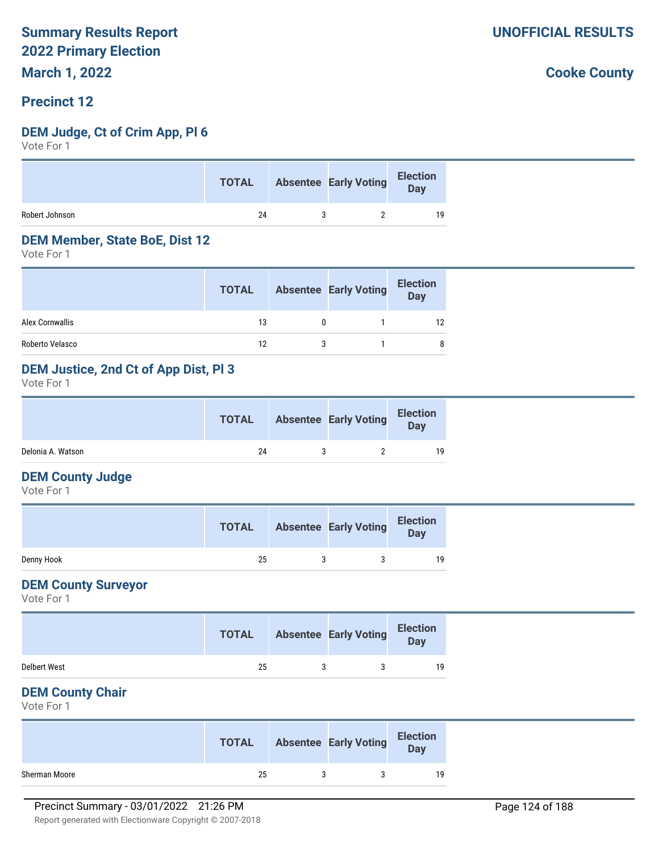# **Precinct 12**

#### **DEM Judge, Ct of Crim App, Pl 6**

Vote For 1

|                | <b>TOTAL</b> | Absentee Early Voting Election |    |
|----------------|--------------|--------------------------------|----|
| Robert Johnson | 24           |                                | 19 |

#### **DEM Member, State BoE, Dist 12**

Vote For 1

|                 | <b>TOTAL</b> | <b>Absentee Early Voting</b> | <b>Election</b><br>Day |
|-----------------|--------------|------------------------------|------------------------|
| Alex Cornwallis | 13           |                              | 12                     |
| Roberto Velasco | 12           |                              | 8                      |

# **DEM Justice, 2nd Ct of App Dist, Pl 3**

Vote For 1

|                   | <b>TOTAL</b> | <b>Absentee Early Voting</b> | <b>Election</b><br><b>Day</b> |  |
|-------------------|--------------|------------------------------|-------------------------------|--|
| Delonia A. Watson | 24           |                              | 19                            |  |

#### **DEM County Judge**

Vote For 1

|            | <b>TOTAL</b> | <b>Absentee Early Voting</b> | <b>Election</b><br>Day |
|------------|--------------|------------------------------|------------------------|
| Denny Hook | 25           |                              | 19                     |

#### **DEM County Surveyor**

Vote For 1

|                     | <b>TOTAL</b> | <b>Absentee Early Voting</b> | <b>Election</b><br><b>Day</b> |
|---------------------|--------------|------------------------------|-------------------------------|
| <b>Delbert West</b> | 25           |                              | 19                            |

### **DEM County Chair**

Vote For 1

|               | <b>TOTAL</b> | <b>Absentee Early Voting</b> | <b>Election</b><br>Day |
|---------------|--------------|------------------------------|------------------------|
| Sherman Moore | 25           |                              | 19                     |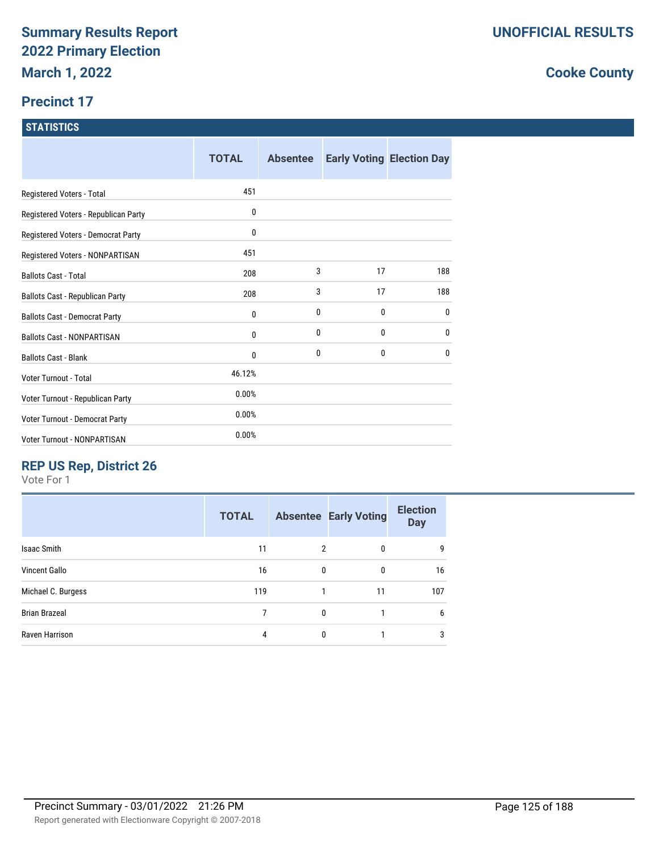# **Precinct 17**

### **STATISTICS**

|                                      | <b>TOTAL</b> | <b>Absentee</b> |    | <b>Early Voting Election Day</b> |
|--------------------------------------|--------------|-----------------|----|----------------------------------|
| Registered Voters - Total            | 451          |                 |    |                                  |
| Registered Voters - Republican Party | 0            |                 |    |                                  |
| Registered Voters - Democrat Party   | 0            |                 |    |                                  |
| Registered Voters - NONPARTISAN      | 451          |                 |    |                                  |
| <b>Ballots Cast - Total</b>          | 208          | 3               | 17 | 188                              |
| Ballots Cast - Republican Party      | 208          | 3               | 17 | 188                              |
| <b>Ballots Cast - Democrat Party</b> | 0            | 0               | 0  | $\mathbf{0}$                     |
| <b>Ballots Cast - NONPARTISAN</b>    | 0            | 0               | 0  | $\mathbf{0}$                     |
| <b>Ballots Cast - Blank</b>          | 0            | 0               | 0  | $\mathbf{0}$                     |
| Voter Turnout - Total                | 46.12%       |                 |    |                                  |
| Voter Turnout - Republican Party     | 0.00%        |                 |    |                                  |
| Voter Turnout - Democrat Party       | 0.00%        |                 |    |                                  |
| Voter Turnout - NONPARTISAN          | 0.00%        |                 |    |                                  |

# **REP US Rep, District 26**

Vote For 1

|                      | <b>TOTAL</b> |                | <b>Absentee Early Voting</b> | <b>Election</b><br><b>Day</b> |
|----------------------|--------------|----------------|------------------------------|-------------------------------|
| <b>Isaac Smith</b>   | 11           | $\overline{2}$ | 0                            | 9                             |
| <b>Vincent Gallo</b> | 16           | 0              | $\mathbf{0}$                 | 16                            |
| Michael C. Burgess   | 119          |                | 11                           | 107                           |
| <b>Brian Brazeal</b> | 7            | 0              |                              | 6                             |
| Raven Harrison       | 4            | 0              |                              | 3                             |
|                      |              |                |                              |                               |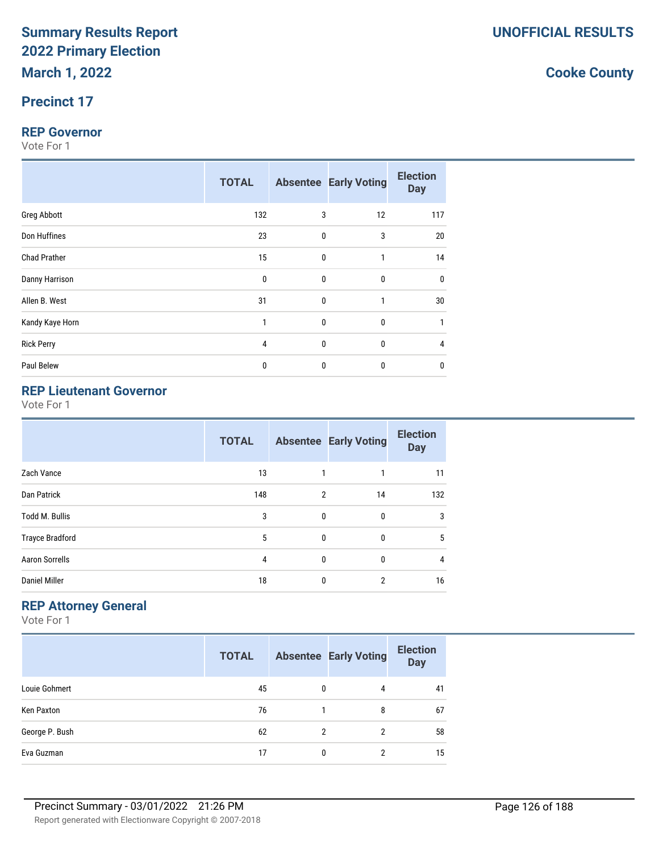# **Precinct 17**

#### **REP Governor**

Vote For 1

|                     | <b>TOTAL</b> |             | <b>Absentee Early Voting</b> | <b>Election</b><br><b>Day</b> |
|---------------------|--------------|-------------|------------------------------|-------------------------------|
| Greg Abbott         | 132          | 3           | 12                           | 117                           |
| Don Huffines        | 23           | $\mathbf 0$ | 3                            | 20                            |
| <b>Chad Prather</b> | 15           | $\pmb{0}$   | $\mathbf{1}$                 | 14                            |
| Danny Harrison      | $\mathbf 0$  | $\mathbf 0$ | $\bf{0}$                     | 0                             |
| Allen B. West       | 31           | $\mathbf 0$ | $\mathbf{1}$                 | 30                            |
| Kandy Kaye Horn     | 1            | $\pmb{0}$   | $\pmb{0}$                    | $\mathbf{1}$                  |
| <b>Rick Perry</b>   | 4            | $\pmb{0}$   | $\pmb{0}$                    | 4                             |
| Paul Belew          | 0            | 0           | $\bf{0}$                     | $\mathbf 0$                   |

# **REP Lieutenant Governor**

Vote For 1

|                        | <b>TOTAL</b> |                | <b>Absentee Early Voting</b> | <b>Election</b><br><b>Day</b> |
|------------------------|--------------|----------------|------------------------------|-------------------------------|
| Zach Vance             | 13           | 1              |                              | 11                            |
| Dan Patrick            | 148          | $\overline{2}$ | 14                           | 132                           |
| <b>Todd M. Bullis</b>  | 3            | 0              | 0                            | 3                             |
| <b>Trayce Bradford</b> | 5            | 0              | 0                            | 5                             |
| <b>Aaron Sorrells</b>  | 4            | $\mathbf{0}$   | 0                            | 4                             |
| <b>Daniel Miller</b>   | 18           | 0              | 2                            | 16                            |

# **REP Attorney General**

Vote For 1

|                | <b>TOTAL</b> |          | <b>Absentee Early Voting</b> | <b>Election</b><br><b>Day</b> |
|----------------|--------------|----------|------------------------------|-------------------------------|
| Louie Gohmert  | 45           | 0        | 4                            | 41                            |
| Ken Paxton     | 76           |          | 8                            | 67                            |
| George P. Bush | 62           | 2        | 2                            | 58                            |
| Eva Guzman     | 17           | $\Omega$ | 2                            | 15                            |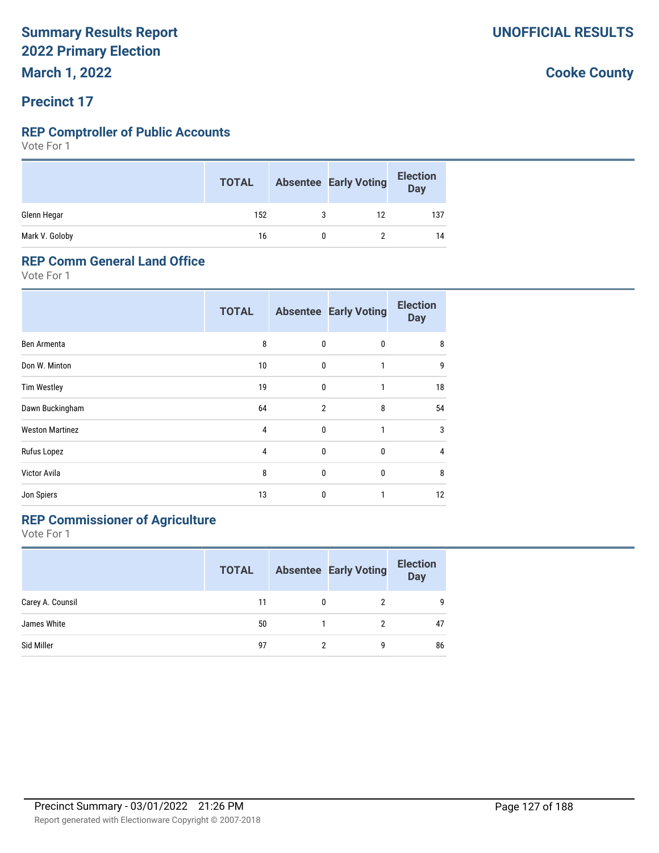# **Precinct 17**

# **REP Comptroller of Public Accounts**

Vote For 1

|                | <b>TOTAL</b> | <b>Absentee Early Voting</b> | <b>Election</b><br>Day |
|----------------|--------------|------------------------------|------------------------|
| Glenn Hegar    | 152          | 12                           | 137                    |
| Mark V. Goloby | 16           |                              | 14                     |

#### **REP Comm General Land Office**

Vote For 1

|                        | <b>TOTAL</b> |                | <b>Absentee Early Voting</b> | <b>Election</b><br><b>Day</b> |
|------------------------|--------------|----------------|------------------------------|-------------------------------|
| Ben Armenta            | 8            | 0              | 0                            | 8                             |
| Don W. Minton          | 10           | $\mathbf{0}$   | 1                            | 9                             |
| <b>Tim Westley</b>     | 19           | $\mathbf{0}$   | 1                            | 18                            |
| Dawn Buckingham        | 64           | $\overline{2}$ | 8                            | 54                            |
| <b>Weston Martinez</b> | 4            | 0              | 1                            | 3                             |
| Rufus Lopez            | 4            | 0              | $\mathbf 0$                  | 4                             |
| Victor Avila           | 8            | 0              | 0                            | 8                             |
| Jon Spiers             | 13           | 0              | 1                            | 12                            |

# **REP Commissioner of Agriculture**

Vote For 1

|                  | <b>TOTAL</b> |   | <b>Absentee Early Voting</b> | <b>Election</b><br><b>Day</b> |
|------------------|--------------|---|------------------------------|-------------------------------|
| Carey A. Counsil | 11           |   | 2                            | 9                             |
| James White      | 50           |   |                              | 47                            |
| Sid Miller       | 97           | 2 | g                            | 86                            |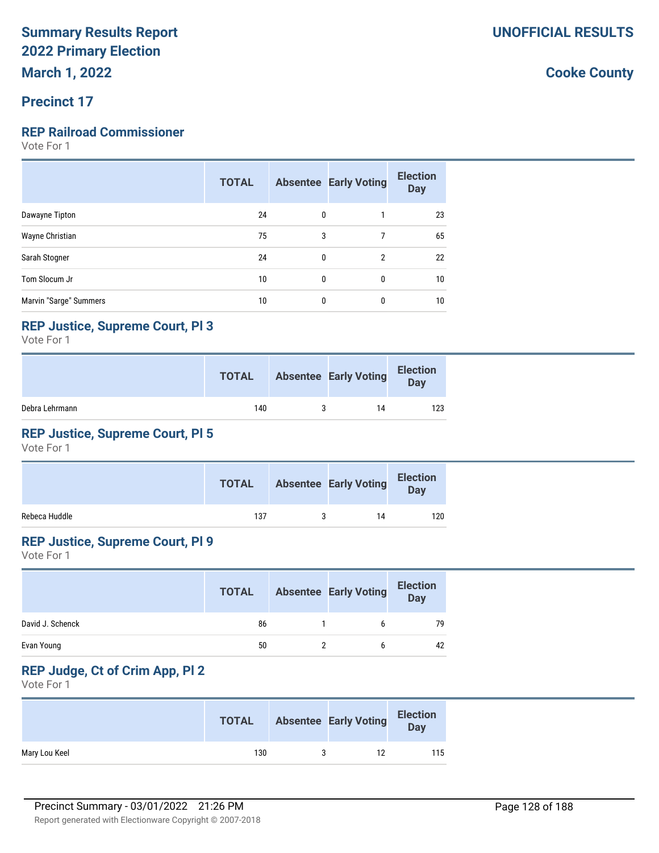# **Precinct 17**

# **REP Railroad Commissioner**

Vote For 1

|                        | <b>TOTAL</b> |   | <b>Absentee Early Voting</b> | <b>Election</b><br><b>Day</b> |
|------------------------|--------------|---|------------------------------|-------------------------------|
| Dawayne Tipton         | 24           | 0 |                              | 23                            |
| Wayne Christian        | 75           | 3 | 7                            | 65                            |
| Sarah Stogner          | 24           | 0 | $\overline{2}$               | 22                            |
| Tom Slocum Jr          | 10           | 0 | 0                            | 10                            |
| Marvin "Sarge" Summers | 10           | 0 | 0                            | 10                            |

# **REP Justice, Supreme Court, Pl 3**

Vote For 1

|                | <b>TOTAL</b> | <b>Absentee Early Voting</b> | <b>Election</b><br>Day |
|----------------|--------------|------------------------------|------------------------|
| Debra Lehrmann | 140          | 14                           | 123                    |

# **REP Justice, Supreme Court, Pl 5**

Vote For 1

|               | <b>TOTAL</b> | <b>Absentee Early Voting</b> | <b>Election</b><br><b>Day</b> |
|---------------|--------------|------------------------------|-------------------------------|
| Rebeca Huddle | 137          | 14                           | 120                           |

# **REP Justice, Supreme Court, Pl 9**

Vote For 1

|                  | <b>TOTAL</b> | <b>Absentee Early Voting</b> | <b>Election</b><br><b>Day</b> |
|------------------|--------------|------------------------------|-------------------------------|
| David J. Schenck | 86           |                              | 79                            |
| Evan Young       | 50           |                              | 42                            |

# **REP Judge, Ct of Crim App, Pl 2**

Vote For 1

|               | <b>TOTAL</b> | <b>Absentee Early Voting</b> | <b>Election</b><br>Day |
|---------------|--------------|------------------------------|------------------------|
| Mary Lou Keel | 130          |                              | 115                    |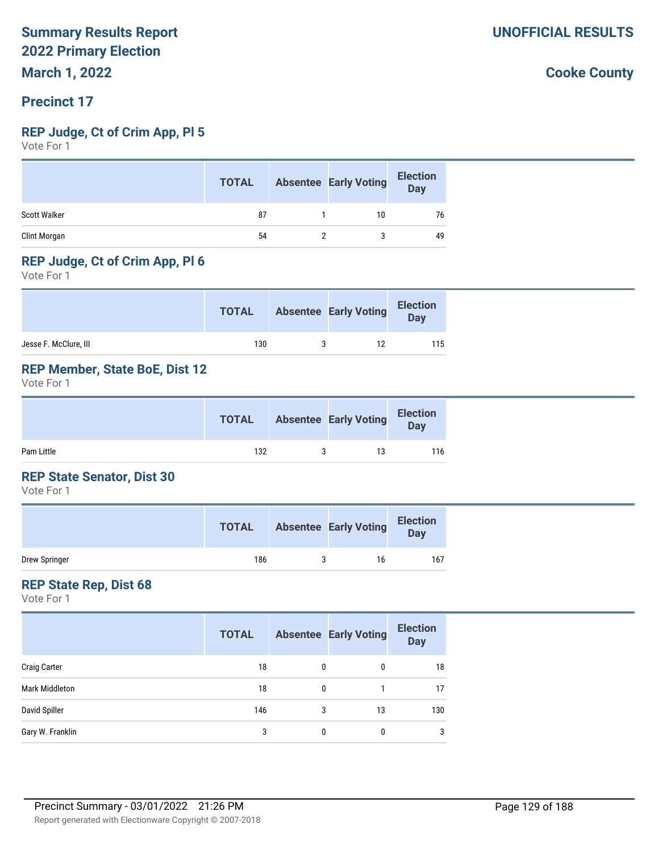# **Precinct 17**

### **REP Judge, Ct of Crim App, Pl 5**

Vote For 1

|              | <b>TOTAL</b> | <b>Absentee Early Voting</b> | <b>Election</b><br><b>Day</b> |
|--------------|--------------|------------------------------|-------------------------------|
| Scott Walker | 87           | 10                           | 76                            |
| Clint Morgan | 54           |                              | 49                            |

# **REP Judge, Ct of Crim App, Pl 6**

Vote For 1

|                       | <b>TOTAL</b> | <b>Absentee Early Voting</b> | <b>Election</b><br>Day |
|-----------------------|--------------|------------------------------|------------------------|
| Jesse F. McClure, III | 130          | 12                           | 115                    |

# **REP Member, State BoE, Dist 12**

Vote For 1

|            | <b>TOTAL</b> | <b>Absentee Early Voting</b> | <b>Election</b><br>Day |
|------------|--------------|------------------------------|------------------------|
| Pam Little | 132          | 13                           | 116                    |

### **REP State Senator, Dist 30**

Vote For 1

|               | <b>TOTAL</b> | <b>Absentee Early Voting</b> | <b>Election</b><br>Day |
|---------------|--------------|------------------------------|------------------------|
| Drew Springer | 186          | 16                           | 167                    |

### **REP State Rep, Dist 68**

Vote For 1

|                       | <b>TOTAL</b> |   | <b>Absentee Early Voting</b> | <b>Election</b><br><b>Day</b> |
|-----------------------|--------------|---|------------------------------|-------------------------------|
| <b>Craig Carter</b>   | 18           | 0 | 0                            | 18                            |
| <b>Mark Middleton</b> | 18           | 0 |                              | 17                            |
| David Spiller         | 146          | 3 | 13                           | 130                           |
| Gary W. Franklin      | 3            | 0 | 0                            | $\mathbf{3}$                  |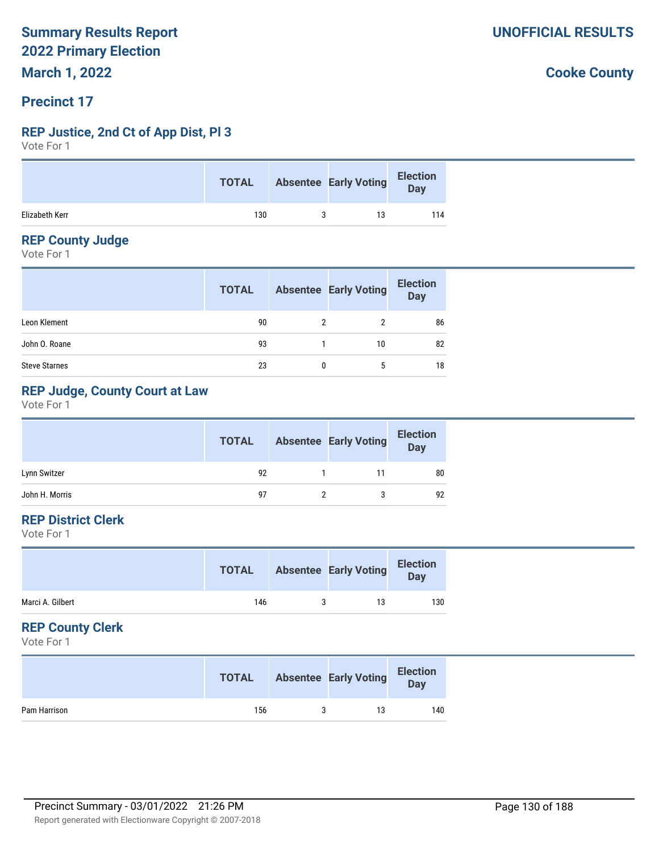# **Precinct 17**

# **REP Justice, 2nd Ct of App Dist, Pl 3**

Vote For 1

|                | <b>TOTAL</b> | Absentee Early Voting Election |     |
|----------------|--------------|--------------------------------|-----|
| Elizabeth Kerr | 130          | 13                             | 114 |

# **REP County Judge**

Vote For 1

|                      | <b>TOTAL</b> |   | <b>Absentee Early Voting</b> | <b>Election</b><br>Day |
|----------------------|--------------|---|------------------------------|------------------------|
| Leon Klement         | 90           | 2 |                              | 86                     |
| John O. Roane        | 93           |   | 10                           | 82                     |
| <b>Steve Starnes</b> | 23           |   | 5                            | 18                     |

# **REP Judge, County Court at Law**

Vote For 1

|                | <b>TOTAL</b> | <b>Absentee Early Voting</b> | <b>Election</b><br>Day |
|----------------|--------------|------------------------------|------------------------|
| Lynn Switzer   | 92           | 11                           | 80                     |
| John H. Morris | 97           |                              | 92                     |

# **REP District Clerk**

Vote For 1

|                  | <b>TOTAL</b> | <b>Absentee Early Voting</b> | <b>Election</b><br><b>Day</b> |
|------------------|--------------|------------------------------|-------------------------------|
| Marci A. Gilbert | 146          | 13                           | 130                           |

# **REP County Clerk**

Vote For 1

|              | <b>TOTAL</b> | <b>Absentee Early Voting</b> | <b>Election</b><br>Day |
|--------------|--------------|------------------------------|------------------------|
| Pam Harrison | 156          | 13                           | 140                    |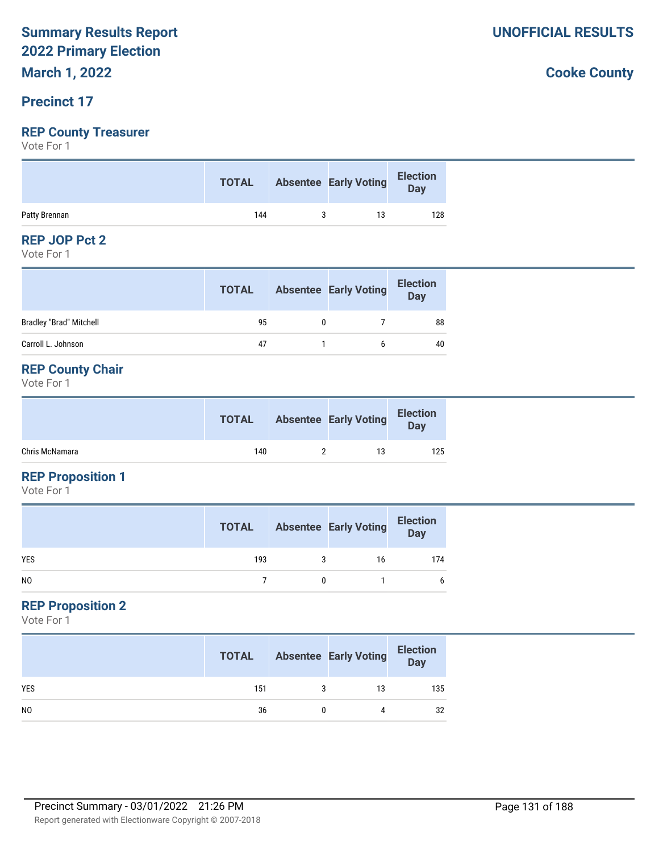# **March 1, 2022**

# **Precinct 17**

# **REP County Treasurer**

Vote For 1

|               | <b>TOTAL</b> | Absentee Early Voting | Election |
|---------------|--------------|-----------------------|----------|
| Patty Brennan | 144          | 13                    | 128      |

# **REP JOP Pct 2**

Vote For 1

|                                | <b>TOTAL</b> | <b>Absentee Early Voting</b> | <b>Election</b><br><b>Day</b> |
|--------------------------------|--------------|------------------------------|-------------------------------|
| <b>Bradley "Brad" Mitchell</b> | 95           |                              | 88                            |
| Carroll L. Johnson             | 47           |                              | 40                            |

# **REP County Chair**

Vote For 1

|                | <b>TOTAL</b> | <b>Absentee Early Voting</b> | <b>Election</b><br>Day |
|----------------|--------------|------------------------------|------------------------|
| Chris McNamara | 140          | 13                           | 125                    |

# **REP Proposition 1**

Vote For 1

|                | <b>TOTAL</b> | <b>Absentee Early Voting</b> | <b>Election</b><br>Day |
|----------------|--------------|------------------------------|------------------------|
| <b>YES</b>     | 193          | 16                           | 174                    |
| N <sub>0</sub> |              |                              |                        |

# **REP Proposition 2**

Vote For 1

|                | <b>TOTAL</b> |   | <b>Absentee Early Voting</b> | <b>Election</b><br>Day |
|----------------|--------------|---|------------------------------|------------------------|
| <b>YES</b>     | 151          | 3 | 13                           | 135                    |
| N <sub>0</sub> | 36           |   | 4                            | 32                     |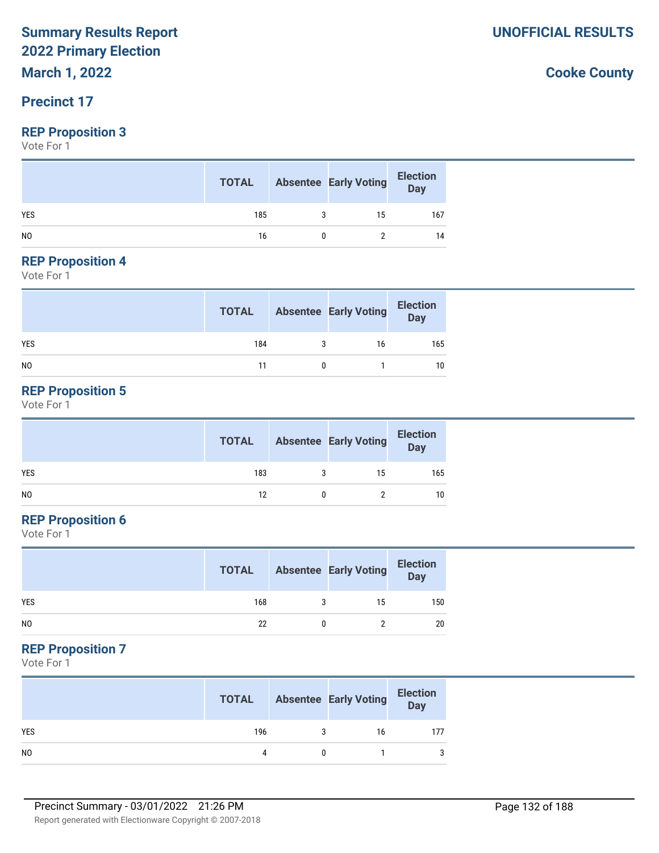# **March 1, 2022**

# **Precinct 17**

# **REP Proposition 3**

Vote For 1

|                | <b>TOTAL</b> | <b>Absentee Early Voting</b> | <b>Election</b><br>Day |
|----------------|--------------|------------------------------|------------------------|
| <b>YES</b>     | 185          | 15                           | 167                    |
| N <sub>0</sub> | 16           |                              | 14                     |

#### **REP Proposition 4**

Vote For 1

|            | <b>TOTAL</b> | <b>Absentee Early Voting</b> | Election<br>Day |
|------------|--------------|------------------------------|-----------------|
| <b>YES</b> | 184          | 16                           | 165             |
| NO         | 11           |                              | 10              |

# **REP Proposition 5**

Vote For 1

|     | <b>TOTAL</b> |   | <b>Absentee Early Voting</b> | <b>Election</b><br>Day |
|-----|--------------|---|------------------------------|------------------------|
| YES | 183          | 3 | 15                           | 165                    |
| NO. | 12           |   |                              | 10                     |

# **REP Proposition 6**

Vote For 1

|            | <b>TOTAL</b> | <b>Absentee Early Voting</b> | <b>Election</b><br>Day |
|------------|--------------|------------------------------|------------------------|
| <b>YES</b> | 168          | 15                           | 150                    |
| NO         | 22           |                              | 20                     |

# **REP Proposition 7**

Vote For 1

|                | <b>TOTAL</b> | <b>Absentee Early Voting</b> | <b>Election</b><br>Day |
|----------------|--------------|------------------------------|------------------------|
| <b>YES</b>     | 196          | 16                           | 177                    |
| N <sub>0</sub> |              |                              | 3                      |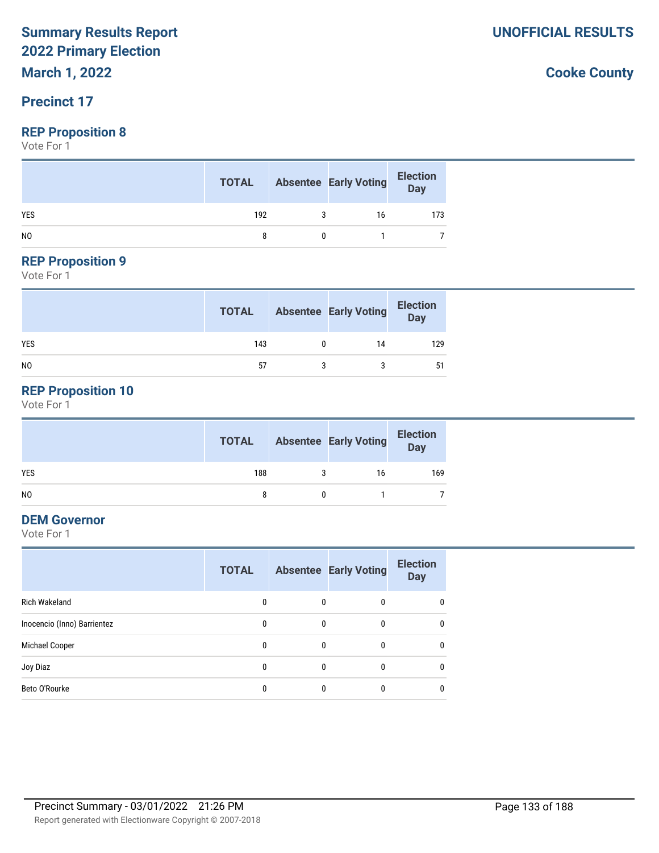**March 1, 2022**

# **Precinct 17**

### **REP Proposition 8**

Vote For 1

|                |     |   | <b>TOTAL</b> Absentee Early Voting | <b>Election</b><br>Day |
|----------------|-----|---|------------------------------------|------------------------|
| <b>YES</b>     | 192 | 3 | 16                                 | 173                    |
| N <sub>0</sub> |     |   |                                    |                        |

# **REP Proposition 9**

Vote For 1

|                | <b>TOTAL</b> | <b>Absentee Early Voting</b> | <b>Election</b><br>Day |
|----------------|--------------|------------------------------|------------------------|
| <b>YES</b>     | 143          | 14                           | 129                    |
| N <sub>0</sub> | 57           |                              | 51                     |

# **REP Proposition 10**

Vote For 1

|                | <b>TOTAL</b> | <b>Absentee Early Voting</b> | <b>Election</b><br>Day |
|----------------|--------------|------------------------------|------------------------|
| <b>YES</b>     | 188          | 16                           | 169                    |
| N <sub>0</sub> |              |                              |                        |

# **DEM Governor**

Vote For 1

|                             | <b>TOTAL</b> |   | <b>Absentee Early Voting</b> | <b>Election</b><br><b>Day</b> |
|-----------------------------|--------------|---|------------------------------|-------------------------------|
| Rich Wakeland               | 0            | 0 | 0                            | $\mathbf{0}$                  |
| Inocencio (Inno) Barrientez | 0            | 0 | 0                            | 0                             |
| Michael Cooper              | 0            | 0 | $\mathbf{0}$                 | $\mathbf{0}$                  |
| Joy Diaz                    | 0            | 0 | 0                            | $\mathbf{0}$                  |
| Beto O'Rourke               | 0            | 0 | 0                            | 0                             |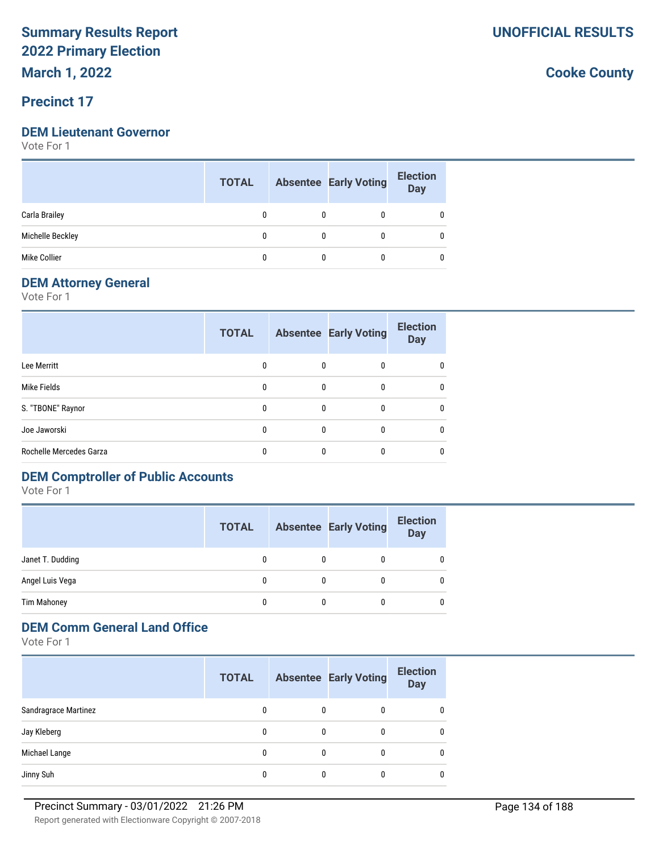**March 1, 2022**

# **Precinct 17**

#### **DEM Lieutenant Governor**

Vote For 1

|                  | <b>TOTAL</b> | <b>Absentee Early Voting</b> | <b>Election</b><br><b>Day</b> |
|------------------|--------------|------------------------------|-------------------------------|
| Carla Brailey    |              |                              |                               |
| Michelle Beckley |              |                              |                               |
| Mike Collier     |              |                              |                               |

# **DEM Attorney General**

Vote For 1

|                         | <b>TOTAL</b> |              | <b>Absentee Early Voting</b> | <b>Election</b><br><b>Day</b> |
|-------------------------|--------------|--------------|------------------------------|-------------------------------|
| Lee Merritt             | 0            | $\mathbf{0}$ | 0                            | 0                             |
| Mike Fields             | $\Omega$     | 0            | 0                            | $\mathbf{0}$                  |
| S. "TBONE" Raynor       | $\mathbf{0}$ | $\Omega$     | 0                            | 0                             |
| Joe Jaworski            | $\mathbf{0}$ | $\mathbf{0}$ | 0                            | $\mathbf{0}$                  |
| Rochelle Mercedes Garza | 0            | 0            |                              | 0                             |

# **DEM Comptroller of Public Accounts**

Vote For 1

|                    | <b>TOTAL</b> | <b>Absentee Early Voting</b> | <b>Election</b><br><b>Day</b> |
|--------------------|--------------|------------------------------|-------------------------------|
| Janet T. Dudding   |              | 0                            | 0                             |
| Angel Luis Vega    |              | 0                            | 0                             |
| <b>Tim Mahoney</b> | 0            | 0                            | U                             |

# **DEM Comm General Land Office**

Vote For 1

|                             | <b>TOTAL</b> |   | <b>Absentee Early Voting</b> | <b>Election</b><br><b>Day</b> |
|-----------------------------|--------------|---|------------------------------|-------------------------------|
| <b>Sandragrace Martinez</b> | 0            | 0 | 0                            | 0                             |
| Jay Kleberg                 | 0            | 0 | 0                            | $\mathbf{0}$                  |
| Michael Lange               | 0            | 0 |                              | $\mathbf{0}$                  |
| Jinny Suh                   |              |   |                              | 0                             |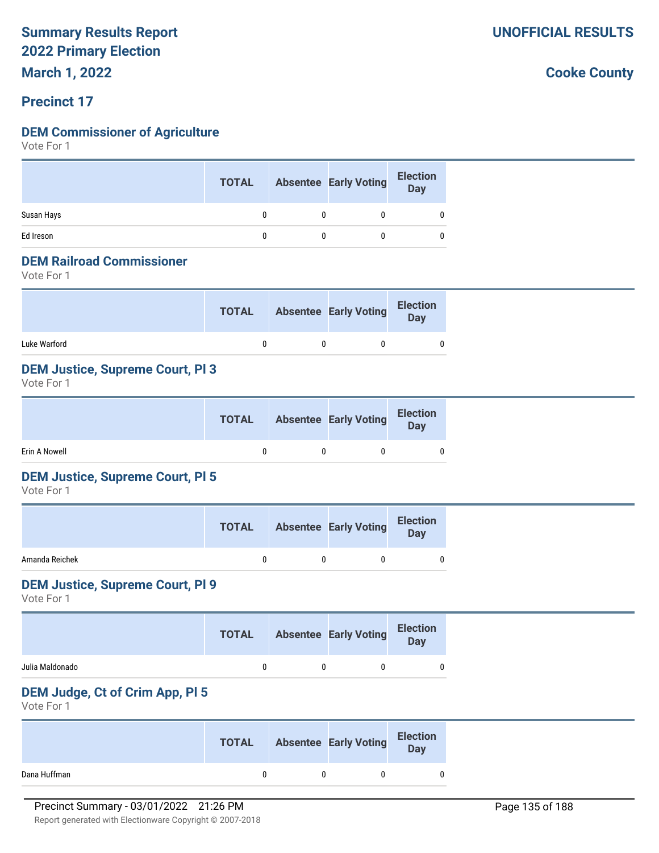**March 1, 2022**

# **Precinct 17**

# **DEM Commissioner of Agriculture**

Vote For 1

|            | <b>TOTAL</b> | <b>Absentee Early Voting</b> | <b>Election</b><br>Day |
|------------|--------------|------------------------------|------------------------|
| Susan Hays |              |                              |                        |
| Ed Ireson  |              |                              |                        |

#### **DEM Railroad Commissioner**

Vote For 1

|              | <b>TOTAL</b> | <b>Absentee Early Voting</b> | <b>Election</b><br>Day |
|--------------|--------------|------------------------------|------------------------|
| Luke Warford |              |                              | 0                      |

# **DEM Justice, Supreme Court, Pl 3**

Vote For 1

|               | <b>TOTAL</b> | <b>Absentee Early Voting</b> | <b>Election</b><br>Day |
|---------------|--------------|------------------------------|------------------------|
| Erin A Nowell |              |                              |                        |

# **DEM Justice, Supreme Court, Pl 5**

Vote For 1

|                | <b>TOTAL</b> | <b>Absentee Early Voting</b> | <b>Election</b><br><b>Day</b> |
|----------------|--------------|------------------------------|-------------------------------|
| Amanda Reichek |              |                              |                               |

### **DEM Justice, Supreme Court, Pl 9**

Vote For 1

|                 | <b>TOTAL</b> | <b>Absentee Early Voting</b> | <b>Election</b><br><b>Day</b> |
|-----------------|--------------|------------------------------|-------------------------------|
| Julia Maldonado |              |                              |                               |

# **DEM Judge, Ct of Crim App, Pl 5**

Vote For 1

|              | <b>TOTAL</b> | <b>Absentee Early Voting</b> | <b>Election</b><br>Day |
|--------------|--------------|------------------------------|------------------------|
| Dana Huffman |              |                              |                        |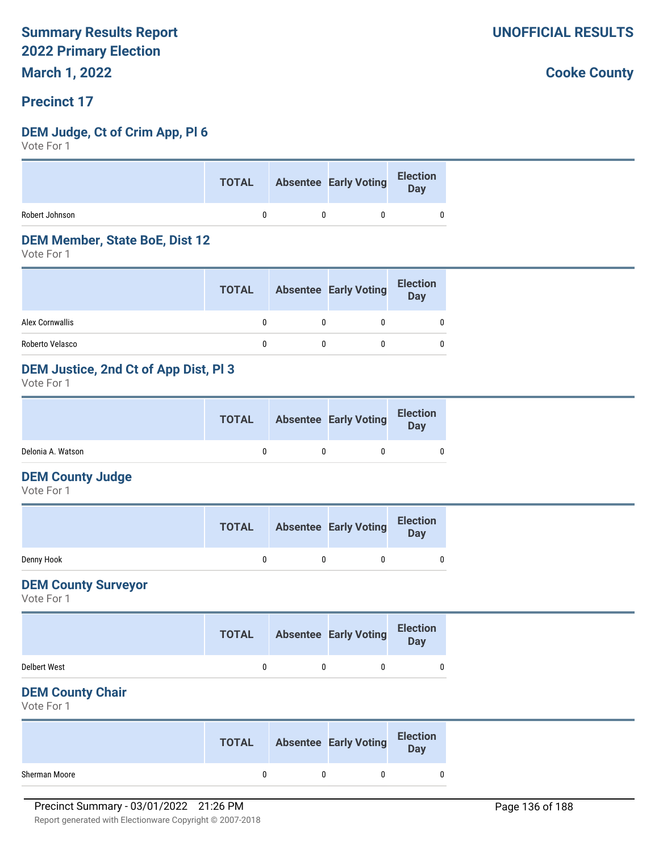**March 1, 2022**

# **Precinct 17**

# **DEM Judge, Ct of Crim App, Pl 6**

Vote For 1

|                | <b>TOTAL</b> | Absentee Early Voting Election |   |
|----------------|--------------|--------------------------------|---|
| Robert Johnson |              |                                | 0 |

#### **DEM Member, State BoE, Dist 12**

Vote For 1

|                 | <b>TOTAL</b> | <b>Absentee Early Voting</b> | <b>Election</b><br>Day |
|-----------------|--------------|------------------------------|------------------------|
| Alex Cornwallis |              |                              | 0                      |
| Roberto Velasco |              |                              | 0                      |

# **DEM Justice, 2nd Ct of App Dist, Pl 3**

Vote For 1

|                   | <b>TOTAL</b> | <b>Absentee Early Voting</b> | <b>Election</b><br>Day |  |
|-------------------|--------------|------------------------------|------------------------|--|
| Delonia A. Watson |              |                              |                        |  |

### **DEM County Judge**

Vote For 1

|            | <b>TOTAL</b> | <b>Absentee Early Voting</b> | <b>Election</b><br><b>Day</b> |
|------------|--------------|------------------------------|-------------------------------|
| Denny Hook |              |                              |                               |

# **DEM County Surveyor**

Vote For 1

|                     | <b>TOTAL</b> | <b>Absentee Early Voting</b> | <b>Election</b><br>Day |  |
|---------------------|--------------|------------------------------|------------------------|--|
| <b>Delbert West</b> |              |                              |                        |  |

#### **DEM County Chair**

Vote For 1

|               | <b>TOTAL</b> | <b>Absentee Early Voting</b> | <b>Election</b><br>Day |
|---------------|--------------|------------------------------|------------------------|
| Sherman Moore |              |                              |                        |

**UNOFFICIAL RESULTS**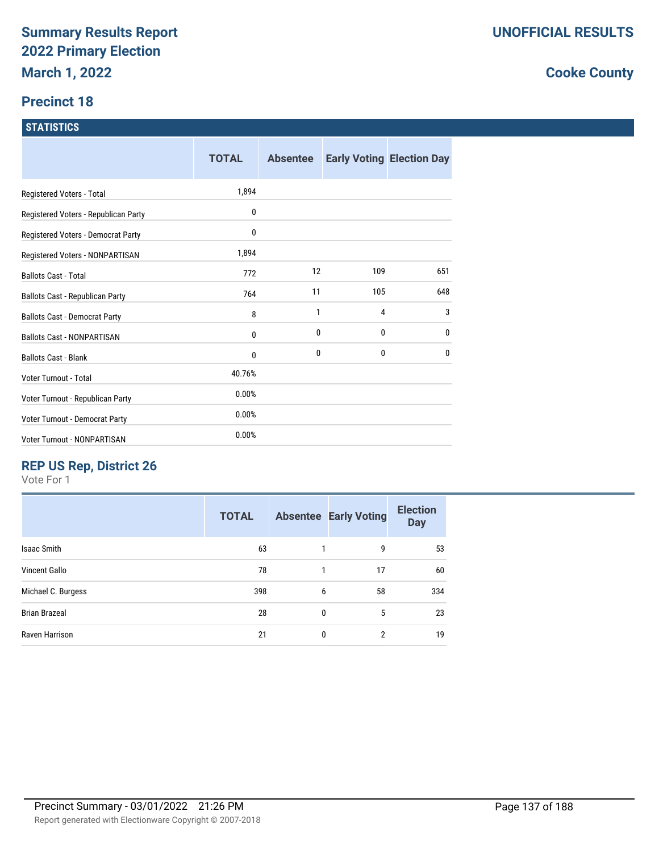# **Precinct 18**

# **STATISTICS**

|                                      | <b>TOTAL</b> | <b>Absentee</b> |     | <b>Early Voting Election Day</b> |
|--------------------------------------|--------------|-----------------|-----|----------------------------------|
| Registered Voters - Total            | 1,894        |                 |     |                                  |
| Registered Voters - Republican Party | 0            |                 |     |                                  |
| Registered Voters - Democrat Party   | 0            |                 |     |                                  |
| Registered Voters - NONPARTISAN      | 1,894        |                 |     |                                  |
| <b>Ballots Cast - Total</b>          | 772          | 12              | 109 | 651                              |
| Ballots Cast - Republican Party      | 764          | 11              | 105 | 648                              |
| <b>Ballots Cast - Democrat Party</b> | 8            | 1               | 4   | 3                                |
| <b>Ballots Cast - NONPARTISAN</b>    | 0            | 0               | 0   | 0                                |
| <b>Ballots Cast - Blank</b>          | 0            | 0               | 0   | 0                                |
| Voter Turnout - Total                | 40.76%       |                 |     |                                  |
| Voter Turnout - Republican Party     | 0.00%        |                 |     |                                  |
| Voter Turnout - Democrat Party       | 0.00%        |                 |     |                                  |
| Voter Turnout - NONPARTISAN          | 0.00%        |                 |     |                                  |

# **REP US Rep, District 26**

Vote For 1

|                      | <b>TOTAL</b> |   | <b>Absentee Early Voting</b> | <b>Election</b><br><b>Day</b> |
|----------------------|--------------|---|------------------------------|-------------------------------|
| <b>Isaac Smith</b>   | 63           |   | 9                            | 53                            |
| <b>Vincent Gallo</b> | 78           |   | 17                           | 60                            |
| Michael C. Burgess   | 398          | 6 | 58                           | 334                           |
| <b>Brian Brazeal</b> | 28           | 0 | 5                            | 23                            |
| Raven Harrison       | 21           | 0 | 2                            | 19                            |
|                      |              |   |                              |                               |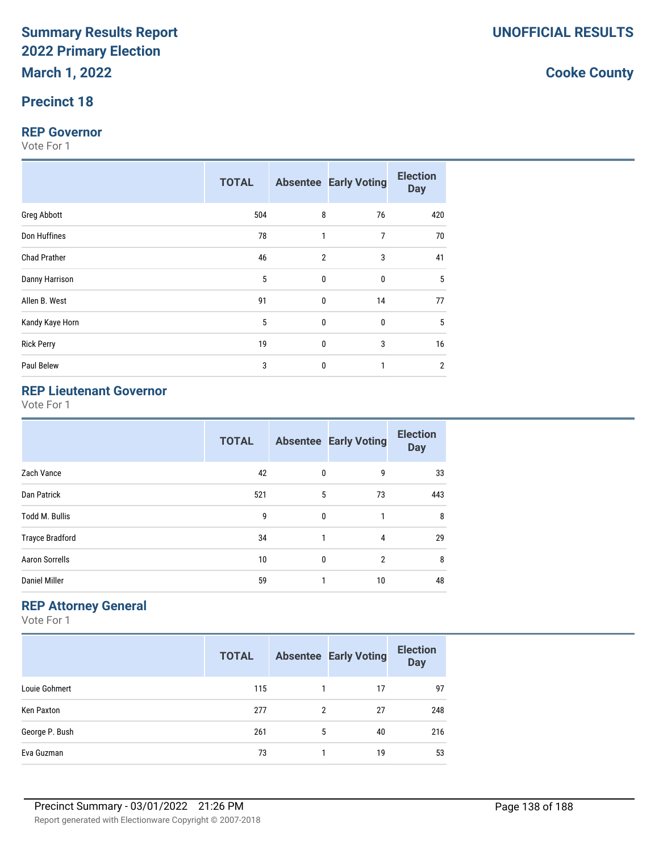# **Precinct 18**

#### **REP Governor**

Vote For 1

|                     | <b>TOTAL</b> |                | <b>Absentee Early Voting</b> | <b>Election</b><br><b>Day</b> |
|---------------------|--------------|----------------|------------------------------|-------------------------------|
| <b>Greg Abbott</b>  | 504          | 8              | 76                           | 420                           |
| Don Huffines        | 78           | 1              | 7                            | 70                            |
| <b>Chad Prather</b> | 46           | $\overline{2}$ | 3                            | 41                            |
| Danny Harrison      | 5            | $\mathbf{0}$   | 0                            | 5                             |
| Allen B. West       | 91           | $\mathbf{0}$   | 14                           | 77                            |
| Kandy Kaye Horn     | 5            | $\mathbf{0}$   | 0                            | 5                             |
| <b>Rick Perry</b>   | 19           | 0              | 3                            | 16                            |
| Paul Belew          | 3            | $\mathbf{0}$   |                              | $\overline{2}$                |

# **REP Lieutenant Governor**

Vote For 1

|                        | <b>TOTAL</b> |              | <b>Absentee Early Voting</b> | <b>Election</b><br><b>Day</b> |
|------------------------|--------------|--------------|------------------------------|-------------------------------|
| Zach Vance             | 42           | $\mathbf 0$  | 9                            | 33                            |
| Dan Patrick            | 521          | 5            | 73                           | 443                           |
| <b>Todd M. Bullis</b>  | 9            | $\mathbf{0}$ | 1                            | 8                             |
| <b>Trayce Bradford</b> | 34           | 1            | 4                            | 29                            |
| <b>Aaron Sorrells</b>  | 10           | $\mathbf{0}$ | $\overline{2}$               | 8                             |
| <b>Daniel Miller</b>   | 59           | 1            | 10                           | 48                            |

# **REP Attorney General**

Vote For 1

|                | <b>TOTAL</b> |   | <b>Absentee Early Voting</b> | <b>Election</b><br><b>Day</b> |
|----------------|--------------|---|------------------------------|-------------------------------|
| Louie Gohmert  | 115          |   | 17                           | 97                            |
| Ken Paxton     | 277          | 2 | 27                           | 248                           |
| George P. Bush | 261          | 5 | 40                           | 216                           |
| Eva Guzman     | 73           |   | 19                           | 53                            |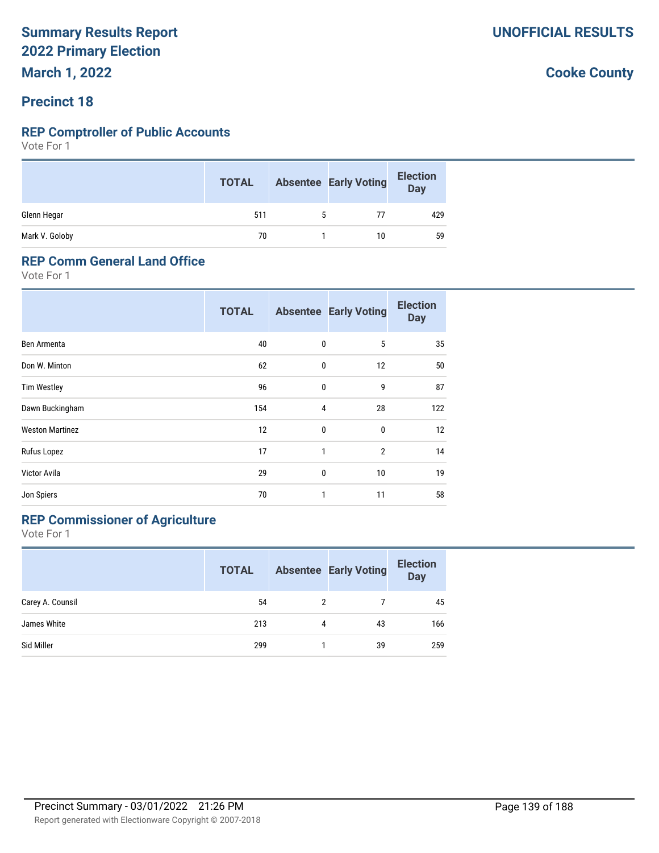# **Precinct 18**

#### **REP Comptroller of Public Accounts**

Vote For 1

|                | <b>TOTAL</b> | <b>Absentee Early Voting</b> | <b>Election</b><br>Day |
|----------------|--------------|------------------------------|------------------------|
| Glenn Hegar    | 511          | 77                           | 429                    |
| Mark V. Goloby | 70           | 10                           | 59                     |

#### **REP Comm General Land Office**

Vote For 1

|                        | <b>TOTAL</b> |   | <b>Absentee Early Voting</b> | <b>Election</b><br><b>Day</b> |
|------------------------|--------------|---|------------------------------|-------------------------------|
| Ben Armenta            | 40           | 0 | 5                            | 35                            |
| Don W. Minton          | 62           | 0 | 12                           | 50                            |
| <b>Tim Westley</b>     | 96           | 0 | 9                            | 87                            |
| Dawn Buckingham        | 154          | 4 | 28                           | 122                           |
| <b>Weston Martinez</b> | 12           | 0 | $\bf{0}$                     | 12                            |
| Rufus Lopez            | 17           | 1 | $\overline{2}$               | 14                            |
| Victor Avila           | 29           | 0 | 10                           | 19                            |
| Jon Spiers             | 70           | 1 | 11                           | 58                            |

# **REP Commissioner of Agriculture**

Vote For 1

|                  | <b>TOTAL</b> |   | <b>Absentee Early Voting</b> | <b>Election</b><br><b>Day</b> |
|------------------|--------------|---|------------------------------|-------------------------------|
| Carey A. Counsil | 54           | 2 |                              | 45                            |
| James White      | 213          | 4 | 43                           | 166                           |
| Sid Miller       | 299          |   | 39                           | 259                           |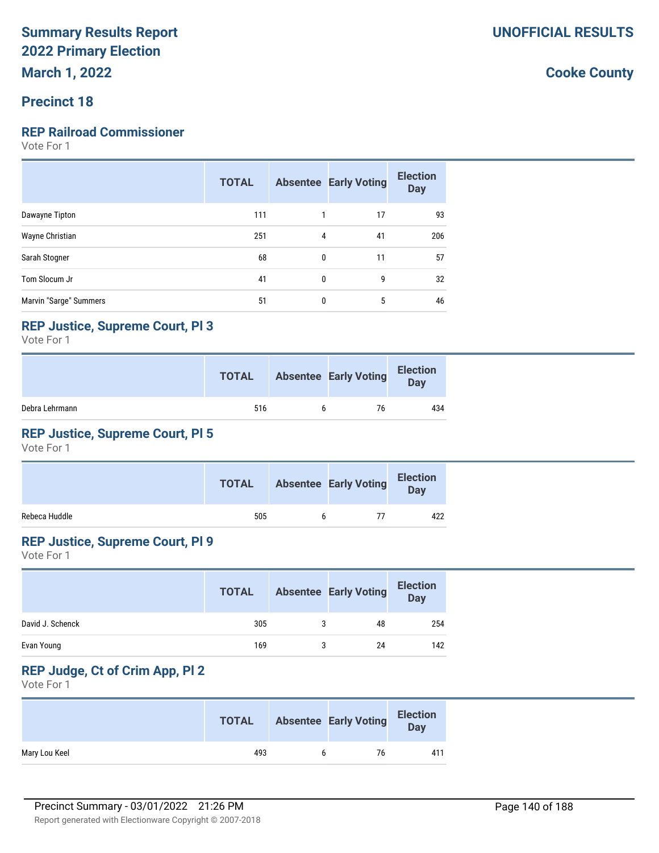# **Precinct 18**

# **REP Railroad Commissioner**

Vote For 1

|                        | <b>TOTAL</b> |   | <b>Absentee Early Voting</b> | <b>Election</b><br><b>Day</b> |
|------------------------|--------------|---|------------------------------|-------------------------------|
| Dawayne Tipton         | 111          | 1 | 17                           | 93                            |
| Wayne Christian        | 251          | 4 | 41                           | 206                           |
| Sarah Stogner          | 68           | 0 | 11                           | 57                            |
| Tom Slocum Jr          | 41           | 0 | 9                            | 32                            |
| Marvin "Sarge" Summers | 51           | 0 | 5                            | 46                            |

# **REP Justice, Supreme Court, Pl 3**

Vote For 1

|                | <b>TOTAL</b> | <b>Absentee Early Voting</b> | <b>Election</b><br>Day |
|----------------|--------------|------------------------------|------------------------|
| Debra Lehrmann | 516          | 76                           | 434                    |

# **REP Justice, Supreme Court, Pl 5**

Vote For 1

|               | <b>TOTAL</b> | <b>Absentee Early Voting</b> | <b>Election</b><br>Day |
|---------------|--------------|------------------------------|------------------------|
| Rebeca Huddle | 505          |                              | 422                    |

# **REP Justice, Supreme Court, Pl 9**

Vote For 1

|                  | <b>TOTAL</b> | <b>Absentee Early Voting</b> | <b>Election</b><br><b>Day</b> |
|------------------|--------------|------------------------------|-------------------------------|
| David J. Schenck | 305          | 48                           | 254                           |
| Evan Young       | 169          | 24                           | 142                           |

# **REP Judge, Ct of Crim App, Pl 2**

Vote For 1

|               | <b>TOTAL</b> | <b>Absentee Early Voting</b> | <b>Election</b><br><b>Day</b> |
|---------------|--------------|------------------------------|-------------------------------|
| Mary Lou Keel | 493          | 76                           | 411                           |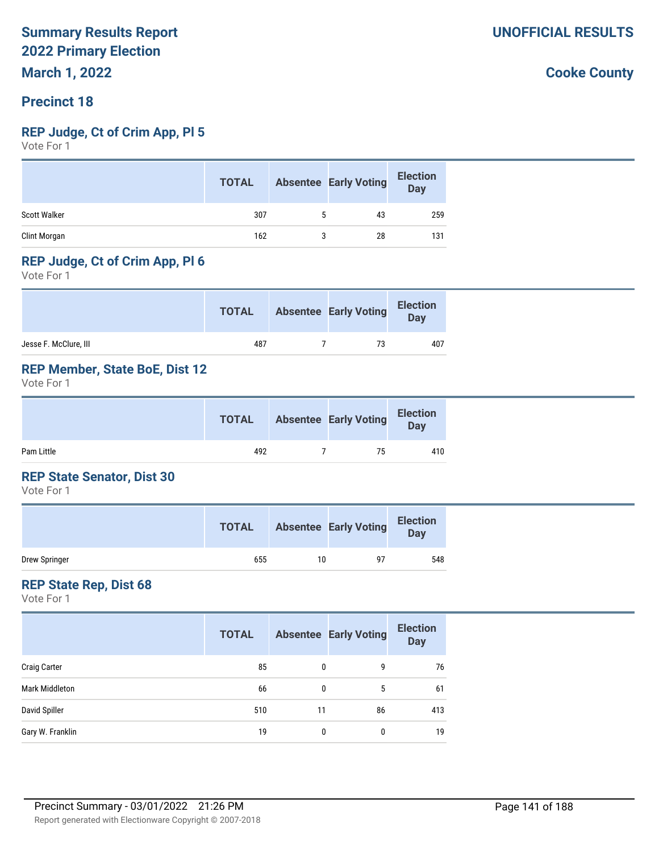# **Precinct 18**

#### **REP Judge, Ct of Crim App, Pl 5**

Vote For 1

|                     | <b>TOTAL</b> | <b>Absentee Early Voting</b> | <b>Election</b><br><b>Day</b> |
|---------------------|--------------|------------------------------|-------------------------------|
| <b>Scott Walker</b> | 307          | 43                           | 259                           |
| Clint Morgan        | 162          | 28                           | 131                           |

# **REP Judge, Ct of Crim App, Pl 6**

Vote For 1

|                       | <b>TOTAL</b> | <b>Absentee Early Voting</b> | <b>Election</b><br>Day |
|-----------------------|--------------|------------------------------|------------------------|
| Jesse F. McClure, III | 487          | 73                           | 407                    |

# **REP Member, State BoE, Dist 12**

Vote For 1

|            | <b>TOTAL</b> | <b>Absentee Early Voting</b> | <b>Election</b><br><b>Day</b> |  |
|------------|--------------|------------------------------|-------------------------------|--|
| Pam Little | 492          | 75                           | 410                           |  |

### **REP State Senator, Dist 30**

Vote For 1

|               | <b>TOTAL</b> |    | <b>Absentee Early Voting</b> | <b>Election</b><br>Day |
|---------------|--------------|----|------------------------------|------------------------|
| Drew Springer | 655          | 10 | 97                           | 548                    |

### **REP State Rep, Dist 68**

Vote For 1

|                     | <b>TOTAL</b> |    | <b>Absentee Early Voting</b> | <b>Election</b><br><b>Day</b> |
|---------------------|--------------|----|------------------------------|-------------------------------|
| <b>Craig Carter</b> | 85           | 0  | 9                            | 76                            |
| Mark Middleton      | 66           | 0  | 5                            | 61                            |
| David Spiller       | 510          | 11 | 86                           | 413                           |
| Gary W. Franklin    | 19           | 0  | 0                            | 19                            |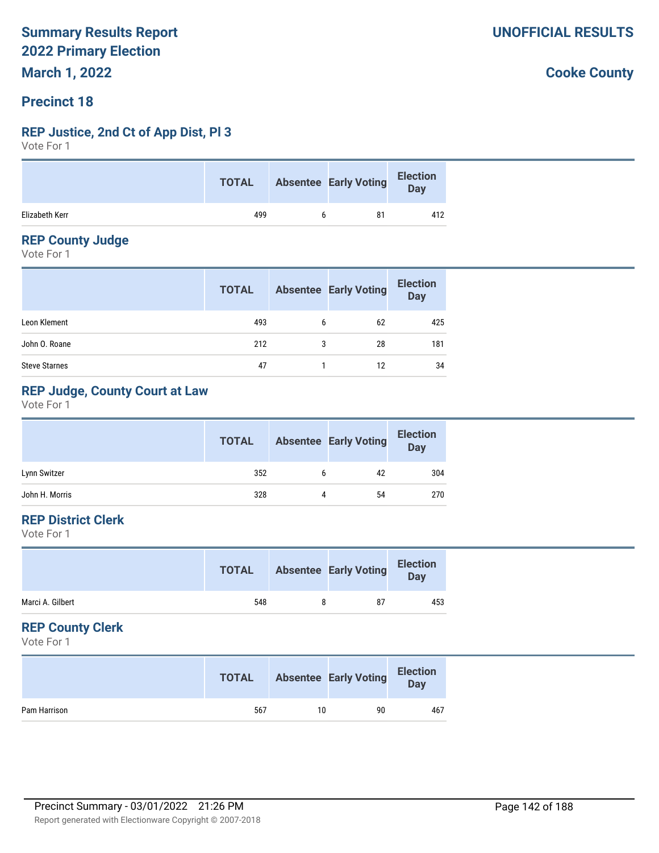# **Precinct 18**

# **REP Justice, 2nd Ct of App Dist, Pl 3**

Vote For 1

|                | <b>TOTAL</b> | Absentee Early Voting | Election |
|----------------|--------------|-----------------------|----------|
| Elizabeth Kerr | 499          | 81                    | 412      |

# **REP County Judge**

Vote For 1

|                      | <b>TOTAL</b> |   | <b>Absentee Early Voting</b> | <b>Election</b><br><b>Day</b> |
|----------------------|--------------|---|------------------------------|-------------------------------|
| Leon Klement         | 493          | 6 | 62                           | 425                           |
| John O. Roane        | 212          | 3 | 28                           | 181                           |
| <b>Steve Starnes</b> | 47           |   | 12                           | 34                            |

# **REP Judge, County Court at Law**

Vote For 1

|                | <b>TOTAL</b> |   | <b>Absentee Early Voting</b> | <b>Election</b><br><b>Day</b> |
|----------------|--------------|---|------------------------------|-------------------------------|
| Lynn Switzer   | 352          |   | 42                           | 304                           |
| John H. Morris | 328          | 4 | 54                           | 270                           |

# **REP District Clerk**

Vote For 1

|                  | <b>TOTAL</b> | <b>Absentee Early Voting</b> | <b>Election</b><br>Day |
|------------------|--------------|------------------------------|------------------------|
| Marci A. Gilbert | 548          | 87                           | 453                    |
|                  |              |                              |                        |

# **REP County Clerk**

Vote For 1

|              | <b>TOTAL</b> |    | <b>Absentee Early Voting</b> | <b>Election</b><br>Day |
|--------------|--------------|----|------------------------------|------------------------|
| Pam Harrison | 567          | 10 | 90                           | 467                    |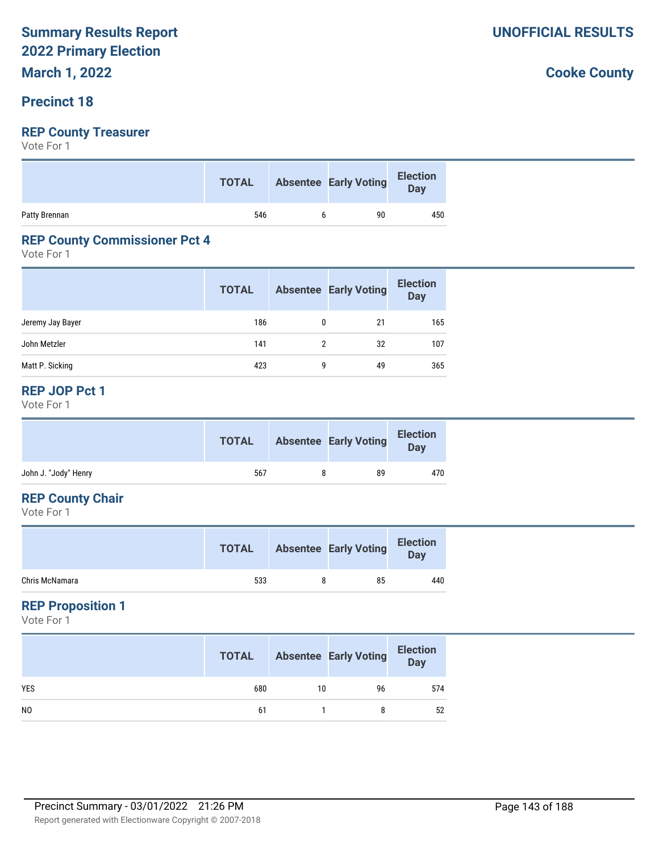# **Precinct 18**

# **REP County Treasurer**

Vote For 1

|               | <b>TOTAL</b> | Absentee Early Voting | <b>Election</b><br>Day |
|---------------|--------------|-----------------------|------------------------|
| Patty Brennan | 546          | 90                    | 450                    |

# **REP County Commissioner Pct 4**

Vote For 1

|                  | <b>TOTAL</b> |               | <b>Absentee Early Voting</b> | <b>Election</b><br><b>Day</b> |
|------------------|--------------|---------------|------------------------------|-------------------------------|
| Jeremy Jay Bayer | 186          | $\Omega$      | 21                           | 165                           |
| John Metzler     | 141          | $\mathcal{P}$ | 32                           | 107                           |
| Matt P. Sicking  | 423          | q             | 49                           | 365                           |

# **REP JOP Pct 1**

Vote For 1

|                      | <b>TOTAL</b> | <b>Absentee Early Voting</b> | <b>Election</b><br>Day |
|----------------------|--------------|------------------------------|------------------------|
| John J. "Jody" Henry | 567          | 89                           | 470                    |
|                      |              |                              |                        |

# **REP County Chair**

Vote For 1

|                | <b>TOTAL</b> | <b>Absentee Early Voting</b> | <b>Election</b><br>Day |
|----------------|--------------|------------------------------|------------------------|
| Chris McNamara | 533          | 85                           | 440                    |

# **REP Proposition 1**

Vote For 1

|                | <b>TOTAL</b> |    | <b>Absentee Early Voting</b> | <b>Election</b><br>Day |
|----------------|--------------|----|------------------------------|------------------------|
| <b>YES</b>     | 680          | 10 | 96                           | 574                    |
| N <sub>0</sub> | 61           |    | 8                            | 52                     |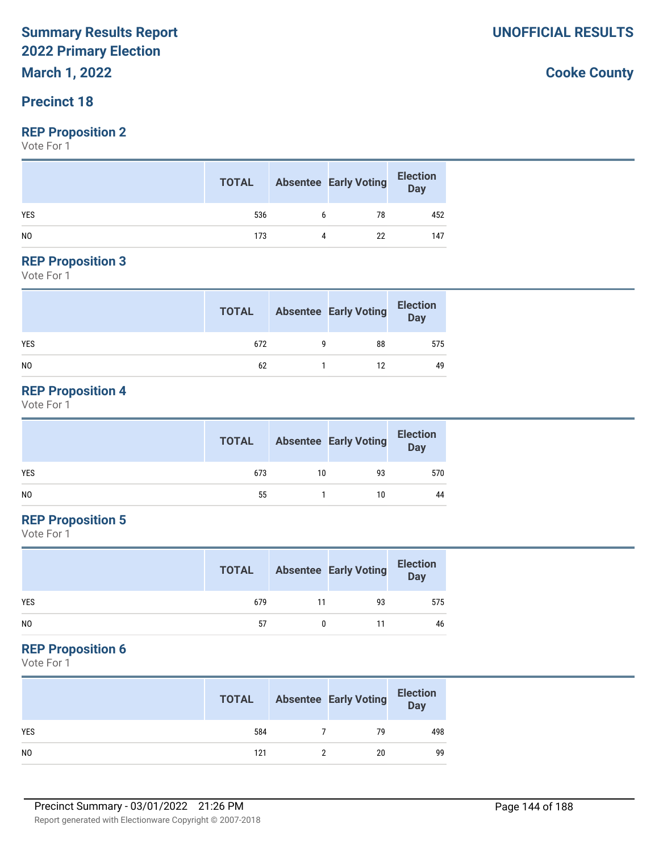**March 1, 2022**

# **Precinct 18**

# **REP Proposition 2**

Vote For 1

|                | <b>TOTAL</b> |   | <b>Absentee Early Voting</b> | <b>Election</b><br>Day |
|----------------|--------------|---|------------------------------|------------------------|
| <b>YES</b>     | 536          | h | 78                           | 452                    |
| N <sub>0</sub> | 173          |   | 22                           | 147                    |

#### **REP Proposition 3**

Vote For 1

|                | <b>TOTAL</b> | <b>Absentee Early Voting</b> | <b>Election</b><br>$\overline{\mathsf{Day}}$ |
|----------------|--------------|------------------------------|----------------------------------------------|
| <b>YES</b>     | 672          | 88                           | 575                                          |
| N <sub>0</sub> | 62           | 12                           | 49                                           |

# **REP Proposition 4**

Vote For 1

|     | <b>TOTAL</b> |    | <b>Absentee Early Voting</b> | <b>Election</b><br>Day |
|-----|--------------|----|------------------------------|------------------------|
| YES | 673          | 10 | 93                           | 570                    |
| NO  | 55           |    | 10                           | 44                     |

# **REP Proposition 5**

Vote For 1

|                | <b>TOTAL</b> |    | <b>Absentee Early Voting</b> | <b>Election</b><br><b>Day</b> |
|----------------|--------------|----|------------------------------|-------------------------------|
| <b>YES</b>     | 679          | 11 | 93                           | 575                           |
| N <sub>0</sub> | 57           |    | 11                           | 46                            |

# **REP Proposition 6**

Vote For 1

|                | <b>TOTAL</b> | <b>Absentee Early Voting</b> | <b>Election</b><br>Day |
|----------------|--------------|------------------------------|------------------------|
| <b>YES</b>     | 584          | 79                           | 498                    |
| N <sub>0</sub> | 121          | 20                           | 99                     |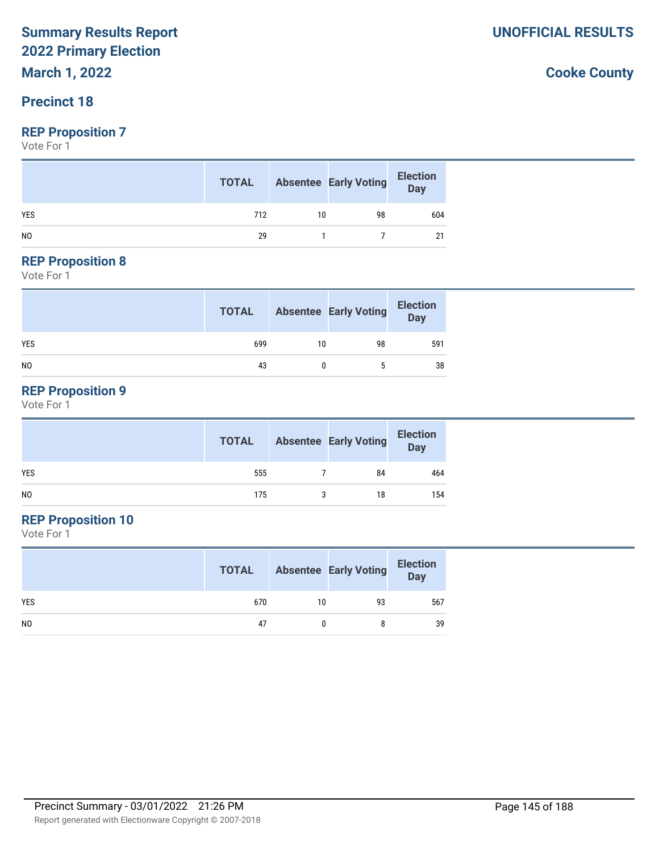**March 1, 2022**

#### **Precinct 18**

#### **REP Proposition 7**

Vote For 1

|                | <b>TOTAL</b> |    | <b>Absentee Early Voting</b> | <b>Election</b><br>Day |
|----------------|--------------|----|------------------------------|------------------------|
| <b>YES</b>     | 712          | 10 | 98                           | 604                    |
| N <sub>0</sub> | 29           |    |                              |                        |

#### **REP Proposition 8**

Vote For 1

|                | <b>TOTAL</b> |    | <b>Absentee Early Voting</b> | <b>Election</b><br>Day |
|----------------|--------------|----|------------------------------|------------------------|
| <b>YES</b>     | 699          | 10 | 98                           | 591                    |
| N <sub>0</sub> | 43           |    | 5                            | 38                     |

#### **REP Proposition 9**

Vote For 1

|                | <b>TOTAL</b> | <b>Absentee Early Voting</b> | <b>Election</b><br>Day |
|----------------|--------------|------------------------------|------------------------|
| <b>YES</b>     | 555          | 84                           | 464                    |
| N <sub>O</sub> | 175          | 18                           | 154                    |

### **REP Proposition 10**

Vote For 1

|                | <b>TOTAL</b> |    | <b>Absentee Early Voting</b> | <b>Election</b><br><b>Day</b> |
|----------------|--------------|----|------------------------------|-------------------------------|
| <b>YES</b>     | 670          | 10 | 93                           | 567                           |
| N <sub>0</sub> | 47           |    | 8                            | 39                            |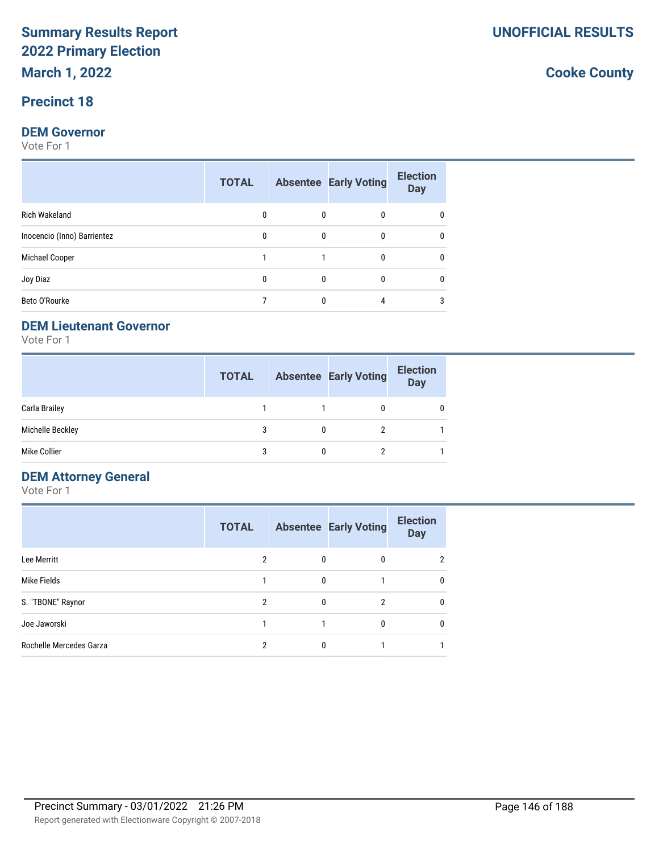#### **Precinct 18**

#### **DEM Governor**

Vote For 1

|                             | <b>TOTAL</b> |              | <b>Absentee Early Voting</b> | <b>Election</b><br><b>Day</b> |
|-----------------------------|--------------|--------------|------------------------------|-------------------------------|
| Rich Wakeland               | 0            | 0            | $\Omega$                     | 0                             |
| Inocencio (Inno) Barrientez | 0            | $\mathbf{0}$ | 0                            |                               |
| Michael Cooper              |              |              | 0                            | 0                             |
| Joy Diaz                    | 0            | 0            | $\Omega$                     | 0                             |
| Beto O'Rourke               |              | 0            | 4                            | 3                             |

#### **DEM Lieutenant Governor**

Vote For 1

|                  | <b>TOTAL</b> |   | <b>Absentee Early Voting</b> | <b>Election</b><br><b>Day</b> |
|------------------|--------------|---|------------------------------|-------------------------------|
| Carla Brailey    |              |   | 0                            |                               |
| Michelle Beckley | 3            | n | 2                            |                               |
| Mike Collier     |              |   |                              |                               |

#### **DEM Attorney General**

Vote For 1

|                         | <b>TOTAL</b> |   | <b>Absentee Early Voting</b> | <b>Election</b><br><b>Day</b> |
|-------------------------|--------------|---|------------------------------|-------------------------------|
| Lee Merritt             | 2            | 0 | 0                            | $\mathfrak{p}$                |
| Mike Fields             |              | 0 |                              | 0                             |
| S. "TBONE" Raynor       | 2            | 0 | 2                            | 0                             |
| Joe Jaworski            |              |   |                              | 0                             |
| Rochelle Mercedes Garza | 2            | 0 |                              |                               |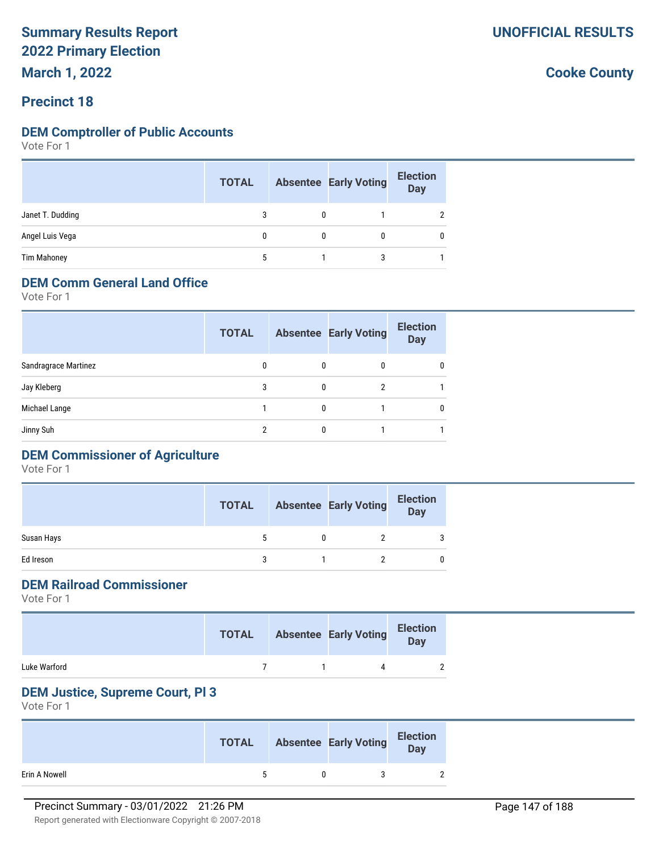**March 1, 2022**

#### **Precinct 18**

#### **DEM Comptroller of Public Accounts**

Vote For 1

|                    | <b>TOTAL</b> | <b>Absentee Early Voting</b> | <b>Election</b><br><b>Day</b> |
|--------------------|--------------|------------------------------|-------------------------------|
| Janet T. Dudding   | 3            |                              |                               |
| Angel Luis Vega    | 0            |                              |                               |
| <b>Tim Mahoney</b> | 5            |                              |                               |

#### **DEM Comm General Land Office**

Vote For 1

|                      | <b>TOTAL</b> |          | <b>Absentee Early Voting</b> | <b>Election</b><br><b>Day</b> |
|----------------------|--------------|----------|------------------------------|-------------------------------|
| Sandragrace Martinez | 0            | 0        | 0                            | 0                             |
| Jay Kleberg          | 3            | $\Omega$ | 2                            |                               |
| Michael Lange        |              | $\Omega$ |                              | 0                             |
| Jinny Suh            | 2            |          |                              |                               |
|                      |              |          |                              |                               |

### **DEM Commissioner of Agriculture**

Vote For 1

|            | <b>TOTAL</b> | <b>Absentee Early Voting</b> | <b>Election</b><br><b>Day</b> |
|------------|--------------|------------------------------|-------------------------------|
| Susan Hays |              |                              | 3                             |
| Ed Ireson  |              |                              | 0                             |

#### **DEM Railroad Commissioner**

Vote For 1

|              | <b>TOTAL</b> | <b>Absentee Early Voting</b> | <b>Election</b><br>Day |
|--------------|--------------|------------------------------|------------------------|
| Luke Warford |              |                              |                        |

#### **DEM Justice, Supreme Court, Pl 3**

|               | <b>TOTAL</b> | <b>Absentee Early Voting</b> | <b>Election</b><br>Day |
|---------------|--------------|------------------------------|------------------------|
| Erin A Nowell | 5            |                              |                        |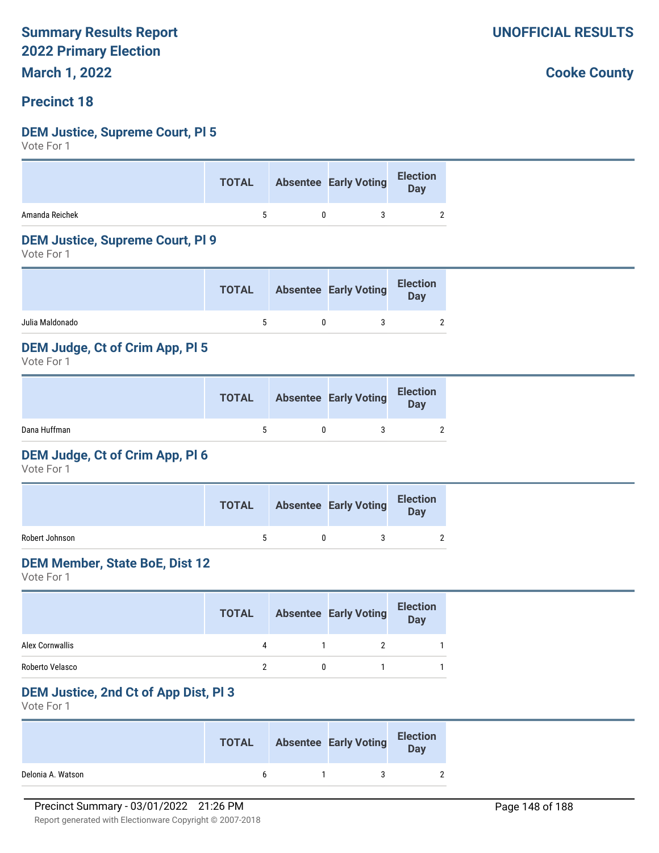**March 1, 2022**

#### **Precinct 18**

#### **DEM Justice, Supreme Court, Pl 5**

Vote For 1

|                | <b>TOTAL</b> | Absentee Early Voting Election |  |
|----------------|--------------|--------------------------------|--|
| Amanda Reichek | $\sim$       | 3                              |  |

#### **DEM Justice, Supreme Court, Pl 9**

Vote For 1

|                 | TOTAL | <b>Absentee Early Voting</b> | <b>Election</b><br><b>Day</b> |
|-----------------|-------|------------------------------|-------------------------------|
| Julia Maldonado |       |                              | $\overline{2}$                |

#### **DEM Judge, Ct of Crim App, Pl 5**

Vote For 1

|              | TOTAL | <b>Absentee Early Voting</b> | <b>Election</b><br>Day |
|--------------|-------|------------------------------|------------------------|
| Dana Huffman |       |                              | <sup>2</sup>           |

#### **DEM Judge, Ct of Crim App, Pl 6**

Vote For 1

|                | <b>TOTAL</b> | <b>Absentee Early Voting</b> | <b>Election</b><br>Day |
|----------------|--------------|------------------------------|------------------------|
| Robert Johnson |              |                              | $\overline{2}$         |

#### **DEM Member, State BoE, Dist 12**

Vote For 1

|                 | <b>TOTAL</b> | <b>Absentee Early Voting</b> | <b>Election</b><br>Day |  |
|-----------------|--------------|------------------------------|------------------------|--|
| Alex Cornwallis |              |                              |                        |  |
| Roberto Velasco |              |                              |                        |  |

#### **DEM Justice, 2nd Ct of App Dist, Pl 3**

Vote For 1

|                   | <b>TOTAL</b> | <b>Absentee Early Voting</b> | <b>Election</b><br>Day |
|-------------------|--------------|------------------------------|------------------------|
| Delonia A. Watson | h            |                              |                        |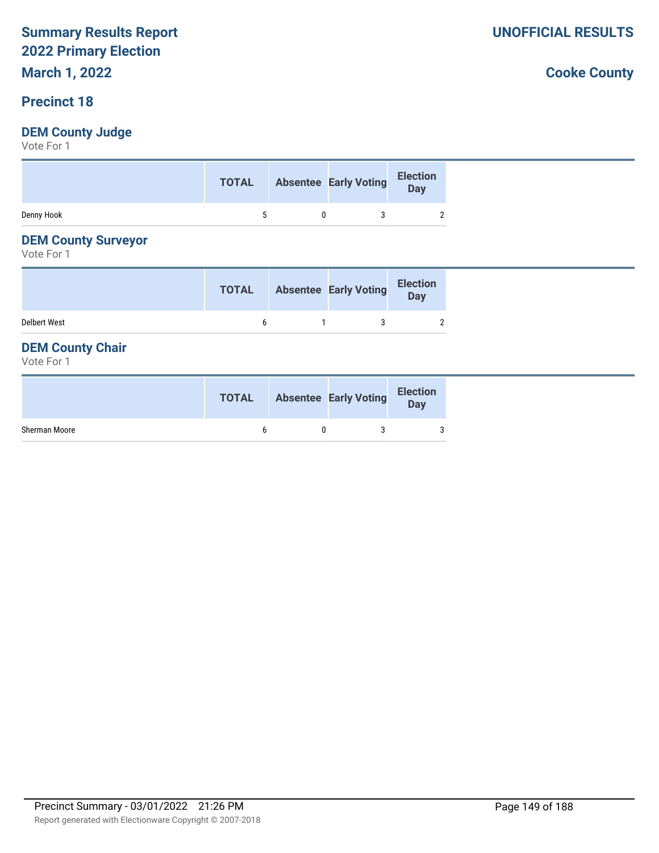# **March 1, 2022**

#### **Precinct 18**

#### **DEM County Judge**

Vote For 1

|            | TOTAL Absentee Early Voting |  | Election |
|------------|-----------------------------|--|----------|
| Denny Hook |                             |  |          |

#### **DEM County Surveyor**

Vote For 1

|                     | <b>TOTAL</b> | <b>Absentee Early Voting</b> | <b>Election</b><br><b>Day</b> |
|---------------------|--------------|------------------------------|-------------------------------|
| <b>Delbert West</b> |              |                              | $\overline{2}$                |

#### **DEM County Chair**

Vote For 1

|               | <b>TOTAL</b> | <b>Absentee Early Voting</b> | <b>Election</b><br>Day |
|---------------|--------------|------------------------------|------------------------|
| Sherman Moore |              |                              | 3                      |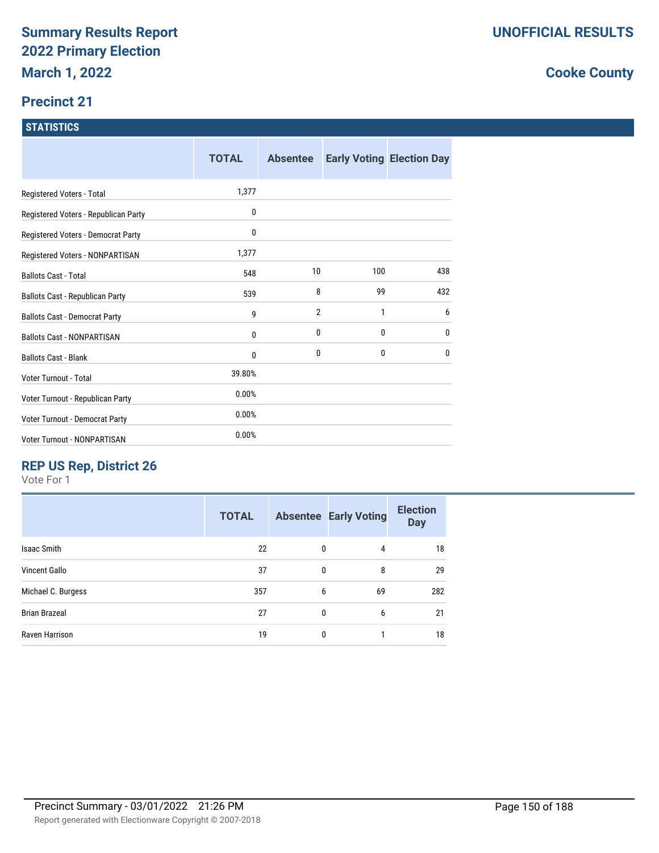#### **Precinct 21**

| <b>ISTATISTICS</b> |
|--------------------|
|                    |
|                    |

|                                      | <b>TOTAL</b> | <b>Absentee</b> |              | <b>Early Voting Election Day</b> |
|--------------------------------------|--------------|-----------------|--------------|----------------------------------|
| Registered Voters - Total            | 1,377        |                 |              |                                  |
| Registered Voters - Republican Party | $\mathbf{0}$ |                 |              |                                  |
| Registered Voters - Democrat Party   | $\mathbf{0}$ |                 |              |                                  |
| Registered Voters - NONPARTISAN      | 1,377        |                 |              |                                  |
| <b>Ballots Cast - Total</b>          | 548          | 10              | 100          | 438                              |
| Ballots Cast - Republican Party      | 539          | 8               | 99           | 432                              |
| <b>Ballots Cast - Democrat Party</b> | 9            | $\overline{2}$  | 1            | 6                                |
| <b>Ballots Cast - NONPARTISAN</b>    | $\mathbf{0}$ | 0               | 0            | 0                                |
| <b>Ballots Cast - Blank</b>          | $\mathbf{0}$ | 0               | $\mathbf{0}$ | 0                                |
| <b>Voter Turnout - Total</b>         | 39.80%       |                 |              |                                  |
| Voter Turnout - Republican Party     | 0.00%        |                 |              |                                  |
| Voter Turnout - Democrat Party       | 0.00%        |                 |              |                                  |
| <b>Voter Turnout - NONPARTISAN</b>   | 0.00%        |                 |              |                                  |

### **REP US Rep, District 26**

Vote For 1

|                      | <b>TOTAL</b> |              | <b>Absentee Early Voting</b> | <b>Election</b><br><b>Day</b> |
|----------------------|--------------|--------------|------------------------------|-------------------------------|
| <b>Isaac Smith</b>   | 22           | 0            | $\overline{4}$               | 18                            |
| <b>Vincent Gallo</b> | 37           | 0            | 8                            | 29                            |
| Michael C. Burgess   | 357          | 6            | 69                           | 282                           |
| <b>Brian Brazeal</b> | 27           | $\mathbf{0}$ | 6                            | 21                            |
| Raven Harrison       | 19           | 0            |                              | 18                            |
|                      |              |              |                              |                               |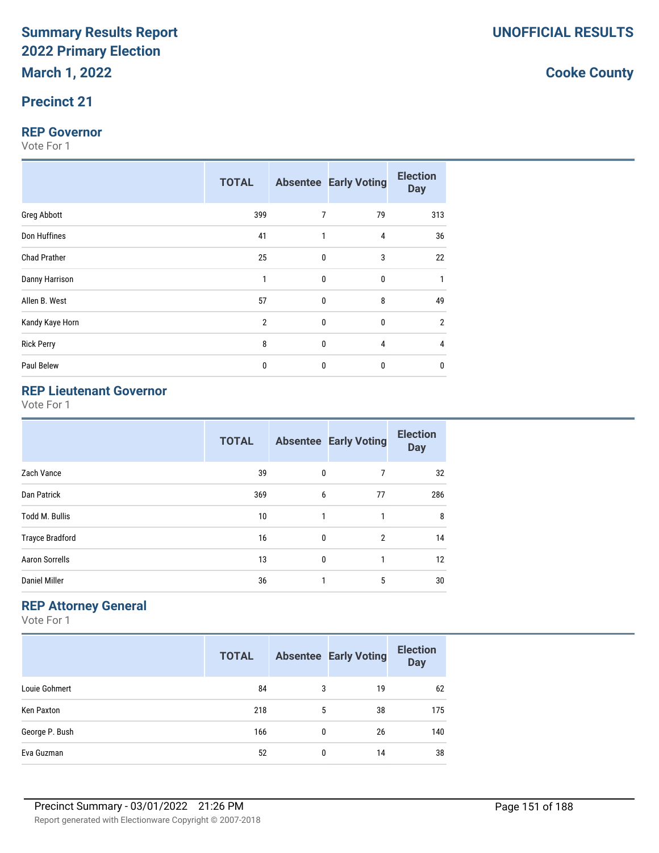#### **Precinct 21**

#### **REP Governor**

Vote For 1

|                     | <b>TOTAL</b>   |              | <b>Absentee Early Voting</b> | <b>Election</b><br><b>Day</b> |
|---------------------|----------------|--------------|------------------------------|-------------------------------|
| Greg Abbott         | 399            | 7            | 79                           | 313                           |
| Don Huffines        | 41             | 1            | 4                            | 36                            |
| <b>Chad Prather</b> | 25             | $\mathbf{0}$ | 3                            | 22                            |
| Danny Harrison      | 1              | 0            | 0                            |                               |
| Allen B. West       | 57             | $\mathbf{0}$ | 8                            | 49                            |
| Kandy Kaye Horn     | $\overline{2}$ | $\mathbf{0}$ | 0                            | 2                             |
| <b>Rick Perry</b>   | 8              | 0            | 4                            | 4                             |
| Paul Belew          | 0              | $\mathbf 0$  | 0                            | 0                             |

### **REP Lieutenant Governor**

Vote For 1

| <b>TOTAL</b> |              |                | <b>Election</b><br><b>Day</b> |
|--------------|--------------|----------------|-------------------------------|
| 39           | 0            | 7              | 32                            |
| 369          | 6            | 77             | 286                           |
| 10           | 1            | 1              | 8                             |
| 16           | $\mathbf 0$  | $\overline{2}$ | 14                            |
| 13           | $\mathbf{0}$ | 1              | 12                            |
| 36           | 1            | 5              | 30                            |
|              |              |                | <b>Absentee Early Voting</b>  |

#### **REP Attorney General**

Vote For 1

|                | <b>TOTAL</b> |   | <b>Absentee Early Voting</b> | <b>Election</b><br><b>Day</b> |
|----------------|--------------|---|------------------------------|-------------------------------|
| Louie Gohmert  | 84           | 3 | 19                           | 62                            |
| Ken Paxton     | 218          | 5 | 38                           | 175                           |
| George P. Bush | 166          | 0 | 26                           | 140                           |
| Eva Guzman     | 52           | 0 | 14                           | 38                            |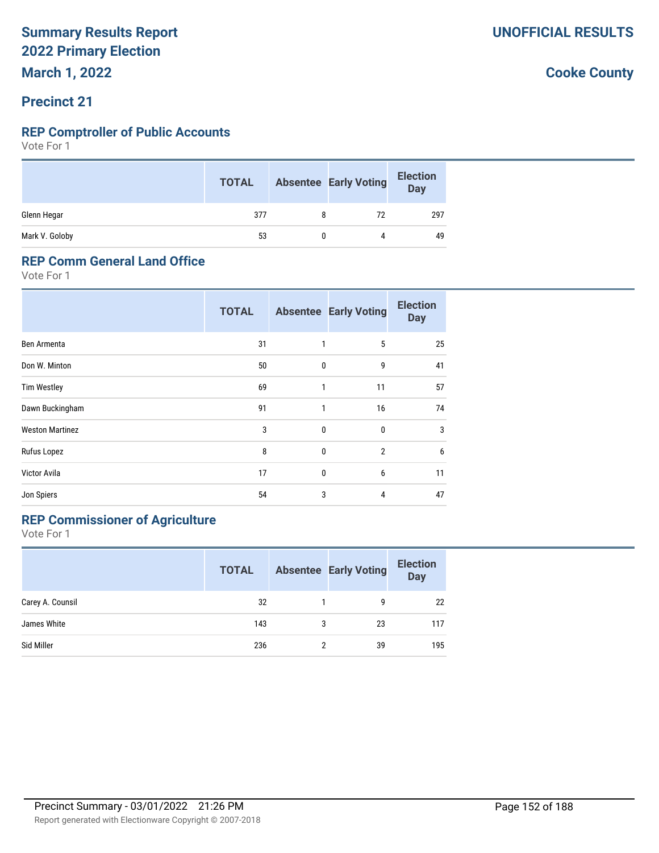**March 1, 2022**

#### **Precinct 21**

#### **REP Comptroller of Public Accounts**

Vote For 1

|                | <b>TOTAL</b> |   | <b>Absentee Early Voting</b> | <b>Election</b><br><b>Day</b> |
|----------------|--------------|---|------------------------------|-------------------------------|
| Glenn Hegar    | 377          | 8 | 72                           | 297                           |
| Mark V. Goloby | 53           |   | 4                            | 49                            |

#### **REP Comm General Land Office**

Vote For 1

|                        | <b>TOTAL</b> |              | <b>Absentee Early Voting</b> | <b>Election</b><br><b>Day</b> |
|------------------------|--------------|--------------|------------------------------|-------------------------------|
| Ben Armenta            | 31           | 1            | 5                            | 25                            |
| Don W. Minton          | 50           | $\mathbf{0}$ | 9                            | 41                            |
| <b>Tim Westley</b>     | 69           | 1            | 11                           | 57                            |
| Dawn Buckingham        | 91           | 1            | 16                           | 74                            |
| <b>Weston Martinez</b> | 3            | $\mathbf{0}$ | 0                            | 3                             |
| Rufus Lopez            | 8            | $\mathbf{0}$ | $\overline{2}$               | 6                             |
| Victor Avila           | 17           | $\mathbf{0}$ | 6                            | 11                            |
| Jon Spiers             | 54           | 3            | 4                            | 47                            |

### **REP Commissioner of Agriculture**

|                  | <b>TOTAL</b> |   | <b>Absentee Early Voting</b> | <b>Election</b><br><b>Day</b> |
|------------------|--------------|---|------------------------------|-------------------------------|
| Carey A. Counsil | 32           |   | g                            | 22                            |
| James White      | 143          | 3 | 23                           | 117                           |
| Sid Miller       | 236          | 2 | 39                           | 195                           |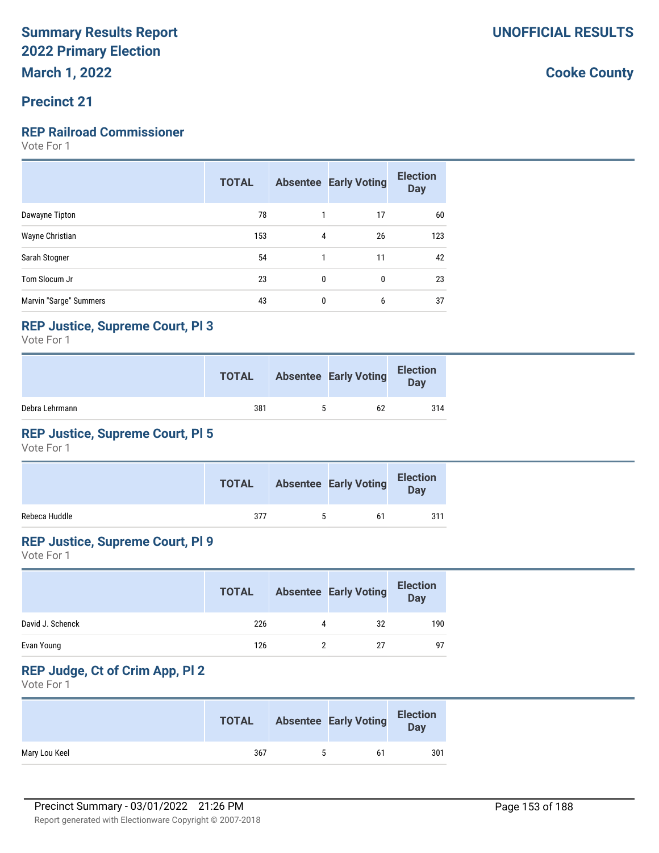#### **Precinct 21**

#### **REP Railroad Commissioner**

Vote For 1

|                        | <b>TOTAL</b> |              | <b>Absentee Early Voting</b> | <b>Election</b><br><b>Day</b> |
|------------------------|--------------|--------------|------------------------------|-------------------------------|
| Dawayne Tipton         | 78           |              | 17                           | 60                            |
| Wayne Christian        | 153          | 4            | 26                           | 123                           |
| Sarah Stogner          | 54           | 1            | 11                           | 42                            |
| Tom Slocum Jr          | 23           | $\mathbf{0}$ | 0                            | 23                            |
| Marvin "Sarge" Summers | 43           | $\mathbf{0}$ | 6                            | 37                            |

#### **REP Justice, Supreme Court, Pl 3**

Vote For 1

|                | <b>TOTAL</b> |   | <b>Absentee Early Voting</b> | <b>Election</b><br>Day |
|----------------|--------------|---|------------------------------|------------------------|
| Debra Lehrmann | 381          | h | 62                           | 314                    |

#### **REP Justice, Supreme Court, Pl 5**

Vote For 1

|               |     | <b>TOTAL</b> Absentee Early Voting | <b>Election</b><br><b>Day</b> |
|---------------|-----|------------------------------------|-------------------------------|
| Rebeca Huddle | 377 | 61                                 | 311                           |

#### **REP Justice, Supreme Court, Pl 9**

Vote For 1

|                  | <b>TOTAL</b> |   | <b>Absentee Early Voting</b> | <b>Election</b><br><b>Day</b> |
|------------------|--------------|---|------------------------------|-------------------------------|
| David J. Schenck | 226          | 4 | 32                           | 190                           |
| Evan Young       | 126          |   | 27                           | 97                            |

### **REP Judge, Ct of Crim App, Pl 2**

|               | <b>TOTAL</b> | <b>Absentee Early Voting</b> | <b>Election</b><br>Day |
|---------------|--------------|------------------------------|------------------------|
| Mary Lou Keel | 367          | 61                           | 301                    |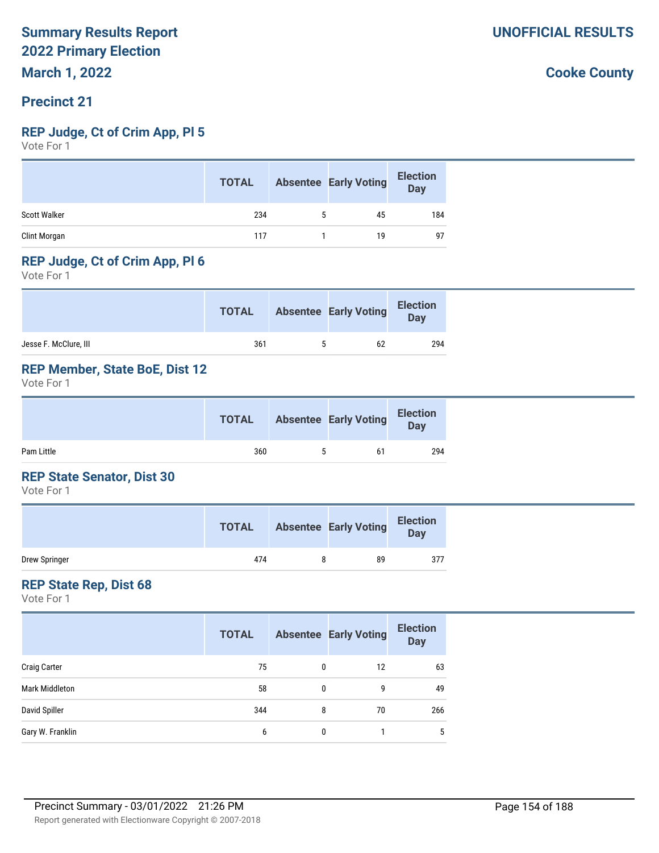#### **Precinct 21**

#### **REP Judge, Ct of Crim App, Pl 5**

Vote For 1

|                     | <b>TOTAL</b> |   | <b>Absentee Early Voting</b> | <b>Election</b><br><b>Day</b> |
|---------------------|--------------|---|------------------------------|-------------------------------|
| <b>Scott Walker</b> | 234          | 5 | 45                           | 184                           |
| Clint Morgan        | 117          |   | 19                           | 97                            |

#### **REP Judge, Ct of Crim App, Pl 6**

Vote For 1

|                       | <b>TOTAL</b> | <b>Absentee Early Voting</b> | <b>Election</b><br><b>Day</b> |
|-----------------------|--------------|------------------------------|-------------------------------|
| Jesse F. McClure, III | 361          | 62                           | 294                           |

#### **REP Member, State BoE, Dist 12**

Vote For 1

|            | <b>TOTAL</b> |   | <b>Absentee Early Voting</b> | <b>Election</b><br>Day |
|------------|--------------|---|------------------------------|------------------------|
| Pam Little | 360          | 5 | 61                           | 294                    |

#### **REP State Senator, Dist 30**

Vote For 1

|               | <b>TOTAL</b> | <b>Absentee Early Voting</b> | <b>Election</b><br>Day |
|---------------|--------------|------------------------------|------------------------|
| Drew Springer | 474          | 89                           | 377                    |

#### **REP State Rep, Dist 68**

|                     | <b>TOTAL</b> |   | <b>Absentee Early Voting</b> | <b>Election</b><br><b>Day</b> |
|---------------------|--------------|---|------------------------------|-------------------------------|
| <b>Craig Carter</b> | 75           | 0 | 12                           | 63                            |
| Mark Middleton      | 58           | 0 | 9                            | 49                            |
| David Spiller       | 344          | 8 | 70                           | 266                           |
| Gary W. Franklin    | 6            | 0 |                              | 5                             |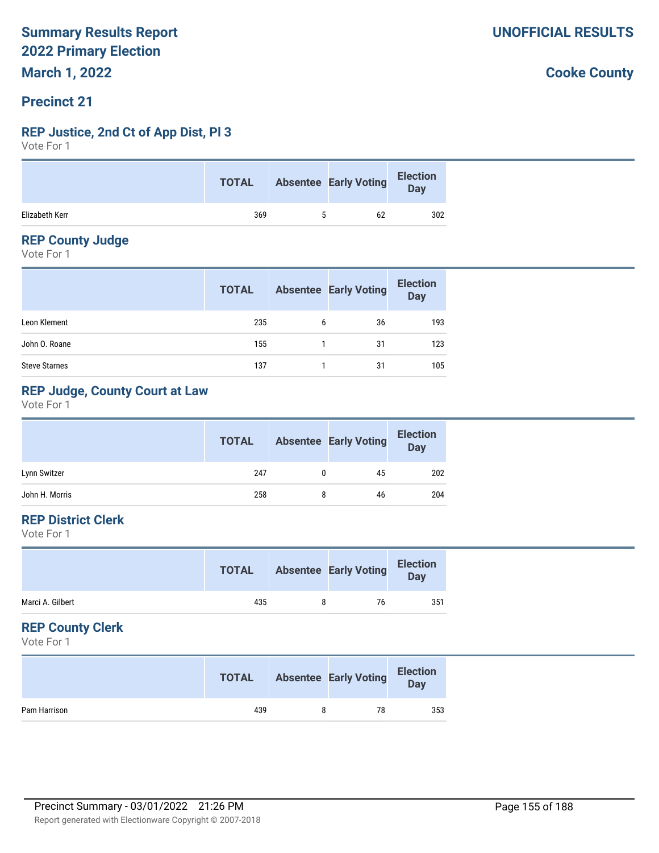#### **Precinct 21**

#### **REP Justice, 2nd Ct of App Dist, Pl 3**

Vote For 1

|                | <b>TOTAL</b> | <b>Absentee Early Voting</b> | <b>Election</b><br>Day |
|----------------|--------------|------------------------------|------------------------|
| Elizabeth Kerr | 369          | 62                           | 302                    |

#### **REP County Judge**

Vote For 1

|                      | <b>TOTAL</b> |   | <b>Absentee Early Voting</b> | <b>Election</b><br>Day |
|----------------------|--------------|---|------------------------------|------------------------|
| Leon Klement         | 235          | 6 | 36                           | 193                    |
| John O. Roane        | 155          |   | 31                           | 123                    |
| <b>Steve Starnes</b> | 137          |   | 31                           | 105                    |

#### **REP Judge, County Court at Law**

Vote For 1

|                | <b>TOTAL</b> |   | <b>Absentee Early Voting</b> | <b>Election</b><br><b>Day</b> |
|----------------|--------------|---|------------------------------|-------------------------------|
| Lynn Switzer   | 247          |   | 45                           | 202                           |
| John H. Morris | 258          | 8 | 46                           | 204                           |

#### **REP District Clerk**

Vote For 1

|                  | <b>TOTAL</b> |   | <b>Absentee Early Voting</b> | <b>Election</b><br>Day |
|------------------|--------------|---|------------------------------|------------------------|
| Marci A. Gilbert | 435          | 8 | 76                           | 351                    |
|                  |              |   |                              |                        |

#### **REP County Clerk**

Vote For 1

|              | <b>TOTAL</b> | <b>Absentee Early Voting</b> | <b>Election</b><br>Day |
|--------------|--------------|------------------------------|------------------------|
| Pam Harrison | 439          | 78                           | 353                    |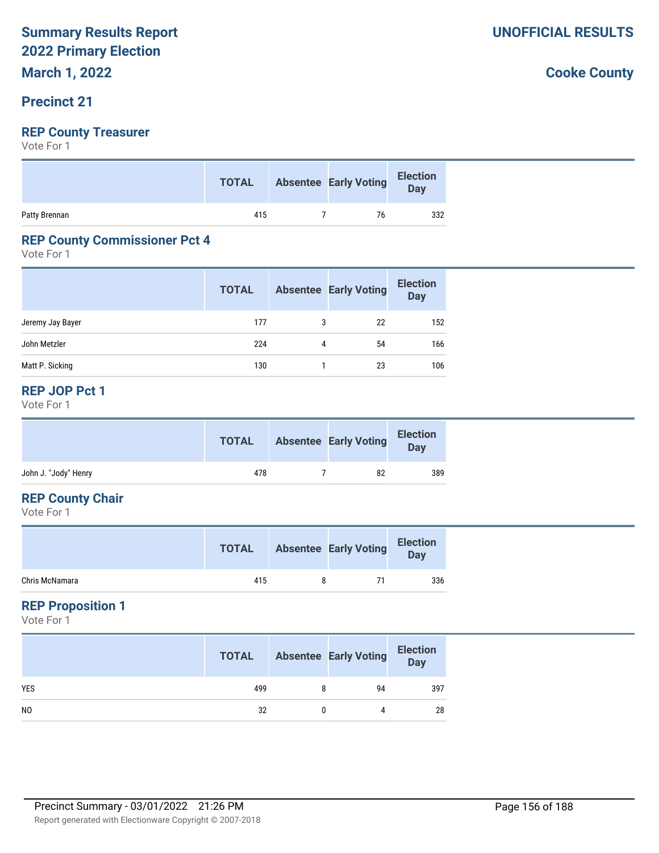### **Precinct 21**

#### **REP County Treasurer**

Vote For 1

|               | <b>TOTAL</b> | <b>Absentee Early Voting</b> | J<br>Day |
|---------------|--------------|------------------------------|----------|
| Patty Brennan | 415          | 76                           | 332      |

#### **REP County Commissioner Pct 4**

Vote For 1

|                  | <b>TOTAL</b> |   | <b>Absentee Early Voting</b> | <b>Election</b><br><b>Day</b> |
|------------------|--------------|---|------------------------------|-------------------------------|
| Jeremy Jay Bayer | 177          | 3 | 22                           | 152                           |
| John Metzler     | 224          | 4 | 54                           | 166                           |
| Matt P. Sicking  | 130          |   | 23                           | 106                           |

#### **REP JOP Pct 1**

Vote For 1

|                      | <b>TOTAL</b> | <b>Absentee Early Voting</b> | <b>Election</b><br>Day |
|----------------------|--------------|------------------------------|------------------------|
| John J. "Jody" Henry | 478          | 82                           | 389                    |
|                      |              |                              |                        |

#### **REP County Chair**

Vote For 1

|                | <b>TOTAL</b> |   | <b>Absentee Early Voting</b> | <b>Election</b><br><b>Day</b> |
|----------------|--------------|---|------------------------------|-------------------------------|
| Chris McNamara | 415          | я | -71                          | 336                           |

#### **REP Proposition 1**

Vote For 1

|                | <b>TOTAL</b> | <b>Absentee Early Voting</b> | <b>Election</b><br>Day |
|----------------|--------------|------------------------------|------------------------|
| <b>YES</b>     | 499          | 94                           | 397                    |
| N <sub>0</sub> | 32           | 4                            | 28                     |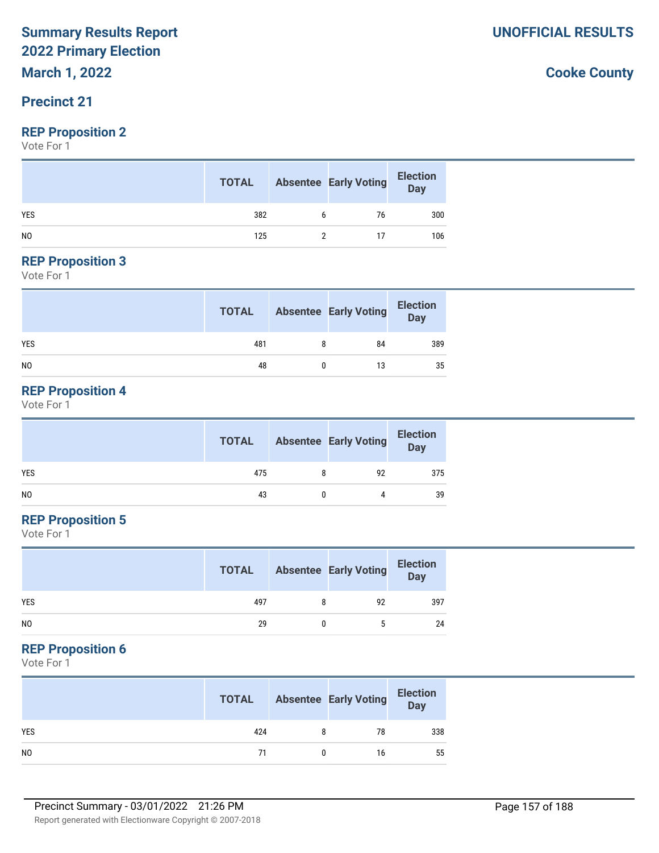**March 1, 2022**

#### **Precinct 21**

#### **REP Proposition 2**

Vote For 1

|                | <b>TOTAL</b> |   | <b>Absentee Early Voting</b> | <b>Election</b><br>Day |
|----------------|--------------|---|------------------------------|------------------------|
| <b>YES</b>     | 382          | 6 | 76                           | 300                    |
| N <sub>0</sub> | 125          |   |                              | 106                    |

#### **REP Proposition 3**

Vote For 1

|                | <b>TOTAL</b> | <b>Absentee Early Voting</b> | <b>Election</b><br>Day |
|----------------|--------------|------------------------------|------------------------|
| <b>YES</b>     | 481          | 84                           | 389                    |
| N <sub>0</sub> | 48           | 13                           | 35                     |

#### **REP Proposition 4**

Vote For 1

|     | <b>TOTAL</b> | <b>Absentee Early Voting</b> | <b>Election</b><br>Day |
|-----|--------------|------------------------------|------------------------|
| YES | 475          | 92                           | 375                    |
| NO. | 43           |                              | 39                     |

#### **REP Proposition 5**

Vote For 1

|            | <b>TOTAL</b> | <b>Absentee Early Voting</b> | <b>Election</b><br>Day |
|------------|--------------|------------------------------|------------------------|
| <b>YES</b> | 497          | 92                           | 397                    |
| NO         | 29           | 5                            | 24                     |

#### **REP Proposition 6**

Vote For 1

|                | <b>TOTAL</b> | <b>Absentee Early Voting</b> | <b>Election</b><br>Day |
|----------------|--------------|------------------------------|------------------------|
| <b>YES</b>     | 424          | 78                           | 338                    |
| N <sub>0</sub> | 71           | 16                           | 55                     |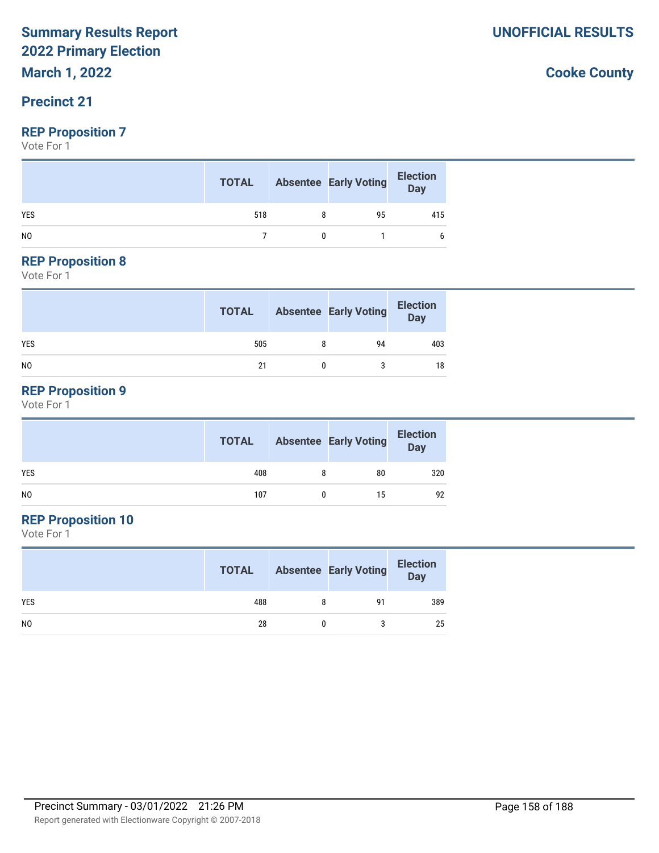**March 1, 2022**

#### **Precinct 21**

#### **REP Proposition 7**

Vote For 1

|                | <b>TOTAL</b> | <b>Absentee Early Voting</b> | Election<br>Day |
|----------------|--------------|------------------------------|-----------------|
| <b>YES</b>     | 518          | 95                           | 415             |
| N <sub>0</sub> |              |                              |                 |

#### **REP Proposition 8**

Vote For 1

|                | <b>TOTAL</b> | <b>Absentee Early Voting</b> | <b>Election</b><br>Day |
|----------------|--------------|------------------------------|------------------------|
| <b>YES</b>     | 505          | 94                           | 403                    |
| N <sub>0</sub> | 21           |                              | 18                     |

### **REP Proposition 9**

Vote For 1

|                | <b>TOTAL</b> |   | <b>Absentee Early Voting</b> | <b>Election</b><br>Day |
|----------------|--------------|---|------------------------------|------------------------|
| <b>YES</b>     | 408          | 8 | 80                           | 320                    |
| N <sub>0</sub> | 107          |   | 15                           | 92                     |

### **REP Proposition 10**

Vote For 1

|                | <b>TOTAL</b> | <b>Absentee Early Voting</b> | <b>Election</b><br><b>Day</b> |
|----------------|--------------|------------------------------|-------------------------------|
| <b>YES</b>     | 488          | 91                           | 389                           |
| N <sub>0</sub> | 28           |                              | 25                            |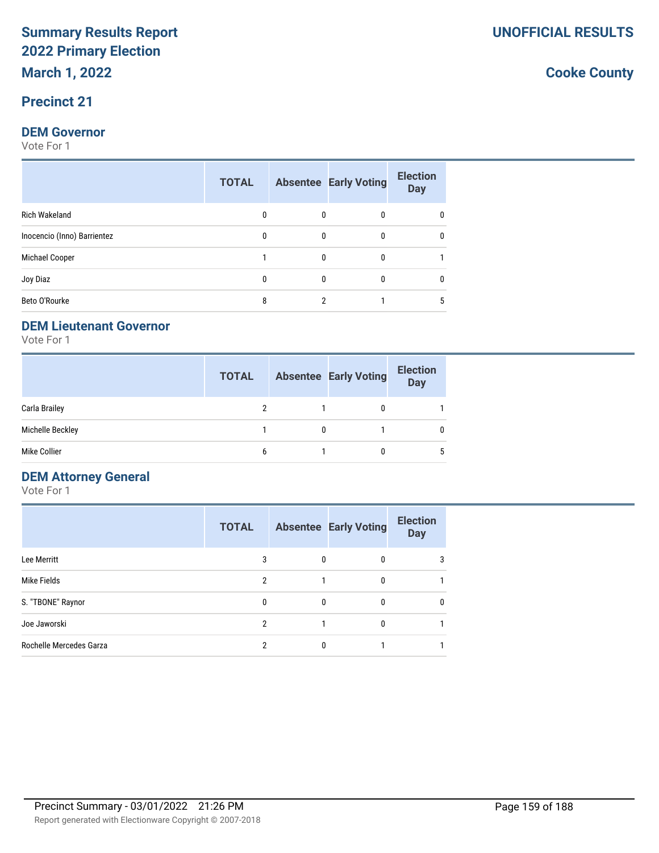#### **Precinct 21**

#### **DEM Governor**

Vote For 1

|                             | <b>TOTAL</b> |   | <b>Absentee Early Voting</b> | <b>Election</b><br><b>Day</b> |
|-----------------------------|--------------|---|------------------------------|-------------------------------|
| <b>Rich Wakeland</b>        | 0            | 0 |                              | 0                             |
| Inocencio (Inno) Barrientez | 0            | 0 | 0                            | 0                             |
| Michael Cooper              |              | 0 | 0                            |                               |
| Joy Diaz                    | 0            | 0 | 0                            | 0                             |
| Beto O'Rourke               | 8            | າ |                              | 5                             |

#### **DEM Lieutenant Governor**

Vote For 1

|                  | <b>TOTAL</b> |   | <b>Absentee Early Voting</b> | <b>Election</b><br><b>Day</b> |
|------------------|--------------|---|------------------------------|-------------------------------|
| Carla Brailey    |              |   | 0                            |                               |
| Michelle Beckley |              | 0 |                              | 0                             |
| Mike Collier     | 6            |   |                              | 5                             |

#### **DEM Attorney General**

Vote For 1

|                         | <b>TOTAL</b> |   | <b>Absentee Early Voting</b> | <b>Election</b><br><b>Day</b> |
|-------------------------|--------------|---|------------------------------|-------------------------------|
| Lee Merritt             | 3            | 0 | 0                            | 3                             |
| Mike Fields             | 2            |   |                              |                               |
| S. "TBONE" Raynor       | 0            | 0 | 0                            | 0                             |
| Joe Jaworski            | 2            |   |                              |                               |
| Rochelle Mercedes Garza | c            | 0 |                              |                               |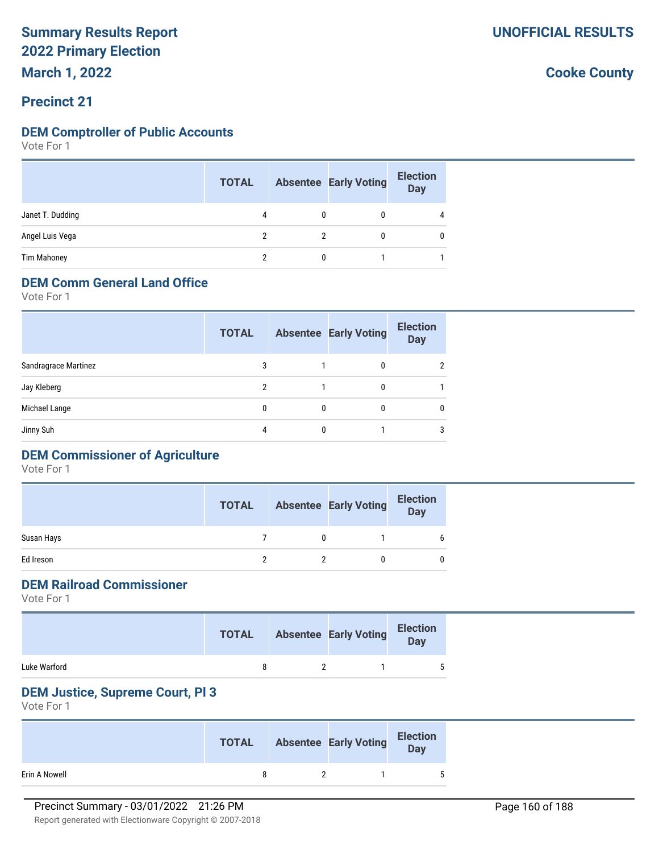**March 1, 2022**

#### **Precinct 21**

#### **DEM Comptroller of Public Accounts**

Vote For 1

|                    | <b>TOTAL</b> |   | <b>Absentee Early Voting</b> | <b>Election</b><br><b>Day</b> |
|--------------------|--------------|---|------------------------------|-------------------------------|
| Janet T. Dudding   | 4            | 0 |                              | $\overline{4}$                |
| Angel Luis Vega    |              |   |                              | $\mathbf{0}$                  |
| <b>Tim Mahoney</b> |              |   |                              |                               |

#### **DEM Comm General Land Office**

Vote For 1

|                      | <b>TOTAL</b>  |   | <b>Absentee Early Voting</b> | <b>Election</b><br><b>Day</b> |
|----------------------|---------------|---|------------------------------|-------------------------------|
| Sandragrace Martinez | 3             |   | 0                            | 2                             |
| Jay Kleberg          | $\mathcal{P}$ |   | 0                            |                               |
| Michael Lange        | 0             | 0 | 0                            | 0                             |
| Jinny Suh            | 4             |   |                              | 3                             |
|                      |               |   |                              |                               |

### **DEM Commissioner of Agriculture**

Vote For 1

|            | <b>TOTAL</b> | <b>Absentee Early Voting</b> | <b>Election</b><br><b>Day</b> |
|------------|--------------|------------------------------|-------------------------------|
| Susan Hays |              |                              | 6                             |
| Ed Ireson  |              |                              |                               |

#### **DEM Railroad Commissioner**

Vote For 1

|              | <b>TOTAL</b> | <b>Absentee Early Voting</b> | <b>Election</b><br>Day |
|--------------|--------------|------------------------------|------------------------|
| Luke Warford |              |                              | 5                      |

#### **DEM Justice, Supreme Court, Pl 3**

|               | <b>TOTAL</b> | <b>Absentee Early Voting</b> | <b>Election</b><br>Day |
|---------------|--------------|------------------------------|------------------------|
| Erin A Nowell |              |                              | 5                      |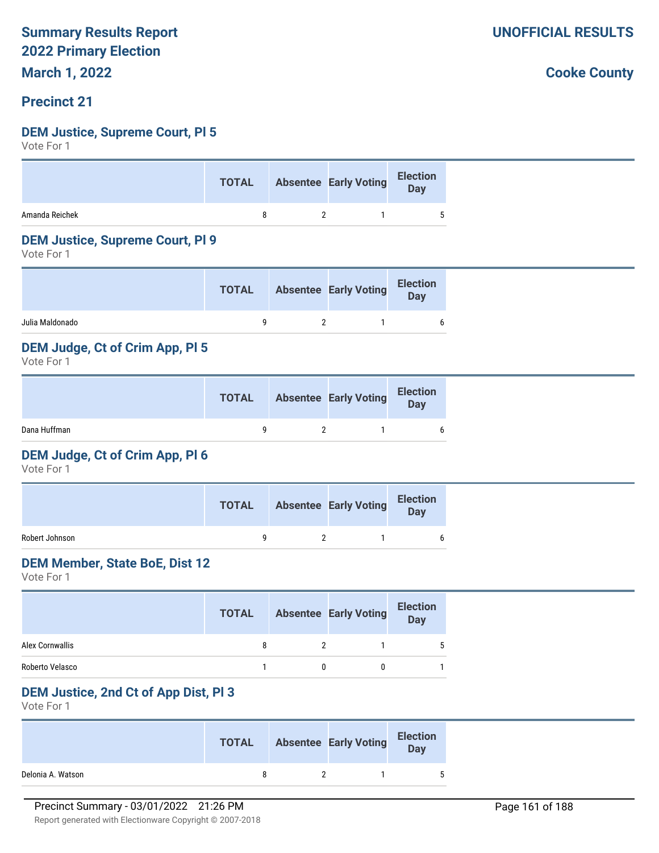**March 1, 2022**

#### **Precinct 21**

#### **DEM Justice, Supreme Court, Pl 5**

Vote For 1

|                | <b>TOTAL</b> | Absentee Early Voting Election |  |
|----------------|--------------|--------------------------------|--|
| Amanda Reichek |              |                                |  |

#### **DEM Justice, Supreme Court, Pl 9**

Vote For 1

|                 | <b>TOTAL</b> | <b>Absentee Early Voting</b> | <b>Election</b><br><b>Day</b> |
|-----------------|--------------|------------------------------|-------------------------------|
| Julia Maldonado |              |                              | 6                             |

#### **DEM Judge, Ct of Crim App, Pl 5**

Vote For 1

|              | <b>TOTAL</b> | <b>Absentee Early Voting</b> | <b>Election</b><br>Day |
|--------------|--------------|------------------------------|------------------------|
| Dana Huffman |              |                              | 6                      |

#### **DEM Judge, Ct of Crim App, Pl 6**

Vote For 1

|                | <b>TOTAL</b> | <b>Absentee Early Voting</b> | <b>Election</b><br><b>Day</b> |
|----------------|--------------|------------------------------|-------------------------------|
| Robert Johnson |              |                              |                               |

#### **DEM Member, State BoE, Dist 12**

Vote For 1

|                 | <b>TOTAL</b> | <b>Absentee Early Voting</b> | <b>Election</b><br><b>Day</b> |
|-----------------|--------------|------------------------------|-------------------------------|
| Alex Cornwallis |              |                              |                               |
| Roberto Velasco |              |                              |                               |

#### **DEM Justice, 2nd Ct of App Dist, Pl 3**

Vote For 1

|                   | <b>TOTAL</b> | <b>Absentee Early Voting</b> | <b>Election</b><br>Day |
|-------------------|--------------|------------------------------|------------------------|
| Delonia A. Watson |              |                              | 5                      |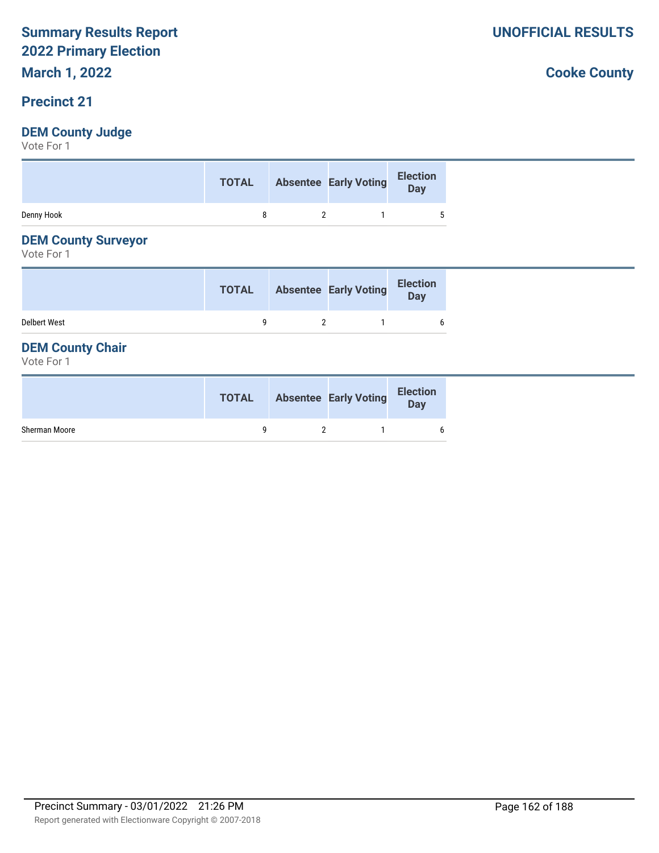**March 1, 2022**

#### **Precinct 21**

#### **DEM County Judge**

Vote For 1

|            |              | TOTAL Absentee Early Voting Election |        |
|------------|--------------|--------------------------------------|--------|
| Denny Hook | $\mathsf{R}$ | $\overline{\mathbf{z}}$              | $\sim$ |

#### **DEM County Surveyor**

Vote For 1

|                     | <b>TOTAL</b> | <b>Absentee Early Voting</b> | <b>Election</b><br>Day |
|---------------------|--------------|------------------------------|------------------------|
| <b>Delbert West</b> |              |                              | 6                      |

#### **DEM County Chair**

Vote For 1

|               | <b>TOTAL</b> | <b>Absentee Early Voting</b> | <b>Election</b><br>Day |
|---------------|--------------|------------------------------|------------------------|
| Sherman Moore |              |                              | 6                      |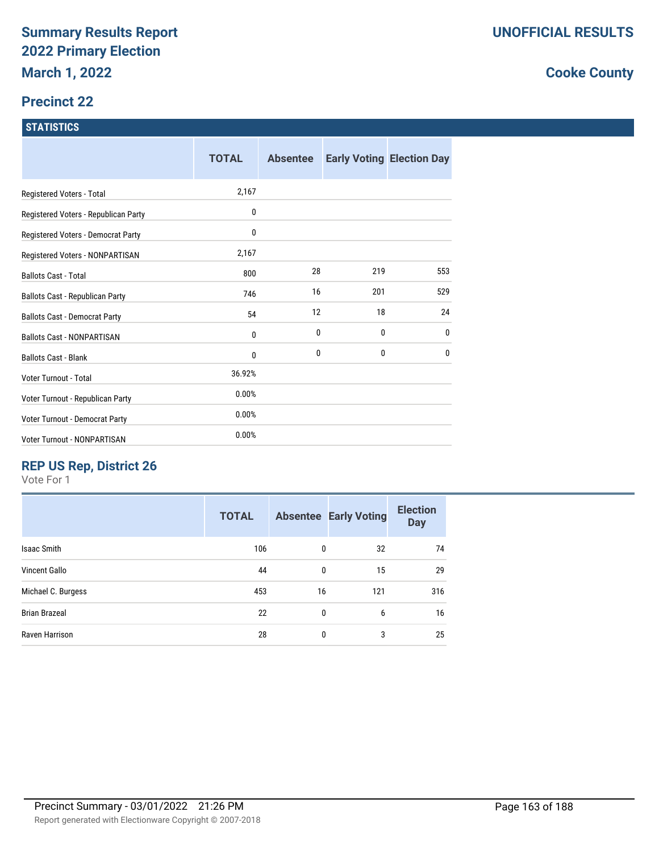#### **Precinct 22**

#### **STATISTICS**

|                                      | <b>TOTAL</b> | <b>Absentee</b> |     | <b>Early Voting Election Day</b> |
|--------------------------------------|--------------|-----------------|-----|----------------------------------|
| Registered Voters - Total            | 2,167        |                 |     |                                  |
| Registered Voters - Republican Party | 0            |                 |     |                                  |
| Registered Voters - Democrat Party   | 0            |                 |     |                                  |
| Registered Voters - NONPARTISAN      | 2,167        |                 |     |                                  |
| <b>Ballots Cast - Total</b>          | 800          | 28              | 219 | 553                              |
| Ballots Cast - Republican Party      | 746          | 16              | 201 | 529                              |
| <b>Ballots Cast - Democrat Party</b> | 54           | 12              | 18  | 24                               |
| <b>Ballots Cast - NONPARTISAN</b>    | 0            | 0               | 0   | 0                                |
| <b>Ballots Cast - Blank</b>          | 0            | 0               | 0   | 0                                |
| Voter Turnout - Total                | 36.92%       |                 |     |                                  |
| Voter Turnout - Republican Party     | 0.00%        |                 |     |                                  |
| Voter Turnout - Democrat Party       | 0.00%        |                 |     |                                  |
| Voter Turnout - NONPARTISAN          | 0.00%        |                 |     |                                  |

### **REP US Rep, District 26**

Vote For 1

| <b>TOTAL</b> |              |     | <b>Election</b><br><b>Day</b> |
|--------------|--------------|-----|-------------------------------|
| 106          | 0            | 32  | 74                            |
| 44           | 0            | 15  | 29                            |
| 453          | 16           | 121 | 316                           |
| 22           | $\mathbf{0}$ | 6   | 16                            |
| 28           | 0            | 3   | 25                            |
|              |              |     | <b>Absentee Early Voting</b>  |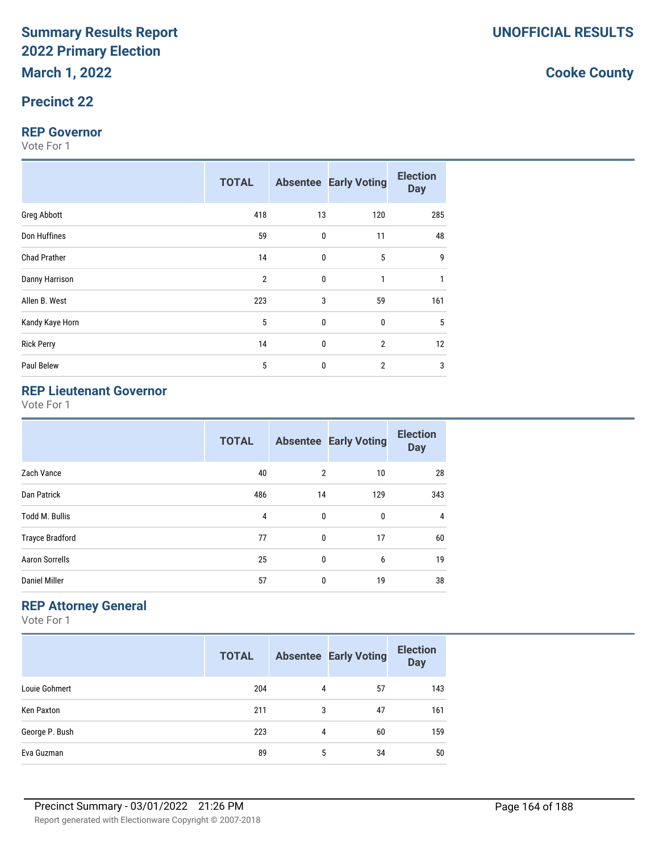#### **Precinct 22**

#### **REP Governor**

Vote For 1

|                     | <b>TOTAL</b>   |    | <b>Absentee Early Voting</b> | <b>Election</b><br><b>Day</b> |
|---------------------|----------------|----|------------------------------|-------------------------------|
| Greg Abbott         | 418            | 13 | 120                          | 285                           |
| Don Huffines        | 59             | 0  | 11                           | 48                            |
| <b>Chad Prather</b> | 14             | 0  | $5\phantom{.0}$              | 9                             |
| Danny Harrison      | $\overline{2}$ | 0  | 1                            | 1                             |
| Allen B. West       | 223            | 3  | 59                           | 161                           |
| Kandy Kaye Horn     | 5              | 0  | $\mathbf 0$                  | 5                             |
| <b>Rick Perry</b>   | 14             | 0  | $\overline{2}$               | 12                            |
| Paul Belew          | 5              | 0  | $\overline{2}$               | 3                             |

### **REP Lieutenant Governor**

Vote For 1

|                        | <b>TOTAL</b> |                | <b>Absentee Early Voting</b> | <b>Election</b><br><b>Day</b> |
|------------------------|--------------|----------------|------------------------------|-------------------------------|
| Zach Vance             | 40           | $\overline{2}$ | 10                           | 28                            |
| Dan Patrick            | 486          | 14             | 129                          | 343                           |
| <b>Todd M. Bullis</b>  | 4            | 0              | 0                            | 4                             |
| <b>Trayce Bradford</b> | 77           | $\mathbf 0$    | 17                           | 60                            |
| <b>Aaron Sorrells</b>  | 25           | $\mathbf 0$    | 6                            | 19                            |
| <b>Daniel Miller</b>   | 57           | 0              | 19                           | 38                            |

#### **REP Attorney General**

Vote For 1

|                | <b>TOTAL</b> |   | <b>Absentee Early Voting</b> | <b>Election</b><br><b>Day</b> |
|----------------|--------------|---|------------------------------|-------------------------------|
| Louie Gohmert  | 204          | 4 | 57                           | 143                           |
| Ken Paxton     | 211          | 3 | 47                           | 161                           |
| George P. Bush | 223          | 4 | 60                           | 159                           |
| Eva Guzman     | 89           | 5 | 34                           | 50                            |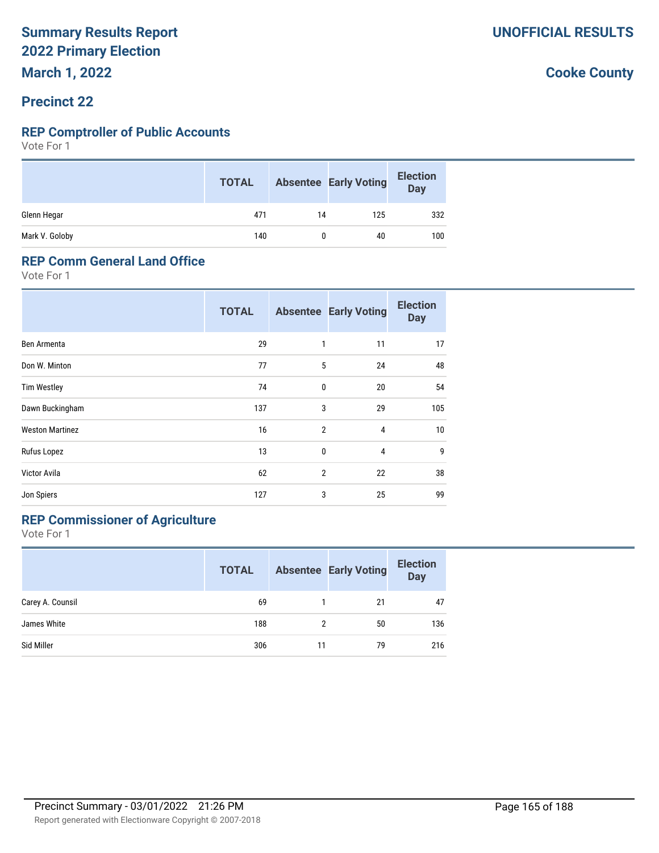**March 1, 2022**

#### **Precinct 22**

#### **REP Comptroller of Public Accounts**

Vote For 1

|                | <b>TOTAL</b> |    | <b>Absentee Early Voting</b> | <b>Election</b><br>Day |
|----------------|--------------|----|------------------------------|------------------------|
| Glenn Hegar    | 471          | 14 | 125                          | 332                    |
| Mark V. Goloby | 140          |    | 40                           | 100                    |

#### **REP Comm General Land Office**

Vote For 1

|                        | <b>TOTAL</b> |                | <b>Absentee Early Voting</b> | <b>Election</b><br><b>Day</b> |
|------------------------|--------------|----------------|------------------------------|-------------------------------|
| Ben Armenta            | 29           | 1              | 11                           | 17                            |
| Don W. Minton          | 77           | 5              | 24                           | 48                            |
| <b>Tim Westley</b>     | 74           | $\mathbf{0}$   | 20                           | 54                            |
| Dawn Buckingham        | 137          | 3              | 29                           | 105                           |
| <b>Weston Martinez</b> | 16           | $\overline{2}$ | 4                            | 10                            |
| Rufus Lopez            | 13           | $\mathbf{0}$   | $\overline{4}$               | 9                             |
| Victor Avila           | 62           | $\overline{2}$ | 22                           | 38                            |
| Jon Spiers             | 127          | 3              | 25                           | 99                            |

### **REP Commissioner of Agriculture**

|                  | <b>TOTAL</b> |    | <b>Absentee Early Voting</b> | <b>Election</b><br>Day |
|------------------|--------------|----|------------------------------|------------------------|
| Carey A. Counsil | 69           |    | 21                           | 47                     |
| James White      | 188          |    | 50                           | 136                    |
| Sid Miller       | 306          | 11 | 79                           | 216                    |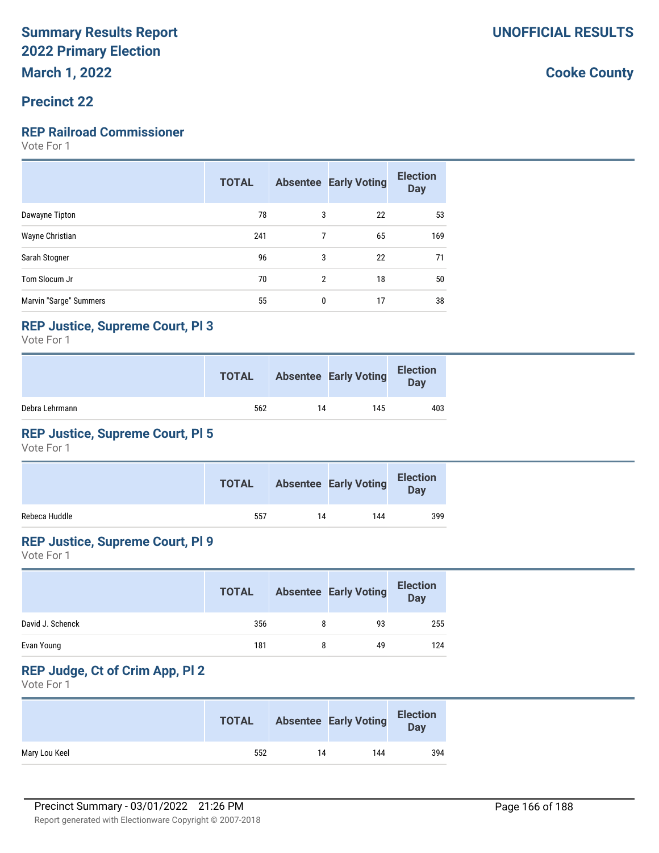#### **Precinct 22**

#### **REP Railroad Commissioner**

Vote For 1

|                        | <b>TOTAL</b> |   | <b>Absentee Early Voting</b> | <b>Election</b><br><b>Day</b> |
|------------------------|--------------|---|------------------------------|-------------------------------|
| Dawayne Tipton         | 78           | 3 | 22                           | 53                            |
| Wayne Christian        | 241          | 7 | 65                           | 169                           |
| Sarah Stogner          | 96           | 3 | 22                           | 71                            |
| Tom Slocum Jr          | 70           | 2 | 18                           | 50                            |
| Marvin "Sarge" Summers | 55           | 0 | 17                           | 38                            |

#### **REP Justice, Supreme Court, Pl 3**

Vote For 1

|                | <b>TOTAL</b> |    | <b>Absentee Early Voting</b> | <b>Election</b><br>Day |
|----------------|--------------|----|------------------------------|------------------------|
| Debra Lehrmann | 562          | 14 | 145                          | 403                    |

#### **REP Justice, Supreme Court, Pl 5**

Vote For 1

|               | <b>TOTAL</b> |    | <b>Absentee Early Voting</b> | <b>Election</b><br><b>Day</b> |
|---------------|--------------|----|------------------------------|-------------------------------|
| Rebeca Huddle | 557          | 14 | 144                          | 399                           |

#### **REP Justice, Supreme Court, Pl 9**

Vote For 1

|                  | <b>TOTAL</b> | <b>Absentee Early Voting</b> | <b>Election</b><br><b>Day</b> |
|------------------|--------------|------------------------------|-------------------------------|
| David J. Schenck | 356          | 93                           | 255                           |
| Evan Young       | 181          | 49                           | 124                           |

#### **REP Judge, Ct of Crim App, Pl 2**

Vote For 1

|               | <b>TOTAL</b> |    | <b>Absentee Early Voting</b> | <b>Election</b><br><b>Day</b> |
|---------------|--------------|----|------------------------------|-------------------------------|
| Mary Lou Keel | 552          | 14 | 144                          | 394                           |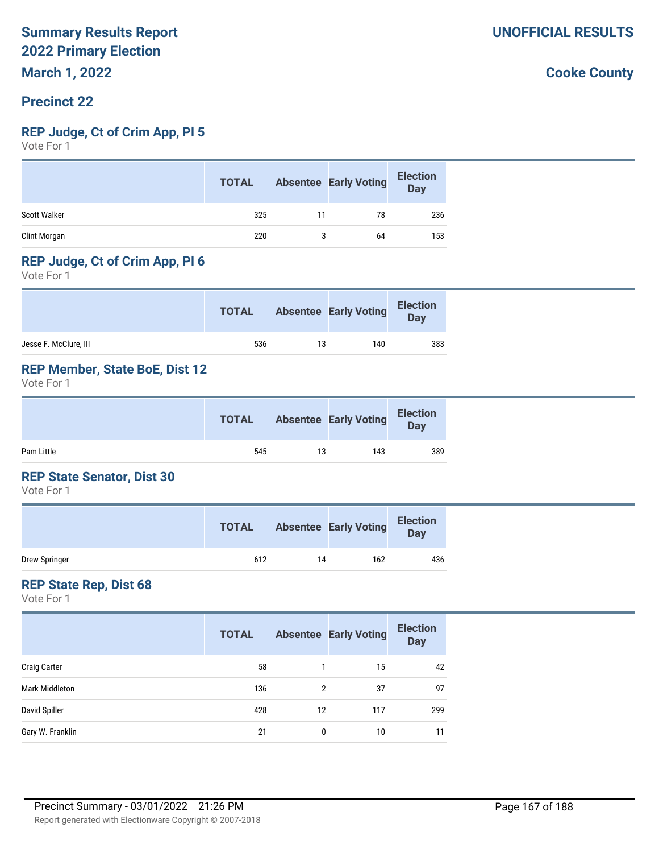# **Precinct 22**

#### **REP Judge, Ct of Crim App, Pl 5**

Vote For 1

|                     | <b>TOTAL</b> |    | <b>Absentee Early Voting</b> | <b>Election</b><br><b>Day</b> |
|---------------------|--------------|----|------------------------------|-------------------------------|
| <b>Scott Walker</b> | 325          | 11 | 78                           | 236                           |
| Clint Morgan        | 220          | 3  | 64                           | 153                           |

#### **REP Judge, Ct of Crim App, Pl 6**

Vote For 1

|                       | <b>TOTAL</b> |    | <b>Absentee Early Voting</b> | <b>Election</b><br>Day |
|-----------------------|--------------|----|------------------------------|------------------------|
| Jesse F. McClure, III | 536          | 13 | 140                          | 383                    |

#### **REP Member, State BoE, Dist 12**

Vote For 1

|            | <b>TOTAL</b> |    | <b>Absentee Early Voting</b> | <b>Election</b><br><b>Day</b> |  |
|------------|--------------|----|------------------------------|-------------------------------|--|
| Pam Little | 545          | 13 | 143                          | 389                           |  |

#### **REP State Senator, Dist 30**

Vote For 1

|               | <b>TOTAL</b> |    | <b>Absentee Early Voting</b> | <b>Election</b><br>Day |
|---------------|--------------|----|------------------------------|------------------------|
| Drew Springer | 612          | 14 | 162                          | 436                    |

#### **REP State Rep, Dist 68**

Vote For 1

|                     | <b>TOTAL</b> |    | <b>Absentee Early Voting</b> | <b>Election</b><br><b>Day</b> |
|---------------------|--------------|----|------------------------------|-------------------------------|
| <b>Craig Carter</b> | 58           |    | 15                           | 42                            |
| Mark Middleton      | 136          | 2  | 37                           | 97                            |
| David Spiller       | 428          | 12 | 117                          | 299                           |
| Gary W. Franklin    | 21           | 0  | 10                           | 11                            |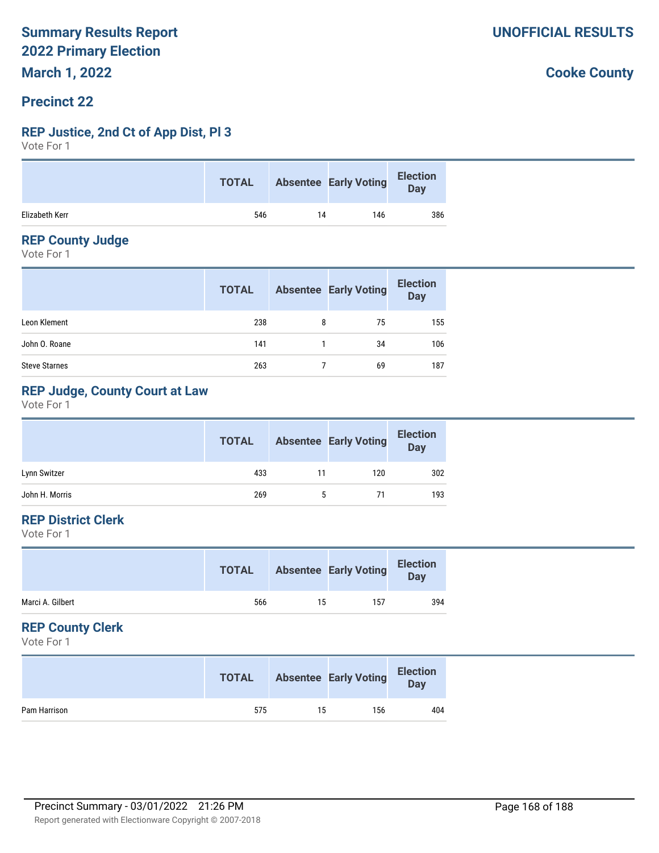#### **Precinct 22**

#### **REP Justice, 2nd Ct of App Dist, Pl 3**

Vote For 1

|                | <b>TOTAL</b> |    | <b>Absentee Early Voting</b> | <b>Election</b><br>Day |
|----------------|--------------|----|------------------------------|------------------------|
| Elizabeth Kerr | 546          | 14 | 146                          | 386                    |

#### **REP County Judge**

Vote For 1

|                      | <b>TOTAL</b> |   | <b>Absentee Early Voting</b> | <b>Election</b><br>Day |
|----------------------|--------------|---|------------------------------|------------------------|
| Leon Klement         | 238          | 8 | 75                           | 155                    |
| John O. Roane        | 141          |   | 34                           | 106                    |
| <b>Steve Starnes</b> | 263          |   | 69                           | 187                    |

#### **REP Judge, County Court at Law**

Vote For 1

|                | <b>TOTAL</b> |    | <b>Absentee Early Voting</b> | <b>Election</b><br><b>Day</b> |
|----------------|--------------|----|------------------------------|-------------------------------|
| Lynn Switzer   | 433          | 11 | 120                          | 302                           |
| John H. Morris | 269          |    | 71                           | 193                           |

#### **REP District Clerk**

Vote For 1

|                  | <b>TOTAL</b> |    | <b>Absentee Early Voting</b> | <b>Election</b><br><b>Day</b> |
|------------------|--------------|----|------------------------------|-------------------------------|
| Marci A. Gilbert | 566          | 15 | 157                          | 394                           |

#### **REP County Clerk**

Vote For 1

|              | <b>TOTAL</b> |    | <b>Absentee Early Voting</b> | <b>Election</b><br>Day |
|--------------|--------------|----|------------------------------|------------------------|
| Pam Harrison | 575          | 15 | 156                          | 404                    |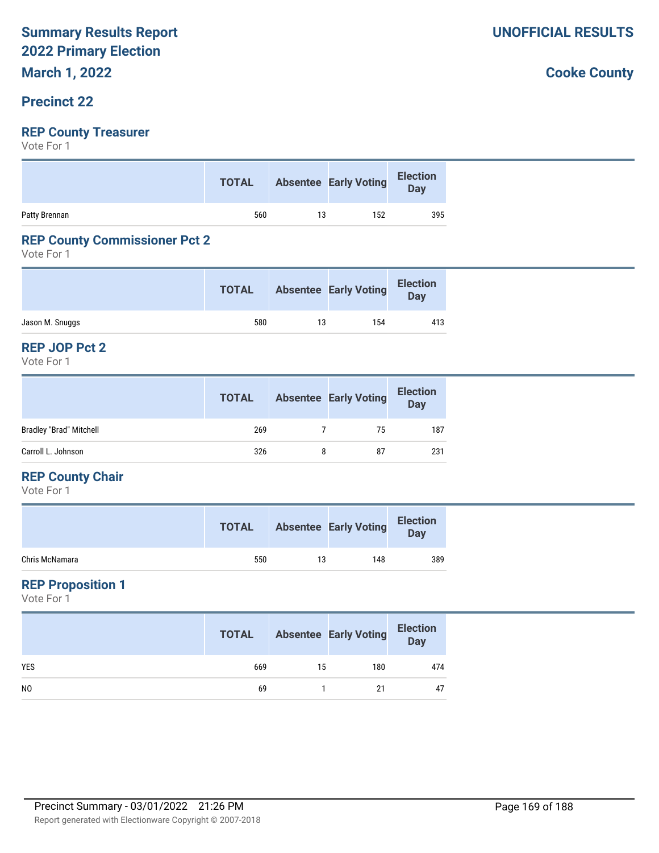### **Precinct 22**

#### **REP County Treasurer**

Vote For 1

|               | <b>TOTAL</b> |    | Absentee Early Voting Election |     |
|---------------|--------------|----|--------------------------------|-----|
| Patty Brennan | 560          | 13 | 152                            | 395 |

#### **REP County Commissioner Pct 2**

Vote For 1

|                 | <b>TOTAL</b> |    | <b>Absentee Early Voting</b> | <b>Election</b><br><b>Day</b> |
|-----------------|--------------|----|------------------------------|-------------------------------|
| Jason M. Snuggs | 580          | 13 | 154                          | 413                           |

#### **REP JOP Pct 2**

Vote For 1

|                                | <b>TOTAL</b> | <b>Absentee Early Voting</b> | <b>Election</b><br><b>Day</b> |
|--------------------------------|--------------|------------------------------|-------------------------------|
| <b>Bradley "Brad" Mitchell</b> | 269          | 75                           | 187                           |
| Carroll L. Johnson             | 326          | 87                           | 231                           |

#### **REP County Chair**

Vote For 1

|                | <b>TOTAL</b> |    | <b>Absentee Early Voting</b> | <b>Election</b><br>Day |
|----------------|--------------|----|------------------------------|------------------------|
| Chris McNamara | 550          | 13 | 148                          | 389                    |

#### **REP Proposition 1**

Vote For 1

|                | <b>TOTAL</b> |    | <b>Absentee Early Voting</b> | <b>Election</b><br>Day |
|----------------|--------------|----|------------------------------|------------------------|
| <b>YES</b>     | 669          | 15 | 180                          | 474                    |
| N <sub>0</sub> | 69           |    | 21                           | 47                     |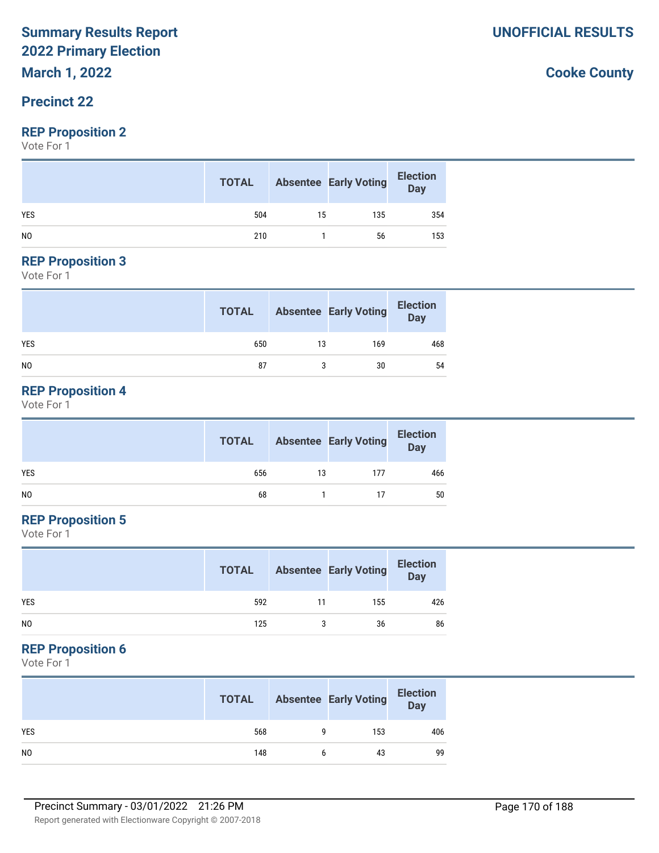# **March 1, 2022**

#### **Precinct 22**

#### **REP Proposition 2**

Vote For 1

|                | <b>TOTAL</b> |    | <b>Absentee Early Voting</b> | <b>Election</b><br>Day |
|----------------|--------------|----|------------------------------|------------------------|
| <b>YES</b>     | 504          | 15 | 135                          | 354                    |
| N <sub>0</sub> | 210          |    | 56                           | 153                    |

#### **REP Proposition 3**

Vote For 1

|            | <b>TOTAL</b> |    | <b>Absentee Early Voting</b> | <b>Election</b><br>Day |
|------------|--------------|----|------------------------------|------------------------|
| <b>YES</b> | 650          | 13 | 169                          | 468                    |
| NO         | 87           |    | 30                           | 54                     |

#### **REP Proposition 4**

Vote For 1

|     | <b>TOTAL</b> |    | <b>Absentee Early Voting</b> | <b>Election</b><br>Day |
|-----|--------------|----|------------------------------|------------------------|
| YES | 656          | 13 | 177                          | 466                    |
| NO. | 68           |    |                              | 50                     |

#### **REP Proposition 5**

Vote For 1

|                | <b>TOTAL</b> |    | <b>Absentee Early Voting</b> | <b>Election</b><br>Day |
|----------------|--------------|----|------------------------------|------------------------|
| <b>YES</b>     | 592          | 11 | 155                          | 426                    |
| N <sub>0</sub> | 125          |    | 36                           | 86                     |

#### **REP Proposition 6**

Vote For 1

|                | <b>TOTAL</b> | <b>Absentee Early Voting</b> | <b>Election</b><br><b>Day</b> |
|----------------|--------------|------------------------------|-------------------------------|
| <b>YES</b>     | 568          | 153                          | 406                           |
| N <sub>0</sub> | 148          | 43                           | 99                            |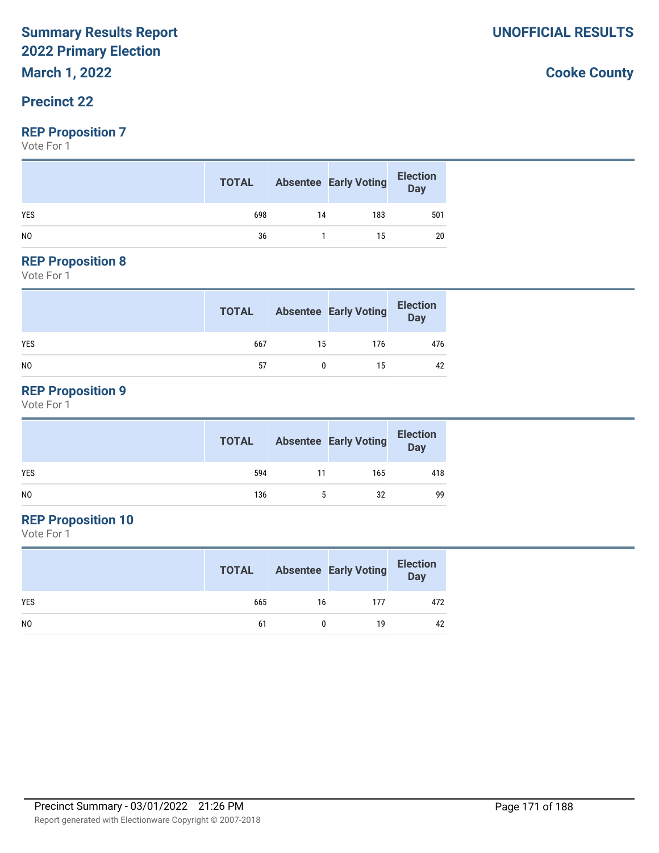**March 1, 2022**

#### **Precinct 22**

#### **REP Proposition 7**

Vote For 1

|                | <b>TOTAL</b> |    | <b>Absentee Early Voting</b> | <b>Election</b><br>Day |
|----------------|--------------|----|------------------------------|------------------------|
| <b>YES</b>     | 698          | 14 | 183                          | 501                    |
| N <sub>0</sub> | 36           |    | 15                           | 20                     |

#### **REP Proposition 8**

Vote For 1

|                | <b>TOTAL</b> |    | <b>Absentee Early Voting</b> | <b>Election</b><br>Day |
|----------------|--------------|----|------------------------------|------------------------|
| <b>YES</b>     | 667          | 15 | 176                          | 476                    |
| N <sub>0</sub> | 57           |    | 15                           | 42                     |

#### **REP Proposition 9**

Vote For 1

|                | <b>TOTAL</b> |    | <b>Absentee Early Voting</b> | <b>Election</b><br>Day |
|----------------|--------------|----|------------------------------|------------------------|
| <b>YES</b>     | 594          | 11 | 165                          | 418                    |
| N <sub>0</sub> | 136          | 5  | 32                           | 99                     |

### **REP Proposition 10**

Vote For 1

|                | <b>TOTAL</b> |    | <b>Absentee Early Voting</b> | <b>Election</b><br>Day |
|----------------|--------------|----|------------------------------|------------------------|
| <b>YES</b>     | 665          | 16 | 177                          | 472                    |
| N <sub>0</sub> | 61           |    | 19                           | 42                     |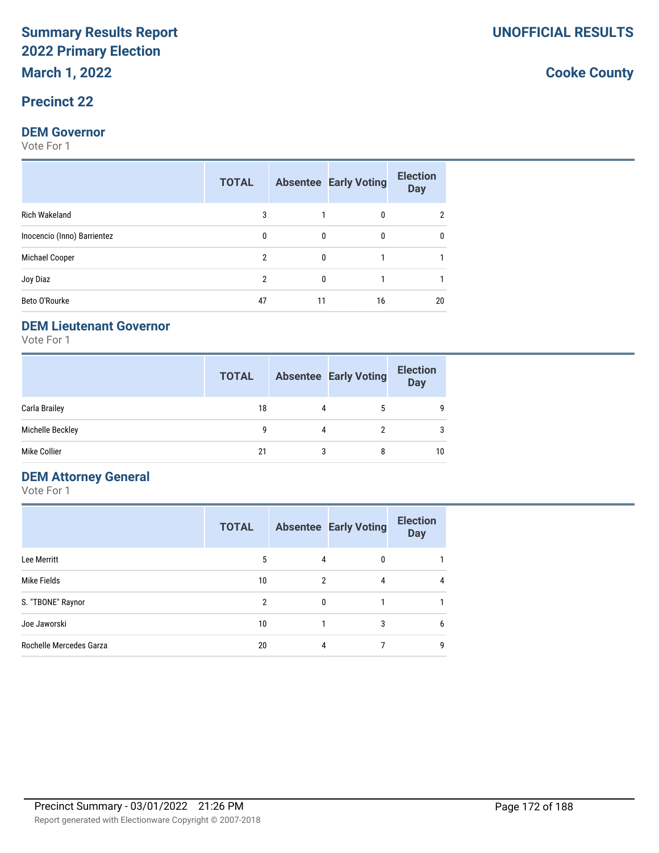#### **Precinct 22**

#### **DEM Governor**

Vote For 1

|                             | <b>TOTAL</b> |              | <b>Absentee Early Voting</b> | <b>Election</b><br><b>Day</b> |
|-----------------------------|--------------|--------------|------------------------------|-------------------------------|
| <b>Rich Wakeland</b>        | 3            |              | $\Omega$                     | 2                             |
| Inocencio (Inno) Barrientez | 0            | $\mathbf{0}$ | $\mathbf{0}$                 | 0                             |
| Michael Cooper              | 2            | $\mathbf{0}$ |                              |                               |
| Joy Diaz                    | 2            | $\Omega$     |                              |                               |
| Beto O'Rourke               | 47           | 11           | 16                           | 20                            |

#### **DEM Lieutenant Governor**

Vote For 1

|                  | <b>TOTAL</b> |   | <b>Absentee Early Voting</b> | <b>Election</b><br><b>Day</b> |
|------------------|--------------|---|------------------------------|-------------------------------|
| Carla Brailey    | 18           |   | 5                            | 9                             |
| Michelle Beckley | a            | 4 | 2                            | 3                             |
| Mike Collier     | 21           | 3 | 8                            | 10                            |

#### **DEM Attorney General**

Vote For 1

|                         | <b>TOTAL</b> |                | <b>Absentee Early Voting</b> | <b>Election</b><br><b>Day</b> |
|-------------------------|--------------|----------------|------------------------------|-------------------------------|
| Lee Merritt             | 5            | 4              | $\mathbf{0}$                 |                               |
| Mike Fields             | 10           | $\overline{2}$ | 4                            | 4                             |
| S. "TBONE" Raynor       | 2            | 0              |                              |                               |
| Joe Jaworski            | 10           |                | 3                            | 6                             |
| Rochelle Mercedes Garza | 20           | 4              |                              | 9                             |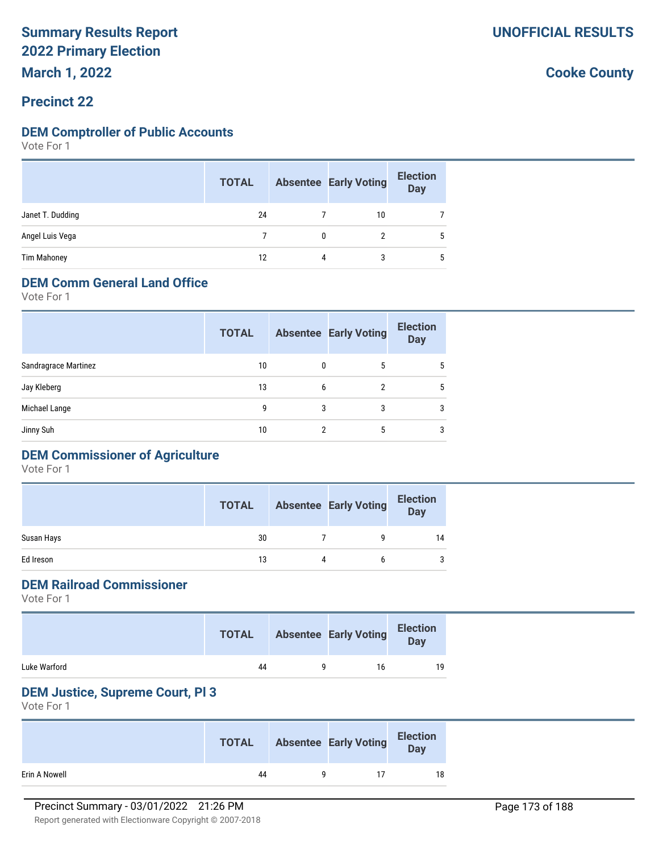#### **Precinct 22**

#### **DEM Comptroller of Public Accounts**

Vote For 1

|                    | <b>TOTAL</b> |   | <b>Absentee Early Voting</b> | <b>Election</b><br><b>Day</b> |
|--------------------|--------------|---|------------------------------|-------------------------------|
| Janet T. Dudding   | 24           |   | 10                           |                               |
| Angel Luis Vega    |              |   |                              | 5                             |
| <b>Tim Mahoney</b> | 12           | 4 | 3                            | 5                             |

#### **DEM Comm General Land Office**

Vote For 1

| <b>TOTAL</b> |   |   | <b>Election</b><br><b>Day</b>          |
|--------------|---|---|----------------------------------------|
| 10           |   | 5 | 5                                      |
| 13           |   | 2 | 5                                      |
| 9            | 3 | 3 | 3                                      |
| 10           |   | 5 | 3                                      |
|              |   |   | <b>Absentee Early Voting</b><br>0<br>6 |

### **DEM Commissioner of Agriculture**

Vote For 1

|            | <b>TOTAL</b> |   | <b>Absentee Early Voting</b> | <b>Election</b><br><b>Day</b> |
|------------|--------------|---|------------------------------|-------------------------------|
| Susan Hays | 30           |   | q                            | 14                            |
| Ed Ireson  | 13           | 4 | b                            | 3                             |

#### **DEM Railroad Commissioner**

Vote For 1

|              | <b>TOTAL</b> | <b>Absentee Early Voting</b> | <b>Election</b><br>Day |
|--------------|--------------|------------------------------|------------------------|
| Luke Warford | 44           | 16                           | 19                     |

#### **DEM Justice, Supreme Court, Pl 3**

|               | <b>TOTAL</b> | <b>Absentee Early Voting</b> | <b>Election</b><br>Day |
|---------------|--------------|------------------------------|------------------------|
| Erin A Nowell | 44           |                              | 18                     |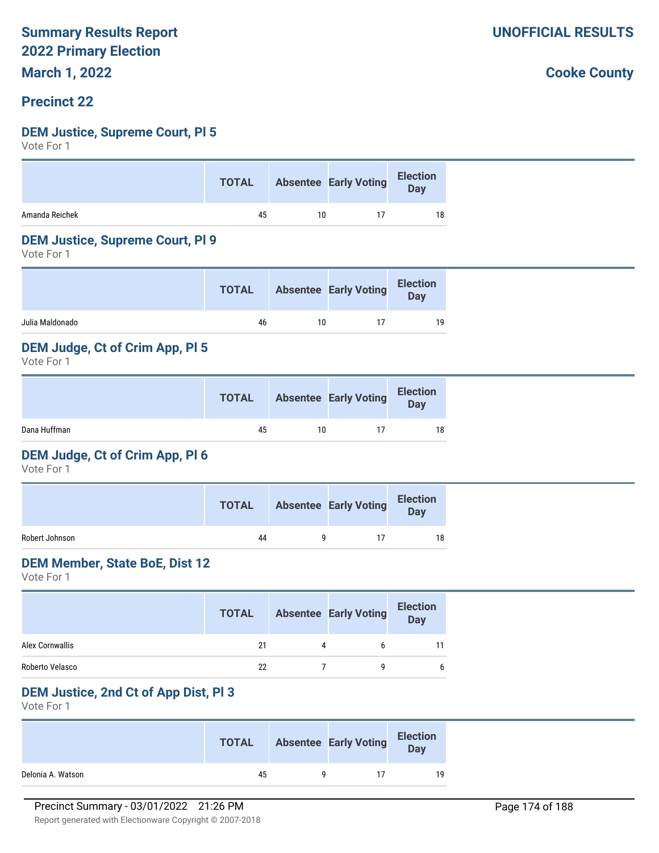**March 1, 2022**

#### **Precinct 22**

#### **DEM Justice, Supreme Court, Pl 5**

Vote For 1

|                | <b>TOTAL</b> |    | Absentee Early Voting Election |    |
|----------------|--------------|----|--------------------------------|----|
| Amanda Reichek | 45           | 10 |                                | 18 |

#### **DEM Justice, Supreme Court, Pl 9**

Vote For 1

|                 | <b>TOTAL</b> |    | <b>Absentee Early Voting</b> | <b>Election</b><br>Day |
|-----------------|--------------|----|------------------------------|------------------------|
| Julia Maldonado | 46           | 10 |                              | 19                     |
|                 |              |    |                              |                        |

#### **DEM Judge, Ct of Crim App, Pl 5**

Vote For 1

|              | <b>TOTAL</b> |    | <b>Absentee Early Voting</b> | <b>Election</b><br>Day |
|--------------|--------------|----|------------------------------|------------------------|
| Dana Huffman | 45           | 10 |                              | 18                     |

#### **DEM Judge, Ct of Crim App, Pl 6**

Vote For 1

|                | <b>TOTAL</b> | <b>Absentee Early Voting</b> | <b>Election</b><br>Day |
|----------------|--------------|------------------------------|------------------------|
| Robert Johnson | 44           |                              | 18                     |

#### **DEM Member, State BoE, Dist 12**

Vote For 1

|                 | <b>TOTAL</b> |   | <b>Absentee Early Voting</b> | <b>Election</b><br><b>Day</b> |
|-----------------|--------------|---|------------------------------|-------------------------------|
| Alex Cornwallis | 21           | 4 | h                            |                               |
| Roberto Velasco | 22           |   |                              |                               |

#### **DEM Justice, 2nd Ct of App Dist, Pl 3**

Vote For 1

|                   | <b>TOTAL</b> | <b>Absentee Early Voting</b> | <b>Election</b><br>Day |
|-------------------|--------------|------------------------------|------------------------|
| Delonia A. Watson | 45           |                              | 19                     |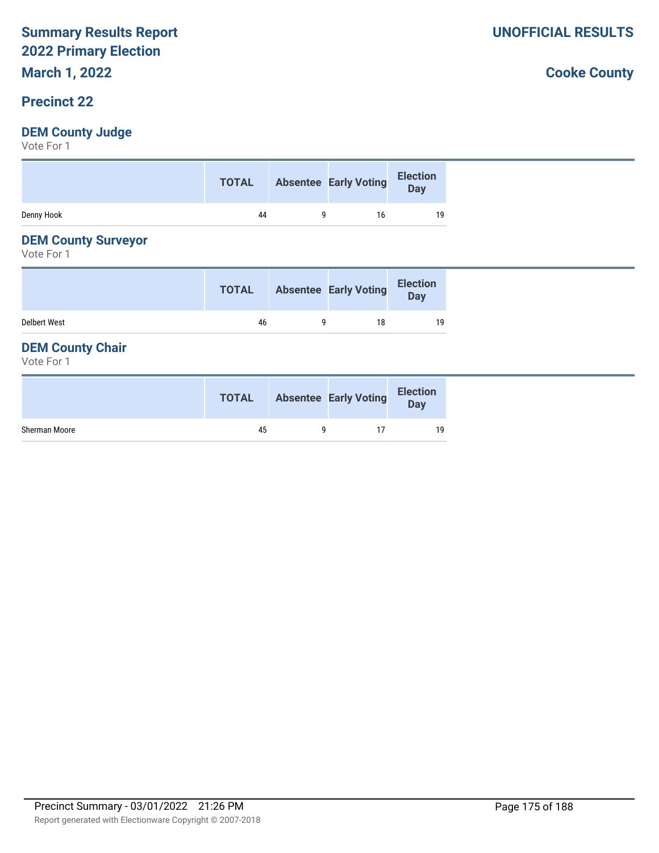# **March 1, 2022**

#### **Precinct 22**

#### **DEM County Judge**

Vote For 1

|            | <b>TOTAL</b> | Absentee Early Voting | Election<br>Day |
|------------|--------------|-----------------------|-----------------|
| Denny Hook | 44           | 16                    | 19              |

#### **DEM County Surveyor**

Vote For 1

|                     | <b>TOTAL</b> | <b>Absentee Early Voting</b> | <b>Election</b><br>Day |
|---------------------|--------------|------------------------------|------------------------|
| <b>Delbert West</b> | 46           | 18                           | 19                     |

#### **DEM County Chair**

Vote For 1

|               | <b>TOTAL</b> | <b>Absentee Early Voting</b> | <b>Election</b><br><b>Day</b> |
|---------------|--------------|------------------------------|-------------------------------|
| Sherman Moore | 45           |                              | 19                            |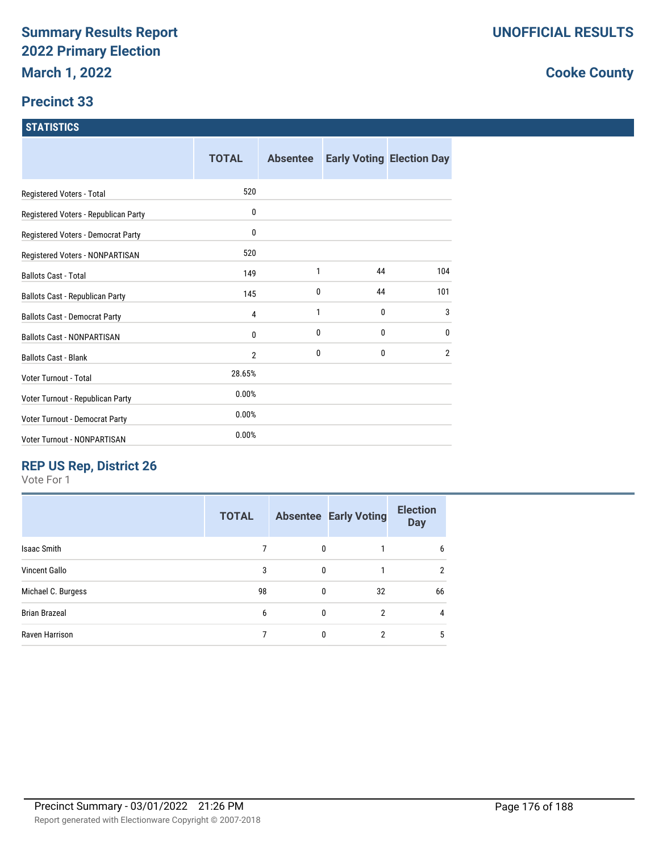#### **Precinct 33**

#### **STATISTICS**

|                                      | <b>TOTAL</b>   | <b>Absentee</b> |    | <b>Early Voting Election Day</b> |
|--------------------------------------|----------------|-----------------|----|----------------------------------|
| Registered Voters - Total            | 520            |                 |    |                                  |
| Registered Voters - Republican Party | 0              |                 |    |                                  |
| Registered Voters - Democrat Party   | 0              |                 |    |                                  |
| Registered Voters - NONPARTISAN      | 520            |                 |    |                                  |
| <b>Ballots Cast - Total</b>          | 149            | 1               | 44 | 104                              |
| Ballots Cast - Republican Party      | 145            | 0               | 44 | 101                              |
| <b>Ballots Cast - Democrat Party</b> | 4              | 1               | 0  | 3                                |
| <b>Ballots Cast - NONPARTISAN</b>    | 0              | 0               | 0  | $\mathbf{0}$                     |
| <b>Ballots Cast - Blank</b>          | $\overline{2}$ | 0               | 0  | $\overline{2}$                   |
| Voter Turnout - Total                | 28.65%         |                 |    |                                  |
| Voter Turnout - Republican Party     | 0.00%          |                 |    |                                  |
| Voter Turnout - Democrat Party       | 0.00%          |                 |    |                                  |
| Voter Turnout - NONPARTISAN          | 0.00%          |                 |    |                                  |

### **REP US Rep, District 26**

Vote For 1

|                      | <b>TOTAL</b> |              | <b>Absentee Early Voting</b> | <b>Election</b><br><b>Day</b> |
|----------------------|--------------|--------------|------------------------------|-------------------------------|
| <b>Isaac Smith</b>   |              | 0            |                              | 6                             |
| Vincent Gallo        | 3            | $\mathbf{0}$ |                              | $\overline{2}$                |
| Michael C. Burgess   | 98           | 0            | 32                           | 66                            |
| <b>Brian Brazeal</b> | 6            | $\mathbf{0}$ | $\overline{2}$               | 4                             |
| Raven Harrison       |              | $\theta$     | 2                            | 5                             |
|                      |              |              |                              |                               |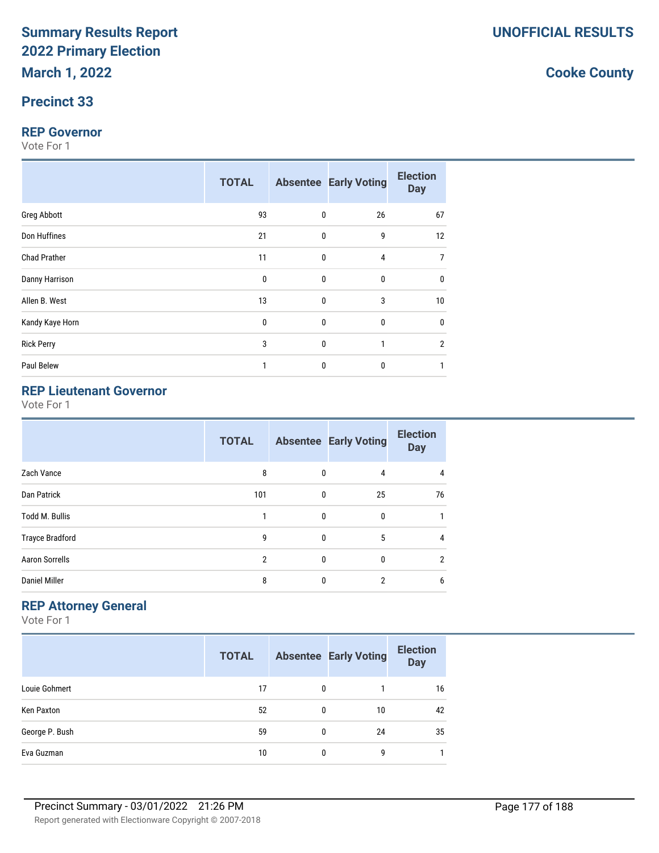#### **Precinct 33**

#### **REP Governor**

Vote For 1

|                     | <b>TOTAL</b> |              | <b>Absentee Early Voting</b> | <b>Election</b><br><b>Day</b> |
|---------------------|--------------|--------------|------------------------------|-------------------------------|
| Greg Abbott         | 93           | $\mathbf 0$  | 26                           | 67                            |
| Don Huffines        | 21           | $\mathbf 0$  | 9                            | 12                            |
| <b>Chad Prather</b> | 11           | $\mathbf 0$  | 4                            |                               |
| Danny Harrison      | $\mathbf 0$  | $\mathbf 0$  | 0                            | $\mathbf{0}$                  |
| Allen B. West       | 13           | $\mathbf 0$  | 3                            | 10                            |
| Kandy Kaye Horn     | $\mathbf{0}$ | $\mathbf 0$  | 0                            | $\mathbf 0$                   |
| <b>Rick Perry</b>   | 3            | $\mathbf 0$  | 1                            | $\overline{2}$                |
| Paul Belew          | 1            | $\mathbf{0}$ | 0                            |                               |

### **REP Lieutenant Governor**

Vote For 1

| <b>TOTAL</b>   |              |              | <b>Election</b><br><b>Day</b>                                                     |
|----------------|--------------|--------------|-----------------------------------------------------------------------------------|
| 8              |              | 4            | 4                                                                                 |
| 101            |              | 25           | 76                                                                                |
|                |              | 0            |                                                                                   |
| 9              |              | 5            | 4                                                                                 |
| $\overline{2}$ |              | $\mathbf 0$  | $\overline{2}$                                                                    |
| 8              | $\mathbf{0}$ | 2            | 6                                                                                 |
|                |              | $\mathbf{0}$ | <b>Absentee Early Voting</b><br>$\mathbf{0}$<br>$\mathbf{0}$<br>0<br>$\mathbf{0}$ |

#### **REP Attorney General**

Vote For 1

|                | <b>TOTAL</b> |          | <b>Absentee Early Voting</b> | <b>Election</b><br><b>Day</b> |
|----------------|--------------|----------|------------------------------|-------------------------------|
| Louie Gohmert  | 17           | $\Omega$ |                              | 16                            |
| Ken Paxton     | 52           | 0        | 10                           | 42                            |
| George P. Bush | 59           | 0        | 24                           | 35                            |
| Eva Guzman     | 10           | 0        | 9                            |                               |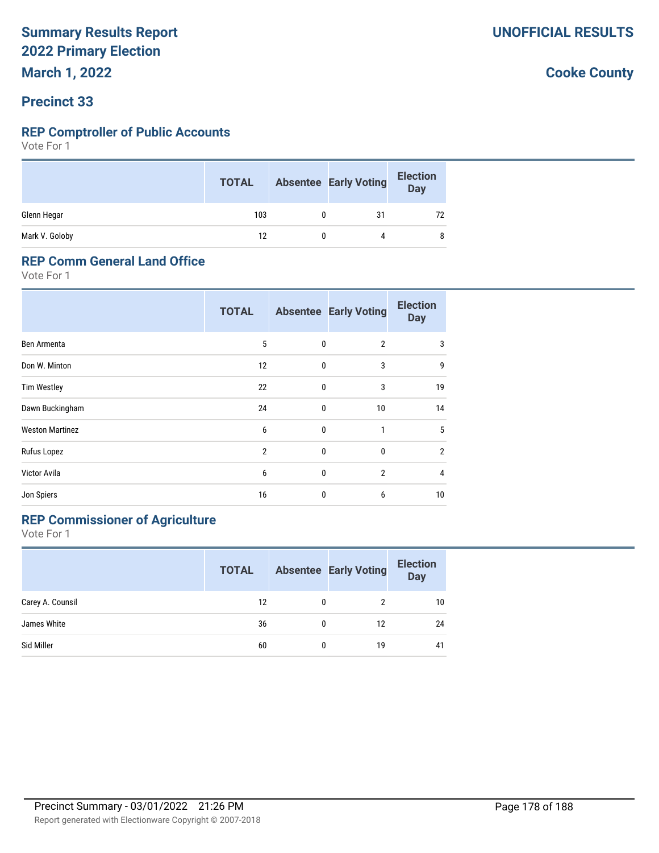**March 1, 2022**

#### **Precinct 33**

#### **REP Comptroller of Public Accounts**

Vote For 1

|                | <b>TOTAL</b> | <b>Absentee Early Voting</b> | <b>Election</b><br>Day |
|----------------|--------------|------------------------------|------------------------|
| Glenn Hegar    | 103          | 31                           | 72                     |
| Mark V. Goloby | 12           |                              | 8                      |

#### **REP Comm General Land Office**

Vote For 1

|                        | <b>TOTAL</b>   |              | <b>Absentee Early Voting</b> | <b>Election</b><br><b>Day</b> |
|------------------------|----------------|--------------|------------------------------|-------------------------------|
| Ben Armenta            | 5              | $\mathbf{0}$ | $\overline{2}$               | 3                             |
| Don W. Minton          | 12             | $\mathbf{0}$ | 3                            | 9                             |
| <b>Tim Westley</b>     | 22             | 0            | 3                            | 19                            |
| Dawn Buckingham        | 24             | 0            | 10                           | 14                            |
| <b>Weston Martinez</b> | 6              | 0            | 1                            | 5                             |
| Rufus Lopez            | $\overline{2}$ | 0            | $\mathbf{0}$                 | $\overline{2}$                |
| Victor Avila           | 6              | 0            | $\overline{2}$               | 4                             |
| Jon Spiers             | 16             | 0            | 6                            | 10                            |

### **REP Commissioner of Agriculture**

Vote For 1

|                  | <b>TOTAL</b> |   | <b>Absentee Early Voting</b> | <b>Election</b><br><b>Day</b> |
|------------------|--------------|---|------------------------------|-------------------------------|
| Carey A. Counsil | 12           | 0 | 2                            | 10                            |
| James White      | 36           | 0 | 12                           | 24                            |
| Sid Miller       | 60           | 0 | 19                           | 41                            |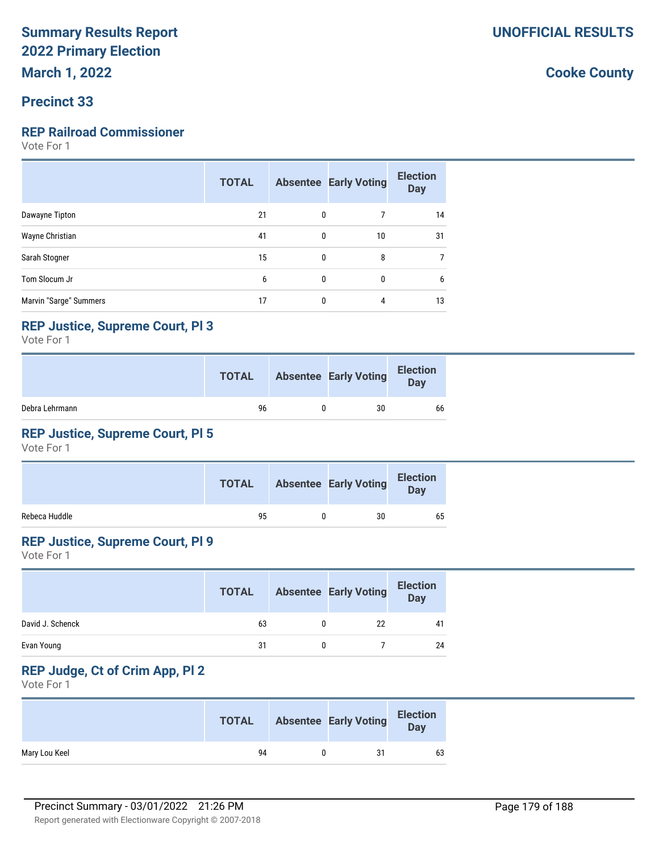#### **Precinct 33**

### **REP Railroad Commissioner**

Vote For 1

|                        | <b>TOTAL</b> |              | <b>Absentee Early Voting</b> | <b>Election</b><br><b>Day</b> |
|------------------------|--------------|--------------|------------------------------|-------------------------------|
| Dawayne Tipton         | 21           | $\mathbf{0}$ |                              | 14                            |
| Wayne Christian        | 41           | $\mathbf{0}$ | 10                           | 31                            |
| Sarah Stogner          | 15           | $\mathbf{0}$ | 8                            |                               |
| Tom Slocum Jr          | 6            | $\mathbf{0}$ | 0                            | 6                             |
| Marvin "Sarge" Summers | 17           | $\mathbf{0}$ | 4                            | 13                            |

#### **REP Justice, Supreme Court, Pl 3**

Vote For 1

|                | <b>TOTAL</b> | <b>Absentee Early Voting</b> | <b>Election</b><br>Day |
|----------------|--------------|------------------------------|------------------------|
| Debra Lehrmann | 96           | 30                           | 66                     |

### **REP Justice, Supreme Court, Pl 5**

Vote For 1

|               | <b>TOTAL</b> | <b>Absentee Early Voting</b> | <b>Election</b><br>Day |
|---------------|--------------|------------------------------|------------------------|
| Rebeca Huddle | 95           | 30                           | 65                     |

#### **REP Justice, Supreme Court, Pl 9**

Vote For 1

|                  | <b>TOTAL</b> | <b>Absentee Early Voting</b> | <b>Election</b><br>Day |
|------------------|--------------|------------------------------|------------------------|
| David J. Schenck | 63           | 22                           | 41                     |
| Evan Young       | 31           |                              | 24                     |

### **REP Judge, Ct of Crim App, Pl 2**

|               | <b>TOTAL</b> | <b>Absentee Early Voting</b> | <b>Election</b><br><b>Day</b> |
|---------------|--------------|------------------------------|-------------------------------|
| Mary Lou Keel | 94           | 31                           | 63                            |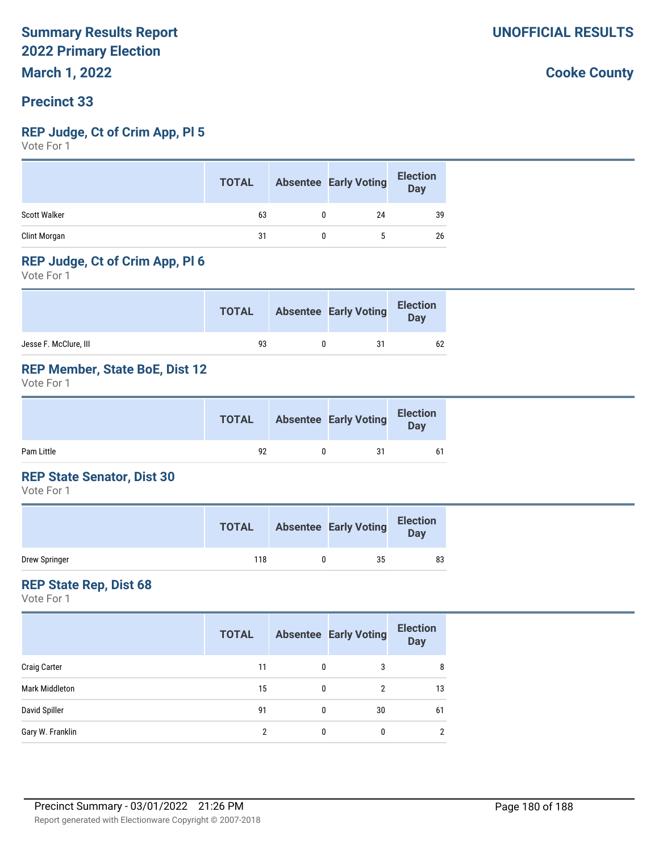#### **Precinct 33**

#### **REP Judge, Ct of Crim App, Pl 5**

Vote For 1

| <b>TOTAL</b> |    | <b>Election</b><br>Day       |
|--------------|----|------------------------------|
| 63           | 24 | 39                           |
| 31           | 5. | 26                           |
|              |    | <b>Absentee Early Voting</b> |

#### **REP Judge, Ct of Crim App, Pl 6**

Vote For 1

|                       | <b>TOTAL</b> | <b>Absentee Early Voting</b> | <b>Election</b><br>Day |
|-----------------------|--------------|------------------------------|------------------------|
| Jesse F. McClure, III | 93           | 31                           | 62                     |

#### **REP Member, State BoE, Dist 12**

Vote For 1

|            | <b>TOTAL</b> | <b>Absentee Early Voting</b> | <b>Election</b><br>Day |
|------------|--------------|------------------------------|------------------------|
| Pam Little | 92           | 31                           | 61                     |

#### **REP State Senator, Dist 30**

Vote For 1

|               | <b>TOTAL</b> | <b>Absentee Early Voting</b> | <b>Election</b><br>Day |
|---------------|--------------|------------------------------|------------------------|
| Drew Springer | 118          | 35                           | 83                     |

#### **REP State Rep, Dist 68**

Vote For 1

|                     | <b>TOTAL</b> |              | <b>Absentee Early Voting</b> | <b>Election</b><br><b>Day</b> |
|---------------------|--------------|--------------|------------------------------|-------------------------------|
| <b>Craig Carter</b> | 11           | $\mathbf{0}$ | 3                            | 8                             |
| Mark Middleton      | 15           | 0            | 2                            | 13                            |
| David Spiller       | 91           | 0            | 30                           | 61                            |
| Gary W. Franklin    | 2            | 0            | 0                            | 2                             |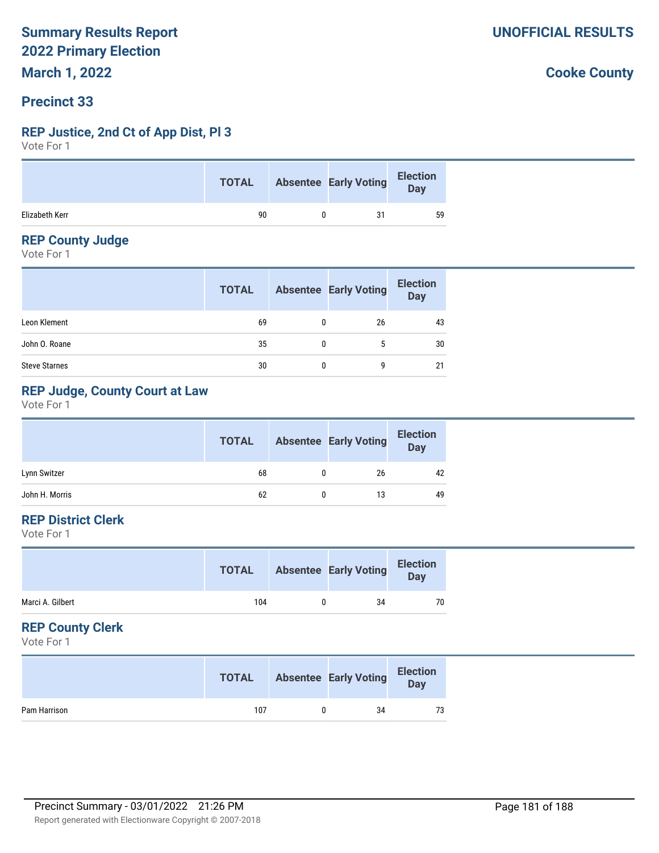# **Precinct 33**

#### **REP Justice, 2nd Ct of App Dist, Pl 3**

Vote For 1

|                | <b>TOTAL</b> |   | <b>Absentee Early Voting</b> | Election |
|----------------|--------------|---|------------------------------|----------|
| Elizabeth Kerr | 90           | 0 | 31                           | 59       |

#### **REP County Judge**

Vote For 1

|                      | <b>TOTAL</b> |   | <b>Absentee Early Voting</b> | <b>Election</b><br>Day |
|----------------------|--------------|---|------------------------------|------------------------|
| Leon Klement         | 69           | 0 | 26                           | 43                     |
| John O. Roane        | 35           | 0 | 5                            | 30                     |
| <b>Steve Starnes</b> | 30           |   | g                            | 21                     |

# **REP Judge, County Court at Law**

Vote For 1

|                | <b>TOTAL</b> | <b>Absentee Early Voting</b> | <b>Election</b><br><b>Day</b> |
|----------------|--------------|------------------------------|-------------------------------|
| Lynn Switzer   | 68           | 26                           | 42                            |
| John H. Morris | 62           | 13                           | 49                            |

# **REP District Clerk**

Vote For 1

|                  | <b>TOTAL</b> | <b>Absentee Early Voting</b> | <b>Election</b><br>Day |
|------------------|--------------|------------------------------|------------------------|
| Marci A. Gilbert | 104          | 34                           | 70                     |
|                  |              |                              |                        |

#### **REP County Clerk**

Vote For 1

|              | <b>TOTAL</b> | <b>Absentee Early Voting</b> | <b>Election</b><br>Day |
|--------------|--------------|------------------------------|------------------------|
| Pam Harrison | 107          | 34                           | 73                     |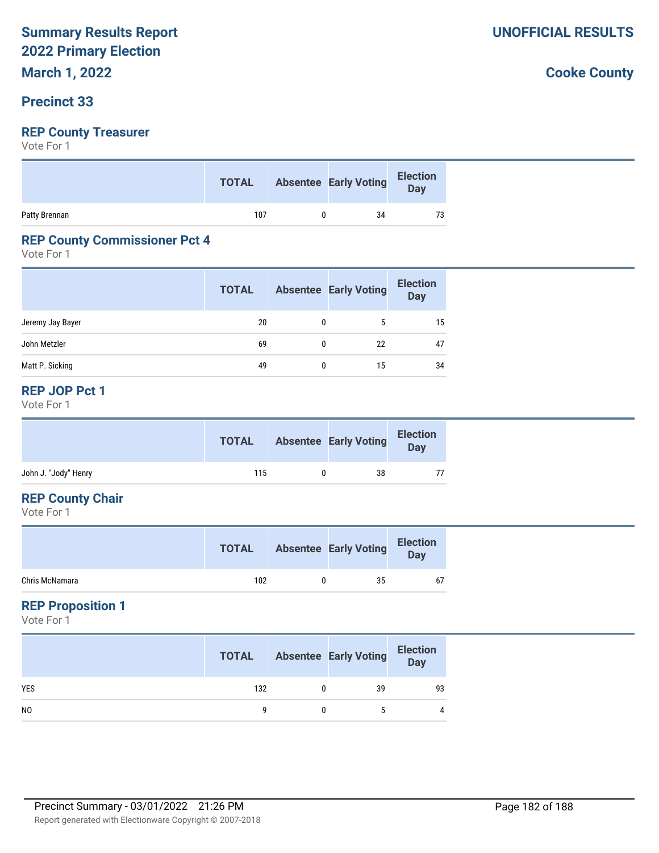## **Precinct 33**

# **REP County Treasurer**

Vote For 1

|               | <b>TOTAL</b> | <b>Absentee Early Voting</b> | Election<br>Day |
|---------------|--------------|------------------------------|-----------------|
| Patty Brennan | 107          | 34                           | 73              |

#### **REP County Commissioner Pct 4**

Vote For 1

|                  | <b>TOTAL</b> | <b>Absentee Early Voting</b> | <b>Election</b><br><b>Day</b> |
|------------------|--------------|------------------------------|-------------------------------|
| Jeremy Jay Bayer | 20           |                              | 15                            |
| John Metzler     | 69           | 22                           | 47                            |
| Matt P. Sicking  | 49           | 15                           | 34                            |

#### **REP JOP Pct 1**

Vote For 1

|                      | <b>TOTAL</b> | <b>Absentee Early Voting</b> | <b>Election</b><br>Day |
|----------------------|--------------|------------------------------|------------------------|
| John J. "Jody" Henry | 115          | 38                           |                        |

#### **REP County Chair**

Vote For 1

|                | <b>TOTAL</b> | <b>Absentee Early Voting</b> | <b>Election</b><br>Day |
|----------------|--------------|------------------------------|------------------------|
| Chris McNamara | 102          | 35                           | 67                     |

# **REP Proposition 1**

Vote For 1

|                | <b>TOTAL</b> | <b>Absentee Early Voting</b> | <b>Election</b><br>Day |
|----------------|--------------|------------------------------|------------------------|
| <b>YES</b>     | 132          | 39                           | 93                     |
| N <sub>0</sub> |              | 5                            | 4                      |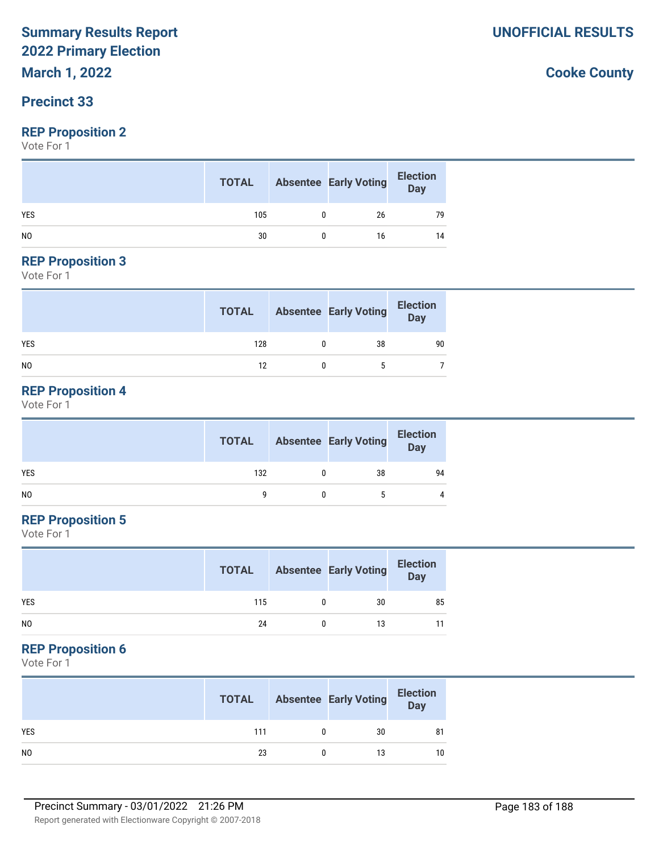# **March 1, 2022**

# **Precinct 33**

#### **REP Proposition 2**

Vote For 1

|                | <b>TOTAL</b> | Absentee Early Voting | <b>Election</b><br>Day |
|----------------|--------------|-----------------------|------------------------|
| <b>YES</b>     | 105          | 26                    | 79                     |
| N <sub>0</sub> | 30           | 16                    | 14                     |

#### **REP Proposition 3**

Vote For 1

|            | <b>TOTAL</b> | <b>Absentee Early Voting</b> | Election<br>Day |
|------------|--------------|------------------------------|-----------------|
| <b>YES</b> | 128          | 38                           | 90              |
| NO         | 12           |                              |                 |

## **REP Proposition 4**

Vote For 1

|                | <b>TOTAL</b> | <b>Absentee Early Voting</b> | <b>Election</b><br>Day |
|----------------|--------------|------------------------------|------------------------|
| <b>YES</b>     | 132          | 38                           | 94                     |
| N <sub>0</sub> |              |                              |                        |

## **REP Proposition 5**

Vote For 1

|                | <b>TOTAL</b> | <b>Absentee Early Voting</b> | <b>Election</b><br>Day |
|----------------|--------------|------------------------------|------------------------|
| <b>YES</b>     | 115          | 30                           | 85                     |
| N <sub>0</sub> | 24           | 13                           | 11                     |

#### **REP Proposition 6**

Vote For 1

|                | <b>TOTAL</b> | <b>Absentee Early Voting</b> | <b>Election</b><br>Day |
|----------------|--------------|------------------------------|------------------------|
| <b>YES</b>     | 111          | 30                           | 81                     |
| N <sub>0</sub> | 23           | 13                           | 10                     |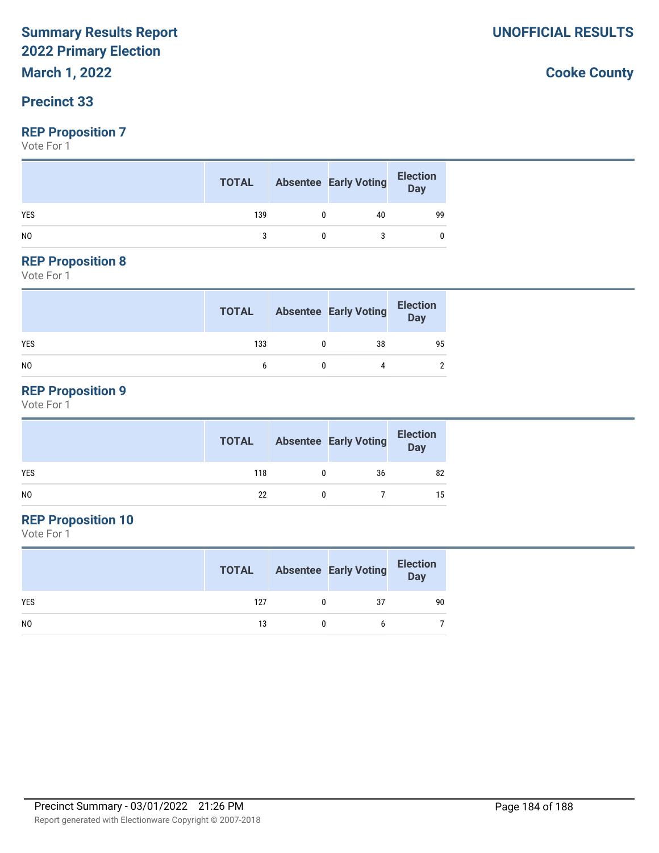# **March 1, 2022**

# **Precinct 33**

#### **REP Proposition 7**

Vote For 1

|                | <b>TOTAL</b> | <b>Absentee Early Voting</b> | <b>Election</b><br>Day |
|----------------|--------------|------------------------------|------------------------|
| <b>YES</b>     | 139          | 40                           | 99                     |
| N <sub>0</sub> |              |                              |                        |

#### **REP Proposition 8**

Vote For 1

|                | <b>TOTAL</b> | <b>Absentee Early Voting</b> | Election<br>Day |
|----------------|--------------|------------------------------|-----------------|
| <b>YES</b>     | 133          | 38                           | 95              |
| N <sub>0</sub> |              |                              | $\mathfrak{p}$  |

## **REP Proposition 9**

Vote For 1

|                | <b>TOTAL</b> | <b>Absentee Early Voting</b> | <b>Election</b><br>Day |
|----------------|--------------|------------------------------|------------------------|
| <b>YES</b>     | 118          | 36                           | 82                     |
| N <sub>0</sub> | 22           |                              | 15                     |

# **REP Proposition 10**

Vote For 1

|                | <b>TOTAL</b> | <b>Absentee Early Voting</b> | <b>Election</b><br><b>Day</b> |
|----------------|--------------|------------------------------|-------------------------------|
| <b>YES</b>     | 127          | 37                           | 90                            |
| N <sub>0</sub> | 13           | h                            |                               |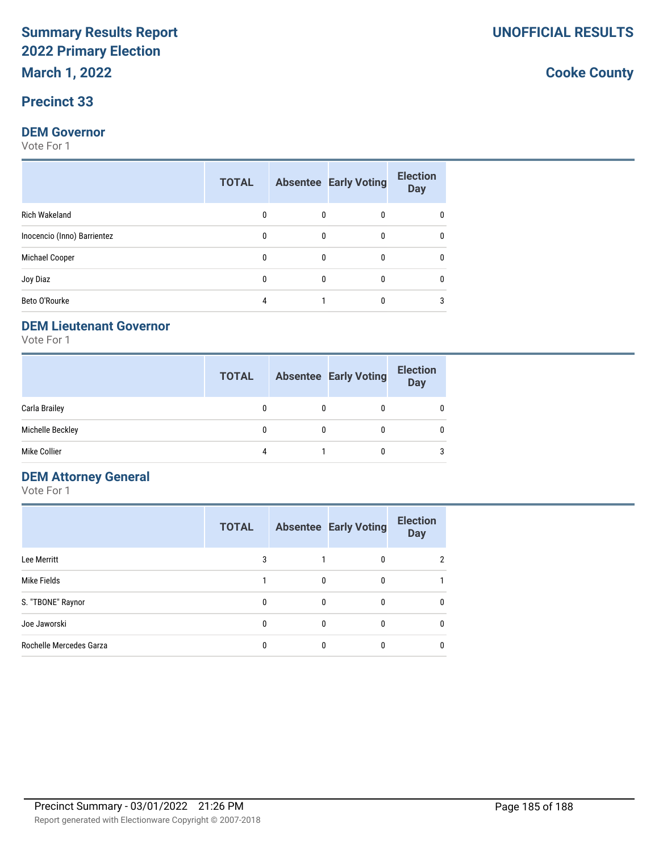# **Precinct 33**

#### **DEM Governor**

Vote For 1

|                             | <b>TOTAL</b> |              | <b>Absentee Early Voting</b> | <b>Election</b><br><b>Day</b> |
|-----------------------------|--------------|--------------|------------------------------|-------------------------------|
| <b>Rich Wakeland</b>        | 0            | $\mathbf{0}$ | 0                            |                               |
| Inocencio (Inno) Barrientez | 0            | $\mathbf{0}$ | 0                            | 0                             |
| Michael Cooper              | 0            | $\mathbf{0}$ | 0                            | 0                             |
| Joy Diaz                    | 0            | $\mathbf{0}$ | 0                            | 0                             |
| Beto O'Rourke               | 4            |              | 0                            | 3                             |

#### **DEM Lieutenant Governor**

Vote For 1

|                  | <b>TOTAL</b> | <b>Absentee Early Voting</b> | <b>Election</b><br><b>Day</b> |
|------------------|--------------|------------------------------|-------------------------------|
| Carla Brailey    |              |                              |                               |
| Michelle Beckley |              |                              |                               |
| Mike Collier     |              |                              | 3                             |

# **DEM Attorney General**

Vote For 1

|                         | <b>TOTAL</b> |   | <b>Absentee Early Voting</b> | <b>Election</b><br><b>Day</b> |
|-------------------------|--------------|---|------------------------------|-------------------------------|
| Lee Merritt             | 3            |   | 0                            | 2                             |
| Mike Fields             |              | 0 |                              |                               |
| S. "TBONE" Raynor       | 0            | 0 | 0                            | 0                             |
| Joe Jaworski            | 0            | 0 |                              | 0                             |
| Rochelle Mercedes Garza | 0            |   |                              | 0                             |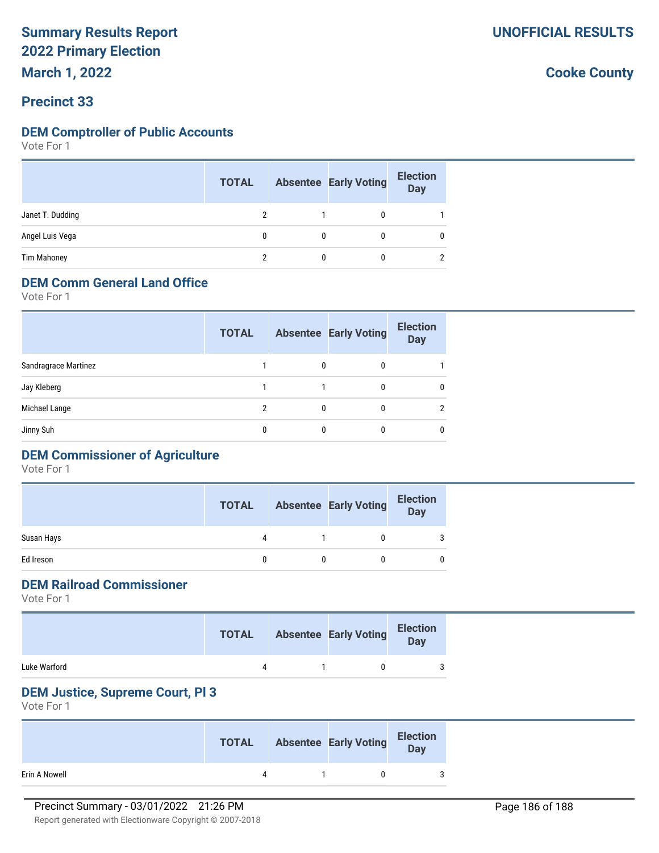**March 1, 2022**

## **Precinct 33**

#### **DEM Comptroller of Public Accounts**

Vote For 1

|                    | <b>TOTAL</b> | <b>Absentee Early Voting</b> | <b>Election</b><br><b>Day</b> |
|--------------------|--------------|------------------------------|-------------------------------|
| Janet T. Dudding   |              | 0                            |                               |
| Angel Luis Vega    |              | 0                            | 0                             |
| <b>Tim Mahoney</b> |              | 0                            | $\overline{2}$                |

# **DEM Comm General Land Office**

Vote For 1

|                      | <b>TOTAL</b> |   | <b>Absentee Early Voting</b> | <b>Election</b><br><b>Day</b> |
|----------------------|--------------|---|------------------------------|-------------------------------|
| Sandragrace Martinez |              | 0 | 0                            |                               |
| Jay Kleberg          |              |   | 0                            | 0                             |
| Michael Lange        | 2            | 0 |                              | $\mathcal{P}$                 |
| Jinny Suh            | 0            |   |                              | 0                             |
|                      |              |   |                              |                               |

# **DEM Commissioner of Agriculture**

Vote For 1

|            | <b>TOTAL</b> | <b>Absentee Early Voting</b> | <b>Election</b><br><b>Day</b> |
|------------|--------------|------------------------------|-------------------------------|
| Susan Hays |              |                              | 3                             |
| Ed Ireson  |              |                              |                               |

# **DEM Railroad Commissioner**

Vote For 1

|              | TOTAL | <b>Absentee Early Voting</b> | <b>Election</b><br>Day |
|--------------|-------|------------------------------|------------------------|
| Luke Warford |       |                              |                        |

#### **DEM Justice, Supreme Court, Pl 3**

Vote For 1

|               | <b>TOTAL</b> | <b>Absentee Early Voting</b> | <b>Election</b><br>Day |
|---------------|--------------|------------------------------|------------------------|
| Erin A Nowell | $\Lambda$    |                              |                        |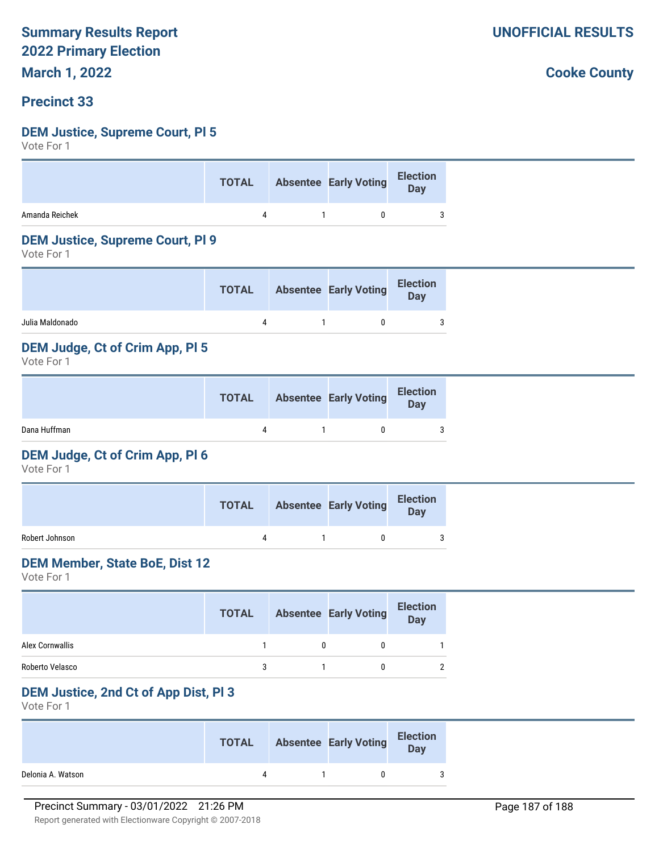**March 1, 2022**

#### **Precinct 33**

#### **DEM Justice, Supreme Court, Pl 5**

Vote For 1

|                | <b>TOTAL</b> | Absentee Early Voting Election |  |
|----------------|--------------|--------------------------------|--|
| Amanda Reichek |              | $\overline{0}$                 |  |

#### **DEM Justice, Supreme Court, Pl 9**

Vote For 1

|                 | <b>TOTAL</b> | <b>Absentee Early Voting</b> | <b>Election</b><br><b>Day</b> |
|-----------------|--------------|------------------------------|-------------------------------|
| Julia Maldonado |              | n                            | 3                             |

#### **DEM Judge, Ct of Crim App, Pl 5**

Vote For 1

|              | <b>TOTAL</b> | <b>Absentee Early Voting</b> | <b>Election</b><br>Day |
|--------------|--------------|------------------------------|------------------------|
| Dana Huffman |              |                              | 3                      |

#### **DEM Judge, Ct of Crim App, Pl 6**

Vote For 1

|                | <b>TOTAL</b> | <b>Absentee Early Voting</b> | <b>Election</b><br>Day |
|----------------|--------------|------------------------------|------------------------|
| Robert Johnson |              |                              | 3                      |

#### **DEM Member, State BoE, Dist 12**

Vote For 1

|                 | <b>TOTAL</b> | <b>Absentee Early Voting</b> | <b>Election</b><br>Day |
|-----------------|--------------|------------------------------|------------------------|
| Alex Cornwallis |              |                              |                        |
| Roberto Velasco |              |                              |                        |

#### **DEM Justice, 2nd Ct of App Dist, Pl 3**

Vote For 1

|                   | <b>TOTAL</b> | <b>Absentee Early Voting</b> | <b>Election</b><br>Day |
|-------------------|--------------|------------------------------|------------------------|
| Delonia A. Watson | $\Lambda$    |                              |                        |